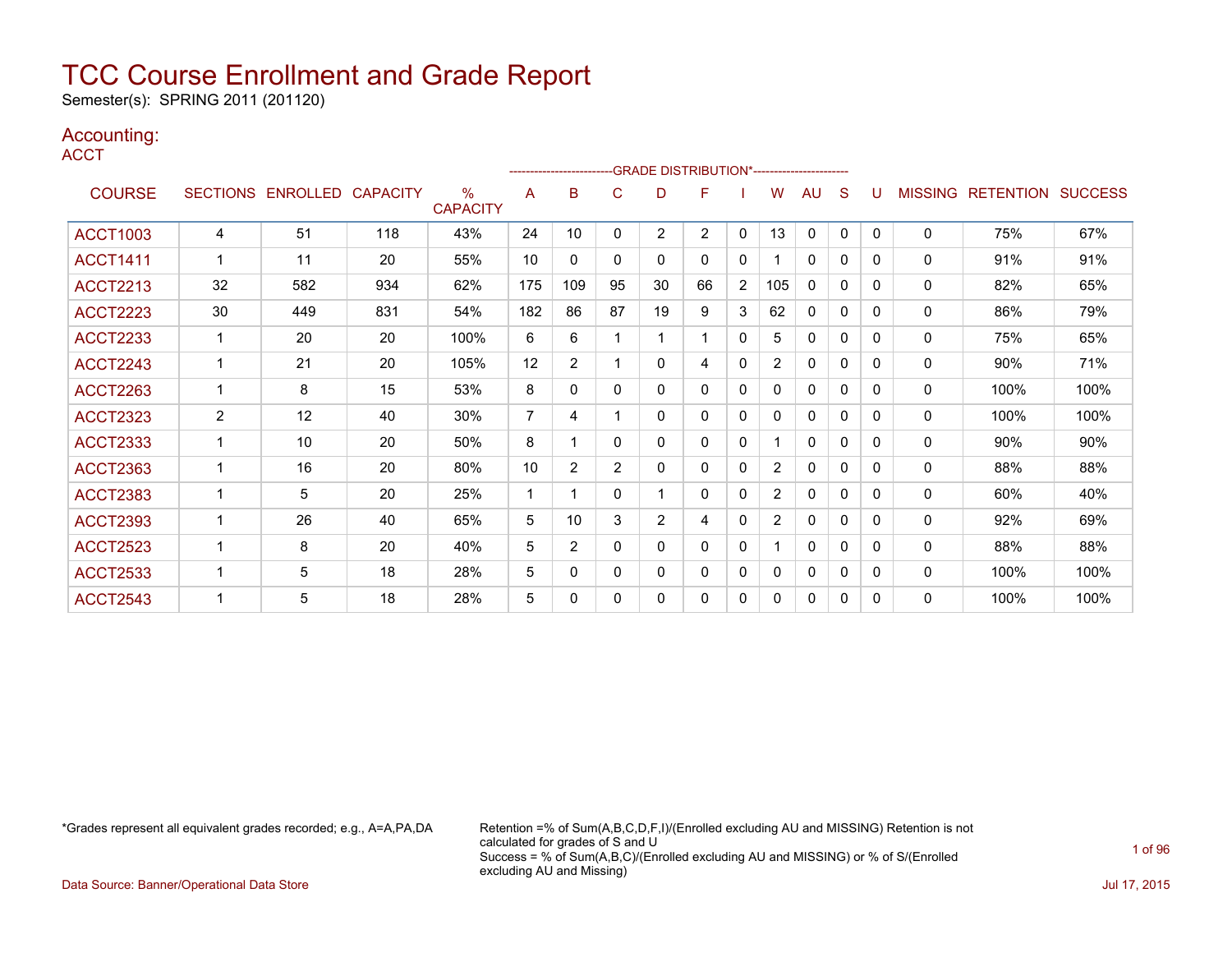Semester(s): SPRING 2011 (201120)

### Accounting:

**ACCT** 

|                 |                |                            |     |                         |                | ------------------------GRADE                DISTRIBUTION*---------------------- |                |                |                |              |                |              |          |   |                |                          |      |
|-----------------|----------------|----------------------------|-----|-------------------------|----------------|----------------------------------------------------------------------------------|----------------|----------------|----------------|--------------|----------------|--------------|----------|---|----------------|--------------------------|------|
| <b>COURSE</b>   |                | SECTIONS ENROLLED CAPACITY |     | $\%$<br><b>CAPACITY</b> | A              | в                                                                                | C              | D              | F              |              | W              | <b>AU</b>    | S        |   | <b>MISSING</b> | <b>RETENTION SUCCESS</b> |      |
| <b>ACCT1003</b> | 4              | 51                         | 118 | 43%                     | 24             | 10                                                                               | $\mathbf 0$    | $\overline{2}$ | $\overline{2}$ | $\mathbf{0}$ | 13             | $\mathbf{0}$ | 0        | 0 | $\mathbf{0}$   | 75%                      | 67%  |
| <b>ACCT1411</b> | $\mathbf 1$    | 11                         | 20  | 55%                     | 10             | 0                                                                                | $\mathbf 0$    | $\mathbf{0}$   | $\mathbf{0}$   | 0            |                | $\mathbf{0}$ | 0        | 0 | 0              | 91%                      | 91%  |
| <b>ACCT2213</b> | 32             | 582                        | 934 | 62%                     | 175            | 109                                                                              | 95             | 30             | 66             | 2            | 105            | $\mathbf{0}$ | $\Omega$ | 0 | 0              | 82%                      | 65%  |
| <b>ACCT2223</b> | 30             | 449                        | 831 | 54%                     | 182            | 86                                                                               | 87             | 19             | 9              | 3            | 62             | 0            | 0        | 0 | 0              | 86%                      | 79%  |
| <b>ACCT2233</b> | $\mathbf 1$    | 20                         | 20  | 100%                    | 6              | 6                                                                                |                |                |                | $\mathbf{0}$ | 5              | 0            | 0        | 0 | $\mathbf{0}$   | 75%                      | 65%  |
| <b>ACCT2243</b> | $\mathbf{1}$   | 21                         | 20  | 105%                    | 12             | 2                                                                                |                | $\Omega$       | 4              | $\mathbf{0}$ | $\overline{2}$ | $\mathbf{0}$ | $\Omega$ | 0 | 0              | 90%                      | 71%  |
| <b>ACCT2263</b> | 1              | 8                          | 15  | 53%                     | 8              | 0                                                                                | $\mathbf 0$    | 0              | $\Omega$       | 0            | 0              | 0            | $\Omega$ | 0 | 0              | 100%                     | 100% |
| <b>ACCT2323</b> | $\overline{2}$ | 12                         | 40  | 30%                     | $\overline{7}$ | 4                                                                                |                | $\Omega$       | $\mathbf{0}$   | $\mathbf{0}$ | 0              | $\mathbf{0}$ | $\Omega$ | 0 | 0              | 100%                     | 100% |
| <b>ACCT2333</b> | 1              | 10                         | 20  | 50%                     | 8              |                                                                                  | $\Omega$       | 0              | $\Omega$       | $\mathbf{0}$ |                | $\mathbf{0}$ | 0        | 0 | 0              | 90%                      | 90%  |
| <b>ACCT2363</b> | 1              | 16                         | 20  | 80%                     | 10             | 2                                                                                | $\overline{2}$ | 0              | 0              | $\mathbf{0}$ | $\overline{2}$ | $\mathbf{0}$ | 0        | 0 | $\Omega$       | 88%                      | 88%  |
| <b>ACCT2383</b> | 1              | 5                          | 20  | 25%                     | $\mathbf 1$    |                                                                                  | $\Omega$       |                | $\Omega$       | $\mathbf{0}$ | $\overline{2}$ | $\Omega$     | 0        | 0 | 0              | 60%                      | 40%  |
| <b>ACCT2393</b> | 1              | 26                         | 40  | 65%                     | 5              | 10                                                                               | 3              | $\overline{2}$ | 4              | $\mathbf{0}$ | 2              | $\mathbf{0}$ | 0        | 0 | 0              | 92%                      | 69%  |
| <b>ACCT2523</b> | 1              | 8                          | 20  | 40%                     | 5              | 2                                                                                | $\Omega$       | $\Omega$       | $\mathbf{0}$   | $\mathbf{0}$ |                | $\mathbf{0}$ | $\Omega$ | 0 | $\mathbf{0}$   | 88%                      | 88%  |
| <b>ACCT2533</b> |                | 5                          | 18  | 28%                     | 5              | 0                                                                                | $\mathbf 0$    | 0              | $\Omega$       | $\mathbf{0}$ | 0              | $\mathbf{0}$ | 0        | 0 | 0              | 100%                     | 100% |
| <b>ACCT2543</b> |                | 5                          | 18  | 28%                     | 5              | 0                                                                                | $\mathbf 0$    | 0              | 0              | 0            | 0              | $\mathbf{0}$ | 0        | 0 | $\mathbf{0}$   | 100%                     | 100% |

\*Grades represent all equivalent grades recorded; e.g., A=A,PA,DA Retention =% of Sum(A,B,C,D,F,I)/(Enrolled excluding AU and MISSING) Retention is not calculated for grades of S and U Success = % of Sum(A,B,C)/(Enrolled excluding AU and MISSING) or % of S/(Enrolled excluding AU and Missing) Data Source: Banner/Operational Data Store Jul 17, 2015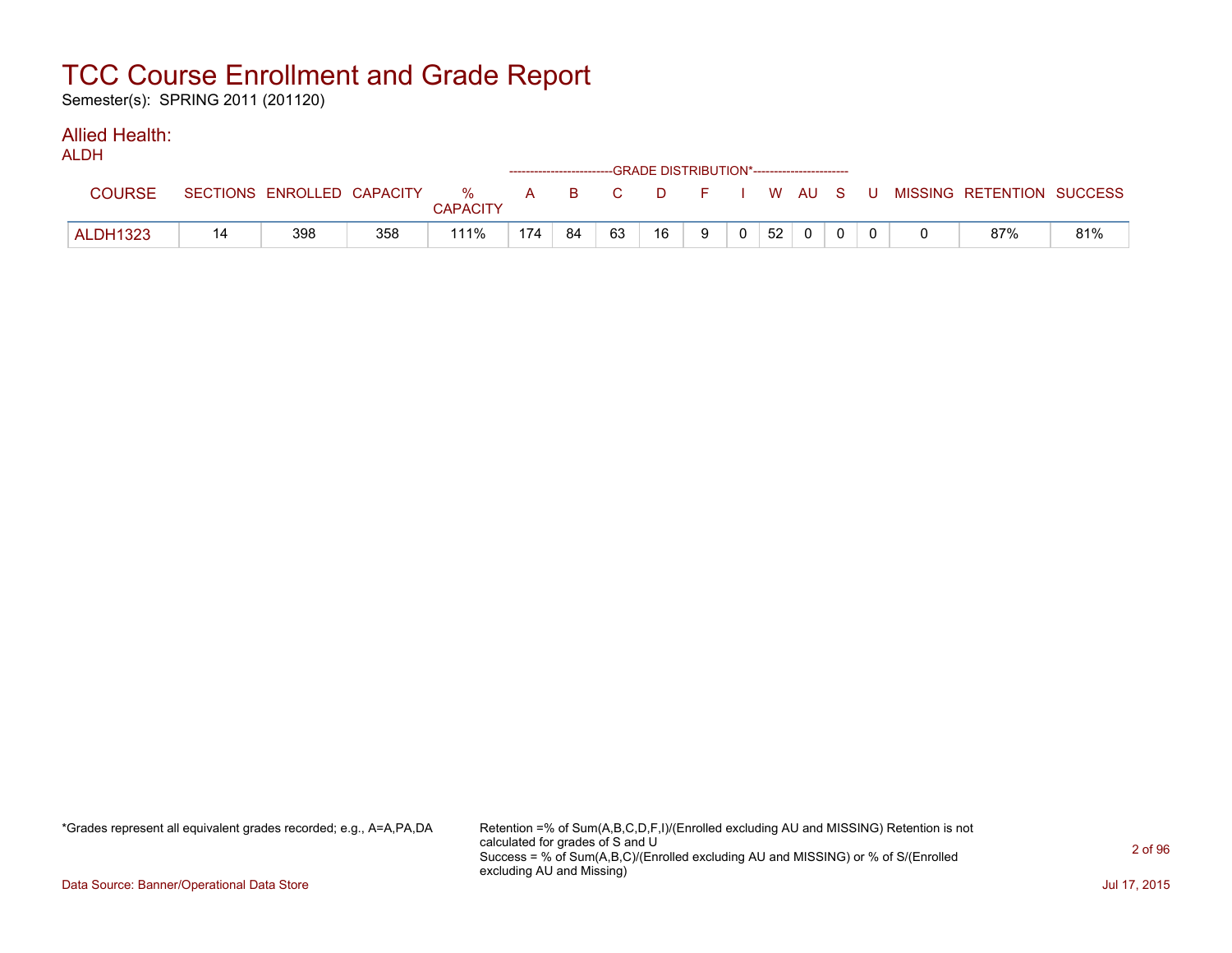Semester(s): SPRING 2011 (201120)

#### Allied Health: ALDH

| <b>ALUN</b>     |    |                            |     |                            |     |    | ------------------------GRADE DISTRIBUTION*------------------------ |    |   |          |    |  |  |                                          |     |
|-----------------|----|----------------------------|-----|----------------------------|-----|----|---------------------------------------------------------------------|----|---|----------|----|--|--|------------------------------------------|-----|
| <b>COURSE</b>   |    | SECTIONS ENROLLED CAPACITY |     | % A B C<br><b>CAPACITY</b> |     |    |                                                                     |    |   |          |    |  |  | D F I W AU S U MISSING RETENTION SUCCESS |     |
| <b>ALDH1323</b> | 14 | 398                        | 358 | 111%                       | 174 | 84 | 63                                                                  | 16 | 9 | $\Omega$ | 52 |  |  | 87%                                      | 81% |

\*Grades represent all equivalent grades recorded; e.g., A=A,PA,DA Retention =% of Sum(A,B,C,D,F,I)/(Enrolled excluding AU and MISSING) Retention is not calculated for grades of S and U Success = % of Sum(A,B,C)/(Enrolled excluding AU and MISSING) or % of S/(Enrolled excluding AU and Missing)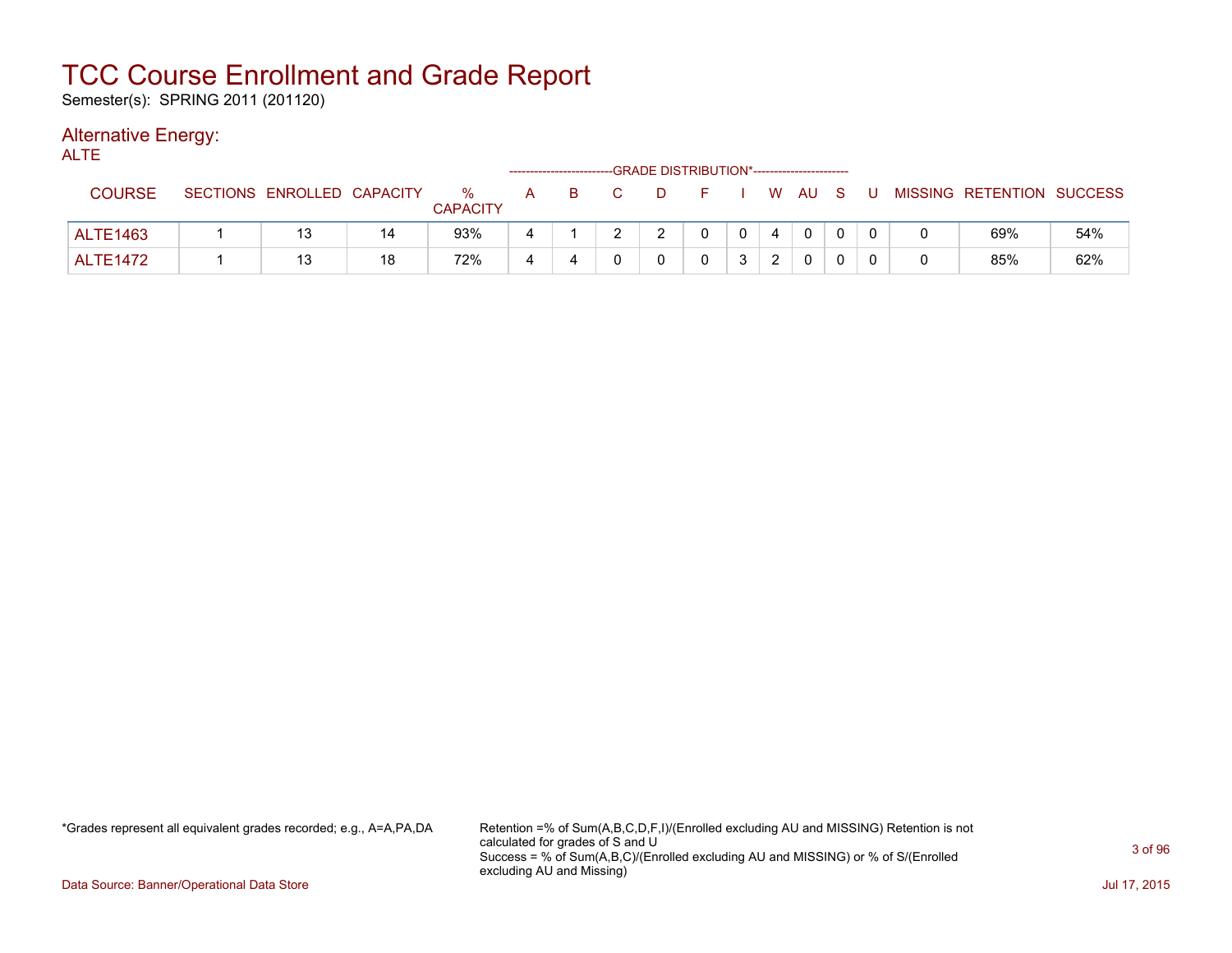Semester(s): SPRING 2011 (201120)

### Alternative Energy:

| <b>ALTE</b>     |                            |    |                      |              |    |   |        | -GRADE DISTRIBUTION*----------------------- |          |    |  |     |                           |     |
|-----------------|----------------------------|----|----------------------|--------------|----|---|--------|---------------------------------------------|----------|----|--|-----|---------------------------|-----|
| <b>COURSE</b>   | SECTIONS ENROLLED CAPACITY |    | %<br><b>CAPACITY</b> | $\mathsf{A}$ | B. |   | $\Box$ | FIWAUS                                      |          |    |  | . U | MISSING RETENTION SUCCESS |     |
| <b>ALTE1463</b> | 13                         | 14 | 93%                  | 4            |    | າ | າ      |                                             | $\Omega$ |    |  |     | 69%                       | 54% |
| <b>ALTE1472</b> | 13                         | 18 | 72%                  | 4            |    |   |        |                                             |          | C. |  |     | 85%                       | 62% |

\*Grades represent all equivalent grades recorded; e.g., A=A,PA,DA Retention =% of Sum(A,B,C,D,F,I)/(Enrolled excluding AU and MISSING) Retention is not calculated for grades of S and U Success = % of Sum(A,B,C)/(Enrolled excluding AU and MISSING) or % of S/(Enrolled excluding AU and Missing)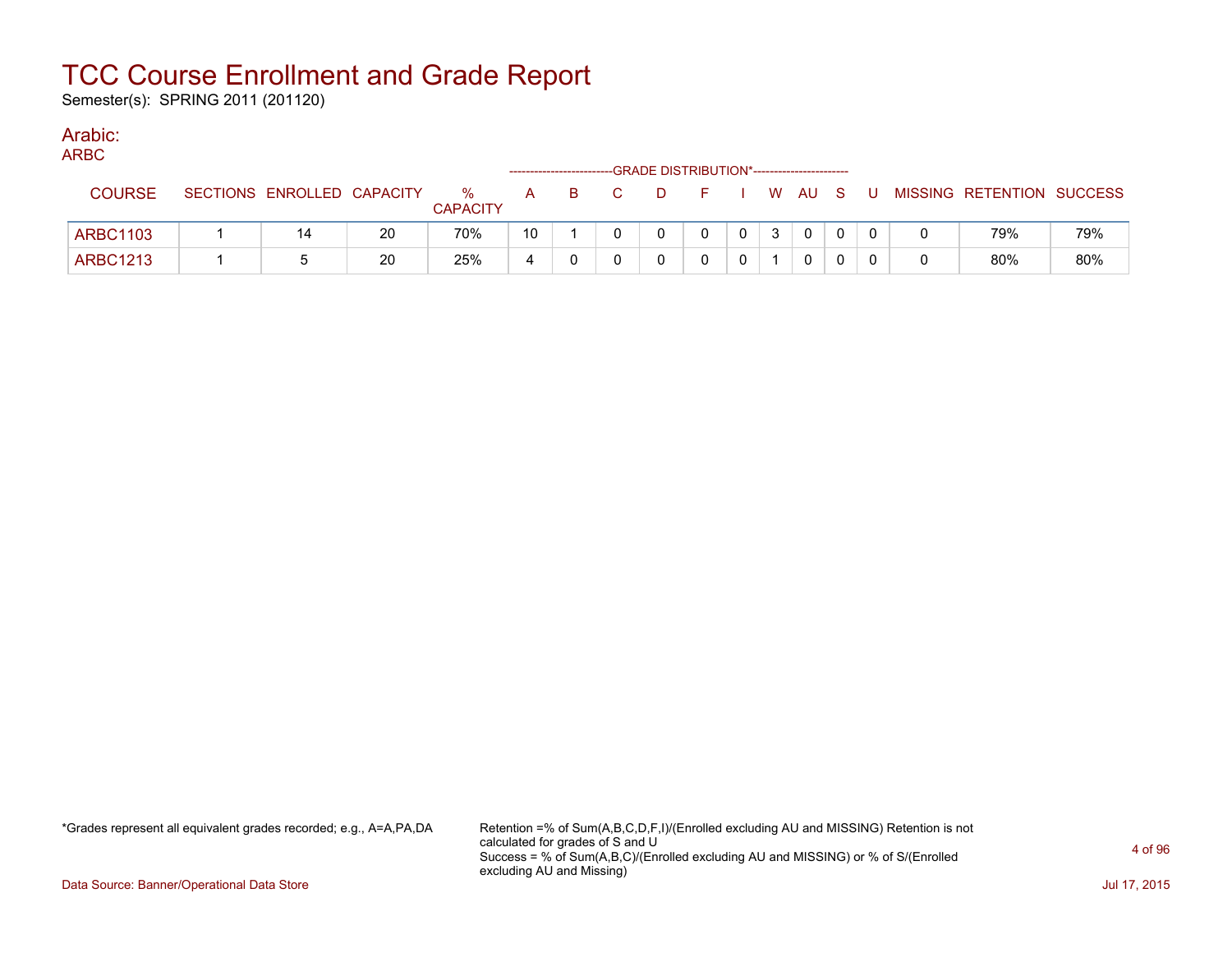Semester(s): SPRING 2011 (201120)

### Arabic:

|  | ×<br>۰. |  |
|--|---------|--|

| $\sim$          |                            |    |                      |    |   | ------------------------GRADE DISTRIBUTION*----------------------- |                |                |              |          |    |                           |     |
|-----------------|----------------------------|----|----------------------|----|---|--------------------------------------------------------------------|----------------|----------------|--------------|----------|----|---------------------------|-----|
| <b>COURSE</b>   | SECTIONS ENROLLED CAPACITY |    | %<br><b>CAPACITY</b> | A  | в | D.                                                                 |                |                | W AU S       |          | J. | MISSING RETENTION SUCCESS |     |
| <b>ARBC1103</b> | 14                         | 20 | 70%                  | 10 |   |                                                                    | $\overline{0}$ | 3 <sup>1</sup> | $\mathbf{0}$ | $\Omega$ |    | 79%                       | 79% |
| <b>ARBC1213</b> |                            | 20 | 25%                  |    |   |                                                                    |                |                |              |          |    | 80%                       | 80% |

\*Grades represent all equivalent grades recorded; e.g., A=A,PA,DA Retention =% of Sum(A,B,C,D,F,I)/(Enrolled excluding AU and MISSING) Retention is not calculated for grades of S and U Success = % of Sum(A,B,C)/(Enrolled excluding AU and MISSING) or % of S/(Enrolled excluding AU and Missing)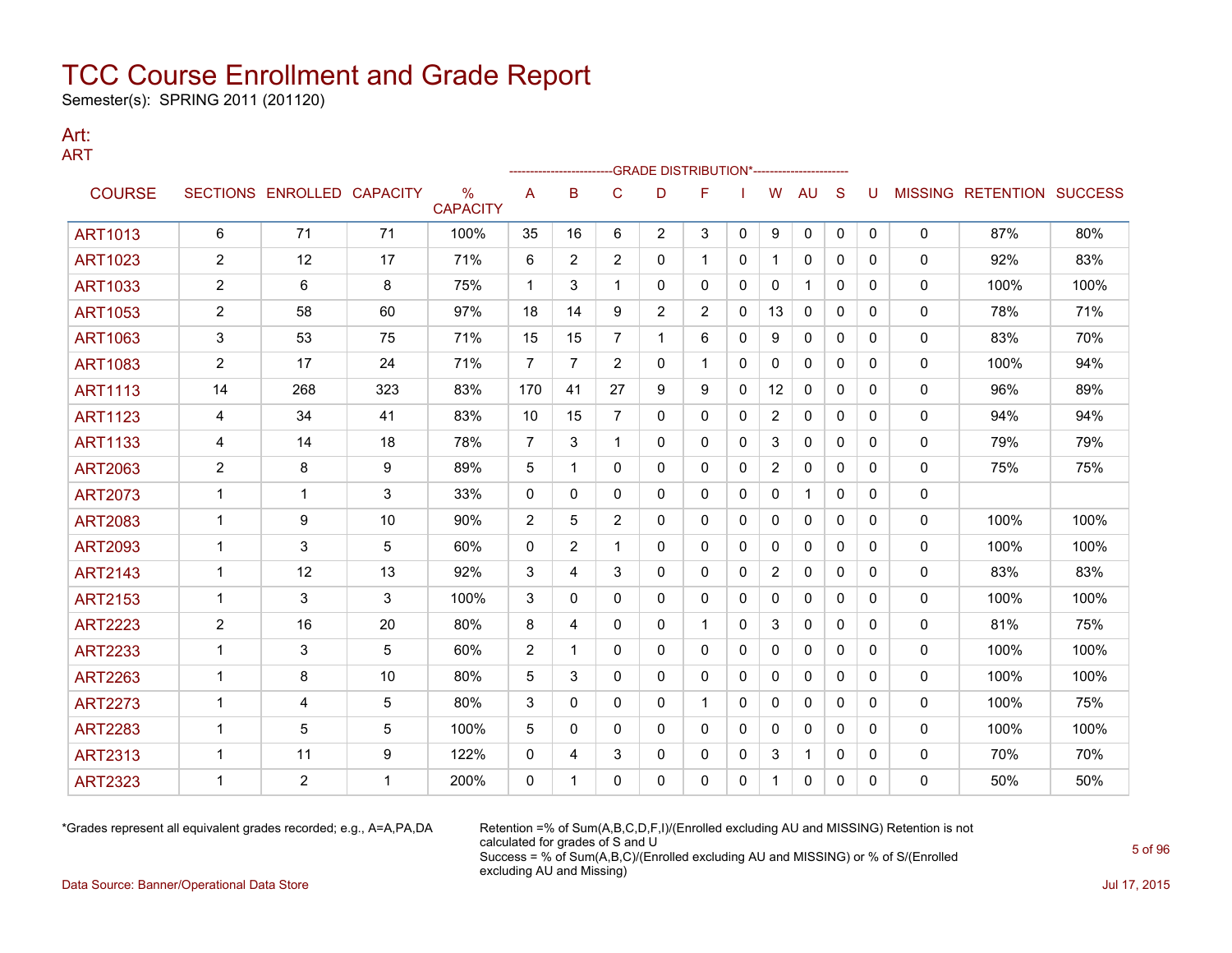Semester(s): SPRING 2011 (201120)

#### Art: ART

|                |                         |                            |     |                                  |                |                |                | -GRADE DISTRIBUTION*--------------------- |                |              |                |              |              |              |              |                                  |      |
|----------------|-------------------------|----------------------------|-----|----------------------------------|----------------|----------------|----------------|-------------------------------------------|----------------|--------------|----------------|--------------|--------------|--------------|--------------|----------------------------------|------|
| <b>COURSE</b>  |                         | SECTIONS ENROLLED CAPACITY |     | $\frac{0}{0}$<br><b>CAPACITY</b> | A              | B              | C              | D                                         | F              |              | W              | <b>AU</b>    | <sub>S</sub> | U            |              | <b>MISSING RETENTION SUCCESS</b> |      |
| <b>ART1013</b> | 6                       | 71                         | 71  | 100%                             | 35             | 16             | 6              | $\overline{2}$                            | 3              | $\mathbf{0}$ | 9              | 0            | $\mathbf{0}$ | 0            | 0            | 87%                              | 80%  |
| <b>ART1023</b> | 2                       | 12                         | 17  | 71%                              | 6              | $\overline{2}$ | $\overline{2}$ | 0                                         | 1              | 0            | -1             | $\mathbf{0}$ | $\Omega$     | 0            | 0            | 92%                              | 83%  |
| <b>ART1033</b> | $\overline{\mathbf{c}}$ | 6                          | 8   | 75%                              | $\mathbf{1}$   | 3              |                | 0                                         | 0              | 0            | $\Omega$       | 1            | $\mathbf{0}$ | 0            | 0            | 100%                             | 100% |
| <b>ART1053</b> | $\overline{c}$          | 58                         | 60  | 97%                              | 18             | 14             | 9              | 2                                         | $\overline{2}$ | 0            | 13             | 0            | 0            | 0            | 0            | 78%                              | 71%  |
| <b>ART1063</b> | 3                       | 53                         | 75  | 71%                              | 15             | 15             | $\overline{7}$ | 1                                         | 6              | 0            | 9              | 0            | 0            | 0            | 0            | 83%                              | 70%  |
| <b>ART1083</b> | $\overline{c}$          | 17                         | 24  | 71%                              | $\overline{7}$ | $\overline{7}$ | $\overline{2}$ | $\Omega$                                  | $\mathbf 1$    | $\Omega$     | $\mathbf{0}$   | $\mathbf{0}$ | $\Omega$     | $\Omega$     | $\mathbf 0$  | 100%                             | 94%  |
| <b>ART1113</b> | 14                      | 268                        | 323 | 83%                              | 170            | 41             | 27             | 9                                         | 9              | 0            | 12             | $\mathbf{0}$ | $\mathbf{0}$ | 0            | 0            | 96%                              | 89%  |
| <b>ART1123</b> | 4                       | 34                         | 41  | 83%                              | 10             | 15             | $\overline{7}$ | 0                                         | 0              | $\mathbf{0}$ | $\overline{2}$ | $\mathbf{0}$ | $\Omega$     | $\Omega$     | 0            | 94%                              | 94%  |
| <b>ART1133</b> | 4                       | 14                         | 18  | 78%                              | $\overline{7}$ | 3              | 1              | 0                                         | 0              | 0            | 3              | 0            | 0            | 0            | 0            | 79%                              | 79%  |
| <b>ART2063</b> | $\overline{c}$          | 8                          | 9   | 89%                              | 5              | 1              | 0              | $\Omega$                                  | 0              | $\mathbf{0}$ | 2              | $\mathbf{0}$ | $\Omega$     | 0            | $\mathbf 0$  | 75%                              | 75%  |
| <b>ART2073</b> | 1                       | 1                          | 3   | 33%                              | $\mathbf{0}$   | 0              | 0              | 0                                         | 0              | 0            | 0              | 1            | $\mathbf{0}$ | 0            | $\mathbf 0$  |                                  |      |
| <b>ART2083</b> | 1                       | 9                          | 10  | 90%                              | 2              | 5              | $\overline{2}$ | 0                                         | 0              | 0            | 0              | 0            | 0            | 0            | 0            | 100%                             | 100% |
| <b>ART2093</b> | 1                       | 3                          | 5   | 60%                              | 0              | $\overline{2}$ | 1              | 0                                         | 0              | 0            | 0              | 0            | 0            | 0            | 0            | 100%                             | 100% |
| <b>ART2143</b> | $\mathbf{1}$            | 12                         | 13  | 92%                              | 3              | 4              | 3              | 0                                         | 0              | $\mathbf{0}$ | $\overline{2}$ | $\mathbf{0}$ | $\mathbf{0}$ | 0            | $\mathbf{0}$ | 83%                              | 83%  |
| <b>ART2153</b> | $\mathbf{1}$            | 3                          | 3   | 100%                             | 3              | 0              | 0              | 0                                         | 0              | $\mathbf{0}$ | $\mathbf{0}$   | $\mathbf{0}$ | $\mathbf{0}$ | 0            | $\mathbf 0$  | 100%                             | 100% |
| <b>ART2223</b> | $\overline{c}$          | 16                         | 20  | 80%                              | 8              | 4              | 0              | 0                                         | 1              | 0            | 3              | 0            | 0            | $\mathbf{0}$ | 0            | 81%                              | 75%  |
| <b>ART2233</b> | $\mathbf{1}$            | 3                          | 5   | 60%                              | 2              | 1              | $\mathbf{0}$   | 0                                         | 0              | $\mathbf{0}$ | 0              | $\mathbf{0}$ | $\mathbf{0}$ | 0            | 0            | 100%                             | 100% |
| <b>ART2263</b> | $\mathbf{1}$            | 8                          | 10  | 80%                              | 5              | 3              | $\mathbf{0}$   | 0                                         | 0              | $\mathbf{0}$ | $\mathbf{0}$   | $\mathbf{0}$ | $\mathbf{0}$ | 0            | $\mathbf{0}$ | 100%                             | 100% |
| <b>ART2273</b> | 1                       | 4                          | 5   | 80%                              | 3              | 0              | 0              | 0                                         | 1.             | 0            | 0              | 0            | $\mathbf{0}$ | 0            | 0            | 100%                             | 75%  |
| <b>ART2283</b> | 1                       | 5                          | 5   | 100%                             | 5              | 0              | 0              | 0                                         | 0              | 0            | 0              | 0            | $\mathbf{0}$ | 0            | 0            | 100%                             | 100% |
| <b>ART2313</b> | 1                       | 11                         | 9   | 122%                             | 0              | 4              | 3              | 0                                         | 0              | 0            | 3              | 1            | 0            | 0            | 0            | 70%                              | 70%  |
| <b>ART2323</b> | 1                       | $\overline{2}$             | 1   | 200%                             | $\mathbf{0}$   | 1              | 0              | 0                                         | 0              | 0            | 1              | 0            | 0            | $\Omega$     | $\mathbf{0}$ | 50%                              | 50%  |

\*Grades represent all equivalent grades recorded; e.g., A=A,PA,DA Retention =% of Sum(A,B,C,D,F,I)/(Enrolled excluding AU and MISSING) Retention is not calculated for grades of S and U Success = % of Sum(A,B,C)/(Enrolled excluding AU and MISSING) or % of S/(Enrolled excluding AU and Missing)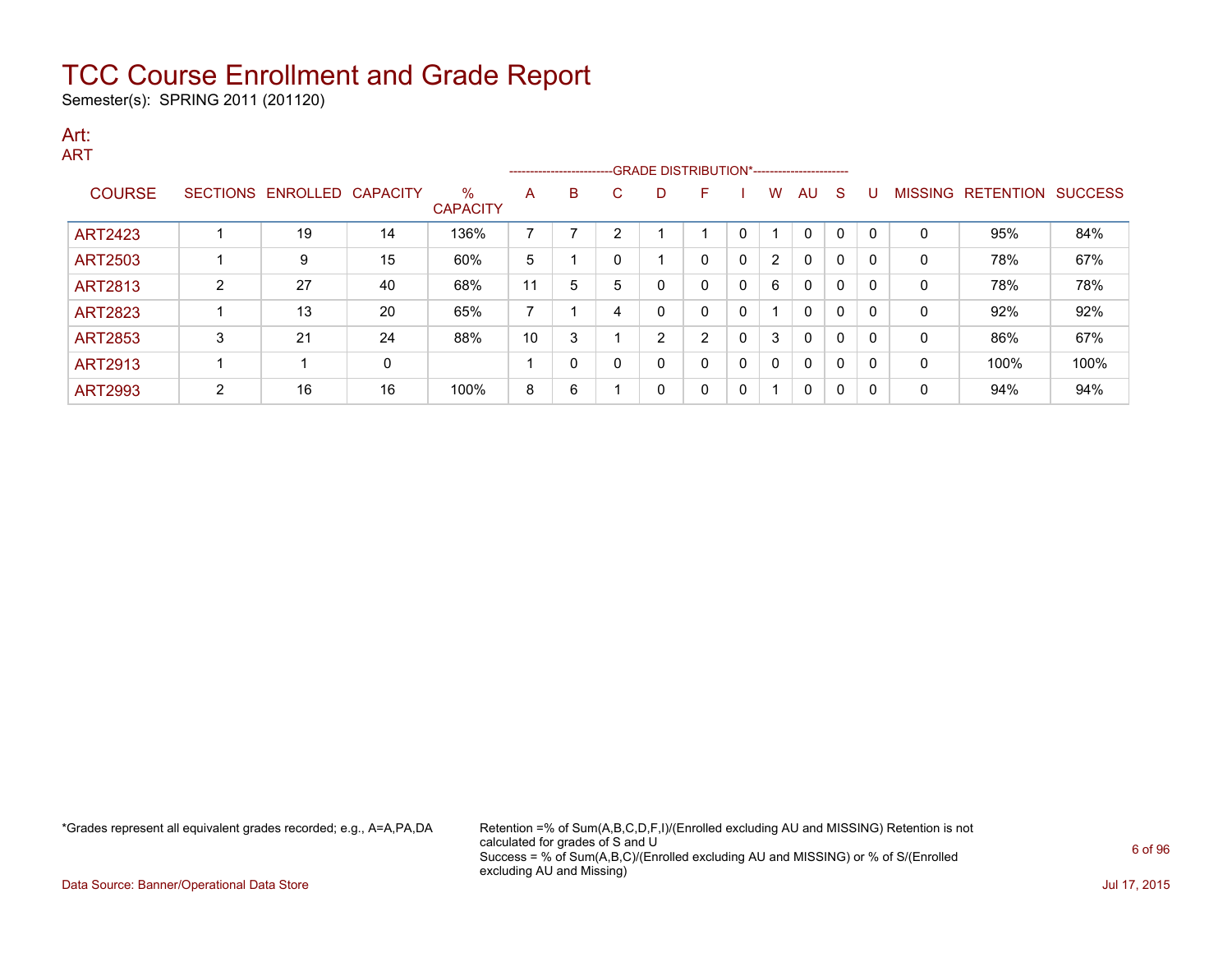Semester(s): SPRING 2011 (201120)

#### Art: ART

|                |                 |                   |              |                         |                | ------------------------ |   |   |                |   |   |          |              |              |   |                   |                |
|----------------|-----------------|-------------------|--------------|-------------------------|----------------|--------------------------|---|---|----------------|---|---|----------|--------------|--------------|---|-------------------|----------------|
| <b>COURSE</b>  | <b>SECTIONS</b> | ENROLLED CAPACITY |              | $\%$<br><b>CAPACITY</b> | A              | B                        | С | D |                |   | w | AU       | -S           |              |   | MISSING RETENTION | <b>SUCCESS</b> |
| <b>ART2423</b> |                 | 19                | 14           | 136%                    | 7              |                          | n |   |                | 0 |   | $\Omega$ | $\mathbf{0}$ | $\Omega$     | 0 | 95%               | 84%            |
| <b>ART2503</b> |                 | 9                 | 15           | 60%                     | 5              |                          |   |   | $\Omega$       | 0 | 2 | $\Omega$ | 0            | 0            | 0 | 78%               | 67%            |
| <b>ART2813</b> | C               | 27                | 40           | 68%                     | 11             | 5                        | 5 | 0 | 0              | 0 | 6 | $\Omega$ | $\Omega$     | O            | 0 | 78%               | 78%            |
| <b>ART2823</b> |                 | 13                | 20           | 65%                     | $\overline{ }$ |                          | 4 | 0 | 0              | 0 |   | $\Omega$ | 0            | $\Omega$     | 0 | 92%               | 92%            |
| <b>ART2853</b> | 3               | 21                | 24           | 88%                     | 10             | c                        |   | っ | $\overline{2}$ | 0 | 3 | $\Omega$ | $\Omega$     | ∩            | 0 | 86%               | 67%            |
| <b>ART2913</b> |                 |                   | $\mathbf{0}$ |                         |                |                          |   | 0 | 0              | 0 | 0 | $\Omega$ | 0            | $\Omega$     | 0 | 100%              | 100%           |
| <b>ART2993</b> | 2               | 16                | 16           | 100%                    | 8              | 6                        |   | 0 | 0              | 0 | и | 0        | 0            | <sup>0</sup> | 0 | 94%               | 94%            |

\*Grades represent all equivalent grades recorded; e.g., A=A,PA,DA Retention =% of Sum(A,B,C,D,F,I)/(Enrolled excluding AU and MISSING) Retention is not calculated for grades of S and U Success = % of Sum(A,B,C)/(Enrolled excluding AU and MISSING) or % of S/(Enrolled excluding AU and Missing)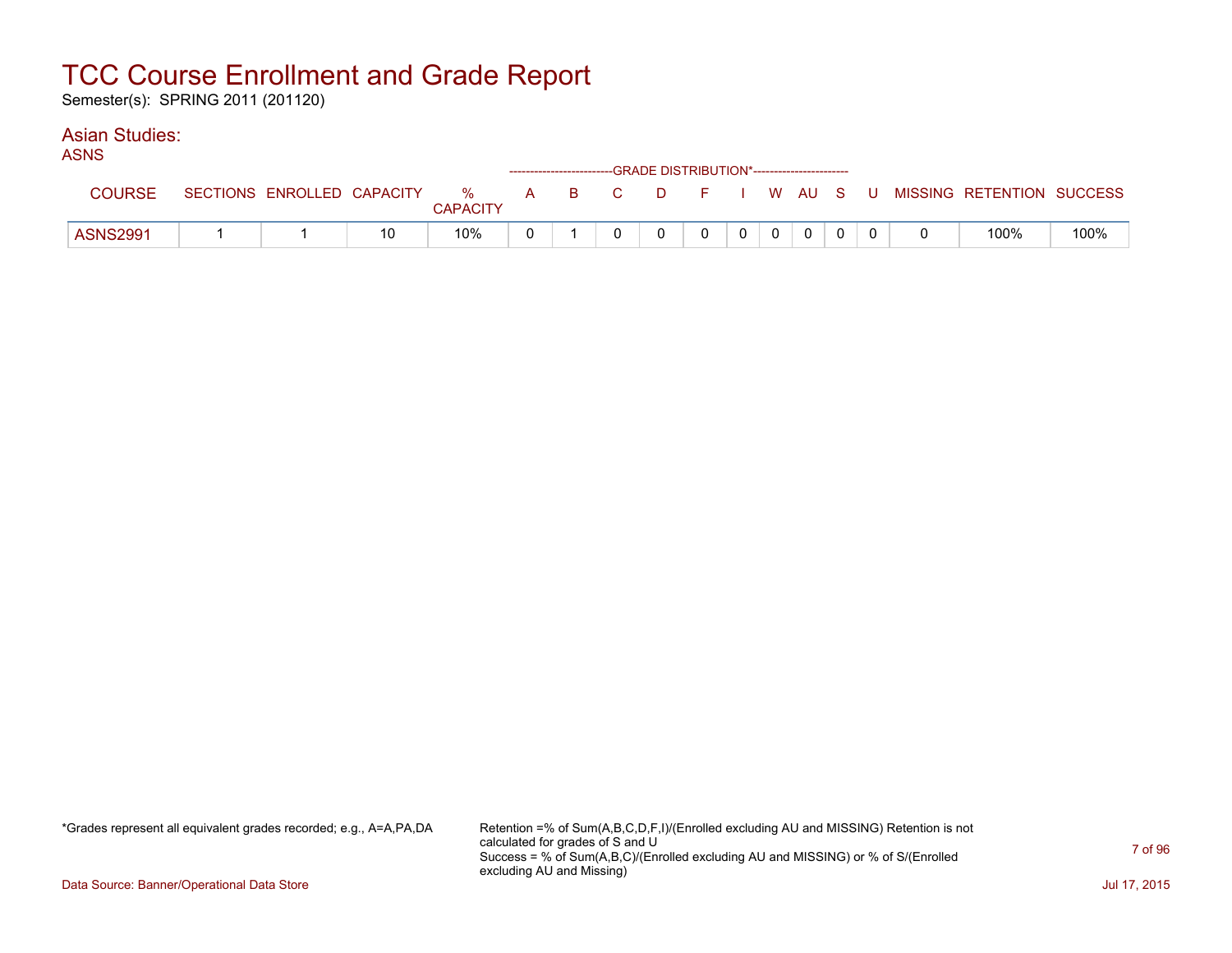Semester(s): SPRING 2011 (201120)

### Asian Studies:

| ASNS |                                                        |  | ------------------------GRADE DISTRIBUTION*----------------------- |  |  |  |  |
|------|--------------------------------------------------------|--|--------------------------------------------------------------------|--|--|--|--|
|      | COURSE SECTIONS ENROLLED CAPACITY % A B C D F I W AU S |  |                                                                    |  |  |  |  |

| <b>COURSE</b>   | SECTIONS ENROLLED CAPACITY | $\%$<br><b>CAPACITY</b> | R. | $\mathbf{C}$ | D |  | <b>W</b> | AU S     |  | MISSING RETENTION SUCCESS |      |
|-----------------|----------------------------|-------------------------|----|--------------|---|--|----------|----------|--|---------------------------|------|
| <b>ASNS2991</b> |                            | 10%                     |    |              |   |  |          | $\Omega$ |  | 100%                      | 100% |

\*Grades represent all equivalent grades recorded; e.g., A=A,PA,DA Retention =% of Sum(A,B,C,D,F,I)/(Enrolled excluding AU and MISSING) Retention is not calculated for grades of S and U Success = % of Sum(A,B,C)/(Enrolled excluding AU and MISSING) or % of S/(Enrolled excluding AU and Missing)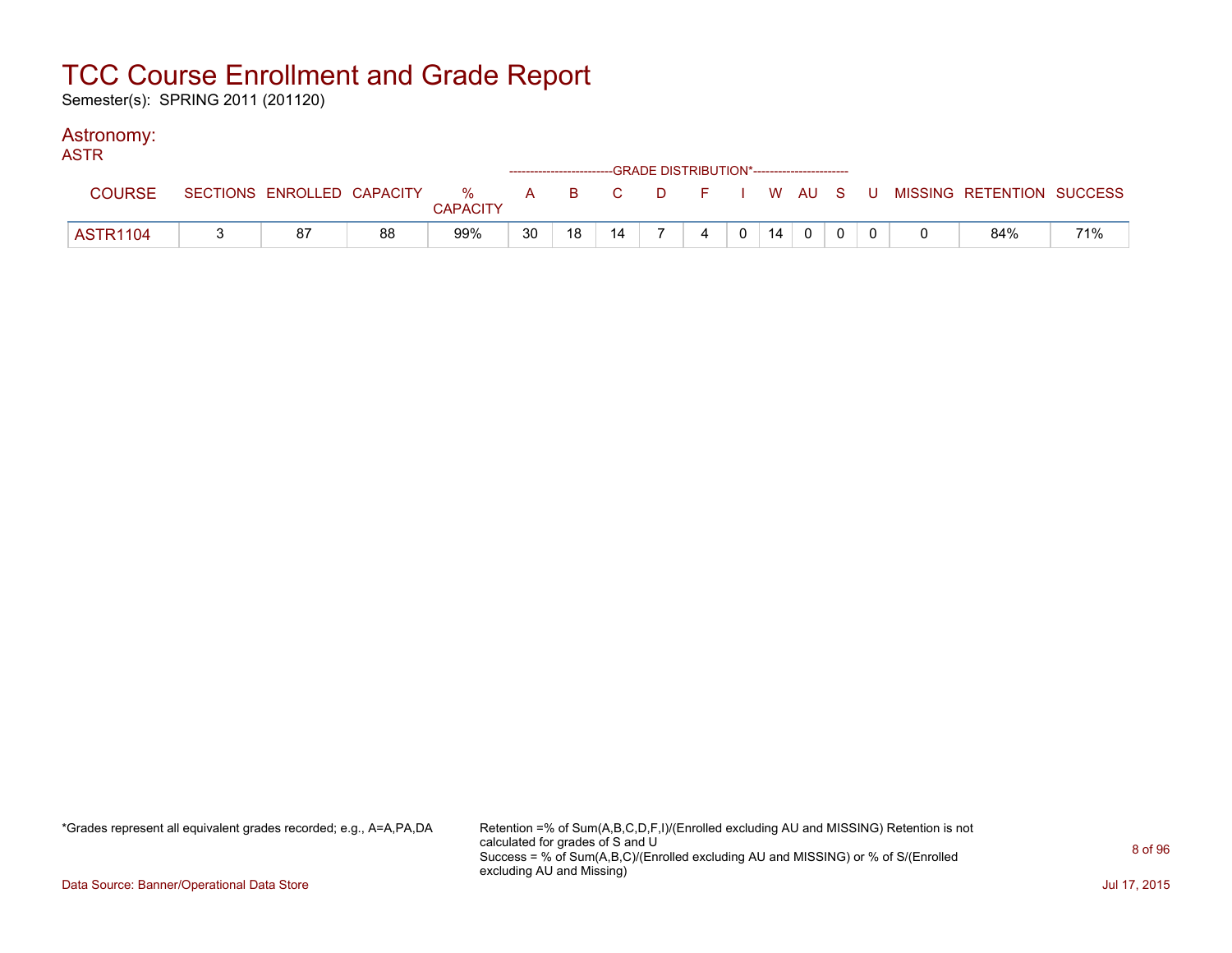Semester(s): SPRING 2011 (201120)

### Astronomy:

| <b>ASTR</b>   |    |    |                 |    | -----------------------GRADE DISTRIBUTION*----------------------- |    |                |                |                |    |             |  |                                                                             |     |
|---------------|----|----|-----------------|----|-------------------------------------------------------------------|----|----------------|----------------|----------------|----|-------------|--|-----------------------------------------------------------------------------|-----|
| <b>COURSE</b> |    |    | <b>CAPACITY</b> |    |                                                                   |    |                |                |                |    |             |  | SECTIONS ENROLLED CAPACITY % A B C D F I W AU S U MISSING RETENTION SUCCESS |     |
| ASTR1104      | 87 | 88 | 99%             | 30 | 18                                                                | 14 | $\overline{z}$ | $\overline{4}$ | 0 <sup>1</sup> | 14 | $\mathbf 0$ |  | 84%                                                                         | 71% |

\*Grades represent all equivalent grades recorded; e.g., A=A,PA,DA Retention =% of Sum(A,B,C,D,F,I)/(Enrolled excluding AU and MISSING) Retention is not calculated for grades of S and U Success = % of Sum(A,B,C)/(Enrolled excluding AU and MISSING) or % of S/(Enrolled excluding AU and Missing)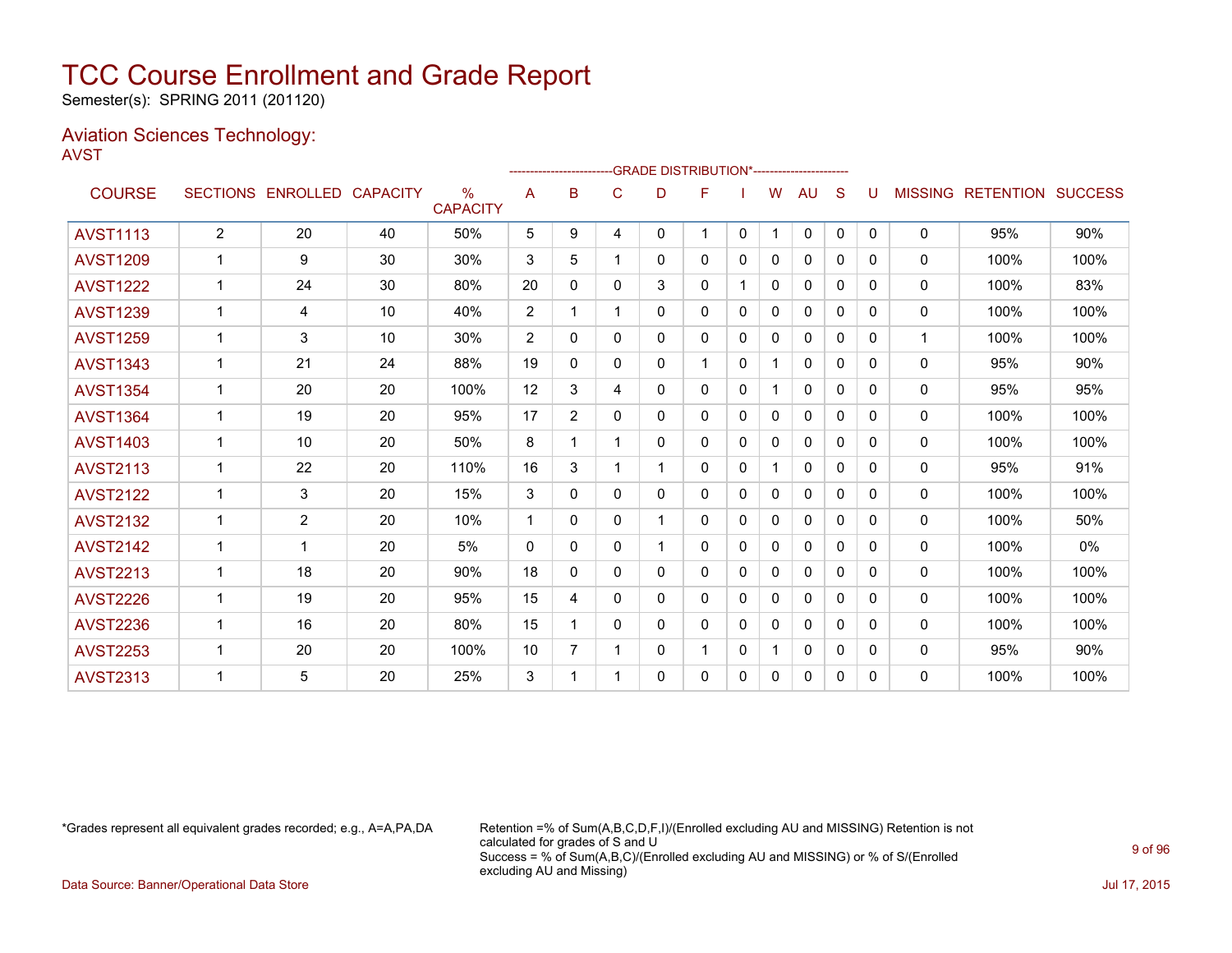Semester(s): SPRING 2011 (201120)

### Aviation Sciences Technology: AVST

|                 |                |                   |                 |                                  |                |                |   | ------------------------GRADE                DISTRIBUTION*---------------------- |    |              |              |              |              |              |                |                  |                |
|-----------------|----------------|-------------------|-----------------|----------------------------------|----------------|----------------|---|----------------------------------------------------------------------------------|----|--------------|--------------|--------------|--------------|--------------|----------------|------------------|----------------|
| <b>COURSE</b>   |                | SECTIONS ENROLLED | <b>CAPACITY</b> | $\frac{0}{0}$<br><b>CAPACITY</b> | A              | B              | C | D                                                                                | F  |              | W            | AU           | S            |              | <b>MISSING</b> | <b>RETENTION</b> | <b>SUCCESS</b> |
| <b>AVST1113</b> | $\overline{2}$ | 20                | 40              | 50%                              | 5              | 9              | 4 | 0                                                                                | 1. | 0            | $\mathbf{1}$ | $\mathbf{0}$ | $\mathbf{0}$ | $\mathbf{0}$ | 0              | 95%              | 90%            |
| <b>AVST1209</b> |                | 9                 | 30              | 30%                              | 3              | 5              |   | 0                                                                                | 0  | $\Omega$     | 0            | 0            | $\Omega$     | 0            | $\mathbf{0}$   | 100%             | 100%           |
| <b>AVST1222</b> | 1              | 24                | 30              | 80%                              | 20             | 0              | 0 | 3                                                                                | 0  |              | 0            | 0            | $\Omega$     | 0            | $\mathbf{0}$   | 100%             | 83%            |
| <b>AVST1239</b> |                | 4                 | 10              | 40%                              | $\overline{2}$ |                |   | 0                                                                                | 0  | 0            | 0            | 0            | 0            | 0            | 0              | 100%             | 100%           |
| <b>AVST1259</b> |                | 3                 | 10              | 30%                              | 2              | 0              | 0 | 0                                                                                | 0  | 0            | 0            | 0            | $\Omega$     | 0            | $\mathbf 1$    | 100%             | 100%           |
| <b>AVST1343</b> |                | 21                | 24              | 88%                              | 19             | 0              | 0 | 0                                                                                | 1  | 0            |              | $\mathbf{0}$ | $\Omega$     | 0            | 0              | 95%              | 90%            |
| <b>AVST1354</b> |                | 20                | 20              | 100%                             | 12             | 3              | 4 | 0                                                                                | 0  | 0            | 1            | $\Omega$     | $\Omega$     | 0            | $\mathbf{0}$   | 95%              | 95%            |
| <b>AVST1364</b> |                | 19                | 20              | 95%                              | 17             | $\overline{2}$ | 0 | 0                                                                                | 0  | 0            | 0            | 0            | $\Omega$     | 0            | 0              | 100%             | 100%           |
| <b>AVST1403</b> |                | 10                | 20              | 50%                              | 8              |                |   | 0                                                                                | 0  | 0            | 0            | $\mathbf{0}$ | $\Omega$     | 0            | 0              | 100%             | 100%           |
| <b>AVST2113</b> |                | 22                | 20              | 110%                             | 16             | 3              |   |                                                                                  | 0  | 0            | 1            | 0            | $\Omega$     | 0            | $\mathbf{0}$   | 95%              | 91%            |
| <b>AVST2122</b> |                | 3                 | 20              | 15%                              | 3              | 0              | 0 | 0                                                                                | 0  | 0            | 0            | 0            | $\Omega$     | 0            | 0              | 100%             | 100%           |
| <b>AVST2132</b> | 1              | $\overline{2}$    | 20              | 10%                              | 1              | 0              | 0 | 1                                                                                | 0  | 0            | 0            | 0            | $\Omega$     | 0            | 0              | 100%             | 50%            |
| <b>AVST2142</b> |                | 1                 | 20              | 5%                               | $\mathbf{0}$   | 0              | 0 |                                                                                  | 0  | $\Omega$     | 0            | 0            | $\Omega$     | 0            | 0              | 100%             | $0\%$          |
| <b>AVST2213</b> |                | 18                | 20              | 90%                              | 18             | 0              | 0 | 0                                                                                | 0  | 0            | $\mathbf{0}$ | $\mathbf{0}$ | $\Omega$     | 0            | $\mathbf{0}$   | 100%             | 100%           |
| <b>AVST2226</b> | $\mathbf{1}$   | 19                | 20              | 95%                              | 15             | 4              | 0 | 0                                                                                | 0  | $\mathbf{0}$ | 0            | $\mathbf{0}$ | 0            | 0            | 0              | 100%             | 100%           |
| <b>AVST2236</b> |                | 16                | 20              | 80%                              | 15             |                | 0 | 0                                                                                | 0  | 0            | $\Omega$     | $\mathbf{0}$ | $\Omega$     | 0            | $\mathbf{0}$   | 100%             | 100%           |
| <b>AVST2253</b> |                | 20                | 20              | 100%                             | 10             | 7              |   | 0                                                                                | 1  | 0            | 1            | 0            | $\Omega$     | 0            | $\mathbf{0}$   | 95%              | 90%            |
| <b>AVST2313</b> |                | 5                 | 20              | 25%                              | 3              |                |   | 0                                                                                | 0  | 0            | 0            | 0            | $\Omega$     | 0            | 0              | 100%             | 100%           |

\*Grades represent all equivalent grades recorded; e.g., A=A,PA,DA Retention =% of Sum(A,B,C,D,F,I)/(Enrolled excluding AU and MISSING) Retention is not calculated for grades of S and U Success = % of Sum(A,B,C)/(Enrolled excluding AU and MISSING) or % of S/(Enrolled excluding AU and Missing)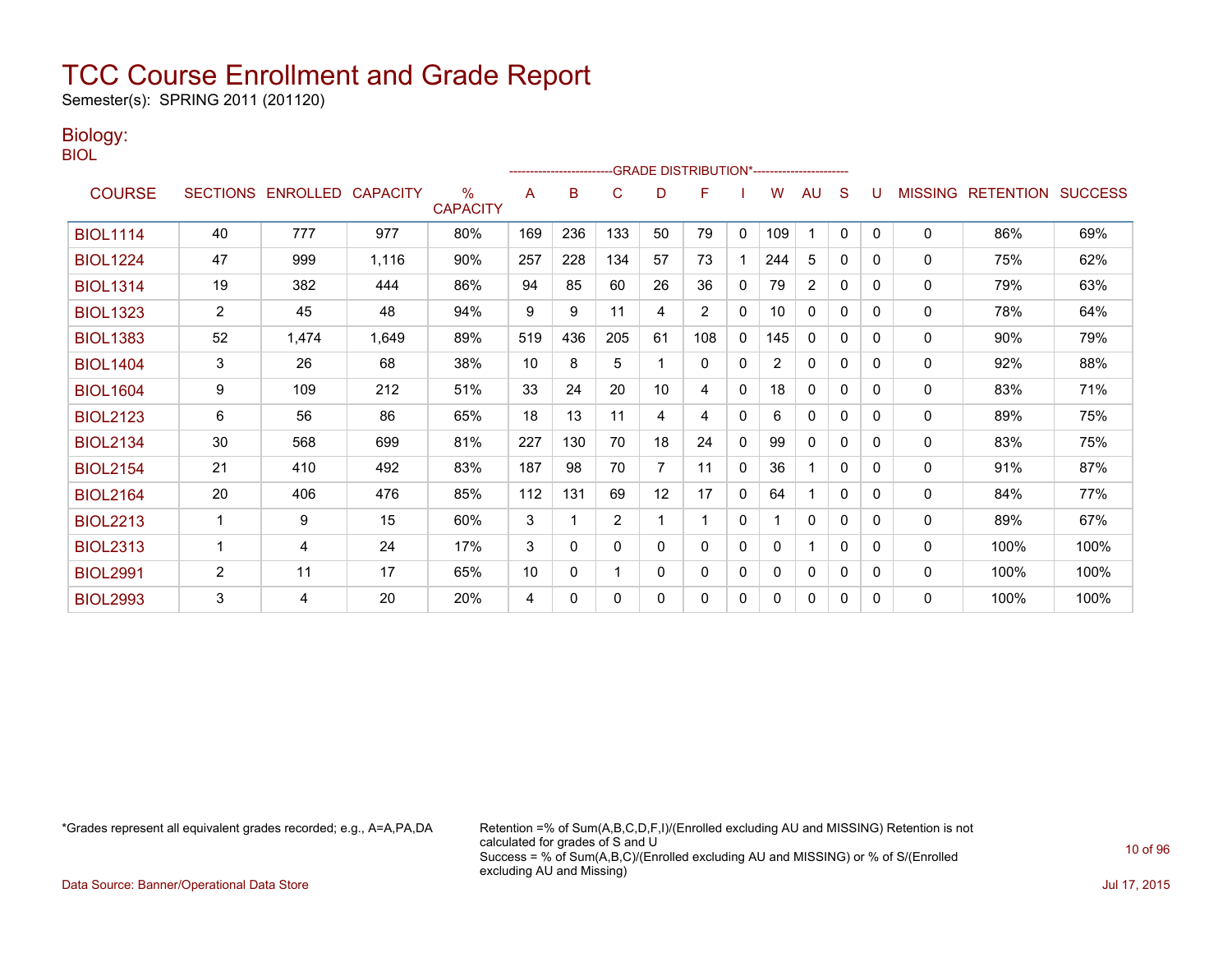Semester(s): SPRING 2011 (201120)

### Biology:

BIOL

|                 |                |                            |       |                         |     |              |              |                | -GRADE DISTRIBUTION*---------------------- |              |                |                |          |   |                |                          |      |
|-----------------|----------------|----------------------------|-------|-------------------------|-----|--------------|--------------|----------------|--------------------------------------------|--------------|----------------|----------------|----------|---|----------------|--------------------------|------|
| <b>COURSE</b>   |                | SECTIONS ENROLLED CAPACITY |       | $\%$<br><b>CAPACITY</b> | A   | B            | C            | D              | F                                          |              | w              | AU             | S        |   | <b>MISSING</b> | <b>RETENTION SUCCESS</b> |      |
| <b>BIOL1114</b> | 40             | 777                        | 977   | 80%                     | 169 | 236          | 133          | 50             | 79                                         | $\mathbf{0}$ | 109            |                | $\Omega$ | 0 | 0              | 86%                      | 69%  |
| <b>BIOL1224</b> | 47             | 999                        | 1,116 | 90%                     | 257 | 228          | 134          | 57             | 73                                         |              | 244            | 5              | 0        | 0 | 0              | 75%                      | 62%  |
| <b>BIOL1314</b> | 19             | 382                        | 444   | 86%                     | 94  | 85           | 60           | 26             | 36                                         | $\mathbf{0}$ | 79             | $\overline{c}$ | $\Omega$ | 0 | 0              | 79%                      | 63%  |
| <b>BIOL1323</b> | $\overline{2}$ | 45                         | 48    | 94%                     | 9   | 9            | 11           | 4              | $\overline{2}$                             | 0            | 10             | 0              | 0        | 0 | 0              | 78%                      | 64%  |
| <b>BIOL1383</b> | 52             | 1,474                      | 1,649 | 89%                     | 519 | 436          | 205          | 61             | 108                                        | $\mathbf{0}$ | 145            | $\mathbf{0}$   | 0        | 0 | $\mathbf{0}$   | 90%                      | 79%  |
| <b>BIOL1404</b> | 3              | 26                         | 68    | 38%                     | 10  | 8            | 5            |                | $\mathbf{0}$                               | $\mathbf{0}$ | $\overline{2}$ | $\mathbf{0}$   | 0        | 0 | 0              | 92%                      | 88%  |
| <b>BIOL1604</b> | 9              | 109                        | 212   | 51%                     | 33  | 24           | 20           | 10             | 4                                          | $\mathbf{0}$ | 18             | 0              | 0        | 0 | 0              | 83%                      | 71%  |
| <b>BIOL2123</b> | 6              | 56                         | 86    | 65%                     | 18  | 13           | 11           | 4              | 4                                          | $\mathbf{0}$ | 6              | 0              | $\Omega$ | 0 | 0              | 89%                      | 75%  |
| <b>BIOL2134</b> | 30             | 568                        | 699   | 81%                     | 227 | 130          | 70           | 18             | 24                                         | 0            | 99             | 0              | 0        | 0 | 0              | 83%                      | 75%  |
| <b>BIOL2154</b> | 21             | 410                        | 492   | 83%                     | 187 | 98           | 70           | $\overline{7}$ | 11                                         | $\mathbf{0}$ | 36             |                | $\Omega$ | 0 | 0              | 91%                      | 87%  |
| <b>BIOL2164</b> | 20             | 406                        | 476   | 85%                     | 112 | 131          | 69           | 12             | 17                                         | $\mathbf{0}$ | 64             |                | $\Omega$ | 0 | 0              | 84%                      | 77%  |
| <b>BIOL2213</b> | 1              | 9                          | 15    | 60%                     | 3   | 1            | 2            |                | 1                                          | 0            |                | 0              | 0        | 0 | 0              | 89%                      | 67%  |
| <b>BIOL2313</b> | 1              | $\overline{4}$             | 24    | 17%                     | 3   | $\Omega$     | $\mathbf{0}$ | $\Omega$       | $\Omega$                                   | $\mathbf{0}$ | $\Omega$       |                | $\Omega$ | 0 | 0              | 100%                     | 100% |
| <b>BIOL2991</b> | $\overline{2}$ | 11                         | 17    | 65%                     | 10  | $\mathbf{0}$ | -1           | 0              | 0                                          | 0            | 0              | 0              | 0        | 0 | 0              | 100%                     | 100% |
| <b>BIOL2993</b> | 3              | 4                          | 20    | 20%                     | 4   | 0            | $\Omega$     | $\mathbf{0}$   | 0                                          | 0            | 0              | $\mathbf{0}$   | 0        | 0 | $\mathbf{0}$   | 100%                     | 100% |

\*Grades represent all equivalent grades recorded; e.g., A=A,PA,DA Retention =% of Sum(A,B,C,D,F,I)/(Enrolled excluding AU and MISSING) Retention is not calculated for grades of S and U Success = % of Sum(A,B,C)/(Enrolled excluding AU and MISSING) or % of S/(Enrolled excluding AU and Missing)

Data Source: Banner/Operational Data Store Jul 17, 2015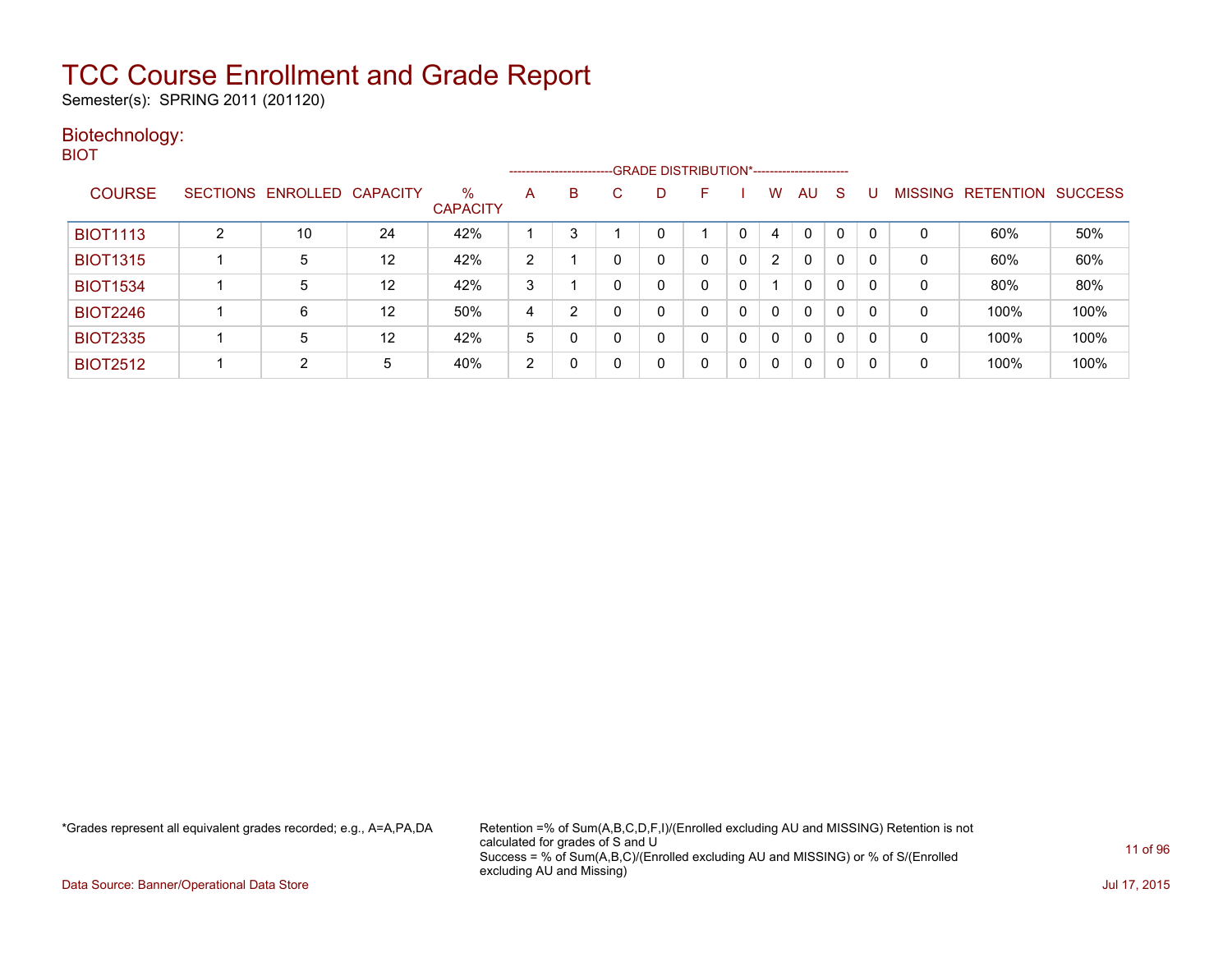Semester(s): SPRING 2011 (201120)

### Biotechnology: BIOT

|                 |                 |                   |    |                         |                | --------------------- |          |   | -GRADE DISTRIBUTION*----------------------- |          |                       |              |              |   |                |                  |                |
|-----------------|-----------------|-------------------|----|-------------------------|----------------|-----------------------|----------|---|---------------------------------------------|----------|-----------------------|--------------|--------------|---|----------------|------------------|----------------|
| <b>COURSE</b>   | <b>SECTIONS</b> | ENROLLED CAPACITY |    | $\%$<br><b>CAPACITY</b> | A              | B                     |          | D | F                                           |          | w                     | AU           | <sub>S</sub> |   | <b>MISSING</b> | <b>RETENTION</b> | <b>SUCCESS</b> |
| <b>BIOT1113</b> |                 | 10                | 24 | 42%                     |                | 3                     |          |   |                                             | 0        | 4                     | $\mathbf{0}$ | 0            |   | 0              | 60%              | 50%            |
| <b>BIOT1315</b> |                 | 5                 | 12 | 42%                     | $\overline{2}$ |                       |          | ი | 0                                           | 0        | $\mathbf{2}^{\prime}$ | 0            | 0            |   | 0              | 60%              | 60%            |
| <b>BIOT1534</b> |                 | 5                 | 12 | 42%                     | 3              |                       | $\Omega$ |   | 0                                           | 0        |                       | $\mathbf{0}$ | 0            | 0 | 0              | 80%              | 80%            |
| <b>BIOT2246</b> |                 | 6                 | 12 | 50%                     | 4              | 2                     |          | n | 0                                           | $\Omega$ | $\Omega$              | $\mathbf{0}$ | $\mathbf{0}$ | 0 | 0              | 100%             | 100%           |
| <b>BIOT2335</b> |                 | 5                 | 12 | 42%                     | 5              | 0                     |          | 0 | $\Omega$                                    | 0        | $\Omega$              | $\mathbf{0}$ | 0            |   | 0              | 100%             | 100%           |
| <b>BIOT2512</b> |                 | C                 | 5  | 40%                     | $\overline{2}$ | 0                     |          | n | 0                                           | 0        | $\Omega$              | $\mathbf{0}$ | 0            |   | 0              | 100%             | 100%           |

\*Grades represent all equivalent grades recorded; e.g., A=A,PA,DA Retention =% of Sum(A,B,C,D,F,I)/(Enrolled excluding AU and MISSING) Retention is not calculated for grades of S and U Success = % of Sum(A,B,C)/(Enrolled excluding AU and MISSING) or % of S/(Enrolled excluding AU and Missing)

Data Source: Banner/Operational Data Store Jul 17, 2015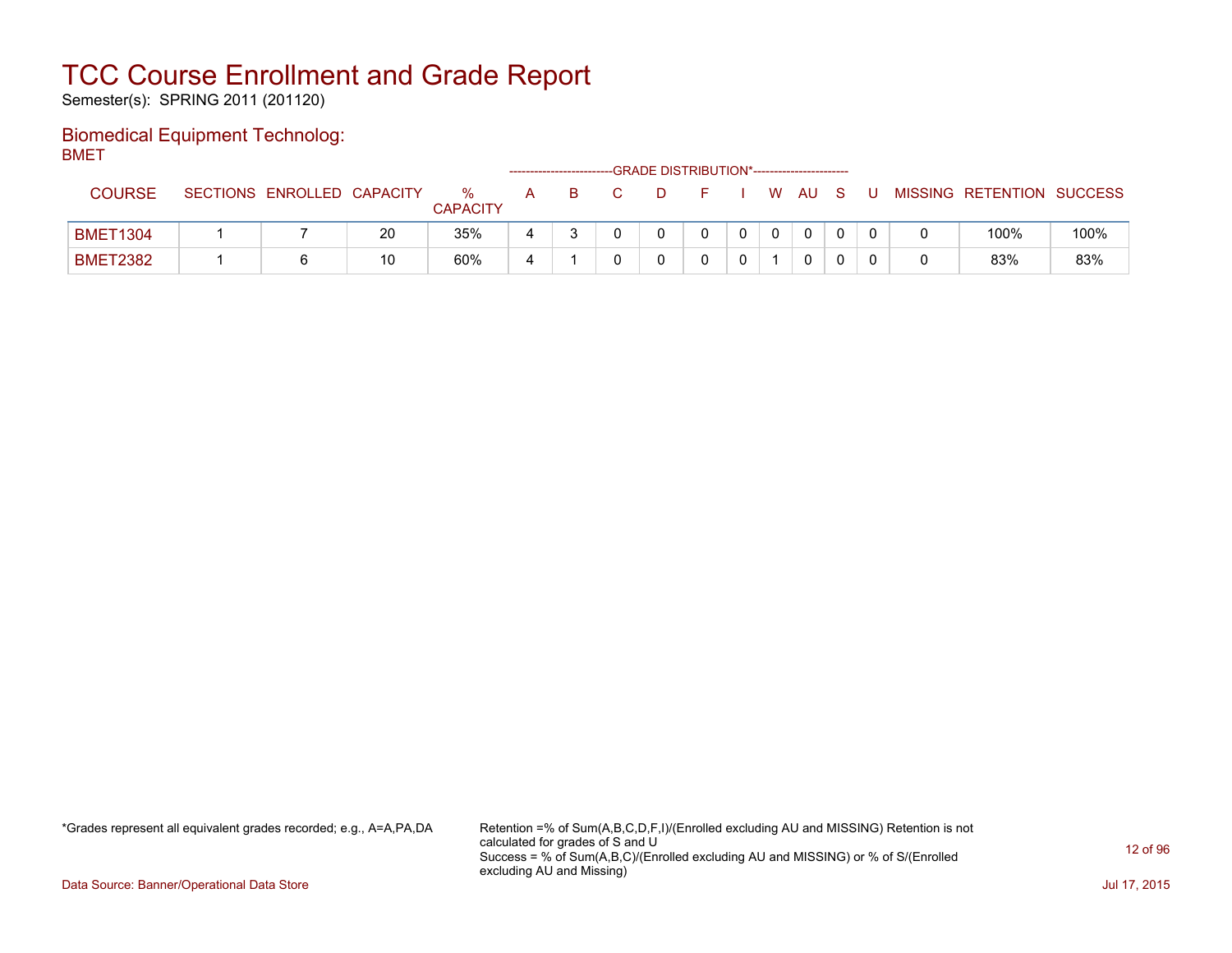Semester(s): SPRING 2011 (201120)

### Biomedical Equipment Technolog: BMET

| - - .           |                            |    |                      |   |    |    |  |              |     |   |                           |      |
|-----------------|----------------------------|----|----------------------|---|----|----|--|--------------|-----|---|---------------------------|------|
| <b>COURSE</b>   | SECTIONS ENROLLED CAPACITY |    | ℅<br><b>CAPACITY</b> | A | B. | D. |  | W AU         | - S | U | MISSING RETENTION SUCCESS |      |
| <b>BMET1304</b> |                            | 20 | 35%                  |   |    |    |  | $\mathbf{0}$ |     |   | 100%                      | 100% |
| <b>BMET2382</b> |                            | 10 | 60%                  |   |    |    |  | 0            |     |   | 83%                       | 83%  |

\*Grades represent all equivalent grades recorded; e.g., A=A,PA,DA Retention =% of Sum(A,B,C,D,F,I)/(Enrolled excluding AU and MISSING) Retention is not calculated for grades of S and U Success = % of Sum(A,B,C)/(Enrolled excluding AU and MISSING) or % of S/(Enrolled excluding AU and Missing)

Data Source: Banner/Operational Data Store Jul 17, 2015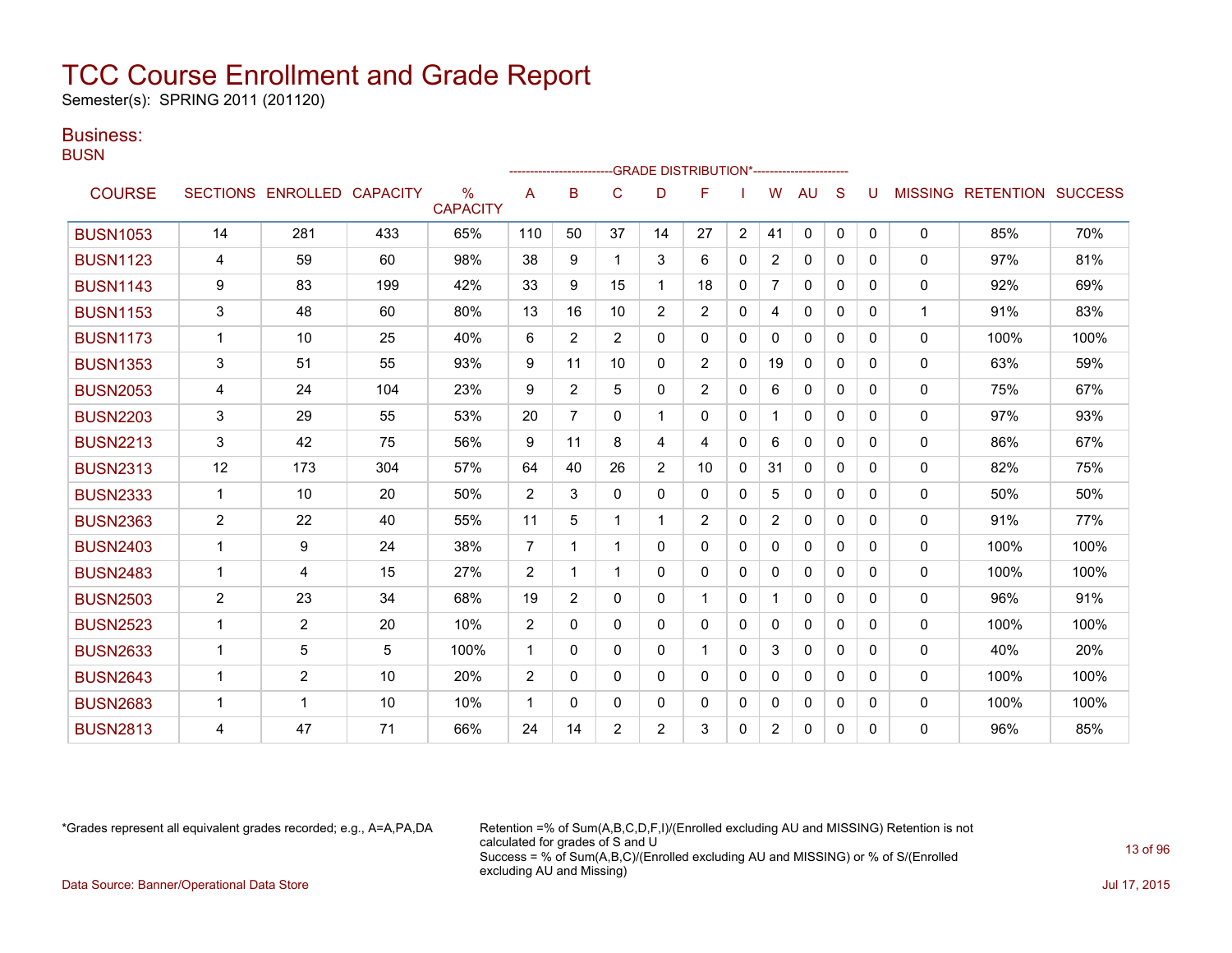Semester(s): SPRING 2011 (201120)

### Business:

**BUSN** 

|                 |              |                   |                 |                                  |                |                |                |                | -GRADE DISTRIBUTION*----------------------- |                |                |              |              |          |              |                                  |      |
|-----------------|--------------|-------------------|-----------------|----------------------------------|----------------|----------------|----------------|----------------|---------------------------------------------|----------------|----------------|--------------|--------------|----------|--------------|----------------------------------|------|
| <b>COURSE</b>   |              | SECTIONS ENROLLED | <b>CAPACITY</b> | $\frac{0}{0}$<br><b>CAPACITY</b> | A              | B              | C              | D              | F                                           |                | W              | AU           | S            | U        |              | <b>MISSING RETENTION SUCCESS</b> |      |
| <b>BUSN1053</b> | 14           | 281               | 433             | 65%                              | 110            | 50             | 37             | 14             | 27                                          | $\overline{2}$ | 41             | $\mathbf{0}$ | $\mathbf{0}$ | 0        | $\Omega$     | 85%                              | 70%  |
| <b>BUSN1123</b> | 4            | 59                | 60              | 98%                              | 38             | 9              |                | 3              | 6                                           | $\mathbf{0}$   | $\overline{2}$ | 0            | 0            | 0        | $\mathbf{0}$ | 97%                              | 81%  |
| <b>BUSN1143</b> | 9            | 83                | 199             | 42%                              | 33             | 9              | 15             | $\mathbf{1}$   | 18                                          | 0              | $\overline{7}$ | $\mathbf{0}$ | $\Omega$     | $\Omega$ | $\Omega$     | 92%                              | 69%  |
| <b>BUSN1153</b> | 3            | 48                | 60              | 80%                              | 13             | 16             | 10             | $\overline{2}$ | $\overline{2}$                              | 0              | 4              | $\mathbf{0}$ | $\mathbf{0}$ | $\Omega$ | $\mathbf{1}$ | 91%                              | 83%  |
| <b>BUSN1173</b> | $\mathbf{1}$ | 10                | 25              | 40%                              | 6              | $\overline{2}$ | $\overline{2}$ | 0              | 0                                           | $\Omega$       | $\mathbf{0}$   | $\mathbf{0}$ | $\Omega$     | $\Omega$ | 0            | 100%                             | 100% |
| <b>BUSN1353</b> | 3            | 51                | 55              | 93%                              | 9              | 11             | 10             | 0              | $\overline{2}$                              | $\mathbf{0}$   | 19             | $\mathbf{0}$ | $\Omega$     | 0        | $\Omega$     | 63%                              | 59%  |
| <b>BUSN2053</b> | 4            | 24                | 104             | 23%                              | 9              | $\overline{2}$ | 5              | 0              | $\overline{2}$                              | 0              | 6              | 0            | $\Omega$     | 0        | $\Omega$     | 75%                              | 67%  |
| <b>BUSN2203</b> | 3            | 29                | 55              | 53%                              | 20             | 7              | 0              | 1              | 0                                           | $\Omega$       |                | $\mathbf{0}$ | $\Omega$     | $\Omega$ | $\mathbf 0$  | 97%                              | 93%  |
| <b>BUSN2213</b> | 3            | 42                | 75              | 56%                              | 9              | 11             | 8              | 4              | 4                                           | $\Omega$       | 6              | $\mathbf{0}$ | $\Omega$     | $\Omega$ | $\mathbf{0}$ | 86%                              | 67%  |
| <b>BUSN2313</b> | 12           | 173               | 304             | 57%                              | 64             | 40             | 26             | $\overline{2}$ | 10                                          | 0              | 31             | 0            | $\Omega$     | 0        | $\mathbf{0}$ | 82%                              | 75%  |
| <b>BUSN2333</b> | $\mathbf{1}$ | 10                | 20              | 50%                              | 2              | 3              | 0              | $\Omega$       | 0                                           | $\Omega$       | 5              | $\Omega$     | $\mathbf{0}$ | $\Omega$ | $\mathbf 0$  | 50%                              | 50%  |
| <b>BUSN2363</b> | 2            | 22                | 40              | 55%                              | 11             | 5              |                |                | $\overline{2}$                              | $\Omega$       | $\overline{2}$ | $\Omega$     | $\Omega$     | $\Omega$ | 0            | 91%                              | 77%  |
| <b>BUSN2403</b> | 1            | 9                 | 24              | 38%                              | $\overline{7}$ | 1              |                | 0              | 0                                           | $\mathbf{0}$   | $\mathbf{0}$   | 0            | $\Omega$     | 0        | $\Omega$     | 100%                             | 100% |
| <b>BUSN2483</b> | $\mathbf{1}$ | 4                 | 15              | 27%                              | 2              | 1              |                | 0              | 0                                           | $\Omega$       | $\mathbf{0}$   | $\mathbf{0}$ | $\Omega$     | $\Omega$ | $\mathbf 0$  | 100%                             | 100% |
| <b>BUSN2503</b> | 2            | 23                | 34              | 68%                              | 19             | $\overline{2}$ | $\Omega$       | 0              | 1                                           | $\mathbf{0}$   |                | $\mathbf{0}$ | $\Omega$     | $\Omega$ | 0            | 96%                              | 91%  |
| <b>BUSN2523</b> | $\mathbf{1}$ | $\overline{2}$    | 20              | 10%                              | 2              | 0              | $\Omega$       | 0              | 0                                           | $\mathbf{0}$   | $\mathbf{0}$   | $\mathbf{0}$ | $\Omega$     | $\Omega$ | $\mathbf 0$  | 100%                             | 100% |
| <b>BUSN2633</b> | $\mathbf{1}$ | 5                 | 5               | 100%                             | $\overline{1}$ | 0              | 0              | 0              | 1                                           | $\Omega$       | 3              | $\mathbf{0}$ | $\Omega$     | $\Omega$ | $\mathbf 0$  | 40%                              | 20%  |
| <b>BUSN2643</b> | 1            | $\overline{2}$    | 10              | 20%                              | 2              | 0              | 0              | 0              | 0                                           | $\Omega$       | 0              | $\mathbf{0}$ | $\Omega$     | $\Omega$ | $\mathbf 0$  | 100%                             | 100% |
| <b>BUSN2683</b> | $\mathbf 1$  | 1                 | 10              | 10%                              | $\overline{1}$ | $\Omega$       | 0              | 0              | 0                                           | $\mathbf{0}$   | $\mathbf{0}$   | $\mathbf{0}$ | $\Omega$     | $\Omega$ | 0            | 100%                             | 100% |
| <b>BUSN2813</b> | 4            | 47                | 71              | 66%                              | 24             | 14             | $\overline{2}$ | $\overline{2}$ | 3                                           | $\Omega$       | $\overline{2}$ | $\mathbf{0}$ | $\Omega$     | $\Omega$ | 0            | 96%                              | 85%  |

\*Grades represent all equivalent grades recorded; e.g., A=A,PA,DA Retention =% of Sum(A,B,C,D,F,I)/(Enrolled excluding AU and MISSING) Retention is not calculated for grades of S and U Success = % of Sum(A,B,C)/(Enrolled excluding AU and MISSING) or % of S/(Enrolled excluding AU and Missing) Data Source: Banner/Operational Data Store Jul 17, 2015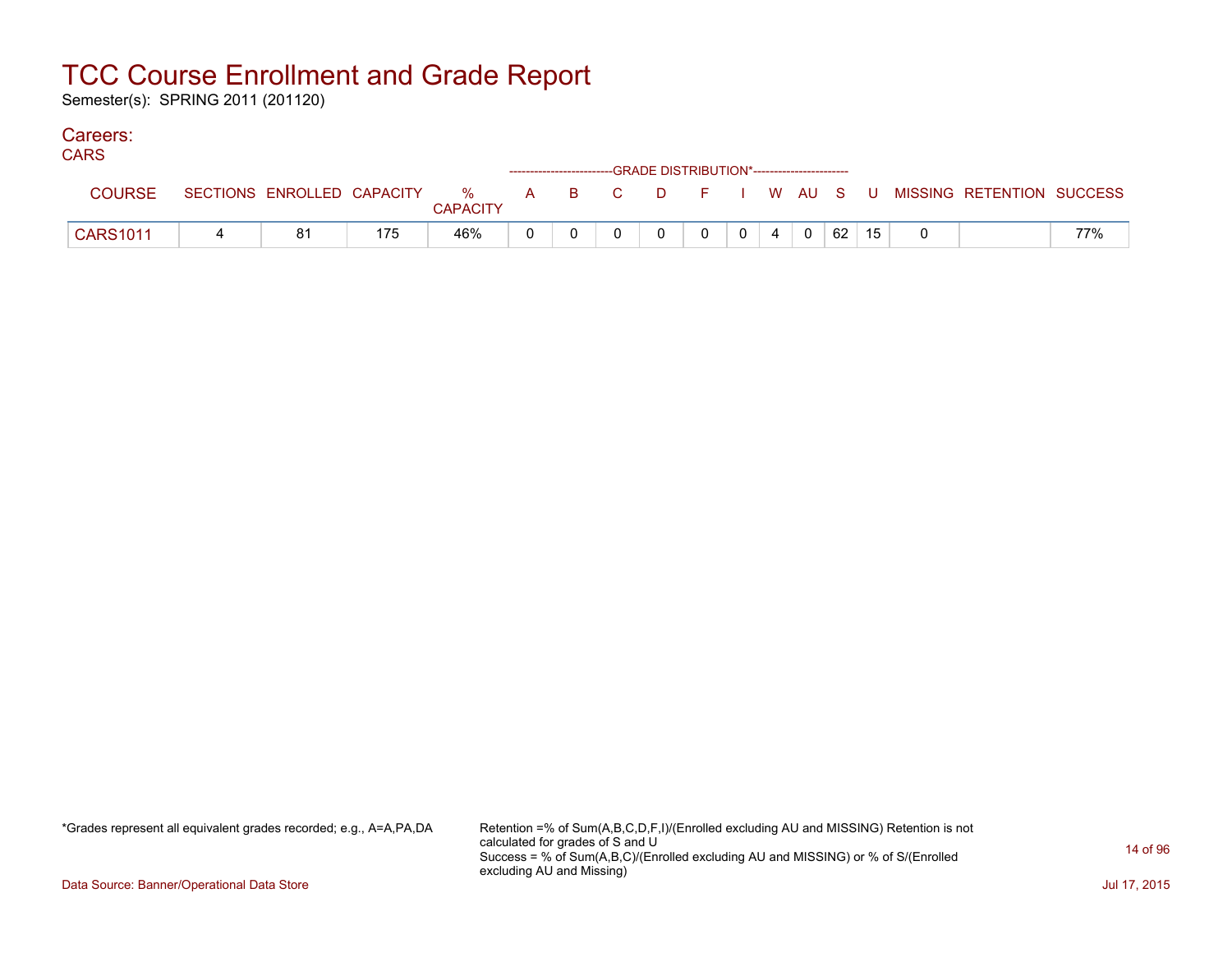Semester(s): SPRING 2011 (201120)

### Careers:

| ט וו            |    |     |          | ------------------------GRADE DISTRIBUTION*----------------------- |  |  |                        |    |    |                                                                             |     |
|-----------------|----|-----|----------|--------------------------------------------------------------------|--|--|------------------------|----|----|-----------------------------------------------------------------------------|-----|
| <b>COURSE</b>   |    |     | CAPACITY |                                                                    |  |  |                        |    |    | SECTIONS ENROLLED CAPACITY % A B C D F I W AU S U MISSING RETENTION SUCCESS |     |
| <b>CARS1011</b> | 81 | 175 | 46%      |                                                                    |  |  | $0 \mid 4 \mid 0 \mid$ | 62 | 15 |                                                                             | 77% |

\*Grades represent all equivalent grades recorded; e.g., A=A,PA,DA Retention =% of Sum(A,B,C,D,F,I)/(Enrolled excluding AU and MISSING) Retention is not calculated for grades of S and U Success = % of Sum(A,B,C)/(Enrolled excluding AU and MISSING) or % of S/(Enrolled excluding AU and Missing)

Data Source: Banner/Operational Data Store Jul 17, 2015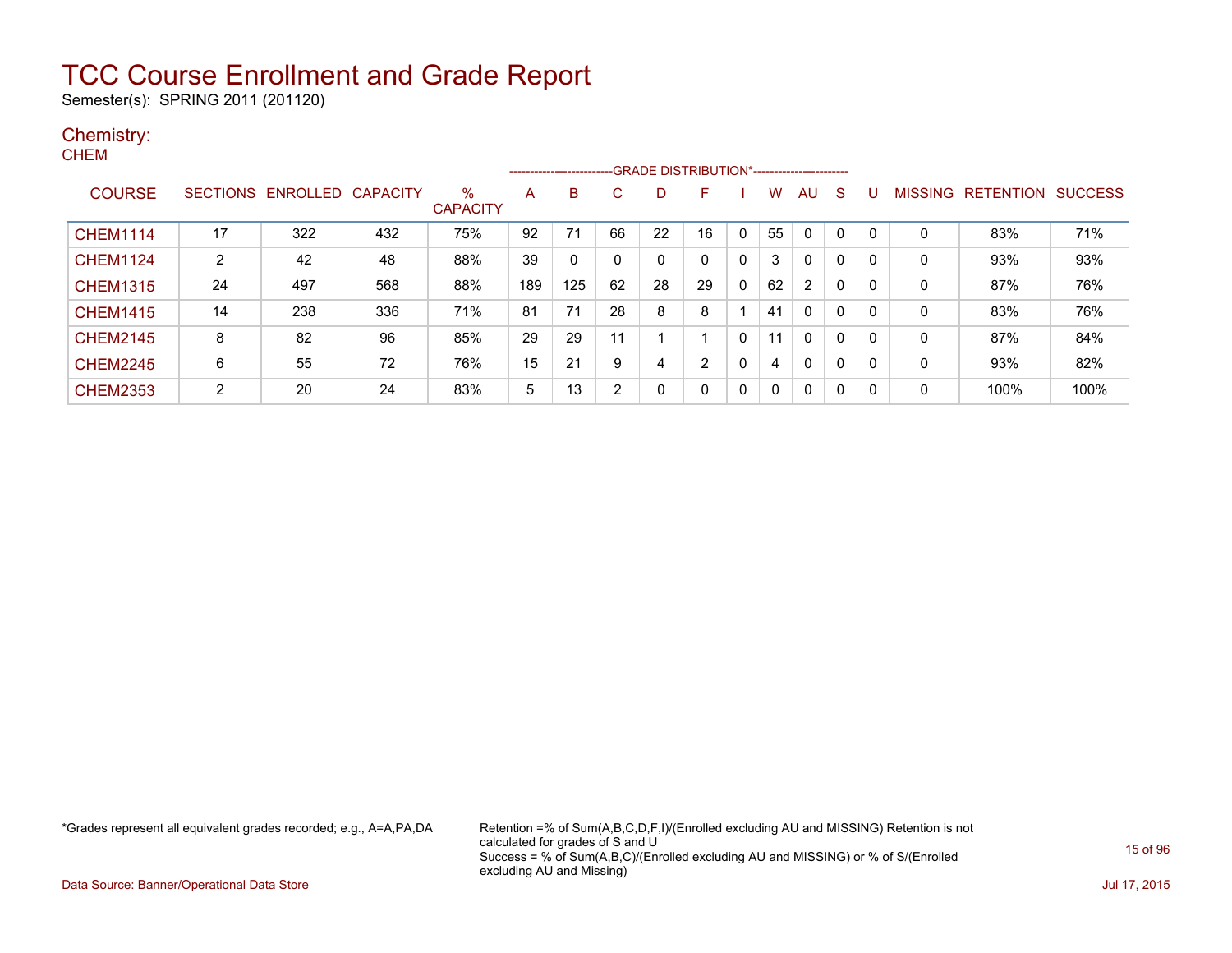Semester(s): SPRING 2011 (201120)

#### Chemistry: **CHEM**

|                 |    |                            |     |                      |     | ---------------------- |    |              |    |              |    |                |   |   |                |           |                |
|-----------------|----|----------------------------|-----|----------------------|-----|------------------------|----|--------------|----|--------------|----|----------------|---|---|----------------|-----------|----------------|
| <b>COURSE</b>   |    | SECTIONS ENROLLED CAPACITY |     | %<br><b>CAPACITY</b> | Α   | B                      | C  |              | F  |              | W  | AU             | S |   | <b>MISSING</b> | RETENTION | <b>SUCCESS</b> |
| <b>CHEM1114</b> | 17 | 322                        | 432 | 75%                  | 92  | 71                     | 66 | 22           | 16 | $\mathbf{0}$ | 55 | 0              | 0 |   | 0              | 83%       | 71%            |
| <b>CHEM1124</b> | 2  | 42                         | 48  | 88%                  | 39  | 0                      | 0  |              |    | 0            | 3  | 0              | 0 | 0 | 0              | 93%       | 93%            |
| <b>CHEM1315</b> | 24 | 497                        | 568 | 88%                  | 189 | 125                    | 62 | 28           | 29 | 0            | 62 | $\overline{2}$ | 0 | 0 | 0              | 87%       | 76%            |
| <b>CHEM1415</b> | 14 | 238                        | 336 | 71%                  | 81  | 71                     | 28 | 8            | 8  |              | 41 | 0              | 0 | 0 | 0              | 83%       | 76%            |
| <b>CHEM2145</b> | 8  | 82                         | 96  | 85%                  | 29  | 29                     | 11 |              |    | 0            | 11 | $\mathbf{0}$   | 0 | 0 | 0              | 87%       | 84%            |
| <b>CHEM2245</b> | 6  | 55                         | 72  | 76%                  | 15  | 21                     | 9  | 4            | 2  | 0            | 4  | $\mathbf{0}$   | 0 | 0 | $\mathbf{0}$   | 93%       | 82%            |
| <b>CHEM2353</b> | 2  | 20                         | 24  | 83%                  | 5   | 13                     | 2  | $\mathbf{0}$ |    | $\mathbf{0}$ | 0  | 0              | 0 | 0 | 0              | 100%      | 100%           |

\*Grades represent all equivalent grades recorded; e.g., A=A,PA,DA Retention =% of Sum(A,B,C,D,F,I)/(Enrolled excluding AU and MISSING) Retention is not calculated for grades of S and U Success = % of Sum(A,B,C)/(Enrolled excluding AU and MISSING) or % of S/(Enrolled excluding AU and Missing)

Data Source: Banner/Operational Data Store Jul 17, 2015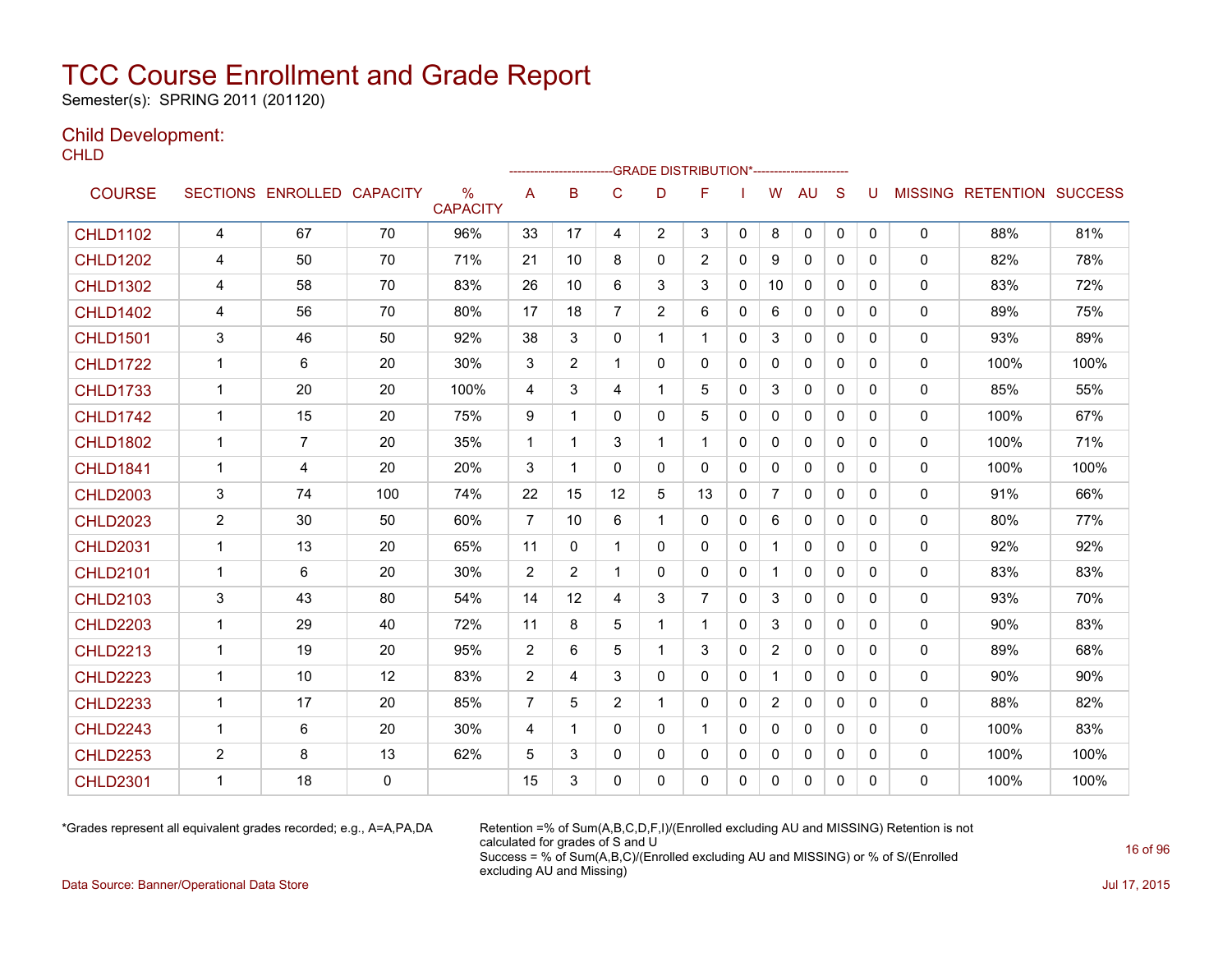Semester(s): SPRING 2011 (201120)

### Child Development:

**CHLD** 

|                 |                |                   |                 |                                  |                |                |                |                | --------------------GRADE                       DISTRIBUTION*--------------------- |              |                |              |              |   |              |                                  |      |
|-----------------|----------------|-------------------|-----------------|----------------------------------|----------------|----------------|----------------|----------------|------------------------------------------------------------------------------------|--------------|----------------|--------------|--------------|---|--------------|----------------------------------|------|
| <b>COURSE</b>   |                | SECTIONS ENROLLED | <b>CAPACITY</b> | $\frac{0}{0}$<br><b>CAPACITY</b> | A              | B              | C              | D              | F                                                                                  |              | W              | <b>AU</b>    | S            | U |              | <b>MISSING RETENTION SUCCESS</b> |      |
| <b>CHLD1102</b> | $\overline{4}$ | 67                | 70              | 96%                              | 33             | 17             | 4              | $\overline{2}$ | 3                                                                                  | 0            | 8              | 0            | $\mathbf 0$  | 0 | 0            | 88%                              | 81%  |
| <b>CHLD1202</b> | 4              | 50                | 70              | 71%                              | 21             | 10             | 8              | 0              | $\overline{2}$                                                                     | $\Omega$     | 9              | $\mathbf{0}$ | $\Omega$     | 0 | $\mathbf{0}$ | 82%                              | 78%  |
| <b>CHLD1302</b> | 4              | 58                | 70              | 83%                              | 26             | 10             | 6              | 3              | 3                                                                                  | $\Omega$     | 10             | $\mathbf{0}$ | $\Omega$     | 0 | 0            | 83%                              | 72%  |
| <b>CHLD1402</b> | 4              | 56                | 70              | 80%                              | 17             | 18             | $\overline{7}$ | $\overline{2}$ | 6                                                                                  | 0            | 6              | 0            | 0            | 0 | 0            | 89%                              | 75%  |
| <b>CHLD1501</b> | 3              | 46                | 50              | 92%                              | 38             | 3              | 0              | $\mathbf 1$    | 1                                                                                  | 0            | 3              | 0            | 0            | 0 | 0            | 93%                              | 89%  |
| <b>CHLD1722</b> | $\mathbf{1}$   | 6                 | 20              | 30%                              | 3              | $\overline{2}$ | 1              | $\mathbf{0}$   | $\Omega$                                                                           | $\Omega$     | $\mathbf{0}$   | $\mathbf{0}$ | $\Omega$     | 0 | 0            | 100%                             | 100% |
| <b>CHLD1733</b> | $\mathbf{1}$   | 20                | 20              | 100%                             | 4              | 3              | 4              | 1              | 5                                                                                  | $\mathbf{0}$ | 3              | 0            | $\mathbf{0}$ | 0 | 0            | 85%                              | 55%  |
| <b>CHLD1742</b> | $\mathbf 1$    | 15                | 20              | 75%                              | 9              | 1              | 0              | 0              | 5                                                                                  | $\Omega$     | $\Omega$       | $\mathbf{0}$ | $\mathbf{0}$ | 0 | 0            | 100%                             | 67%  |
| <b>CHLD1802</b> | $\mathbf 1$    | $\overline{7}$    | 20              | 35%                              | $\mathbf{1}$   | 1              | 3              | $\mathbf{1}$   | 1                                                                                  | $\mathbf{0}$ | $\Omega$       | $\mathbf{0}$ | $\Omega$     | 0 | 0            | 100%                             | 71%  |
| <b>CHLD1841</b> | $\mathbf{1}$   | 4                 | 20              | 20%                              | 3              | 1              | $\mathbf{0}$   | $\mathbf{0}$   | 0                                                                                  | $\Omega$     | $\mathbf{0}$   | $\mathbf{0}$ | $\Omega$     | 0 | 0            | 100%                             | 100% |
| <b>CHLD2003</b> | 3              | 74                | 100             | 74%                              | 22             | 15             | 12             | 5              | 13                                                                                 | $\mathbf{0}$ | $\overline{7}$ | $\mathbf{0}$ | $\Omega$     | 0 | 0            | 91%                              | 66%  |
| <b>CHLD2023</b> | 2              | 30                | 50              | 60%                              | 7              | 10             | 6              | 1              | 0                                                                                  | $\mathbf{0}$ | 6              | $\mathbf{0}$ | $\mathbf{0}$ | 0 | 0            | 80%                              | 77%  |
| <b>CHLD2031</b> | 1              | 13                | 20              | 65%                              | 11             | $\Omega$       | 1              | 0              | 0                                                                                  | $\mathbf{0}$ | $\mathbf{1}$   | $\mathbf{0}$ | $\Omega$     | 0 | 0            | 92%                              | 92%  |
| <b>CHLD2101</b> | $\mathbf{1}$   | 6                 | 20              | 30%                              | 2              | $\overline{2}$ | 1              | 0              | 0                                                                                  | 0            | $\mathbf{1}$   | $\mathbf{0}$ | $\mathbf{0}$ | 0 | 0            | 83%                              | 83%  |
| <b>CHLD2103</b> | 3              | 43                | 80              | 54%                              | 14             | 12             | 4              | 3              | $\overline{7}$                                                                     | $\mathbf{0}$ | 3              | $\mathbf{0}$ | $\Omega$     | 0 | 0            | 93%                              | 70%  |
| <b>CHLD2203</b> | $\mathbf 1$    | 29                | 40              | 72%                              | 11             | 8              | 5              | 1              | 1                                                                                  | $\mathbf{0}$ | 3              | $\mathbf{0}$ | $\Omega$     | 0 | 0            | 90%                              | 83%  |
| <b>CHLD2213</b> | $\overline{1}$ | 19                | 20              | 95%                              | 2              | 6              | 5              | 1              | 3                                                                                  | $\mathbf{0}$ | $\overline{2}$ | $\mathbf{0}$ | $\Omega$     | 0 | 0            | 89%                              | 68%  |
| <b>CHLD2223</b> | -1             | 10                | 12              | 83%                              | 2              | 4              | 3              | 0              | 0                                                                                  | 0            | 1              | $\mathbf{0}$ | $\mathbf{0}$ | 0 | 0            | 90%                              | 90%  |
| <b>CHLD2233</b> | $\mathbf 1$    | 17                | 20              | 85%                              | $\overline{7}$ | 5              | $\overline{2}$ |                | 0                                                                                  | $\mathbf{0}$ | 2              | $\mathbf{0}$ | $\mathbf{0}$ | 0 | 0            | 88%                              | 82%  |
| <b>CHLD2243</b> | $\mathbf 1$    | 6                 | 20              | 30%                              | 4              | 1              | 0              | 0              | 1                                                                                  | 0            | $\mathbf{0}$   | $\mathbf{0}$ | $\Omega$     | 0 | 0            | 100%                             | 83%  |
| <b>CHLD2253</b> | $\overline{2}$ | 8                 | 13              | 62%                              | 5              | 3              | 0              | 0              | 0                                                                                  | 0            | $\Omega$       | $\mathbf{0}$ | 0            | 0 | 0            | 100%                             | 100% |
| <b>CHLD2301</b> | 1              | 18                | 0               |                                  | 15             | 3              | 0              | 0              | 0                                                                                  | $\mathbf{0}$ | 0              | $\mathbf{0}$ | 0            | 0 | 0            | 100%                             | 100% |

\*Grades represent all equivalent grades recorded; e.g., A=A,PA,DA Retention =% of Sum(A,B,C,D,F,I)/(Enrolled excluding AU and MISSING) Retention is not calculated for grades of S and U Success = % of Sum(A,B,C)/(Enrolled excluding AU and MISSING) or % of S/(Enrolled excluding AU and Missing)

Data Source: Banner/Operational Data Store Jul 17, 2015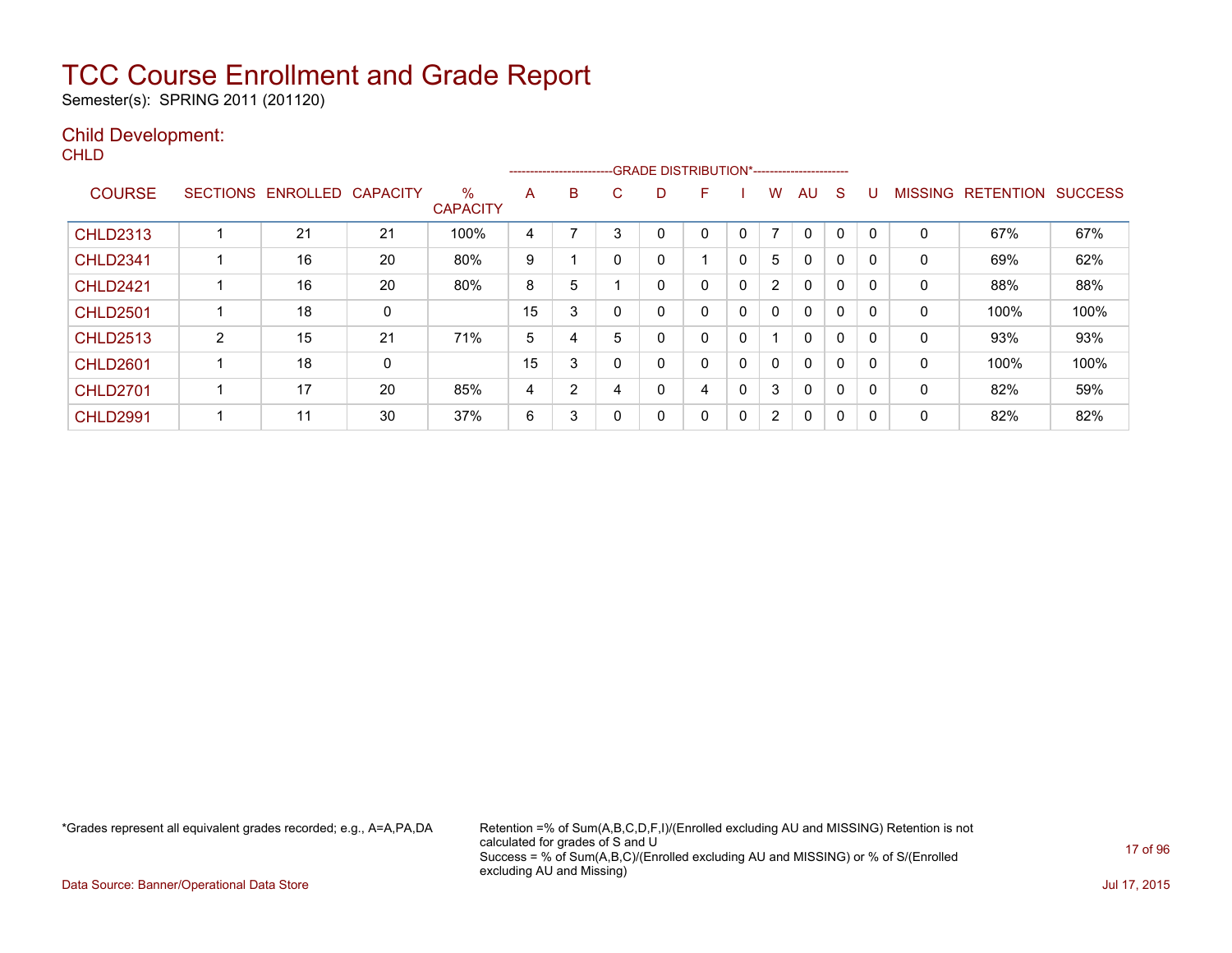Semester(s): SPRING 2011 (201120)

### Child Development:

**CHLD** 

|                 |                 |          |                 |                         | ------------------------- |   |   | -GRADE DISTRIBUTION*----------------------- |   |              |                      |              |   |              |                |                  |                |
|-----------------|-----------------|----------|-----------------|-------------------------|---------------------------|---|---|---------------------------------------------|---|--------------|----------------------|--------------|---|--------------|----------------|------------------|----------------|
| <b>COURSE</b>   | <b>SECTIONS</b> | ENROLLED | <b>CAPACITY</b> | $\%$<br><b>CAPACITY</b> | A                         | B | C | D                                           | F |              | w                    | AU           | S |              | <b>MISSING</b> | <b>RETENTION</b> | <b>SUCCESS</b> |
| <b>CHLD2313</b> |                 | 21       | 21              | 100%                    | 4                         |   |   |                                             | 0 |              | $\overline{ }$       | 0            | 0 |              | 0              | 67%              | 67%            |
| <b>CHLD2341</b> |                 | 16       | 20              | 80%                     | 9                         |   | 0 | 0                                           |   | 0            | 5                    | 0            | 0 |              | 0              | 69%              | 62%            |
| <b>CHLD2421</b> |                 | 16       | 20              | 80%                     | 8                         | 5 |   | 0                                           | 0 | $\mathbf 0$  | $\overline{2}$       | $\mathbf{0}$ | 0 | 0            | 0              | 88%              | 88%            |
| <b>CHLD2501</b> |                 | 18       | 0               |                         | 15                        | 3 | 0 | 0                                           | 0 | $\Omega$     | $\mathbf{0}$         | $\mathbf{0}$ | 0 |              | 0              | 100%             | 100%           |
| <b>CHLD2513</b> | 2               | 15       | 21              | 71%                     | 5                         | 4 | 5 | 0                                           | 0 | 0            |                      | $\mathbf{0}$ | 0 |              | $\mathbf{0}$   | 93%              | 93%            |
| <b>CHLD2601</b> |                 | 18       | 0               |                         | 15                        | 3 |   | 0                                           | 0 | $\mathbf{0}$ | 0                    | $\mathbf{0}$ | 0 | $\Omega$     | 0              | 100%             | 100%           |
| <b>CHLD2701</b> |                 | 17       | 20              | 85%                     | 4                         | 2 |   | 0                                           | 4 | 0            | 3                    | $\mathbf{0}$ | 0 |              | 0              | 82%              | 59%            |
| <b>CHLD2991</b> |                 | 11       | 30              | 37%                     | 6                         | 3 | 0 | 0                                           | 0 | $\mathbf{0}$ | $\mathbf{2}^{\circ}$ | 0            | 0 | $\mathsf{C}$ | 0              | 82%              | 82%            |

\*Grades represent all equivalent grades recorded; e.g., A=A,PA,DA Retention =% of Sum(A,B,C,D,F,I)/(Enrolled excluding AU and MISSING) Retention is not calculated for grades of S and U Success = % of Sum(A,B,C)/(Enrolled excluding AU and MISSING) or % of S/(Enrolled excluding AU and Missing)

Data Source: Banner/Operational Data Store Jul 17, 2015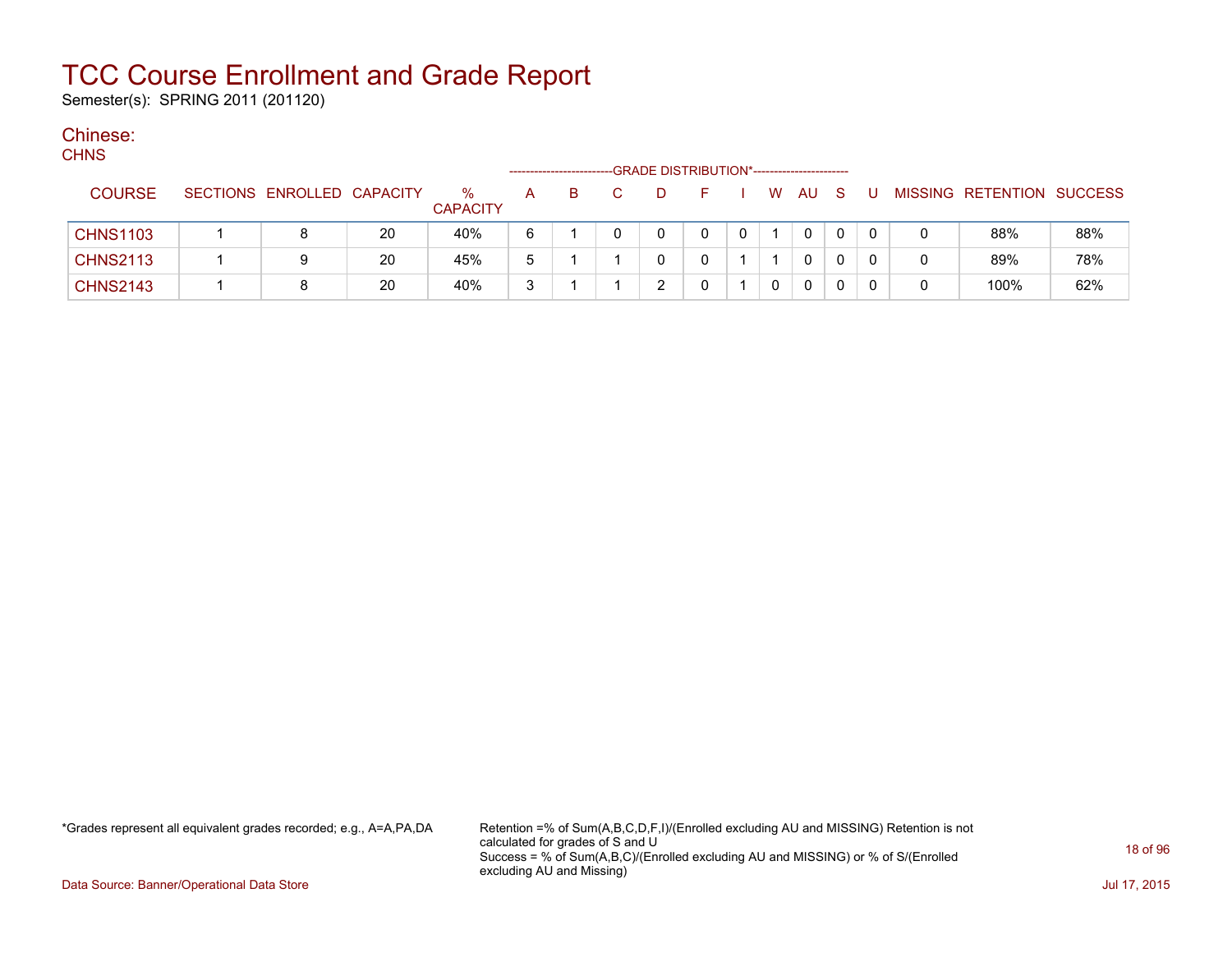Semester(s): SPRING 2011 (201120)

#### Chinese:  $C$

| <b>CHNS</b>     |                            |    |                         |   |    |    |   | -GRADE DISTRIBUTION*---------------------- |   |   |      |     |     |   |                           |     |
|-----------------|----------------------------|----|-------------------------|---|----|----|---|--------------------------------------------|---|---|------|-----|-----|---|---------------------------|-----|
| <b>COURSE</b>   | SECTIONS ENROLLED CAPACITY |    | $\%$<br><b>CAPACITY</b> | A | B. | C. | D | н.                                         |   |   | W AU | - S | - U |   | MISSING RETENTION SUCCESS |     |
| <b>CHNS1103</b> |                            | 20 | 40%                     | 6 |    |    |   | 0                                          | 0 |   | 0    | 0   | 0   |   | 88%                       | 88% |
| <b>CHNS2113</b> |                            | 20 | 45%                     | 5 |    |    |   |                                            |   |   | 0    | 0   |     | 0 | 89%                       | 78% |
| <b>CHNS2143</b> |                            | 20 | 40%                     | 3 |    |    |   |                                            |   | 0 | 0    | 0   |     | 0 | 100%                      | 62% |

\*Grades represent all equivalent grades recorded; e.g., A=A,PA,DA Retention =% of Sum(A,B,C,D,F,I)/(Enrolled excluding AU and MISSING) Retention is not calculated for grades of S and U Success = % of Sum(A,B,C)/(Enrolled excluding AU and MISSING) or % of S/(Enrolled excluding AU and Missing)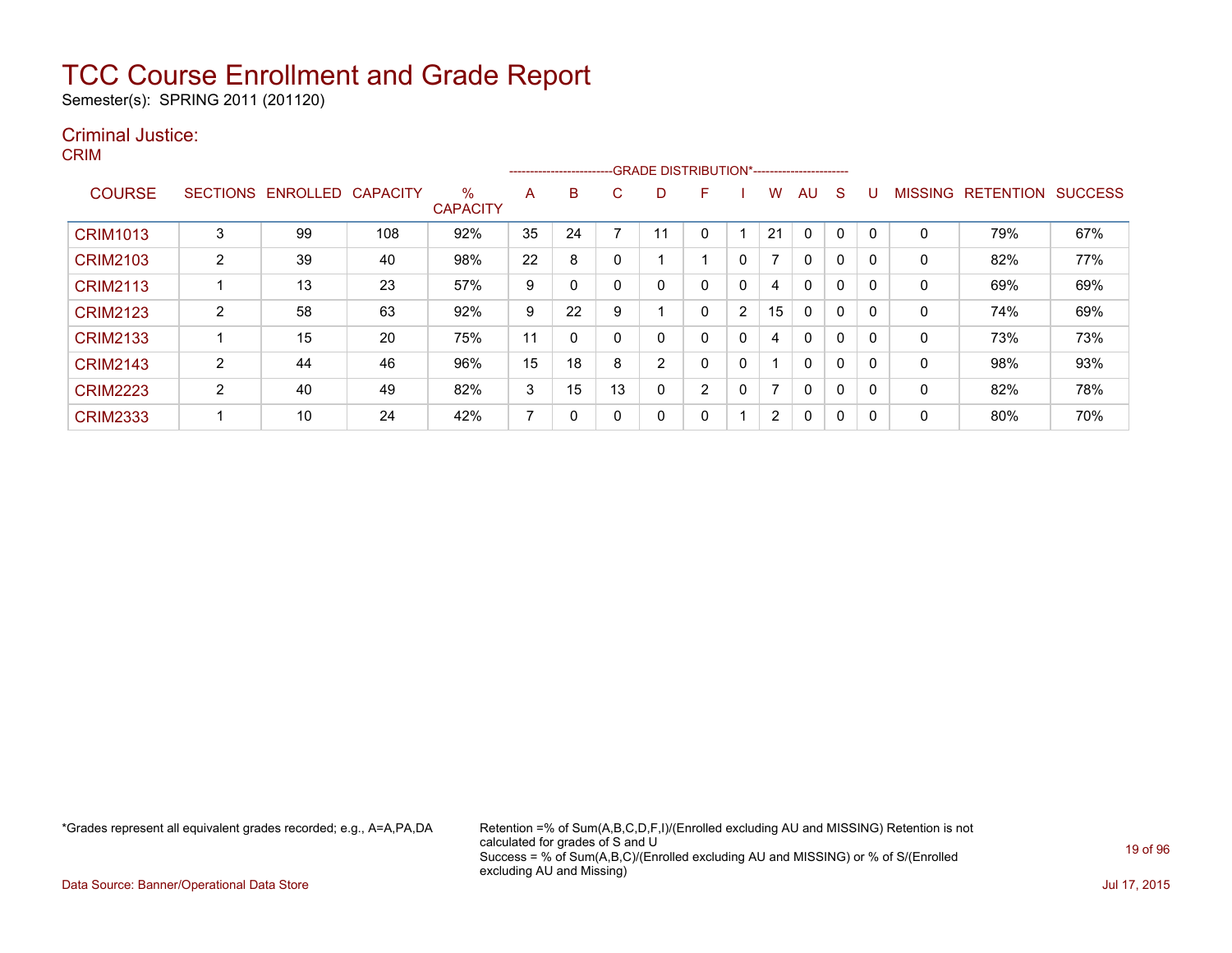Semester(s): SPRING 2011 (201120)

### Criminal Justice:

CRIM

|                 |                 |          |                 |                         |                | ------------------------- |    |   | -GRADE DISTRIBUTION*----------------------- |   |                |              |   |          |                |                  |                |
|-----------------|-----------------|----------|-----------------|-------------------------|----------------|---------------------------|----|---|---------------------------------------------|---|----------------|--------------|---|----------|----------------|------------------|----------------|
| <b>COURSE</b>   | <b>SECTIONS</b> | ENROLLED | <b>CAPACITY</b> | $\%$<br><b>CAPACITY</b> | A              | B                         | C. | D | F                                           |   | w              | AU.          | S |          | <b>MISSING</b> | <b>RETENTION</b> | <b>SUCCESS</b> |
| <b>CRIM1013</b> | 3               | 99       | 108             | 92%                     | 35             | 24                        |    |   |                                             |   | 21             | $\Omega$     | 0 |          | 0              | 79%              | 67%            |
| <b>CRIM2103</b> | $\overline{2}$  | 39       | 40              | 98%                     | 22             | 8                         |    |   |                                             | 0 |                | $\mathbf{0}$ | 0 | $\Omega$ | 0              | 82%              | 77%            |
| <b>CRIM2113</b> |                 | 13       | 23              | 57%                     | 9              |                           |    |   | 0                                           | 0 | 4              | 0            | 0 | 0        | 0              | 69%              | 69%            |
| <b>CRIM2123</b> | $\overline{2}$  | 58       | 63              | 92%                     | 9              | 22                        | 9  |   | 0                                           | 2 | 15             | $\mathbf{0}$ | 0 |          | 0              | 74%              | 69%            |
| <b>CRIM2133</b> |                 | 15       | 20              | 75%                     | 11             | 0                         |    | 0 | 0                                           | 0 | 4              | $\mathbf{0}$ | 0 | $\Omega$ | 0              | 73%              | 73%            |
| <b>CRIM2143</b> | ົ               | 44       | 46              | 96%                     | 15             | 18                        | 8  | 2 | 0                                           | 0 |                | $\mathbf{0}$ | 0 | 0        | 0              | 98%              | 93%            |
| <b>CRIM2223</b> | $\overline{2}$  | 40       | 49              | 82%                     | 3              | 15                        | 13 | 0 | $\overline{2}$                              | 0 | 7              | $\mathbf{0}$ | 0 |          | 0              | 82%              | 78%            |
| <b>CRIM2333</b> |                 | 10       | 24              | 42%                     | $\overline{ }$ | 0                         |    | 0 | 0                                           |   | $\overline{2}$ | 0            | 0 |          | 0              | 80%              | 70%            |

\*Grades represent all equivalent grades recorded; e.g., A=A,PA,DA Retention =% of Sum(A,B,C,D,F,I)/(Enrolled excluding AU and MISSING) Retention is not calculated for grades of S and U Success = % of Sum(A,B,C)/(Enrolled excluding AU and MISSING) or % of S/(Enrolled excluding AU and Missing)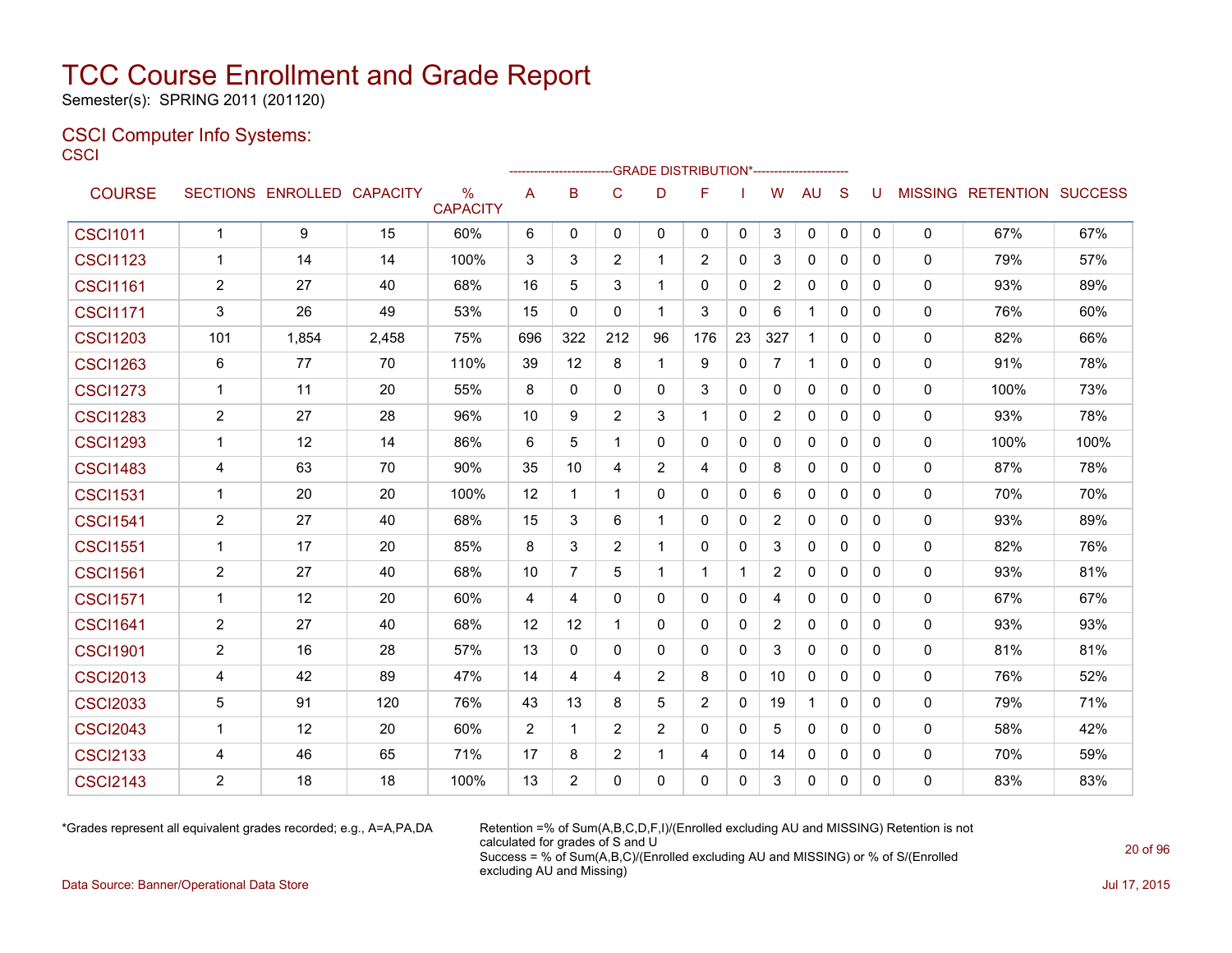Semester(s): SPRING 2011 (201120)

### CSCI Computer Info Systems: **CSCI**

| <b>COURSE</b>   |                | SECTIONS ENROLLED CAPACITY |       | $\%$<br><b>CAPACITY</b> | A   | B               | $\mathbf C$    | D              | F              |              | W              | <b>AU</b>    | S            | U            |             | <b>MISSING RETENTION SUCCESS</b> |      |
|-----------------|----------------|----------------------------|-------|-------------------------|-----|-----------------|----------------|----------------|----------------|--------------|----------------|--------------|--------------|--------------|-------------|----------------------------------|------|
| <b>CSCI1011</b> | $\mathbf{1}$   | 9                          | 15    | 60%                     | 6   | 0               | 0              | $\mathbf{0}$   | 0              | 0            | 3              | 0            | $\mathbf{0}$ | $\mathbf 0$  | $\mathbf 0$ | 67%                              | 67%  |
| <b>CSCI1123</b> | $\mathbf 1$    | 14                         | 14    | 100%                    | 3   | 3               | $\overline{2}$ | $\mathbf 1$    | 2              | 0            | 3              | $\mathbf{0}$ | $\mathbf{0}$ | 0            | 0           | 79%                              | 57%  |
| <b>CSCI1161</b> | $\overline{2}$ | 27                         | 40    | 68%                     | 16  | 5               | 3              | -1             | $\mathbf{0}$   | 0            | 2              | $\mathbf{0}$ | $\mathbf{0}$ | $\Omega$     | 0           | 93%                              | 89%  |
| <b>CSCI1171</b> | 3              | 26                         | 49    | 53%                     | 15  | 0               | 0              | $\mathbf 1$    | 3              | 0            | 6              | 1            | $\mathbf{0}$ | 0            | 0           | 76%                              | 60%  |
| <b>CSCI1203</b> | 101            | 1,854                      | 2,458 | 75%                     | 696 | 322             | 212            | 96             | 176            | 23           | 327            | $\mathbf 1$  | $\mathbf{0}$ | 0            | 0           | 82%                              | 66%  |
| <b>CSCI1263</b> | 6              | 77                         | 70    | 110%                    | 39  | 12              | 8              | $\mathbf 1$    | 9              | 0            | $\overline{7}$ | $\mathbf 1$  | $\mathbf{0}$ | 0            | 0           | 91%                              | 78%  |
| <b>CSCI1273</b> | $\mathbf{1}$   | 11                         | 20    | 55%                     | 8   | 0               | 0              | 0              | 3              | 0            | 0              | 0            | $\mathbf{0}$ | 0            | 0           | 100%                             | 73%  |
| <b>CSCI1283</b> | $\overline{2}$ | 27                         | 28    | 96%                     | 10  | 9               | 2              | 3              | 1              | $\mathbf{0}$ | $\overline{2}$ | 0            | $\mathbf{0}$ | $\mathbf{0}$ | 0           | 93%                              | 78%  |
| <b>CSCI1293</b> | $\mathbf{1}$   | 12                         | 14    | 86%                     | 6   | 5               | 1              | 0              | 0              | $\mathbf 0$  | 0              | $\mathbf 0$  | $\mathbf{0}$ | $\mathbf{0}$ | 0           | 100%                             | 100% |
| <b>CSCI1483</b> | 4              | 63                         | 70    | 90%                     | 35  | 10 <sup>°</sup> | 4              | 2              | 4              | $\mathbf{0}$ | 8              | $\mathbf{0}$ | $\Omega$     | $\mathbf{0}$ | 0           | 87%                              | 78%  |
| <b>CSCI1531</b> | $\mathbf 1$    | 20                         | 20    | 100%                    | 12  | $\mathbf 1$     | $\mathbf{1}$   | 0              | 0              | 0            | 6              | $\mathbf{0}$ | $\mathbf{0}$ | $\Omega$     | $\mathbf 0$ | 70%                              | 70%  |
| <b>CSCI1541</b> | $\overline{2}$ | 27                         | 40    | 68%                     | 15  | 3               | 6              | -1             | $\mathbf{0}$   | 0            | 2              | $\mathbf{0}$ | $\Omega$     | $\Omega$     | 0           | 93%                              | 89%  |
| <b>CSCI1551</b> | $\mathbf 1$    | 17                         | 20    | 85%                     | 8   | 3               | 2              | -1             | $\mathbf{0}$   | $\mathbf 0$  | 3              | $\mathbf{0}$ | $\Omega$     | 0            | 0           | 82%                              | 76%  |
| <b>CSCI1561</b> | $\mathbf{2}$   | 27                         | 40    | 68%                     | 10  | $\overline{7}$  | 5              | -1             | 1              | $\mathbf{1}$ | 2              | 0            | $\mathbf{0}$ | 0            | 0           | 93%                              | 81%  |
| <b>CSCI1571</b> | -1             | 12                         | 20    | 60%                     | 4   | 4               | $\mathbf{0}$   | $\mathbf{0}$   | $\mathbf{0}$   | $\mathbf{0}$ | 4              | $\mathbf{0}$ | $\Omega$     | 0            | 0           | 67%                              | 67%  |
| <b>CSCI1641</b> | $\overline{2}$ | 27                         | 40    | 68%                     | 12  | 12              | $\mathbf{1}$   | $\mathbf{0}$   | $\mathbf{0}$   | 0            | $\overline{2}$ | 0            | $\mathbf{0}$ | $\Omega$     | 0           | 93%                              | 93%  |
| <b>CSCI1901</b> | $\overline{2}$ | 16                         | 28    | 57%                     | 13  | $\mathbf{0}$    | $\mathbf{0}$   | $\mathbf{0}$   | $\mathbf{0}$   | $\mathbf{0}$ | 3              | $\mathbf{0}$ | $\Omega$     | $\mathbf{0}$ | 0           | 81%                              | 81%  |
| <b>CSCI2013</b> | 4              | 42                         | 89    | 47%                     | 14  | 4               | 4              | 2              | 8              | 0            | 10             | $\mathbf 0$  | $\mathbf{0}$ | $\Omega$     | $\mathbf 0$ | 76%                              | 52%  |
| <b>CSCI2033</b> | 5              | 91                         | 120   | 76%                     | 43  | 13              | 8              | 5              | $\overline{2}$ | $\mathbf{0}$ | 19             | $\mathbf{1}$ | $\Omega$     | $\Omega$     | 0           | 79%                              | 71%  |
| <b>CSCI2043</b> | $\mathbf{1}$   | 12                         | 20    | 60%                     | 2   | $\mathbf 1$     | 2              | $\overline{2}$ | $\mathbf{0}$   | $\mathbf{0}$ | 5              | $\mathbf{0}$ | $\Omega$     | $\Omega$     | $\mathbf 0$ | 58%                              | 42%  |
| <b>CSCI2133</b> | 4              | 46                         | 65    | 71%                     | 17  | 8               | $\overline{2}$ | $\mathbf{1}$   | 4              | $\mathbf 0$  | 14             | $\mathbf{0}$ | $\Omega$     | $\Omega$     | 0           | 70%                              | 59%  |
| <b>CSCI2143</b> | $\overline{2}$ | 18                         | 18    | 100%                    | 13  | $\overline{2}$  | $\Omega$       | $\Omega$       | $\Omega$       | $\Omega$     | 3              | $\mathbf{0}$ | $\Omega$     | $\Omega$     | 0           | 83%                              | 83%  |

\*Grades represent all equivalent grades recorded; e.g., A=A,PA,DA Retention =% of Sum(A,B,C,D,F,I)/(Enrolled excluding AU and MISSING) Retention is not calculated for grades of S and U Success = % of Sum(A,B,C)/(Enrolled excluding AU and MISSING) or % of S/(Enrolled excluding AU and Missing)

Data Source: Banner/Operational Data Store Jul 17, 2015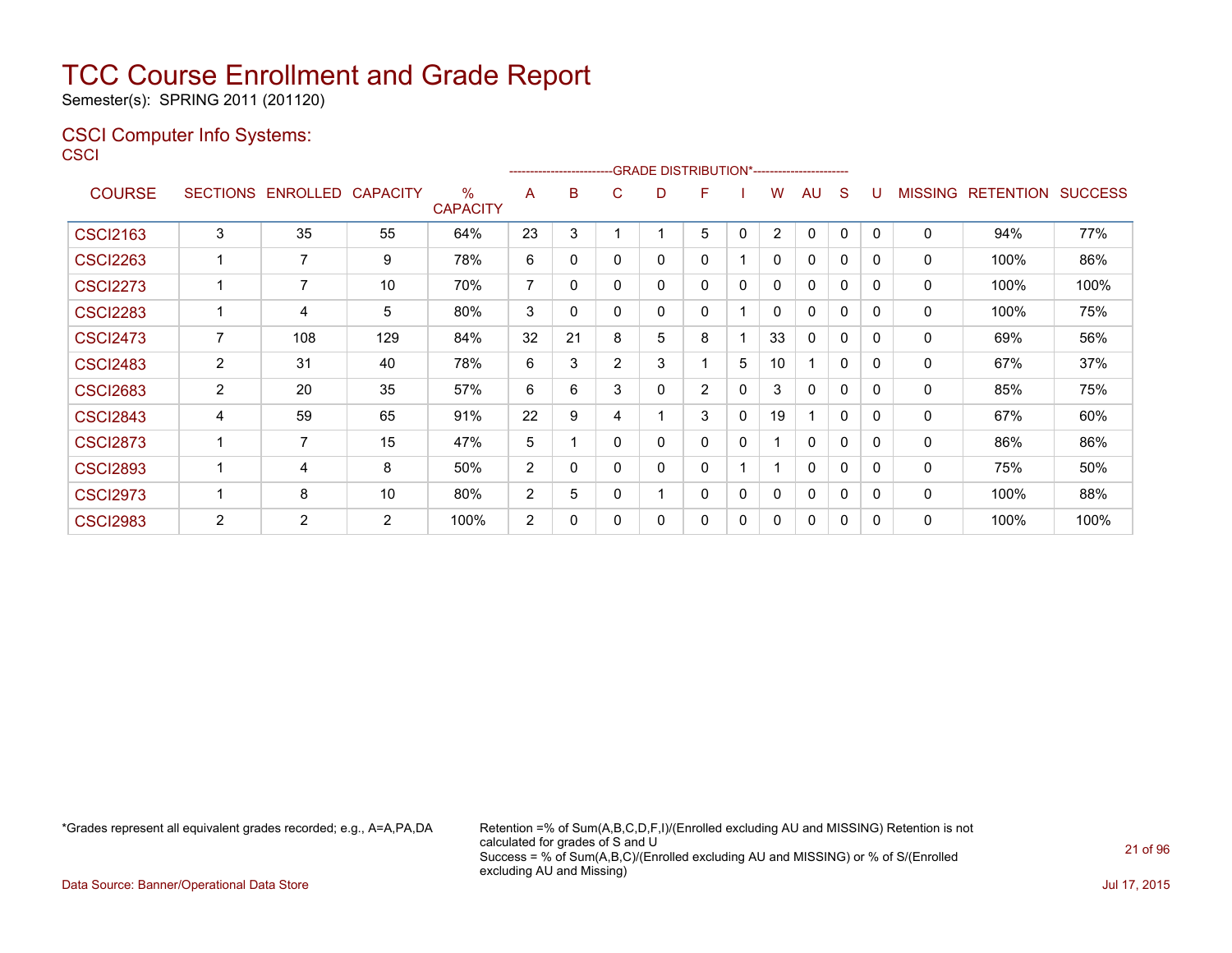Semester(s): SPRING 2011 (201120)

### CSCI Computer Info Systems: **CSCI**

|                 |                |                            |     |                      |                |          |                | -GRADE DISTRIBUTION*----------------------- |                |              |                |              |              |          |                |                          |      |
|-----------------|----------------|----------------------------|-----|----------------------|----------------|----------|----------------|---------------------------------------------|----------------|--------------|----------------|--------------|--------------|----------|----------------|--------------------------|------|
| <b>COURSE</b>   |                | SECTIONS ENROLLED CAPACITY |     | %<br><b>CAPACITY</b> | A              | B        | C              | D                                           | F              |              | W              | AU           | S            | U        | <b>MISSING</b> | <b>RETENTION SUCCESS</b> |      |
| <b>CSCI2163</b> | 3              | 35                         | 55  | 64%                  | 23             | 3        |                |                                             | 5              | $\mathbf{0}$ | $\overline{2}$ | $\mathbf{0}$ | $\mathbf{0}$ | $\Omega$ | $\mathbf{0}$   | 94%                      | 77%  |
| <b>CSCI2263</b> |                | $\overline{7}$             | 9   | 78%                  | 6              | 0        | $\Omega$       | 0                                           | $\mathbf{0}$   |              | 0              | $\mathbf{0}$ | 0            | 0        | 0              | 100%                     | 86%  |
| <b>CSCI2273</b> |                | 7                          | 10  | 70%                  | $\overline{7}$ | $\Omega$ | $\Omega$       | $\Omega$                                    | $\mathbf{0}$   | 0            | 0              | 0            | 0            | 0        | 0              | 100%                     | 100% |
| <b>CSCI2283</b> | 1              | 4                          | 5   | 80%                  | 3              | $\Omega$ | $\Omega$       | $\Omega$                                    | $\mathbf{0}$   |              | 0              | 0            | $\mathbf{0}$ | 0        | 0              | 100%                     | 75%  |
| <b>CSCI2473</b> | 7              | 108                        | 129 | 84%                  | 32             | 21       | 8              | 5                                           | 8              |              | 33             | 0            | $\mathbf{0}$ | 0        | 0              | 69%                      | 56%  |
| <b>CSCI2483</b> | $\overline{2}$ | 31                         | 40  | 78%                  | 6              | 3        | $\overline{2}$ | 3                                           |                | 5            | 10             |              | $\mathbf{0}$ | $\Omega$ | $\mathbf{0}$   | 67%                      | 37%  |
| <b>CSCI2683</b> | $\overline{2}$ | 20                         | 35  | 57%                  | 6              | 6        | 3              | 0                                           | $\overline{2}$ | $\mathbf 0$  | 3              | 0            | 0            | 0        | 0              | 85%                      | 75%  |
| <b>CSCI2843</b> | 4              | 59                         | 65  | 91%                  | 22             | 9        | 4              |                                             | 3              | 0            | 19             |              | 0            | 0        | 0              | 67%                      | 60%  |
| <b>CSCI2873</b> | 1              | 7                          | 15  | 47%                  | 5              | 1        | $\mathbf{0}$   | $\mathbf{0}$                                | $\mathbf{0}$   | 0            |                | $\mathbf{0}$ | $\mathbf{0}$ | 0        | 0              | 86%                      | 86%  |
| <b>CSCI2893</b> |                | 4                          | 8   | 50%                  | $\overline{2}$ | $\Omega$ | $\Omega$       | 0                                           | $\mathbf{0}$   |              |                | $\mathbf{0}$ | 0            | 0        | 0              | 75%                      | 50%  |
| <b>CSCI2973</b> |                | 8                          | 10  | 80%                  | $\overline{2}$ | 5        | $\Omega$       |                                             | $\Omega$       | $\Omega$     | 0              | $\mathbf{0}$ | $\mathbf{0}$ | 0        | 0              | 100%                     | 88%  |
| <b>CSCI2983</b> | 2              | $\overline{2}$             | 2   | 100%                 | 2              | 0        | $\Omega$       | 0                                           | $\mathbf{0}$   | 0            | 0              | 0            | 0            | 0        | 0              | 100%                     | 100% |

\*Grades represent all equivalent grades recorded; e.g., A=A,PA,DA Retention =% of Sum(A,B,C,D,F,I)/(Enrolled excluding AU and MISSING) Retention is not calculated for grades of S and U Success = % of Sum(A,B,C)/(Enrolled excluding AU and MISSING) or % of S/(Enrolled excluding AU and Missing)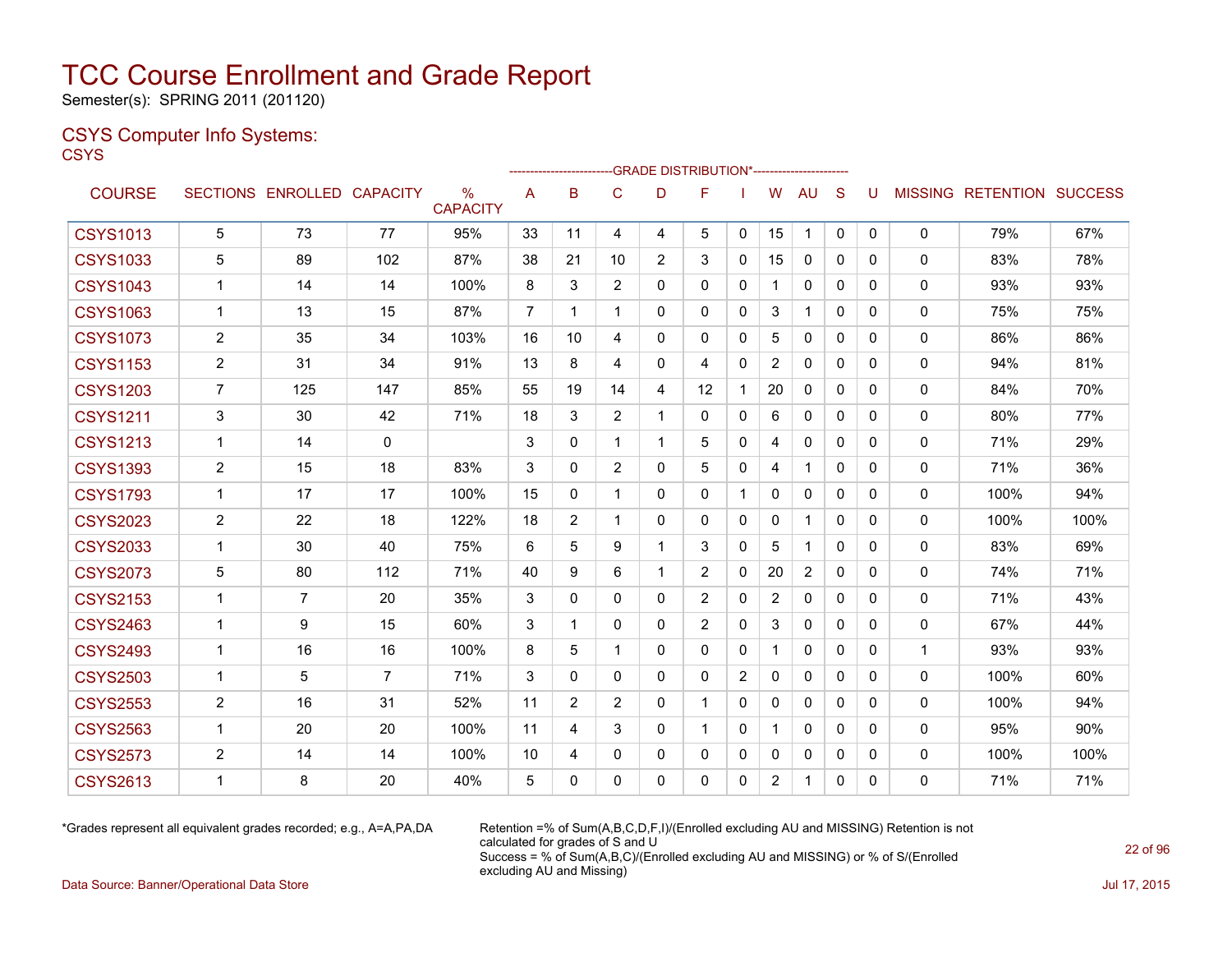Semester(s): SPRING 2011 (201120)

### CSYS Computer Info Systems: **CSYS**

|                 |                |                            |             |                         |                |                |                |                | -GRADE DISTRIBUTION*----------------------- |   |                |                |              |              |              |                           |      |
|-----------------|----------------|----------------------------|-------------|-------------------------|----------------|----------------|----------------|----------------|---------------------------------------------|---|----------------|----------------|--------------|--------------|--------------|---------------------------|------|
| <b>COURSE</b>   |                | SECTIONS ENROLLED CAPACITY |             | $\%$<br><b>CAPACITY</b> | A              | в              | C              | D              | F                                           |   | W              | AU             | S            | U            |              | MISSING RETENTION SUCCESS |      |
| <b>CSYS1013</b> | 5              | 73                         | 77          | 95%                     | 33             | 11             | 4              | 4              | 5                                           | 0 | 15             | 1              | 0            | 0            | 0            | 79%                       | 67%  |
| <b>CSYS1033</b> | 5              | 89                         | 102         | 87%                     | 38             | 21             | 10             | $\overline{2}$ | 3                                           | 0 | 15             | $\mathbf{0}$   | $\Omega$     | 0            | $\mathbf{0}$ | 83%                       | 78%  |
| <b>CSYS1043</b> | 1              | 14                         | 14          | 100%                    | 8              | 3              | $\overline{2}$ | 0              | 0                                           | 0 | 1              | 0              | 0            | 0            | 0            | 93%                       | 93%  |
| <b>CSYS1063</b> | 1              | 13                         | 15          | 87%                     | $\overline{7}$ | 1              | $\mathbf{1}$   | $\mathbf{0}$   | 0                                           | 0 | 3              | $\mathbf 1$    | $\mathbf{0}$ | $\mathbf{0}$ | $\mathbf{0}$ | 75%                       | 75%  |
| <b>CSYS1073</b> | 2              | 35                         | 34          | 103%                    | 16             | 10             | 4              | 0              | 0                                           | 0 | 5              | $\mathbf{0}$   | $\Omega$     | 0            | $\mathbf{0}$ | 86%                       | 86%  |
| <b>CSYS1153</b> | $\overline{2}$ | 31                         | 34          | 91%                     | 13             | 8              | 4              | $\mathbf{0}$   | 4                                           | 0 | $\overline{2}$ | $\mathbf{0}$   | $\Omega$     | 0            | $\mathbf{0}$ | 94%                       | 81%  |
| <b>CSYS1203</b> | $\overline{7}$ | 125                        | 147         | 85%                     | 55             | 19             | 14             | 4              | 12                                          | 1 | 20             | $\mathbf 0$    | $\Omega$     | 0            | $\mathbf{0}$ | 84%                       | 70%  |
| <b>CSYS1211</b> | 3              | 30                         | 42          | 71%                     | 18             | 3              | $\overline{2}$ | 1              | $\Omega$                                    | 0 | 6              | $\Omega$       | $\Omega$     | $\Omega$     | $\mathbf{0}$ | 80%                       | 77%  |
| <b>CSYS1213</b> | $\mathbf{1}$   | 14                         | $\mathbf 0$ |                         | 3              | 0              | 1              | 1              | 5                                           | 0 | 4              | $\mathbf{0}$   | $\Omega$     | 0            | $\mathbf{0}$ | 71%                       | 29%  |
| <b>CSYS1393</b> | $\overline{c}$ | 15                         | 18          | 83%                     | 3              | 0              | $\overline{2}$ | $\Omega$       | 5                                           | 0 | 4              | $\mathbf{1}$   | $\Omega$     | 0            | $\mathbf{0}$ | 71%                       | 36%  |
| <b>CSYS1793</b> | $\mathbf{1}$   | 17                         | 17          | 100%                    | 15             | $\Omega$       | $\mathbf{1}$   | $\mathbf{0}$   | $\Omega$                                    | 1 | $\mathbf{0}$   | $\Omega$       | $\Omega$     | 0            | $\mathbf{0}$ | 100%                      | 94%  |
| <b>CSYS2023</b> | $\overline{c}$ | 22                         | 18          | 122%                    | 18             | $\overline{2}$ | 1              | $\mathbf{0}$   | 0                                           | 0 | $\mathbf{0}$   | $\mathbf 1$    | $\Omega$     | 0            | $\mathbf{0}$ | 100%                      | 100% |
| <b>CSYS2033</b> | $\mathbf 1$    | 30                         | 40          | 75%                     | 6              | 5              | 9              | 1              | 3                                           | 0 | 5              | $\mathbf 1$    | $\mathbf{0}$ | 0            | $\mathbf{0}$ | 83%                       | 69%  |
| <b>CSYS2073</b> | 5              | 80                         | 112         | 71%                     | 40             | 9              | 6              | 1              | $\overline{2}$                              | 0 | 20             | $\overline{c}$ | $\mathbf{0}$ | 0            | $\mathbf{0}$ | 74%                       | 71%  |
| <b>CSYS2153</b> | 1              | 7                          | 20          | 35%                     | 3              | $\Omega$       | $\Omega$       | $\mathbf{0}$   | $\overline{2}$                              | 0 | 2              | $\mathbf{0}$   | $\Omega$     | 0            | $\mathbf{0}$ | 71%                       | 43%  |
| <b>CSYS2463</b> | $\mathbf 1$    | 9                          | 15          | 60%                     | 3              | 1              | 0              | $\mathbf{0}$   | $\overline{2}$                              | 0 | 3              | 0              | 0            | 0            | 0            | 67%                       | 44%  |
| <b>CSYS2493</b> | 1              | 16                         | 16          | 100%                    | 8              | 5              | 1              | $\mathbf{0}$   | 0                                           | 0 | 1              | 0              | 0            | 0            | 1            | 93%                       | 93%  |
| <b>CSYS2503</b> | 1              | 5                          | 7           | 71%                     | 3              | 0              | 0              | 0              | 0                                           | 2 | 0              | 0              | 0            | 0            | 0            | 100%                      | 60%  |
| <b>CSYS2553</b> | $\overline{c}$ | 16                         | 31          | 52%                     | 11             | 2              | 2              | $\mathbf{0}$   | $\mathbf 1$                                 | 0 | 0              | $\mathbf{0}$   | $\Omega$     | $\Omega$     | $\mathbf{0}$ | 100%                      | 94%  |
| <b>CSYS2563</b> | $\mathbf 1$    | 20                         | 20          | 100%                    | 11             | 4              | 3              | $\mathbf{0}$   | 1                                           | 0 | $\mathbf 1$    | $\mathbf{0}$   | 0            | $\mathbf{0}$ | $\mathbf{0}$ | 95%                       | 90%  |
| <b>CSYS2573</b> | 2              | 14                         | 14          | 100%                    | 10             | 4              | 0              | 0              | 0                                           | 0 | $\mathbf{0}$   | 0              | 0            | 0            | 0            | 100%                      | 100% |
| <b>CSYS2613</b> | $\mathbf{1}$   | 8                          | 20          | 40%                     | 5              | $\Omega$       | 0              | 0              | 0                                           | 0 | 2              | $\mathbf{1}$   | $\mathbf{0}$ | 0            | $\mathbf{0}$ | 71%                       | 71%  |
|                 |                |                            |             |                         |                |                |                |                |                                             |   |                |                |              |              |              |                           |      |

\*Grades represent all equivalent grades recorded; e.g., A=A,PA,DA Retention =% of Sum(A,B,C,D,F,I)/(Enrolled excluding AU and MISSING) Retention is not calculated for grades of S and U Success = % of Sum(A,B,C)/(Enrolled excluding AU and MISSING) or % of S/(Enrolled excluding AU and Missing)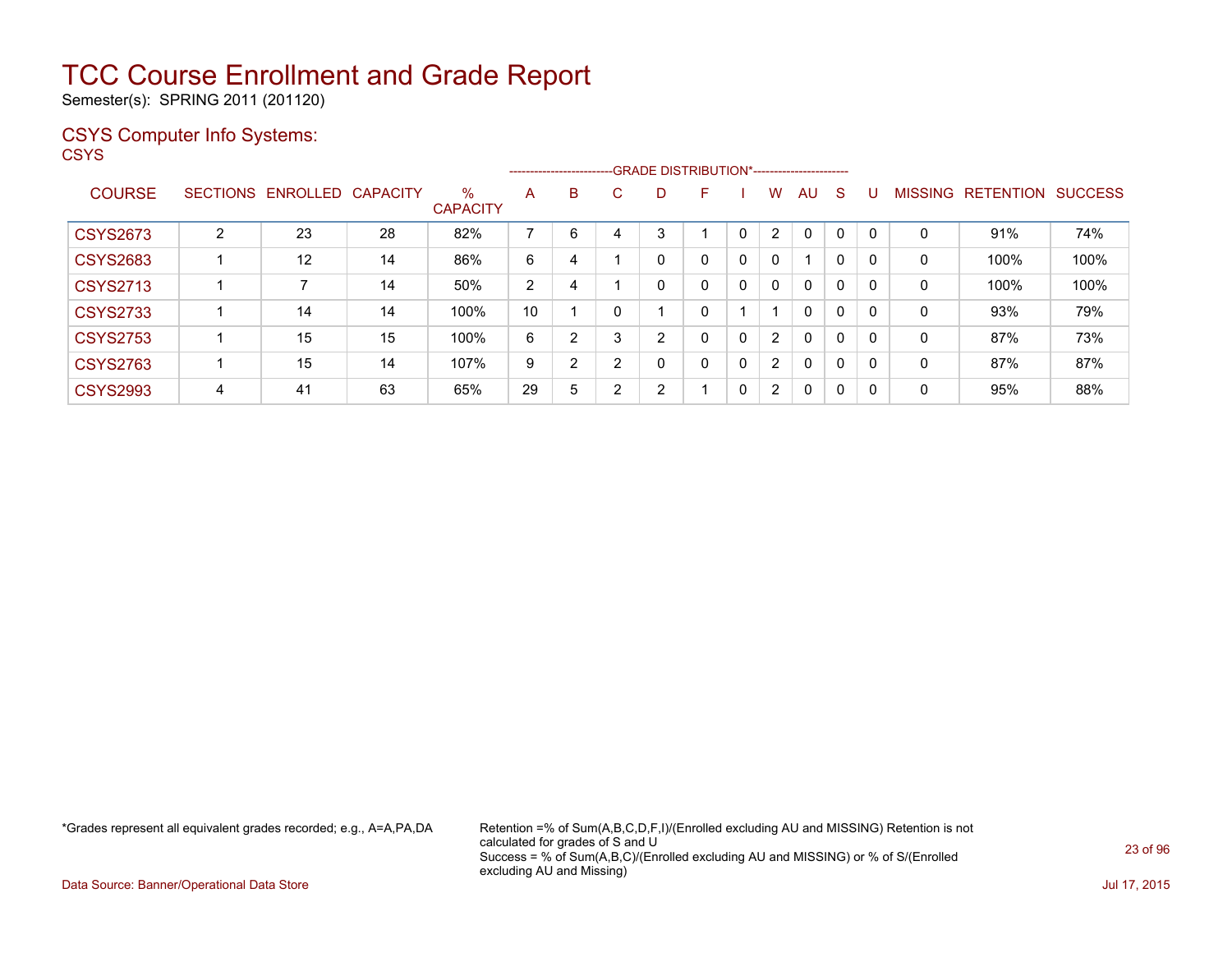Semester(s): SPRING 2011 (201120)

### CSYS Computer Info Systems:

**CSYS** 

|                 |   |                   |          |                         |    |                | --------------------------GRADE DISTRIBUTION*----------------------- |        |   |              |                |              |              |          |                |                  |                |
|-----------------|---|-------------------|----------|-------------------------|----|----------------|----------------------------------------------------------------------|--------|---|--------------|----------------|--------------|--------------|----------|----------------|------------------|----------------|
| <b>COURSE</b>   |   | SECTIONS ENROLLED | CAPACITY | $\%$<br><b>CAPACITY</b> | A  | B              | С                                                                    | D      | F |              | W              | AU           | S            | U        | <b>MISSING</b> | <b>RETENTION</b> | <b>SUCCESS</b> |
| <b>CSYS2673</b> | 2 | 23                | 28       | 82%                     | 7  | 6              |                                                                      | 3      |   | $\mathbf{0}$ | $\overline{2}$ | $\Omega$     | $\Omega$     | $\Omega$ | 0              | 91%              | 74%            |
| <b>CSYS2683</b> |   | 12                | 14       | 86%                     | 6  | 4              |                                                                      | 0      | 0 | 0            | 0              | 1            | 0            | 0        | 0              | 100%             | 100%           |
| <b>CSYS2713</b> |   |                   | 14       | 50%                     | 2  | 4              |                                                                      | 0      | 0 | 0            | $\mathbf{0}$   | $\mathbf{0}$ | $\Omega$     |          | 0              | 100%             | 100%           |
| <b>CSYS2733</b> |   | 14                | 14       | 100%                    | 10 |                |                                                                      |        | 0 |              |                | $\mathbf{0}$ | 0            | 0        | 0              | 93%              | 79%            |
| <b>CSYS2753</b> |   | 15                | 15       | 100%                    | 6  | $\overline{2}$ | 3                                                                    | 2      | 0 | 0            | $\overline{2}$ | $\mathbf{0}$ | $\Omega$     | 0        | 0              | 87%              | 73%            |
| <b>CSYS2763</b> |   | 15                | 14       | 107%                    | 9  | 2              | ົ                                                                    | 0      | 0 | 0            | $\overline{2}$ | $\Omega$     | $\mathbf{0}$ | 0        | 0              | 87%              | 87%            |
| <b>CSYS2993</b> | 4 | 41                | 63       | 65%                     | 29 | 5              | ົ                                                                    | າ<br>∠ |   | 0            | $\overline{2}$ | $\Omega$     | 0            | 0        | 0              | 95%              | 88%            |

\*Grades represent all equivalent grades recorded; e.g., A=A,PA,DA Retention =% of Sum(A,B,C,D,F,I)/(Enrolled excluding AU and MISSING) Retention is not calculated for grades of S and U Success = % of Sum(A,B,C)/(Enrolled excluding AU and MISSING) or % of S/(Enrolled excluding AU and Missing)

Data Source: Banner/Operational Data Store Jul 17, 2015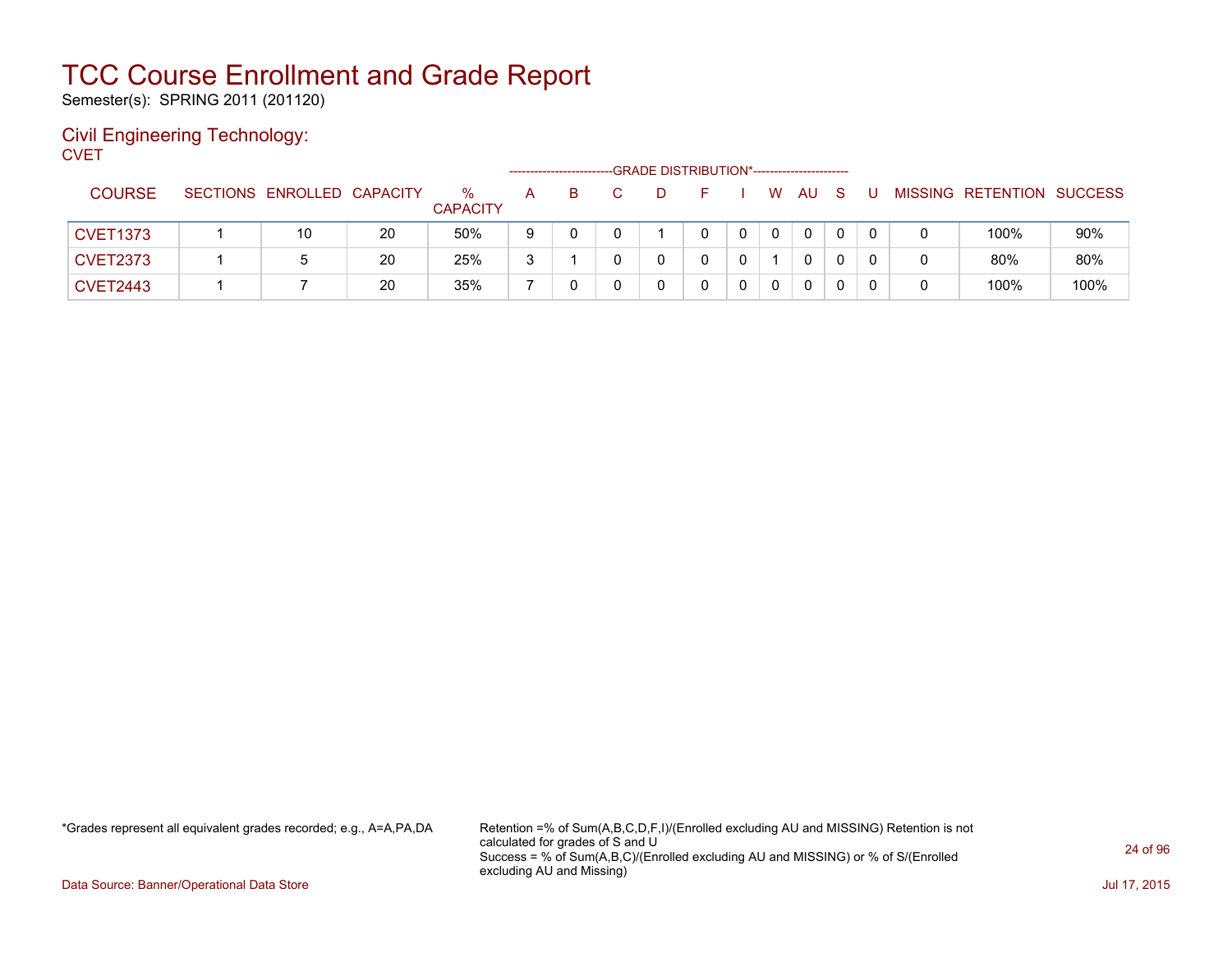Semester(s): SPRING 2011 (201120)

#### Civil Engineering Technology: **CVET**

|                 |                            |    |                         |   | ----------------------- |  | -GRADE DISTRIBUTION*----------------------- |    |           |    |   |                   |                |
|-----------------|----------------------------|----|-------------------------|---|-------------------------|--|---------------------------------------------|----|-----------|----|---|-------------------|----------------|
| <b>COURSE</b>   | SECTIONS ENROLLED CAPACITY |    | $\%$<br><b>CAPACITY</b> | A | B.                      |  |                                             | W. | <b>AU</b> | -S |   | MISSING RETENTION | <b>SUCCESS</b> |
| <b>CVET1373</b> | 10                         | 20 | 50%                     | 9 |                         |  |                                             |    | 0         |    |   | 100%              | 90%            |
| <b>CVET2373</b> |                            | 20 | 25%                     | 3 |                         |  |                                             |    | 0         |    | 0 | 80%               | 80%            |
| <b>CVET2443</b> |                            | 20 | 35%                     |   |                         |  |                                             |    | 0         |    |   | 100%              | 100%           |

\*Grades represent all equivalent grades recorded; e.g., A=A,PA,DA Retention =% of Sum(A,B,C,D,F,I)/(Enrolled excluding AU and MISSING) Retention is not calculated for grades of S and U Success = % of Sum(A,B,C)/(Enrolled excluding AU and MISSING) or % of S/(Enrolled excluding AU and Missing)

Data Source: Banner/Operational Data Store Jul 17, 2015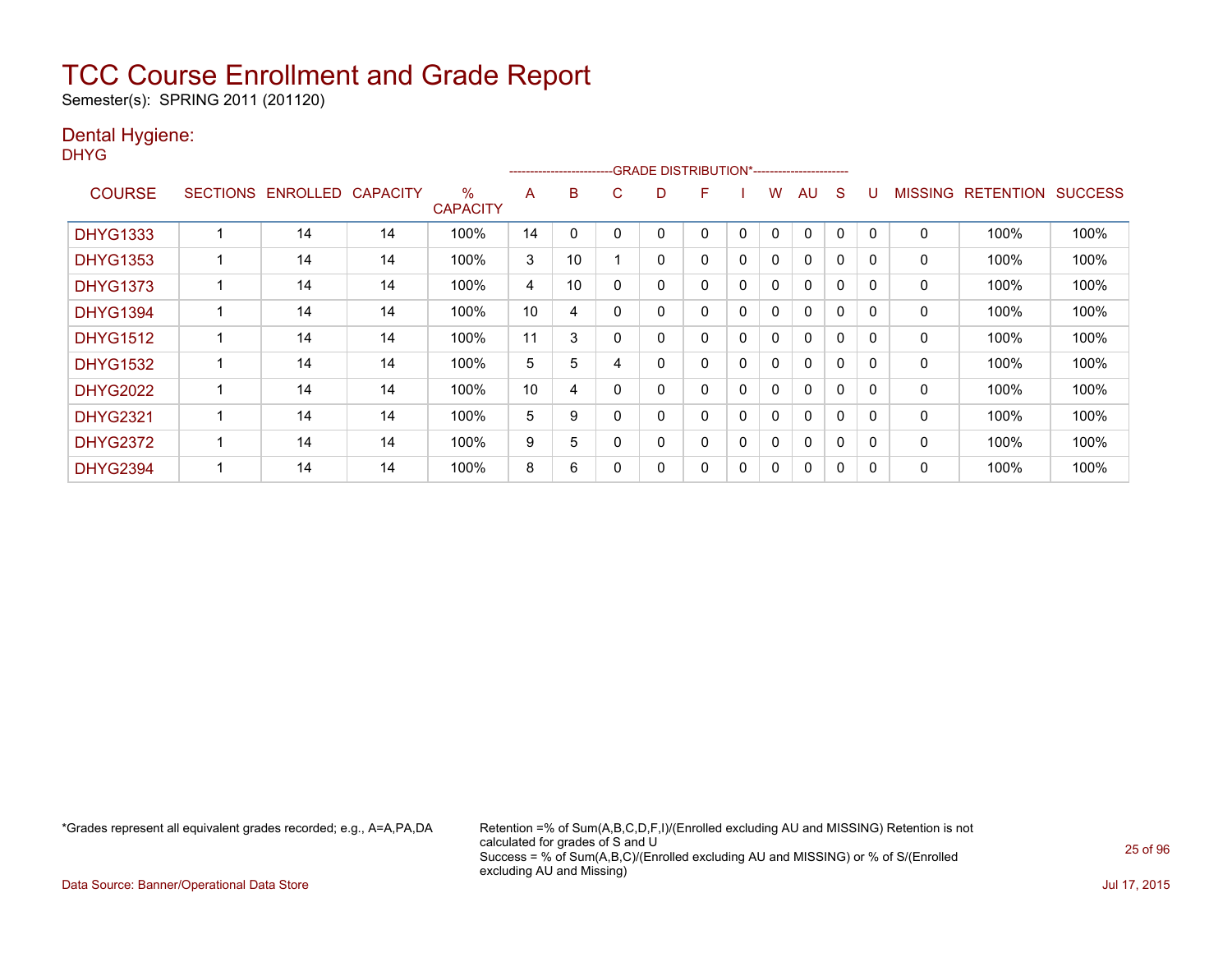Semester(s): SPRING 2011 (201120)

### Dental Hygiene:

DHYG

|                 |                 |                 |                 |                         |    | ------------------------ |   | -GRADE DISTRIBUTION*----------------------- |   |          |              |              |             |              |                |                  |                |
|-----------------|-----------------|-----------------|-----------------|-------------------------|----|--------------------------|---|---------------------------------------------|---|----------|--------------|--------------|-------------|--------------|----------------|------------------|----------------|
| <b>COURSE</b>   | <b>SECTIONS</b> | <b>ENROLLED</b> | <b>CAPACITY</b> | $\%$<br><b>CAPACITY</b> | A  | B                        | C | D                                           | F |          | w            | AU           | S           |              | <b>MISSING</b> | <b>RETENTION</b> | <b>SUCCESS</b> |
| <b>DHYG1333</b> |                 | 14              | 14              | 100%                    | 14 | 0                        |   |                                             | 0 | 0        | $\mathbf{0}$ | 0            | $\Omega$    | <sup>0</sup> | 0              | 100%             | 100%           |
| <b>DHYG1353</b> |                 | 14              | 14              | 100%                    | 3  | 10                       |   | 0                                           | 0 | 0        | 0            | $\mathbf{0}$ | 0           | 0            | 0              | 100%             | 100%           |
| <b>DHYG1373</b> |                 | 14              | 14              | 100%                    | 4  | 10                       | 0 | 0                                           | 0 | 0        | $\Omega$     | 0            | 0           | $\Omega$     | 0              | 100%             | 100%           |
| <b>DHYG1394</b> |                 | 14              | 14              | 100%                    | 10 | 4                        | 0 | 0                                           | 0 | 0        | 0            | 0            | $\mathbf 0$ | $\Omega$     | 0              | 100%             | 100%           |
| <b>DHYG1512</b> |                 | 14              | 14              | 100%                    | 11 | 3                        | 0 | 0                                           | 0 | 0        | 0            | $\mathbf{0}$ | $\Omega$    | $\Omega$     | 0              | 100%             | 100%           |
| <b>DHYG1532</b> |                 | 14              | 14              | 100%                    | 5  | 5                        |   | 0                                           | 0 | $\Omega$ | 0            | $\mathbf{0}$ | $\Omega$    | $\Omega$     | 0              | 100%             | 100%           |
| <b>DHYG2022</b> |                 | 14              | 14              | 100%                    | 10 | 4                        | 0 | 0                                           | 0 | $\Omega$ | 0            | $\mathbf{0}$ | $\Omega$    | $\Omega$     | 0              | 100%             | 100%           |
| <b>DHYG2321</b> |                 | 14              | 14              | 100%                    | 5  | 9                        | 0 | 0                                           | 0 | 0        | 0            | $\mathbf{0}$ | $\Omega$    | $\Omega$     | 0              | 100%             | 100%           |
| <b>DHYG2372</b> |                 | 14              | 14              | 100%                    | 9  | 5                        |   | 0                                           | 0 | 0        | 0            | $\mathbf{0}$ | 0           | $\Omega$     | 0              | 100%             | 100%           |
| <b>DHYG2394</b> |                 | 14              | 14              | 100%                    | 8  | 6                        |   | 0                                           | 0 | 0        | 0            | 0            | 0           | O            | 0              | 100%             | 100%           |

\*Grades represent all equivalent grades recorded; e.g., A=A,PA,DA Retention =% of Sum(A,B,C,D,F,I)/(Enrolled excluding AU and MISSING) Retention is not calculated for grades of S and U Success = % of Sum(A,B,C)/(Enrolled excluding AU and MISSING) or % of S/(Enrolled excluding AU and Missing)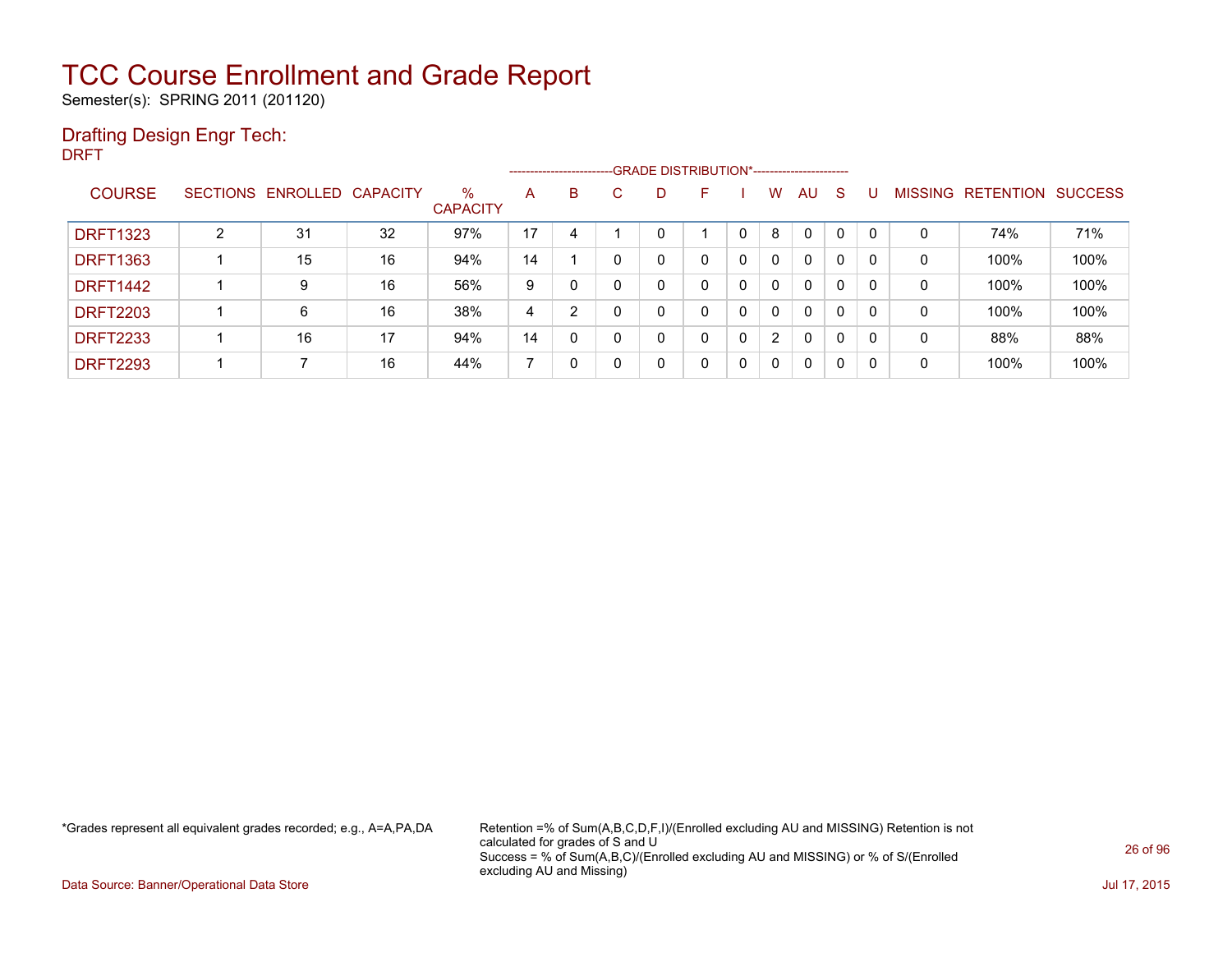Semester(s): SPRING 2011 (201120)

### Drafting Design Engr Tech:

DRFT

|                 |                |                            |    |                         |    |          |   | ------------------------GRADE DISTRIBUTION*----------------------- |   |          |                |              |          |          |                |                  |                |
|-----------------|----------------|----------------------------|----|-------------------------|----|----------|---|--------------------------------------------------------------------|---|----------|----------------|--------------|----------|----------|----------------|------------------|----------------|
| <b>COURSE</b>   |                | SECTIONS ENROLLED CAPACITY |    | $\%$<br><b>CAPACITY</b> | A  | B        | C | D                                                                  | F |          | W              | AU           | S        |          | <b>MISSING</b> | <b>RETENTION</b> | <b>SUCCESS</b> |
| <b>DRFT1323</b> | $\overline{2}$ | 31                         | 32 | 97%                     | 17 | 4        |   | 0                                                                  |   | $\Omega$ | 8              | 0            |          | $\Omega$ | 0              | 74%              | 71%            |
| <b>DRFT1363</b> |                | 15                         | 16 | 94%                     | 14 |          |   | 0                                                                  | 0 | 0        | 0              | 0            | $\Omega$ | 0        | 0              | 100%             | 100%           |
| <b>DRFT1442</b> |                | 9                          | 16 | 56%                     | 9  | 0        |   | 0                                                                  | 0 | 0        | 0              | $\mathbf{0}$ | $\Omega$ | $\Omega$ | 0              | 100%             | 100%           |
| <b>DRFT2203</b> |                | 6                          | 16 | 38%                     | 4  | 2        |   | 0                                                                  | 0 | 0        | $\mathbf{0}$   | $\mathbf{0}$ | $\Omega$ | $\Omega$ | 0              | 100%             | 100%           |
| <b>DRFT2233</b> |                | 16                         | 17 | 94%                     | 14 | $\Omega$ |   | 0                                                                  | 0 | 0        | $\overline{2}$ | $\Omega$     | 0        | 0        | 0              | 88%              | 88%            |
| <b>DRFT2293</b> |                |                            | 16 | 44%                     |    | 0        |   | 0                                                                  | 0 | 0        | 0              | 0            | $\Omega$ | 0        | 0              | 100%             | 100%           |

\*Grades represent all equivalent grades recorded; e.g., A=A,PA,DA Retention =% of Sum(A,B,C,D,F,I)/(Enrolled excluding AU and MISSING) Retention is not calculated for grades of S and U Success = % of Sum(A,B,C)/(Enrolled excluding AU and MISSING) or % of S/(Enrolled excluding AU and Missing)

Data Source: Banner/Operational Data Store Jul 17, 2015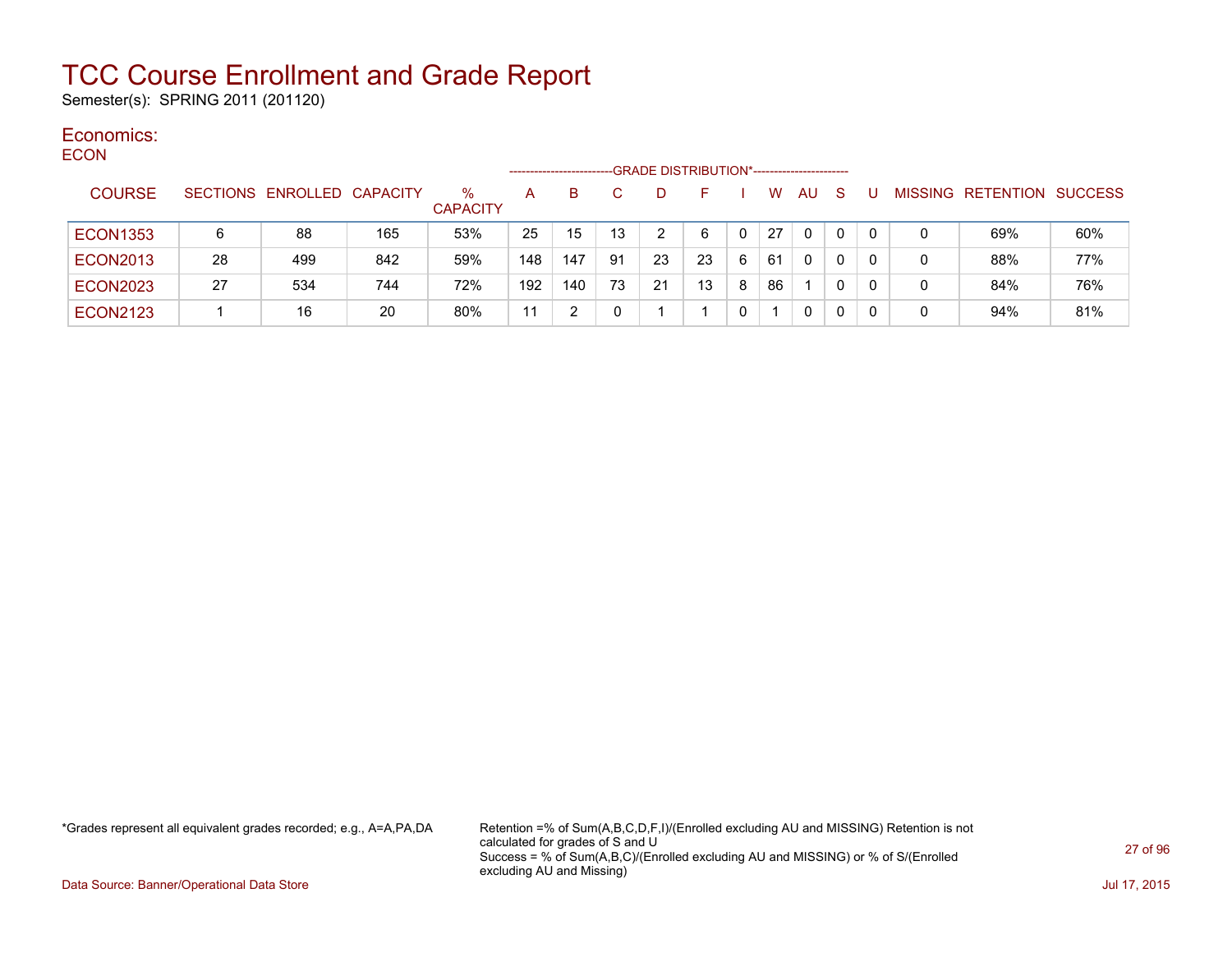Semester(s): SPRING 2011 (201120)

#### Economics: ECON

| ᆫᇰᇦᇅ            |    |                            |     |                         | --------------------- |     |    | -GRADE DISTRIBUTION*----------------------- |    |   |    |           |              |   |                           |     |
|-----------------|----|----------------------------|-----|-------------------------|-----------------------|-----|----|---------------------------------------------|----|---|----|-----------|--------------|---|---------------------------|-----|
| <b>COURSE</b>   |    | SECTIONS ENROLLED CAPACITY |     | $\%$<br><b>CAPACITY</b> | A                     | B.  |    | D                                           |    |   | W  | <b>AU</b> | <sub>S</sub> |   | MISSING RETENTION SUCCESS |     |
| <b>ECON1353</b> | 6  | 88                         | 165 | 53%                     | 25                    | 15  | 13 | 2                                           | 6  |   | 27 | $\Omega$  | 0            | 0 | 69%                       | 60% |
| <b>ECON2013</b> | 28 | 499                        | 842 | 59%                     | 148                   | 147 | 91 | 23                                          | 23 | 6 | 61 | 0         | 0            | 0 | 88%                       | 77% |
| <b>ECON2023</b> | 27 | 534                        | 744 | 72%                     | 192                   | 140 | 73 | 21                                          | 13 | 8 | 86 |           | 0            | 0 | 84%                       | 76% |
| <b>ECON2123</b> |    | 16                         | 20  | 80%                     | 11                    |     |    |                                             |    |   |    | 0         | 0            | 0 | 94%                       | 81% |

\*Grades represent all equivalent grades recorded; e.g., A=A,PA,DA Retention =% of Sum(A,B,C,D,F,I)/(Enrolled excluding AU and MISSING) Retention is not calculated for grades of S and U Success = % of Sum(A,B,C)/(Enrolled excluding AU and MISSING) or % of S/(Enrolled excluding AU and Missing)

Data Source: Banner/Operational Data Store Jul 17, 2015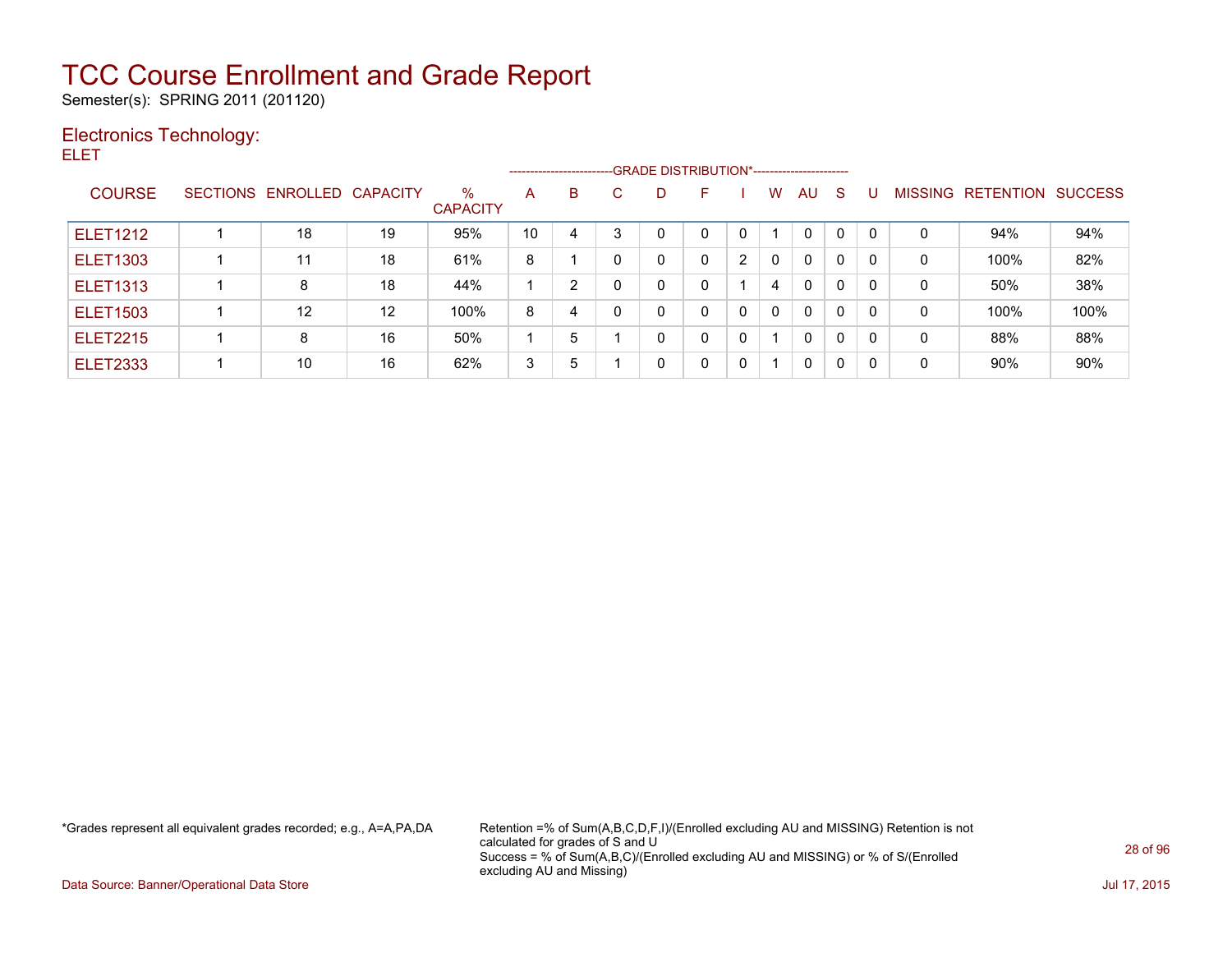Semester(s): SPRING 2011 (201120)

### Electronics Technology:

ELET

|                 |                            |                   |                         |    |                |    |   | ------------------------GRADE DISTRIBUTION*----------------------- |   |              |              |              |              |                |           |                |
|-----------------|----------------------------|-------------------|-------------------------|----|----------------|----|---|--------------------------------------------------------------------|---|--------------|--------------|--------------|--------------|----------------|-----------|----------------|
| <b>COURSE</b>   | SECTIONS ENROLLED CAPACITY |                   | $\%$<br><b>CAPACITY</b> | A  | B              | C. | D | F                                                                  |   | W            | AU.          | S            |              | <b>MISSING</b> | RETENTION | <b>SUCCESS</b> |
| <b>ELET1212</b> | 18                         | 19                | 95%                     | 10 | 4              | 3  | 0 | 0                                                                  | 0 |              | $\mathbf 0$  | $\Omega$     | $\Omega$     | 0              | 94%       | 94%            |
| <b>ELET1303</b> | 11                         | 18                | 61%                     | 8  |                |    | 0 | 0                                                                  | 2 | $\mathbf{0}$ | $\mathbf{0}$ | $\Omega$     | $\Omega$     | 0              | 100%      | 82%            |
| <b>ELET1313</b> | 8                          | 18                | 44%                     |    | $\overline{2}$ |    | 0 | 0                                                                  |   | 4            | $\Omega$     | $\mathbf{0}$ | $\Omega$     | 0              | 50%       | 38%            |
| <b>ELET1503</b> | 12                         | $12 \overline{ }$ | 100%                    | 8  | 4              |    | 0 | $\mathbf{0}$                                                       | 0 | 0            | $\mathbf{0}$ | $\mathbf{0}$ | $\Omega$     | 0              | 100%      | 100%           |
| <b>ELET2215</b> | 8                          | 16                | 50%                     |    | 5              |    | 0 | 0                                                                  | 0 |              | $\mathbf{0}$ | $\Omega$     | $\mathbf{0}$ | 0              | 88%       | 88%            |
| <b>ELET2333</b> | 10                         | 16                | 62%                     | 3  | 5              |    | 0 | 0                                                                  | 0 |              | $\mathbf{0}$ | $\Omega$     | $\Omega$     | 0              | 90%       | 90%            |

\*Grades represent all equivalent grades recorded; e.g., A=A,PA,DA Retention =% of Sum(A,B,C,D,F,I)/(Enrolled excluding AU and MISSING) Retention is not calculated for grades of S and U Success = % of Sum(A,B,C)/(Enrolled excluding AU and MISSING) or % of S/(Enrolled excluding AU and Missing)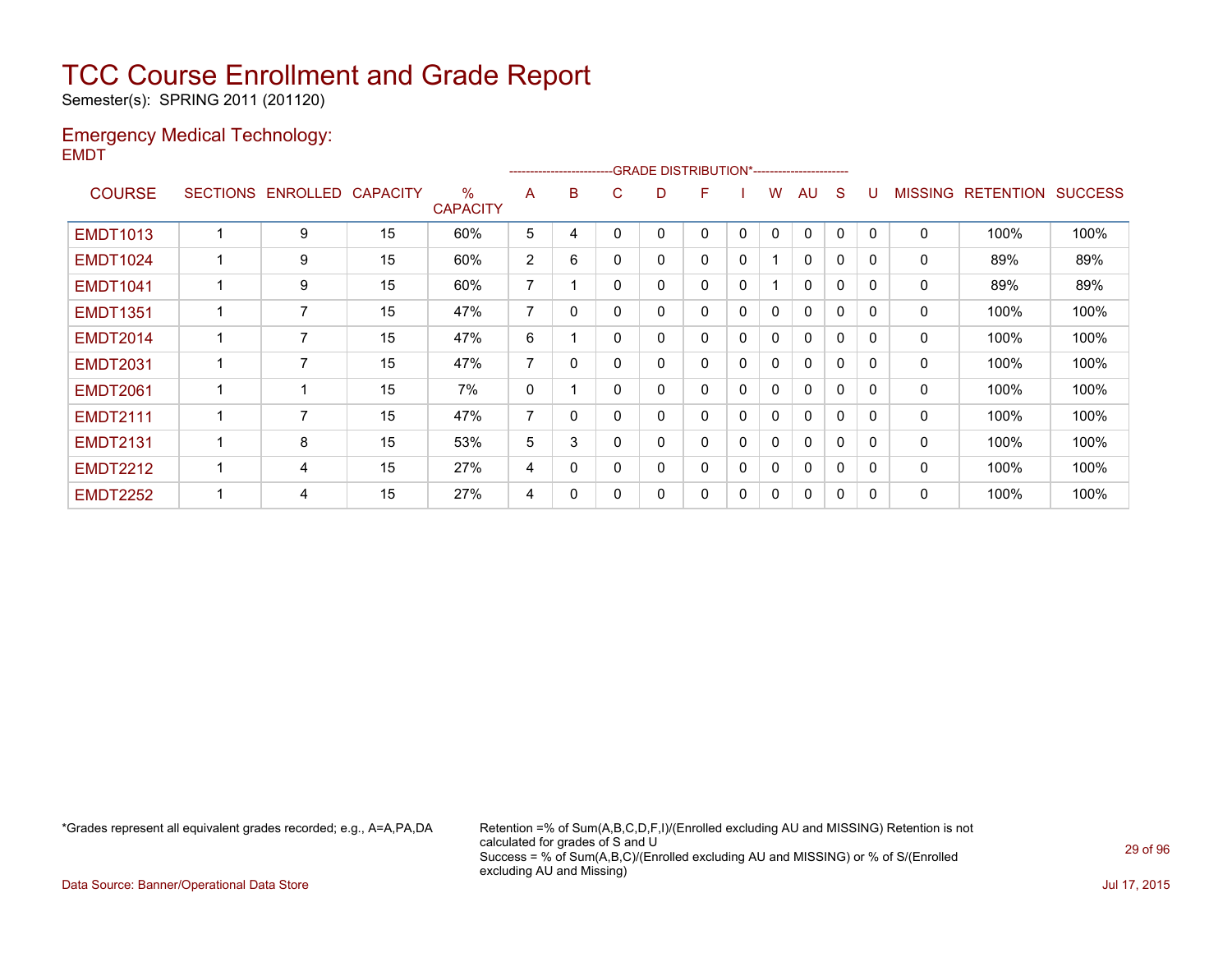Semester(s): SPRING 2011 (201120)

### Emergency Medical Technology: EMDT

|                 |                   |                 |                         |                |          |          | ------------------------GRADE                DISTRIBUTION*---------------------- |   |              |              |              |              |              |                |                  |                |
|-----------------|-------------------|-----------------|-------------------------|----------------|----------|----------|----------------------------------------------------------------------------------|---|--------------|--------------|--------------|--------------|--------------|----------------|------------------|----------------|
| <b>COURSE</b>   | SECTIONS ENROLLED | <b>CAPACITY</b> | $\%$<br><b>CAPACITY</b> | A              | B        | C        | D                                                                                | F |              | w            | AU           | S            |              | <b>MISSING</b> | <b>RETENTION</b> | <b>SUCCESS</b> |
| <b>EMDT1013</b> | 9                 | 15              | 60%                     | 5              | 4        |          |                                                                                  | 0 | 0            | 0            | $\Omega$     | 0            |              | $\mathbf{0}$   | 100%             | 100%           |
| <b>EMDT1024</b> | 9                 | 15              | 60%                     | $\overline{2}$ | 6        | $\Omega$ | 0                                                                                | 0 | $\mathbf 0$  |              | $\mathbf{0}$ | $\mathbf 0$  | $\Omega$     | 0              | 89%              | 89%            |
| <b>EMDT1041</b> | 9                 | 15              | 60%                     | 7              |          | $\Omega$ | 0                                                                                | 0 | 0            |              | $\mathbf{0}$ | $\mathbf{0}$ | $\Omega$     | 0              | 89%              | 89%            |
| <b>EMDT1351</b> | $\overline{7}$    | 15              | 47%                     | $\overline{ }$ | 0        | $\Omega$ | 0                                                                                | 0 | $\mathbf{0}$ | $\mathbf{0}$ | $\mathbf{0}$ | $\mathbf{0}$ | $\Omega$     | 0              | 100%             | 100%           |
| <b>EMDT2014</b> | 7                 | 15              | 47%                     | 6              |          | $\Omega$ | 0                                                                                | 0 | 0            | 0            | $\mathbf{0}$ | $\mathbf 0$  |              | 0              | 100%             | 100%           |
| <b>EMDT2031</b> | 7                 | 15              | 47%                     | 7              | 0        | $\Omega$ | 0                                                                                | 0 | 0            | 0            | $\mathbf{0}$ | $\mathbf{0}$ | $\Omega$     | 0              | 100%             | 100%           |
| <b>EMDT2061</b> | -1                | 15              | 7%                      | 0              |          | $\Omega$ | 0                                                                                | 0 | 0            | 0            | $\mathbf{0}$ | $\Omega$     |              | 0              | 100%             | 100%           |
| <b>EMDT2111</b> | 7                 | 15              | 47%                     | $\overline{7}$ | $\Omega$ |          | 0                                                                                | 0 | 0            | 0            | $\mathbf{0}$ | $\mathbf{0}$ | $\Omega$     | 0              | 100%             | 100%           |
| <b>EMDT2131</b> | 8                 | 15              | 53%                     | 5              | 3        | $\Omega$ | 0                                                                                | 0 | 0            | $\mathbf{0}$ | $\mathbf{0}$ | $\mathbf{0}$ | $\Omega$     | $\mathbf{0}$   | 100%             | 100%           |
| <b>EMDT2212</b> | 4                 | 15              | 27%                     | 4              | $\Omega$ | $\Omega$ | 0                                                                                | 0 | 0            | $\mathbf{0}$ | $\mathbf{0}$ | $\mathbf{0}$ | <sup>0</sup> | 0              | 100%             | 100%           |
| <b>EMDT2252</b> | 4                 | 15              | 27%                     | 4              | 0        | 0        | 0                                                                                | 0 | 0            | 0            | 0            | 0            | 0            | 0              | 100%             | 100%           |
|                 |                   |                 |                         |                |          |          |                                                                                  |   |              |              |              |              |              |                |                  |                |

\*Grades represent all equivalent grades recorded; e.g., A=A,PA,DA Retention =% of Sum(A,B,C,D,F,I)/(Enrolled excluding AU and MISSING) Retention is not calculated for grades of S and U Success = % of Sum(A,B,C)/(Enrolled excluding AU and MISSING) or % of S/(Enrolled excluding AU and Missing)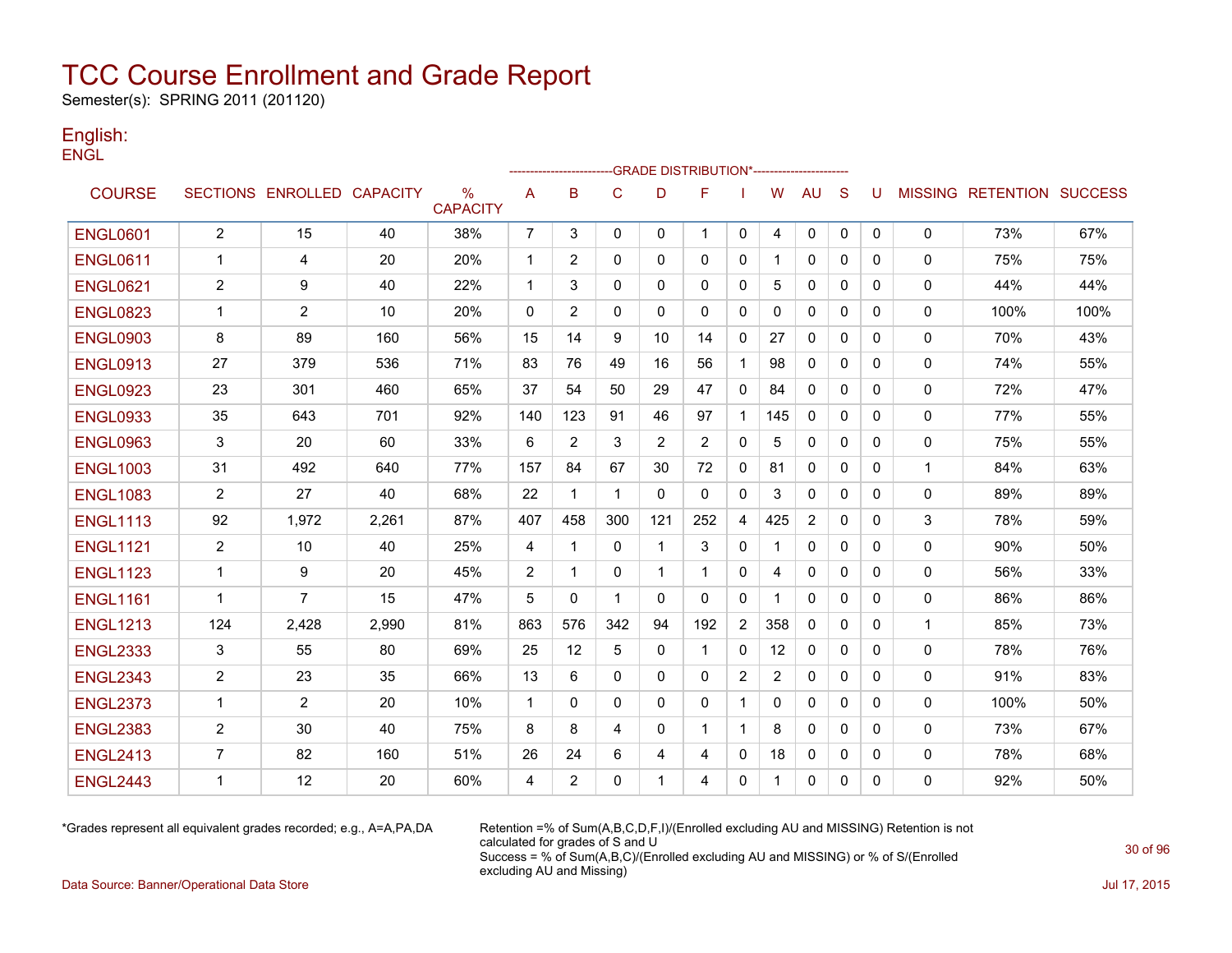Semester(s): SPRING 2011 (201120)

### English: **ENGL**

|                 |                |                            |       |                         |                | ---------------- |              |              | -GRADE DISTRIBUTION*---------------------- |                |                   |                |              |              |              |                                  |      |
|-----------------|----------------|----------------------------|-------|-------------------------|----------------|------------------|--------------|--------------|--------------------------------------------|----------------|-------------------|----------------|--------------|--------------|--------------|----------------------------------|------|
| <b>COURSE</b>   |                | SECTIONS ENROLLED CAPACITY |       | $\%$<br><b>CAPACITY</b> | Α              | B                | $\mathsf{C}$ | D            | F                                          |                | W                 | <b>AU</b>      | S            | U            |              | <b>MISSING RETENTION SUCCESS</b> |      |
| <b>ENGL0601</b> | $\overline{2}$ | 15                         | 40    | 38%                     | $\overline{7}$ | 3                | $\mathbf{0}$ | $\mathbf{0}$ | $\mathbf{1}$                               | 0              | 4                 | 0              | $\mathbf 0$  | $\mathbf{0}$ | 0            | 73%                              | 67%  |
| <b>ENGL0611</b> | -1             | 4                          | 20    | 20%                     | 1              | 2                | $\Omega$     | 0            | $\mathbf{0}$                               | 0              | 1                 | 0              | $\mathbf{0}$ | 0            | 0            | 75%                              | 75%  |
| <b>ENGL0621</b> | $\overline{2}$ | 9                          | 40    | 22%                     | 1              | 3                | 0            | 0            | 0                                          | 0              | 5                 | 0              | 0            | 0            | 0            | 44%                              | 44%  |
| <b>ENGL0823</b> | -1             | $\overline{2}$             | 10    | 20%                     | $\Omega$       | $\overline{2}$   | $\mathbf{0}$ | $\mathbf{0}$ | $\mathbf{0}$                               | $\mathbf{0}$   | 0                 | $\mathbf{0}$   | 0            | 0            | $\mathbf{0}$ | 100%                             | 100% |
| <b>ENGL0903</b> | 8              | 89                         | 160   | 56%                     | 15             | 14               | 9            | 10           | 14                                         | 0              | 27                | $\mathbf{0}$   | $\Omega$     | 0            | $\mathbf 0$  | 70%                              | 43%  |
| <b>ENGL0913</b> | 27             | 379                        | 536   | 71%                     | 83             | 76               | 49           | 16           | 56                                         | $\mathbf{1}$   | 98                | $\mathbf{0}$   | $\Omega$     | 0            | $\mathbf{0}$ | 74%                              | 55%  |
| <b>ENGL0923</b> | 23             | 301                        | 460   | 65%                     | 37             | 54               | 50           | 29           | 47                                         | 0              | 84                | 0              | $\mathbf{0}$ | 0            | $\mathbf 0$  | 72%                              | 47%  |
| <b>ENGL0933</b> | 35             | 643                        | 701   | 92%                     | 140            | 123              | 91           | 46           | 97                                         | $\mathbf{1}$   | 145               | $\Omega$       | $\Omega$     | 0            | 0            | 77%                              | 55%  |
| <b>ENGL0963</b> | 3              | 20                         | 60    | 33%                     | 6              | 2                | 3            | 2            | 2                                          | 0              | 5                 | $\mathbf{0}$   | $\mathbf{0}$ | 0            | 0            | 75%                              | 55%  |
| <b>ENGL1003</b> | 31             | 492                        | 640   | 77%                     | 157            | 84               | 67           | 30           | 72                                         | 0              | 81                | 0              | $\mathbf{0}$ | 0            | $\mathbf{1}$ | 84%                              | 63%  |
| <b>ENGL1083</b> | $\overline{2}$ | 27                         | 40    | 68%                     | 22             | $\mathbf{1}$     | $\mathbf{1}$ | $\mathbf{0}$ | $\mathbf{0}$                               | $\mathbf{0}$   | 3                 | 0              | $\mathbf{0}$ | $\mathbf{0}$ | 0            | 89%                              | 89%  |
| <b>ENGL1113</b> | 92             | 1,972                      | 2,261 | 87%                     | 407            | 458              | 300          | 121          | 252                                        | 4              | 425               | $\overline{2}$ | $\mathbf{0}$ | 0            | 3            | 78%                              | 59%  |
| <b>ENGL1121</b> | $\overline{2}$ | 10                         | 40    | 25%                     | 4              | 1                | $\mathbf{0}$ | 1            | 3                                          | 0              |                   | $\mathbf{0}$   | $\Omega$     | 0            | 0            | 90%                              | 50%  |
| <b>ENGL1123</b> | 1              | 9                          | 20    | 45%                     | $\overline{2}$ | 1                | $\Omega$     | 1            | -1                                         | 0              | 4                 | 0              | $\mathbf{0}$ | 0            | 0            | 56%                              | 33%  |
| <b>ENGL1161</b> | $\mathbf{1}$   | 7                          | 15    | 47%                     | 5              | $\mathbf{0}$     | $\mathbf{1}$ | $\Omega$     | $\mathbf{0}$                               | $\mathbf{0}$   | 1                 | $\mathbf{0}$   | $\mathbf{0}$ | $\mathbf{0}$ | 0            | 86%                              | 86%  |
| <b>ENGL1213</b> | 124            | 2,428                      | 2,990 | 81%                     | 863            | 576              | 342          | 94           | 192                                        | $\overline{2}$ | 358               | 0              | $\mathbf{0}$ | 0            | $\mathbf{1}$ | 85%                              | 73%  |
| <b>ENGL2333</b> | 3              | 55                         | 80    | 69%                     | 25             | 12               | 5            | $\mathbf{0}$ | $\mathbf{1}$                               | $\mathbf{0}$   | $12 \overline{ }$ | $\mathbf{0}$   | $\mathbf{0}$ | 0            | 0            | 78%                              | 76%  |
| <b>ENGL2343</b> | $\overline{2}$ | 23                         | 35    | 66%                     | 13             | 6                | $\mathbf{0}$ | $\mathbf{0}$ | $\mathbf{0}$                               | $\overline{2}$ | $\overline{2}$    | $\Omega$       | $\Omega$     | 0            | $\mathbf 0$  | 91%                              | 83%  |
| <b>ENGL2373</b> | $\mathbf{1}$   | 2                          | 20    | 10%                     | $\mathbf{1}$   | $\mathbf{0}$     | $\Omega$     | $\Omega$     | $\mathbf{0}$                               | $\mathbf{1}$   | $\Omega$          | $\mathbf{0}$   | $\Omega$     | 0            | $\mathbf{0}$ | 100%                             | 50%  |
| <b>ENGL2383</b> | $\overline{2}$ | 30                         | 40    | 75%                     | 8              | 8                | 4            | $\mathbf{0}$ | 1                                          | $\mathbf{1}$   | 8                 | $\mathbf{0}$   | $\Omega$     | 0            | 0            | 73%                              | 67%  |
| <b>ENGL2413</b> | 7              | 82                         | 160   | 51%                     | 26             | 24               | 6            | 4            | 4                                          | 0              | 18                | 0              | 0            | 0            | 0            | 78%                              | 68%  |
| <b>ENGL2443</b> | 1              | 12                         | 20    | 60%                     | 4              | 2                | $\mathbf{0}$ | -1           | 4                                          | 0              | 1                 | 0              | 0            | 0            | 0            | 92%                              | 50%  |

\*Grades represent all equivalent grades recorded; e.g., A=A,PA,DA Retention =% of Sum(A,B,C,D,F,I)/(Enrolled excluding AU and MISSING) Retention is not calculated for grades of S and U Success = % of Sum(A,B,C)/(Enrolled excluding AU and MISSING) or % of S/(Enrolled excluding AU and Missing)

Data Source: Banner/Operational Data Store Jul 17, 2015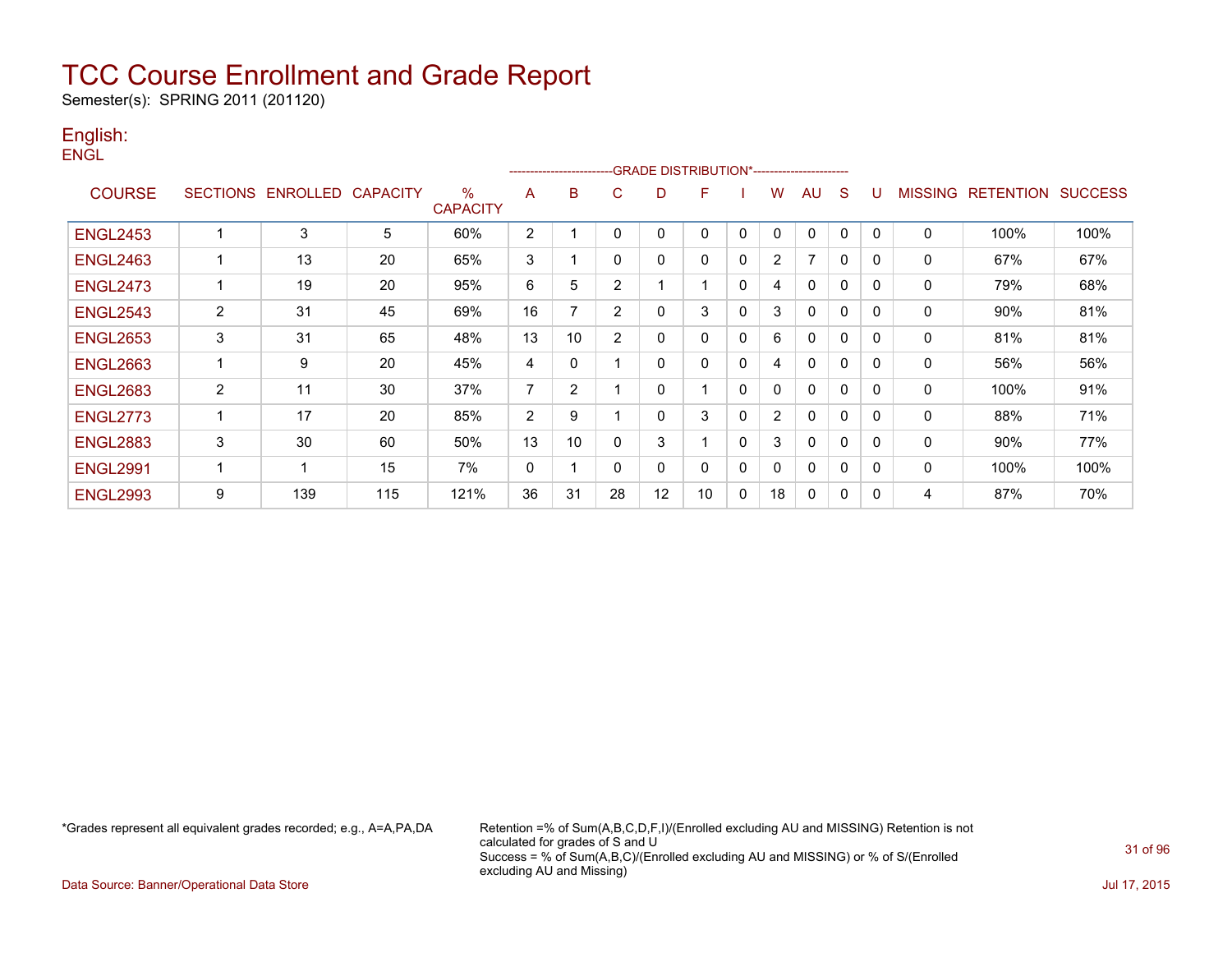Semester(s): SPRING 2011 (201120)

### English: **ENGL**

|                 |                 |          |                 |                         |                | ----------------------- |                |              | -GRADE DISTRIBUTION*---------------------- |              |                |              |              |          |                |                  |                |
|-----------------|-----------------|----------|-----------------|-------------------------|----------------|-------------------------|----------------|--------------|--------------------------------------------|--------------|----------------|--------------|--------------|----------|----------------|------------------|----------------|
| <b>COURSE</b>   | <b>SECTIONS</b> | ENROLLED | <b>CAPACITY</b> | $\%$<br><b>CAPACITY</b> | A              | B                       | C              | D            | F                                          |              | W              | AU           | <sub>S</sub> |          | <b>MISSING</b> | <b>RETENTION</b> | <b>SUCCESS</b> |
| <b>ENGL2453</b> |                 | 3        | 5               | 60%                     | $\overline{2}$ |                         | $\Omega$       | 0            | $\Omega$                                   | 0            | $\Omega$       | $\mathbf{0}$ | 0            | 0        | $\mathbf{0}$   | 100%             | 100%           |
| <b>ENGL2463</b> | -1              | 13       | 20              | 65%                     | 3              |                         | $\Omega$       | 0            | $\Omega$                                   | 0            | $\overline{2}$ | 7            | 0            | $\Omega$ | 0              | 67%              | 67%            |
| <b>ENGL2473</b> |                 | 19       | 20              | 95%                     | 6              | 5                       | $\overline{2}$ |              |                                            | 0            | 4              | $\mathbf{0}$ | 0            | $\Omega$ | $\mathbf 0$    | 79%              | 68%            |
| <b>ENGL2543</b> | $\overline{2}$  | 31       | 45              | 69%                     | 16             | 7                       | 2              | $\mathbf{0}$ | 3                                          | $\mathbf{0}$ | 3              | $\mathbf{0}$ | 0            | 0        | $\mathbf{0}$   | 90%              | 81%            |
| <b>ENGL2653</b> | 3               | 31       | 65              | 48%                     | 13             | 10                      | 2              | 0            | $\Omega$                                   | $\mathbf{0}$ | 6              | $\mathbf{0}$ | 0            | 0        | 0              | 81%              | 81%            |
| <b>ENGL2663</b> | 1               | 9        | 20              | 45%                     | 4              | $\Omega$                |                | 0            | $\Omega$                                   | 0            | 4              | $\mathbf{0}$ | 0            | 0        | 0              | 56%              | 56%            |
| <b>ENGL2683</b> | $\overline{2}$  | 11       | 30              | 37%                     | 7              | 2                       |                | $\mathbf{0}$ |                                            | 0            | $\Omega$       | $\mathbf{0}$ | 0            | 0        | 0              | 100%             | 91%            |
| <b>ENGL2773</b> | 1               | 17       | 20              | 85%                     | $\overline{c}$ | 9                       |                | 0            | 3                                          | 0            | $\overline{2}$ | $\mathbf{0}$ | 0            | 0        | 0              | 88%              | 71%            |
| <b>ENGL2883</b> | 3               | 30       | 60              | 50%                     | 13             | 10                      | $\Omega$       | 3            |                                            | $\mathbf{0}$ | 3              | $\mathbf{0}$ | 0            | $\Omega$ | $\mathbf 0$    | 90%              | 77%            |
| <b>ENGL2991</b> | -1              |          | 15              | 7%                      | 0              |                         | 0              | $\mathbf{0}$ | $\mathbf{0}$                               | $\mathbf{0}$ | $\Omega$       | $\mathbf{0}$ | 0            | 0        | $\mathbf{0}$   | 100%             | 100%           |
| <b>ENGL2993</b> | 9               | 139      | 115             | 121%                    | 36             | 31                      | 28             | 12           | 10                                         | 0            | 18             | 0            | 0            | 0        | 4              | 87%              | 70%            |

\*Grades represent all equivalent grades recorded; e.g., A=A,PA,DA Retention =% of Sum(A,B,C,D,F,I)/(Enrolled excluding AU and MISSING) Retention is not calculated for grades of S and U Success = % of Sum(A,B,C)/(Enrolled excluding AU and MISSING) or % of S/(Enrolled excluding AU and Missing)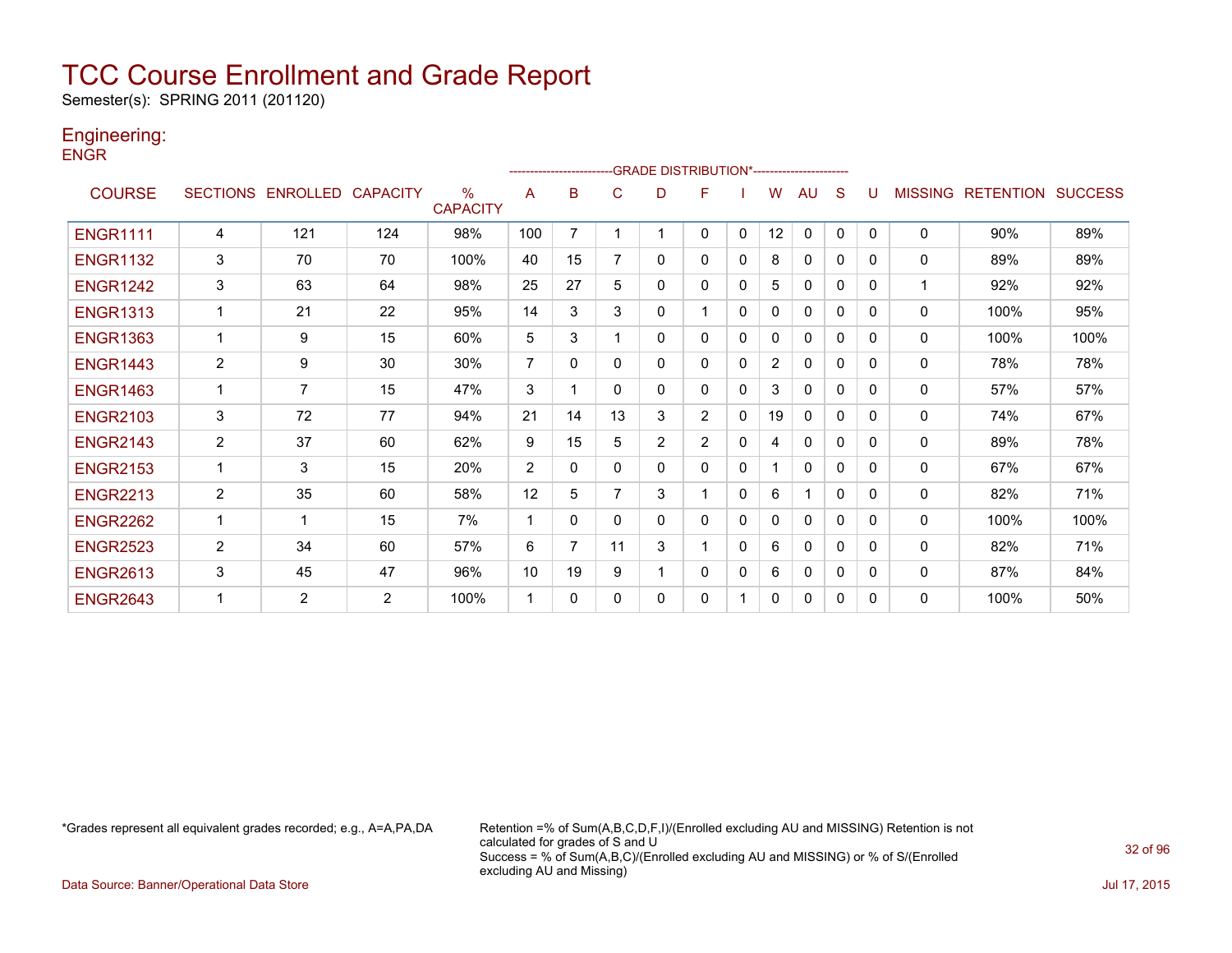Semester(s): SPRING 2011 (201120)

### Engineering:

**ENGR** 

|                 |                 |                   |                |                         |                | ---------------------- |              |                | -GRADE DISTRIBUTION*---------------------- |              |                |              |              |          |                |                  |                |
|-----------------|-----------------|-------------------|----------------|-------------------------|----------------|------------------------|--------------|----------------|--------------------------------------------|--------------|----------------|--------------|--------------|----------|----------------|------------------|----------------|
| <b>COURSE</b>   | <b>SECTIONS</b> | ENROLLED CAPACITY |                | $\%$<br><b>CAPACITY</b> | A              | B                      | C            | D              | F                                          |              | W              | AU           | S            |          | <b>MISSING</b> | <b>RETENTION</b> | <b>SUCCESS</b> |
| <b>ENGR1111</b> | 4               | 121               | 124            | 98%                     | 100            | $\overline{7}$         |              |                | 0                                          | $\mathbf{0}$ | 12             | $\mathbf{0}$ | $\mathbf{0}$ | $\Omega$ | $\Omega$       | 90%              | 89%            |
| <b>ENGR1132</b> | 3               | 70                | 70             | 100%                    | 40             | 15                     |              | 0              | 0                                          | 0            | 8              | $\mathbf{0}$ | 0            | $\Omega$ | 0              | 89%              | 89%            |
| <b>ENGR1242</b> | 3               | 63                | 64             | 98%                     | 25             | 27                     | 5            | 0              | 0                                          | 0            | 5              | 0            | 0            | 0        | 1              | 92%              | 92%            |
| <b>ENGR1313</b> |                 | 21                | 22             | 95%                     | 14             | 3                      | 3            | 0              |                                            | $\Omega$     | $\Omega$       | $\Omega$     | $\Omega$     | 0        | $\mathbf{0}$   | 100%             | 95%            |
| <b>ENGR1363</b> |                 | 9                 | 15             | 60%                     | 5              | 3                      |              | 0              | 0                                          | 0            | 0              | $\mathbf{0}$ | $\Omega$     | $\Omega$ | 0              | 100%             | 100%           |
| <b>ENGR1443</b> | $\overline{2}$  | 9                 | 30             | 30%                     | $\overline{7}$ | $\Omega$               | $\mathbf{0}$ | 0              | 0                                          | $\mathbf{0}$ | $\overline{2}$ | 0            | 0            | $\Omega$ | 0              | 78%              | 78%            |
| <b>ENGR1463</b> | $\mathbf 1$     | $\overline{7}$    | 15             | 47%                     | 3              |                        | $\Omega$     | 0              | 0                                          | $\Omega$     | 3              | $\Omega$     | $\Omega$     | 0        | 0              | 57%              | 57%            |
| <b>ENGR2103</b> | 3               | 72                | 77             | 94%                     | 21             | 14                     | 13           | 3              | $\overline{2}$                             | 0            | 19             | $\mathbf{0}$ | 0            | $\Omega$ | 0              | 74%              | 67%            |
| <b>ENGR2143</b> | $\overline{2}$  | 37                | 60             | 62%                     | 9              | 15                     | 5            | $\overline{2}$ | $\overline{2}$                             | 0            | 4              | $\mathbf{0}$ | 0            | 0        | 0              | 89%              | 78%            |
| <b>ENGR2153</b> | 1               | 3                 | 15             | 20%                     | 2              | $\Omega$               | 0            | 0              | 0                                          | 0            |                | $\Omega$     | $\Omega$     | 0        | $\mathbf{0}$   | 67%              | 67%            |
| <b>ENGR2213</b> | 2               | 35                | 60             | 58%                     | 12             | 5                      |              | 3              |                                            | 0            | 6              |              | $\Omega$     | $\Omega$ | 0              | 82%              | 71%            |
| <b>ENGR2262</b> | 1               | 1                 | 15             | 7%                      |                | $\Omega$               | $\mathbf{0}$ | 0              | 0                                          | $\mathbf{0}$ | 0              | 0            | 0            | $\Omega$ | 0              | 100%             | 100%           |
| <b>ENGR2523</b> | $\overline{2}$  | 34                | 60             | 57%                     | 6              | $\overline{7}$         | 11           | 3              |                                            | $\Omega$     | 6              | $\mathbf{0}$ | $\Omega$     | 0        | 0              | 82%              | 71%            |
| <b>ENGR2613</b> | 3               | 45                | 47             | 96%                     | 10             | 19                     | 9            |                | 0                                          | 0            | 6              | $\Omega$     | 0            | $\Omega$ | 0              | 87%              | 84%            |
| <b>ENGR2643</b> |                 | $\overline{2}$    | $\overline{2}$ | 100%                    |                | 0                      | $\Omega$     | 0              | 0                                          |              | 0              | 0            | 0            | 0        | 0              | 100%             | 50%            |

\*Grades represent all equivalent grades recorded; e.g., A=A,PA,DA Retention =% of Sum(A,B,C,D,F,I)/(Enrolled excluding AU and MISSING) Retention is not calculated for grades of S and U Success = % of Sum(A,B,C)/(Enrolled excluding AU and MISSING) or % of S/(Enrolled excluding AU and Missing)

Data Source: Banner/Operational Data Store Jul 17, 2015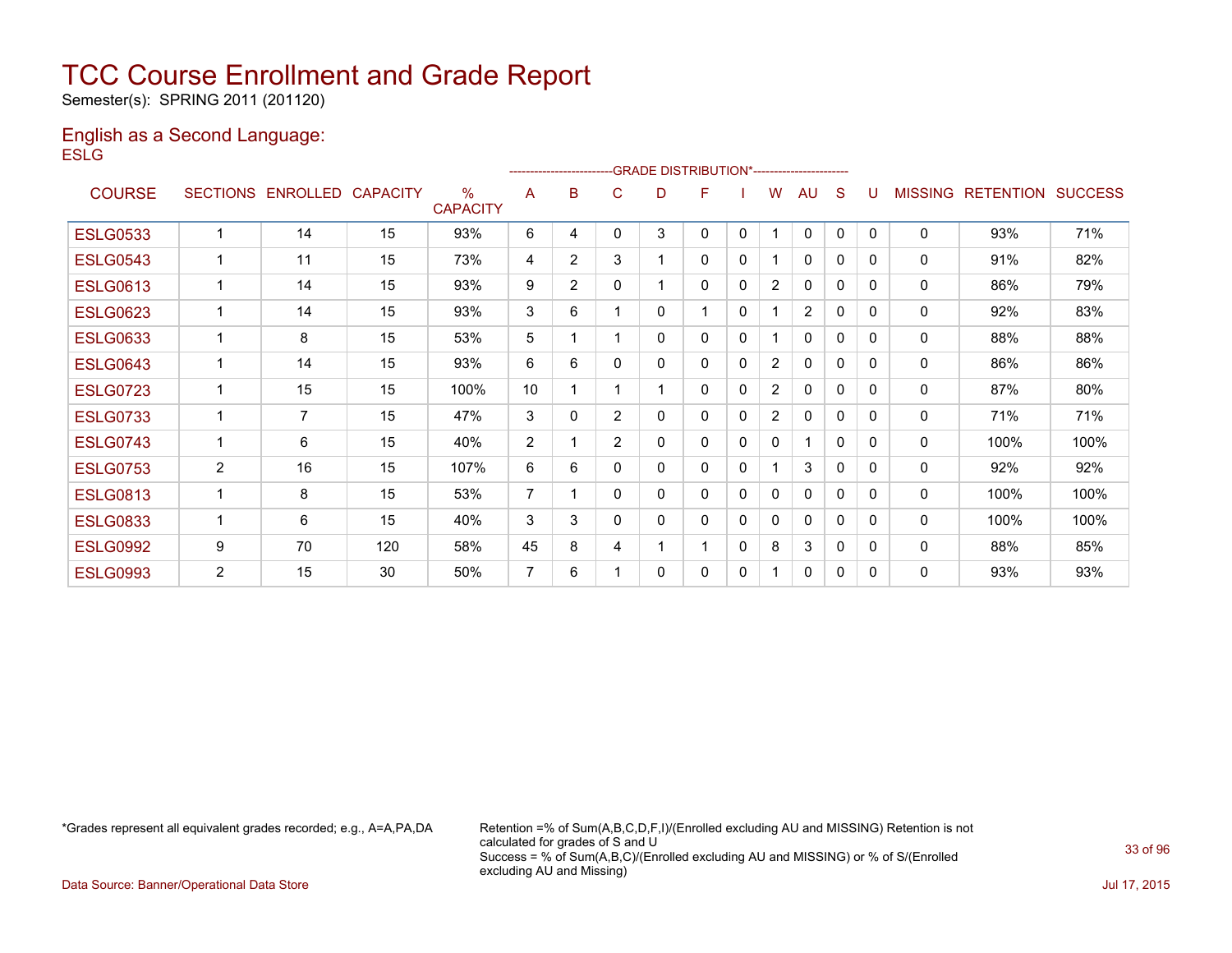Semester(s): SPRING 2011 (201120)

#### English as a Second Language: **ESLG**

|                 |                 |                 |                 |                                  |                | ------------------------ |                | -GRADE DISTRIBUTION*---------------------- |   |              |                |                |              |              |                |                  |                |
|-----------------|-----------------|-----------------|-----------------|----------------------------------|----------------|--------------------------|----------------|--------------------------------------------|---|--------------|----------------|----------------|--------------|--------------|----------------|------------------|----------------|
| <b>COURSE</b>   | <b>SECTIONS</b> | <b>ENROLLED</b> | <b>CAPACITY</b> | $\frac{0}{0}$<br><b>CAPACITY</b> | A              | в                        | C              | D                                          | F |              | w              | AU             | S            |              | <b>MISSING</b> | <b>RETENTION</b> | <b>SUCCESS</b> |
| <b>ESLG0533</b> | $\mathbf{1}$    | 14              | 15              | 93%                              | 6              | 4                        | $\Omega$       | 3                                          | 0 | $\mathbf{0}$ |                | $\mathbf{0}$   | $\mathbf{0}$ | $\Omega$     | 0              | 93%              | 71%            |
| <b>ESLG0543</b> |                 | 11              | 15              | 73%                              | 4              | $\overline{2}$           | 3              |                                            | 0 | 0            |                | 0              | 0            | 0            | 0              | 91%              | 82%            |
| <b>ESLG0613</b> |                 | 14              | 15              | 93%                              | 9              | $\overline{2}$           | 0              |                                            | 0 | $\mathbf{0}$ | $\overline{2}$ | $\mathbf{0}$   | 0            | <sup>0</sup> | 0              | 86%              | 79%            |
| <b>ESLG0623</b> | 1               | 14              | 15              | 93%                              | 3              | 6                        |                | 0                                          | 1 | $\mathbf{0}$ |                | $\overline{2}$ | 0            | 0            | 0              | 92%              | 83%            |
| <b>ESLG0633</b> | 1               | 8               | 15              | 53%                              | 5              |                          |                | 0                                          | 0 | $\mathbf{0}$ |                | $\Omega$       | $\mathbf 0$  | 0            | 0              | 88%              | 88%            |
| <b>ESLG0643</b> |                 | 14              | 15              | 93%                              | 6              | 6                        | 0              | 0                                          | 0 | $\mathbf{0}$ | $\overline{2}$ | $\mathbf{0}$   | 0            | <sup>0</sup> | 0              | 86%              | 86%            |
| <b>ESLG0723</b> | 1               | 15              | 15              | 100%                             | 10             |                          |                |                                            | 0 | $\mathbf{0}$ | $\overline{2}$ | 0              | $\mathbf{0}$ | 0            | 0              | 87%              | 80%            |
| <b>ESLG0733</b> |                 | $\overline{7}$  | 15              | 47%                              | 3              | 0                        | $\overline{2}$ | 0                                          | 0 | $\mathbf{0}$ | $\overline{2}$ | $\Omega$       | $\mathbf{0}$ | 0            | 0              | 71%              | 71%            |
| <b>ESLG0743</b> | 1               | 6               | 15              | 40%                              | 2              |                          | $\overline{2}$ | 0                                          | 0 | $\mathbf{0}$ | $\Omega$       | 1              | 0            | 0            | 0              | 100%             | 100%           |
| <b>ESLG0753</b> | $\overline{2}$  | 16              | 15              | 107%                             | 6              | 6                        | 0              | 0                                          | 0 | $\mathbf{0}$ |                | 3              | $\mathbf{0}$ | $\Omega$     | 0              | 92%              | 92%            |
| <b>ESLG0813</b> | 1               | 8               | 15              | 53%                              | 7              |                          | $\mathbf{0}$   | 0                                          | 0 | $\mathbf{0}$ | $\Omega$       | $\mathbf{0}$   | $\mathbf{0}$ | <sup>0</sup> | 0              | 100%             | 100%           |
| <b>ESLG0833</b> | 1               | 6               | 15              | 40%                              | 3              | 3                        | 0              | 0                                          | 0 | $\mathbf{0}$ | 0              | 0              | 0            | 0            | 0              | 100%             | 100%           |
| <b>ESLG0992</b> | 9               | 70              | 120             | 58%                              | 45             | 8                        | 4              |                                            | 1 | $\mathbf{0}$ | 8              | 3              | $\mathbf{0}$ | 0            | 0              | 88%              | 85%            |
| <b>ESLG0993</b> | 2               | 15              | 30              | 50%                              | $\overline{7}$ | 6                        |                | 0                                          | 0 | 0            |                | 0              | 0            | 0            | 0              | 93%              | 93%            |

\*Grades represent all equivalent grades recorded; e.g., A=A,PA,DA Retention =% of Sum(A,B,C,D,F,I)/(Enrolled excluding AU and MISSING) Retention is not calculated for grades of S and U Success = % of Sum(A,B,C)/(Enrolled excluding AU and MISSING) or % of S/(Enrolled excluding AU and Missing)

Data Source: Banner/Operational Data Store Jul 17, 2015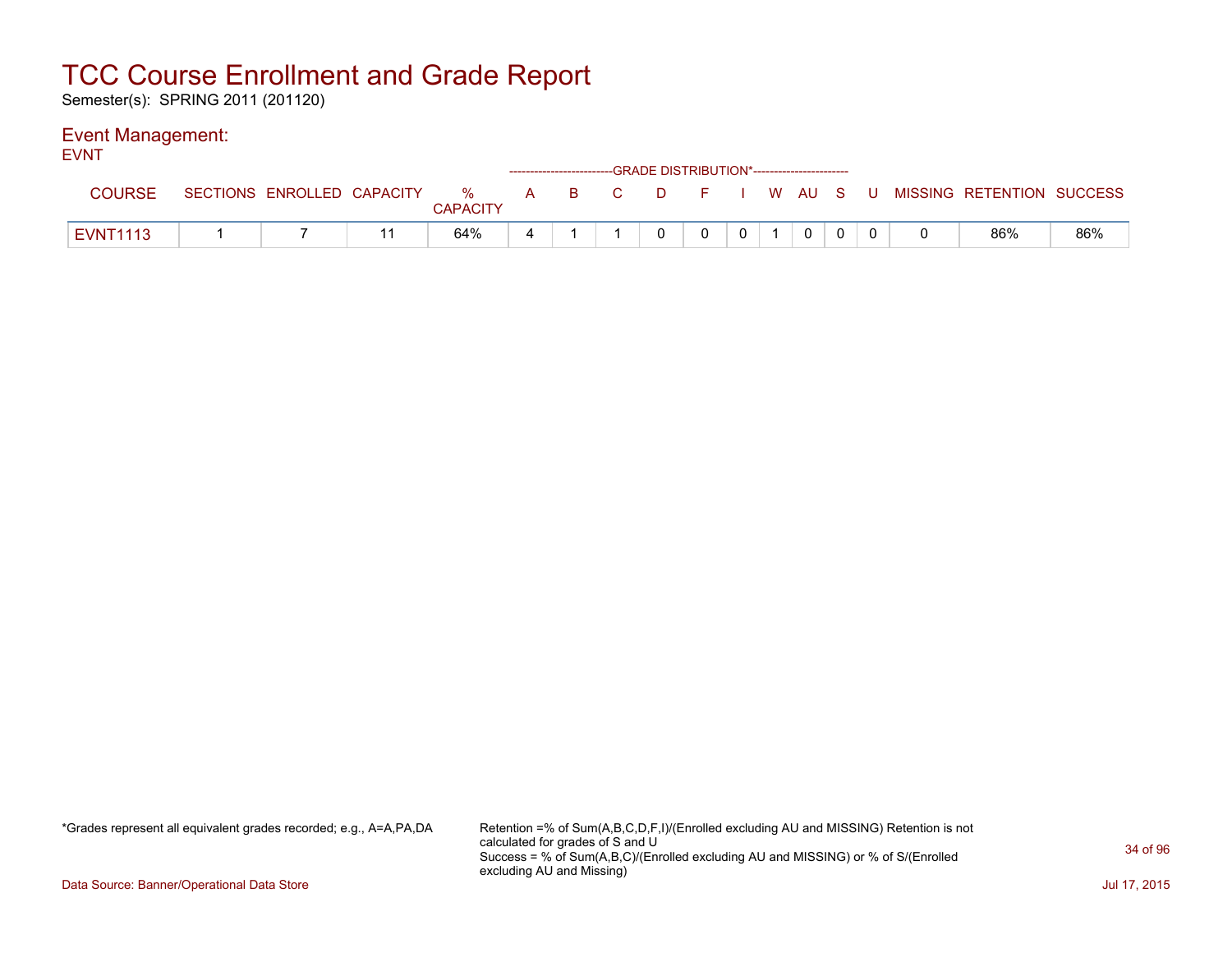Semester(s): SPRING 2011 (201120)

#### Event Management: EVNT

| ᆮហা             | ------------------------GRADE DISTRIBUTION*----------------------- |                            |  |                      |   |                  |  |    |   |  |  |        |  |  |  |                           |     |
|-----------------|--------------------------------------------------------------------|----------------------------|--|----------------------|---|------------------|--|----|---|--|--|--------|--|--|--|---------------------------|-----|
| <b>COURSE</b>   |                                                                    | SECTIONS ENROLLED CAPACITY |  | %<br><b>CAPACITY</b> | A | $\overline{B}$ C |  | D. |   |  |  | I WAUS |  |  |  | MISSING RETENTION SUCCESS |     |
| <b>EVNT1113</b> |                                                                    |                            |  | 64%                  | 4 |                  |  | 0  | 0 |  |  | 0      |  |  |  | 86%                       | 86% |

\*Grades represent all equivalent grades recorded; e.g., A=A,PA,DA Retention =% of Sum(A,B,C,D,F,I)/(Enrolled excluding AU and MISSING) Retention is not calculated for grades of S and U Success = % of Sum(A,B,C)/(Enrolled excluding AU and MISSING) or % of S/(Enrolled excluding AU and Missing)

Data Source: Banner/Operational Data Store Jul 17, 2015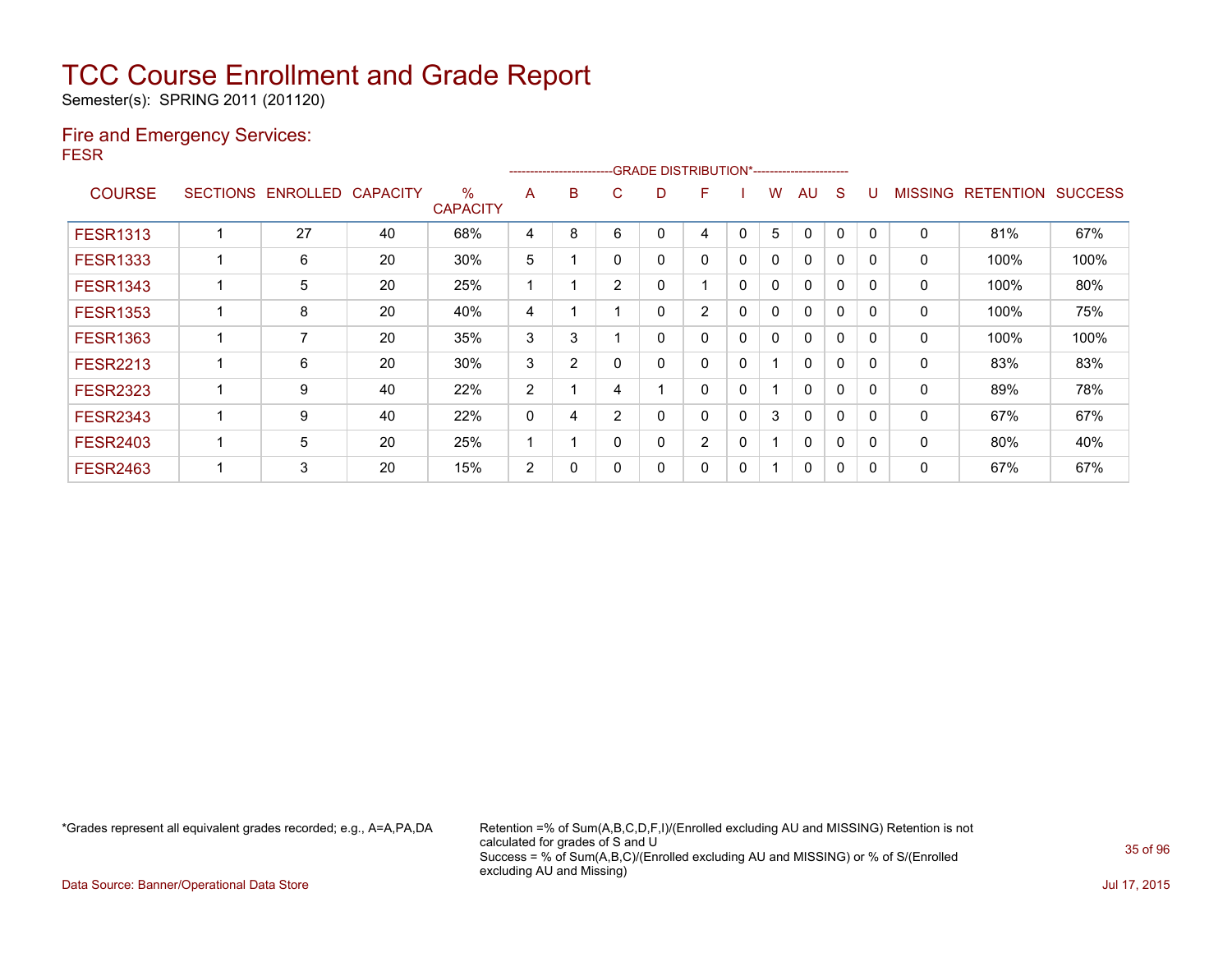Semester(s): SPRING 2011 (201120)

### Fire and Emergency Services: FESR

|                 |                            |    |                         | -------------------------GRADE                DISTRIBUTION*--------------------- |   |                |   |                |             |   |              |          |          |                |                  |                |
|-----------------|----------------------------|----|-------------------------|----------------------------------------------------------------------------------|---|----------------|---|----------------|-------------|---|--------------|----------|----------|----------------|------------------|----------------|
| <b>COURSE</b>   | SECTIONS ENROLLED CAPACITY |    | $\%$<br><b>CAPACITY</b> | A                                                                                | B | C.             | D | F              |             | w | AU           | S        |          | <b>MISSING</b> | <b>RETENTION</b> | <b>SUCCESS</b> |
| <b>FESR1313</b> | 27                         | 40 | 68%                     | 4                                                                                | 8 | 6              |   | 4              | 0           | 5 | $\Omega$     | 0        | 0        | $\mathbf 0$    | 81%              | 67%            |
| <b>FESR1333</b> | 6                          | 20 | 30%                     | 5                                                                                |   | $\mathbf{0}$   | 0 | 0              | $\mathbf 0$ | 0 | $\Omega$     | 0        | 0        | 0              | 100%             | 100%           |
| <b>FESR1343</b> | 5                          | 20 | 25%                     |                                                                                  |   | $\overline{2}$ | 0 |                | 0           | 0 | $\Omega$     | 0        | 0        | 0              | 100%             | 80%            |
| <b>FESR1353</b> | 8                          | 20 | 40%                     | 4                                                                                |   |                | 0 | $\overline{2}$ | 0           | 0 | $\mathbf 0$  | 0        | $\Omega$ | 0              | 100%             | 75%            |
| <b>FESR1363</b> | 7                          | 20 | 35%                     | 3                                                                                | 3 |                | 0 | 0              | 0           | 0 | 0            | 0        | $\Omega$ | 0              | 100%             | 100%           |
| <b>FESR2213</b> | 6                          | 20 | 30%                     | 3                                                                                | 2 | $\mathbf{0}$   | 0 | 0              | $\Omega$    |   | $\mathbf{0}$ | 0        | 0        | 0              | 83%              | 83%            |
| <b>FESR2323</b> | 9                          | 40 | 22%                     | $\overline{2}$                                                                   |   | 4              |   | 0              | $\Omega$    |   | $\mathbf{0}$ | 0        | $\Omega$ | 0              | 89%              | 78%            |
| <b>FESR2343</b> | 9                          | 40 | 22%                     | 0                                                                                | 4 | $\overline{2}$ |   | 0              | $\Omega$    | 3 | $\mathbf{0}$ | $\Omega$ | $\Omega$ | 0              | 67%              | 67%            |
| <b>FESR2403</b> | 5                          | 20 | 25%                     |                                                                                  |   | $\mathbf{0}$   | 0 | $\overline{2}$ | 0           |   | $\mathbf{0}$ | 0        | 0        | 0              | 80%              | 40%            |
| <b>FESR2463</b> | 3                          | 20 | 15%                     | $\overline{2}$                                                                   | 0 | 0              |   | 0              | 0           |   | 0            | 0        |          | 0              | 67%              | 67%            |

\*Grades represent all equivalent grades recorded; e.g., A=A,PA,DA Retention =% of Sum(A,B,C,D,F,I)/(Enrolled excluding AU and MISSING) Retention is not calculated for grades of S and U Success = % of Sum(A,B,C)/(Enrolled excluding AU and MISSING) or % of S/(Enrolled excluding AU and Missing)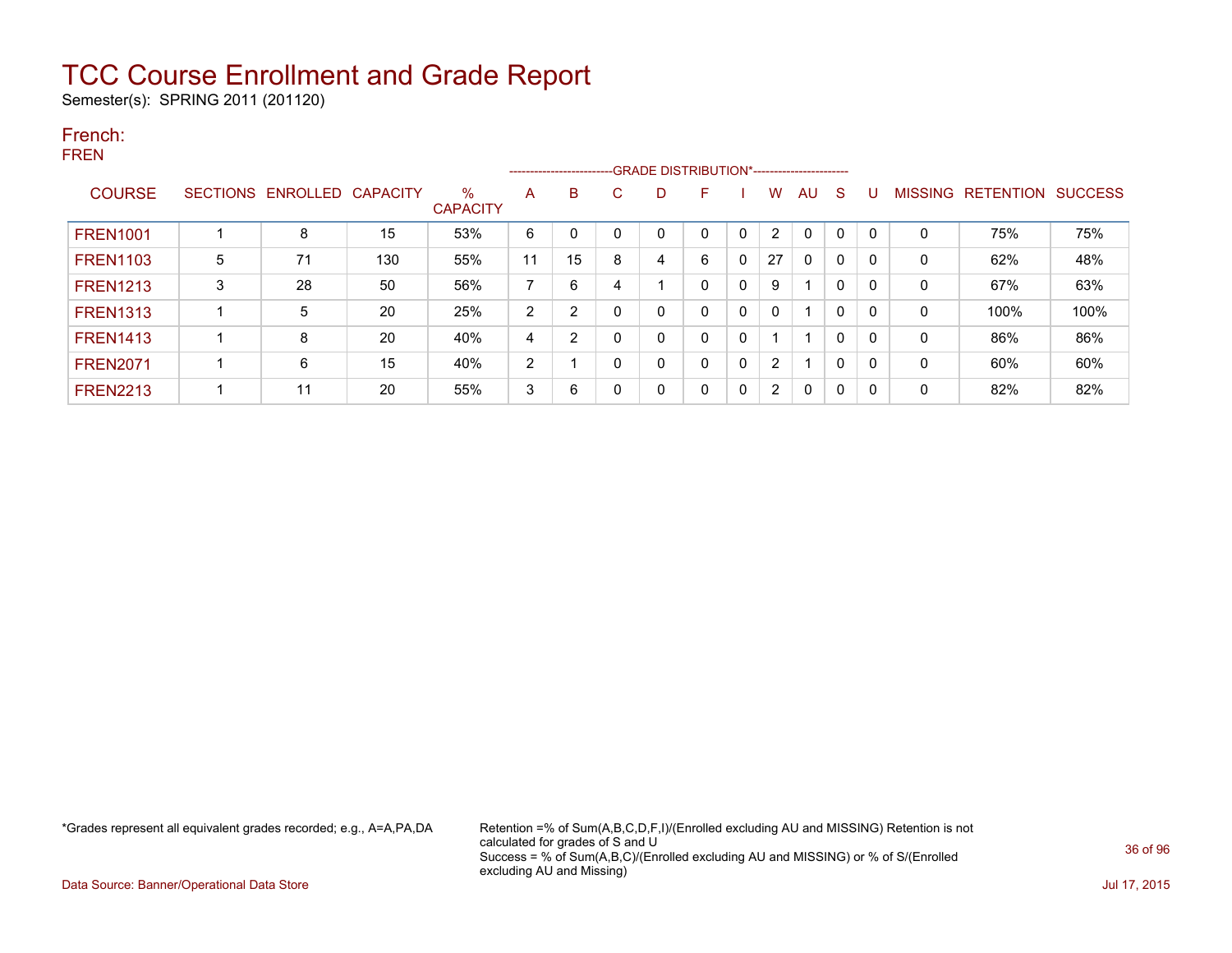Semester(s): SPRING 2011 (201120)

#### French: FREN

|                 |   | ------------------------   |     |                      |    |                |             |   |          |              |          |              |              |          |                |                  |                |
|-----------------|---|----------------------------|-----|----------------------|----|----------------|-------------|---|----------|--------------|----------|--------------|--------------|----------|----------------|------------------|----------------|
| <b>COURSE</b>   |   | SECTIONS ENROLLED CAPACITY |     | %<br><b>CAPACITY</b> | A  | B              | C           | D | F        |              | W        | AU           | <sub>S</sub> | U        | <b>MISSING</b> | <b>RETENTION</b> | <b>SUCCESS</b> |
| <b>FREN1001</b> |   | 8                          | 15  | 53%                  | 6  | $\mathbf 0$    | $\mathbf 0$ |   |          | 0            |          | 0            | $\mathbf 0$  |          | 0              | 75%              | 75%            |
| <b>FREN1103</b> | 5 | 71                         | 130 | 55%                  | 11 | 15             | 8           | 4 | 6        | $\mathbf{0}$ | 27       | $\mathbf{0}$ | 0            | 0        | 0              | 62%              | 48%            |
| <b>FREN1213</b> | 3 | 28                         | 50  | 56%                  | 7  | 6              | 4           |   |          | 0            | 9        |              | 0            | 0        | 0              | 67%              | 63%            |
| <b>FREN1313</b> |   | 5                          | 20  | 25%                  | 2  | $\overline{2}$ | 0           | 0 |          | 0            | $\Omega$ |              | $\Omega$     | $\Omega$ | 0              | 100%             | 100%           |
| <b>FREN1413</b> |   | 8                          | 20  | 40%                  | 4  | 2              | 0           | 0 |          | 0            |          |              | $\Omega$     | 0        | 0              | 86%              | 86%            |
| <b>FREN2071</b> |   | 6                          | 15  | 40%                  | 2  |                | 0           | 0 |          | 0            | 2        |              | $\mathbf{0}$ | 0        | 0              | 60%              | 60%            |
| <b>FREN2213</b> |   | 11                         | 20  | 55%                  | 3  | 6              | 0           | 0 | $\Omega$ | 0            | 2        | $\mathbf{0}$ | $\mathbf{0}$ | 0        | 0              | 82%              | 82%            |

\*Grades represent all equivalent grades recorded; e.g., A=A,PA,DA Retention =% of Sum(A,B,C,D,F,I)/(Enrolled excluding AU and MISSING) Retention is not calculated for grades of S and U Success = % of Sum(A,B,C)/(Enrolled excluding AU and MISSING) or % of S/(Enrolled excluding AU and Missing)

Data Source: Banner/Operational Data Store Jul 17, 2015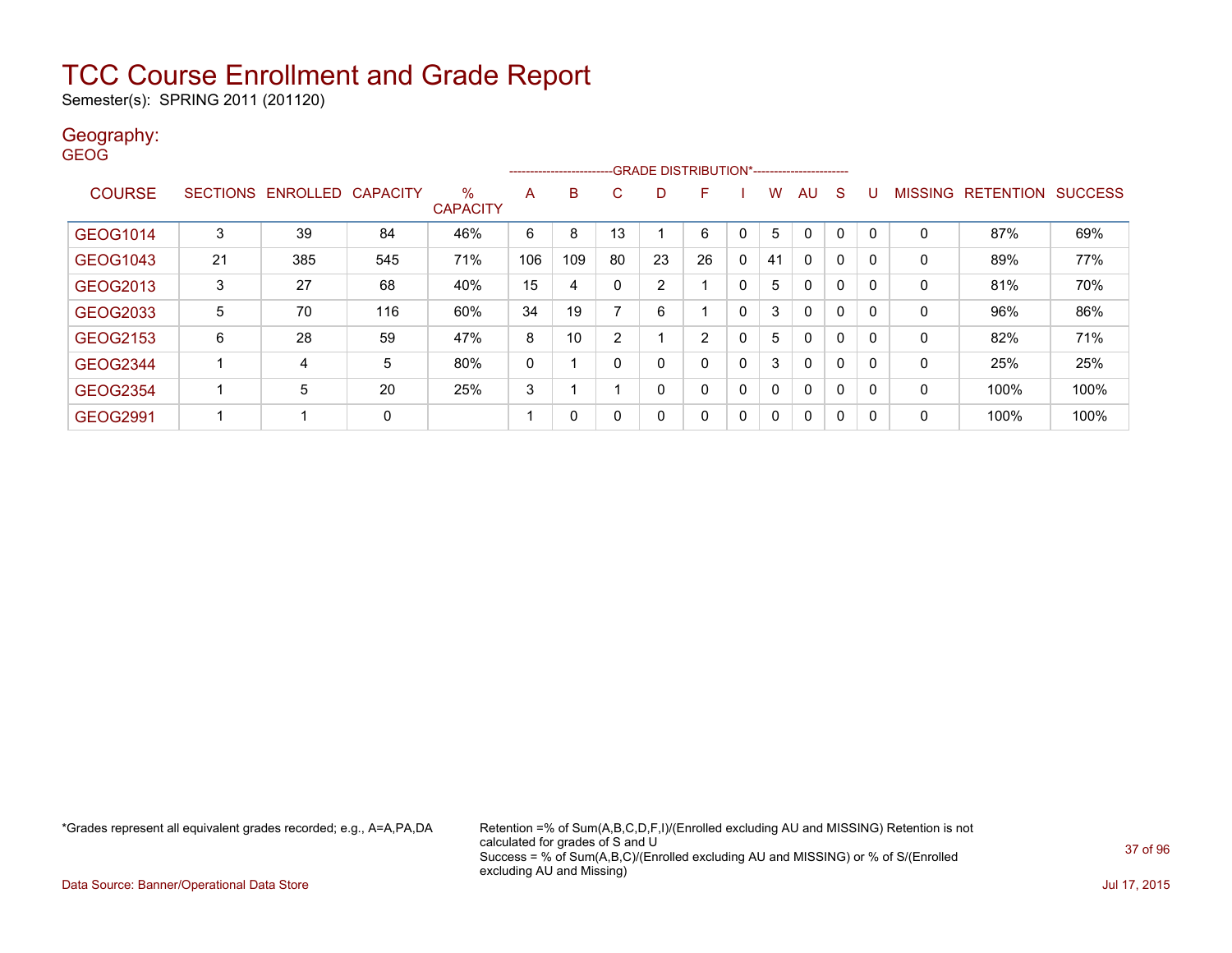Semester(s): SPRING 2011 (201120)

#### Geography: **GEOG**

|                 |    |                   |                 |                      |     | ---------------------- |    |    |              |              |          |              |              |   |                |           |                |
|-----------------|----|-------------------|-----------------|----------------------|-----|------------------------|----|----|--------------|--------------|----------|--------------|--------------|---|----------------|-----------|----------------|
| <b>COURSE</b>   |    | SECTIONS ENROLLED | <b>CAPACITY</b> | ℅<br><b>CAPACITY</b> | A   | B                      | C  | D  | F            |              | w        | AU.          | -S           | U | <b>MISSING</b> | RETENTION | <b>SUCCESS</b> |
| GEOG1014        | 3  | 39                | 84              | 46%                  | 6   | 8                      | 13 |    | 6            | 0            | 5        | 0            |              |   | 0              | 87%       | 69%            |
| GEOG1043        | 21 | 385               | 545             | 71%                  | 106 | 109                    | 80 | 23 | 26           | $\mathbf{0}$ | 41       | $\mathbf{0}$ | $\mathbf{0}$ | 0 | 0              | 89%       | 77%            |
| GEOG2013        | 3  | 27                | 68              | 40%                  | 15  | 4                      | 0  | 2  |              | 0            | 5        | 0            | $\mathbf{0}$ | 0 | 0              | 81%       | 70%            |
| GEOG2033        | 5  | 70                | 116             | 60%                  | 34  | 19                     |    | 6  |              | $\Omega$     | 3        | 0            | $\mathbf{0}$ | 0 | 0              | 96%       | 86%            |
| GEOG2153        | 6  | 28                | 59              | 47%                  | 8   | 10                     | 2  |    | <sup>o</sup> | $\Omega$     | 5        | $\mathbf{0}$ | $\mathbf{0}$ | 0 | 0              | 82%       | 71%            |
| GEOG2344        |    | 4                 | 5               | 80%                  | 0   |                        | 0  | 0  |              | $\mathbf{0}$ | 3        | $\mathbf{0}$ | $\mathbf{0}$ | 0 | 0              | 25%       | 25%            |
| <b>GEOG2354</b> | 1  | 5                 | 20              | 25%                  | 3   |                        |    | 0  | 0            | $\mathbf{0}$ | $\Omega$ | $\mathbf{0}$ | $\mathbf{0}$ | 0 | 0              | 100%      | 100%           |
| GEOG2991        | 1  |                   | 0               |                      |     | 0                      | 0  | 0  |              | 0            | $\Omega$ | 0            | $\mathbf{0}$ | 0 | 0              | 100%      | 100%           |

\*Grades represent all equivalent grades recorded; e.g., A=A,PA,DA Retention =% of Sum(A,B,C,D,F,I)/(Enrolled excluding AU and MISSING) Retention is not calculated for grades of S and U Success = % of Sum(A,B,C)/(Enrolled excluding AU and MISSING) or % of S/(Enrolled excluding AU and Missing)

Data Source: Banner/Operational Data Store Jul 17, 2015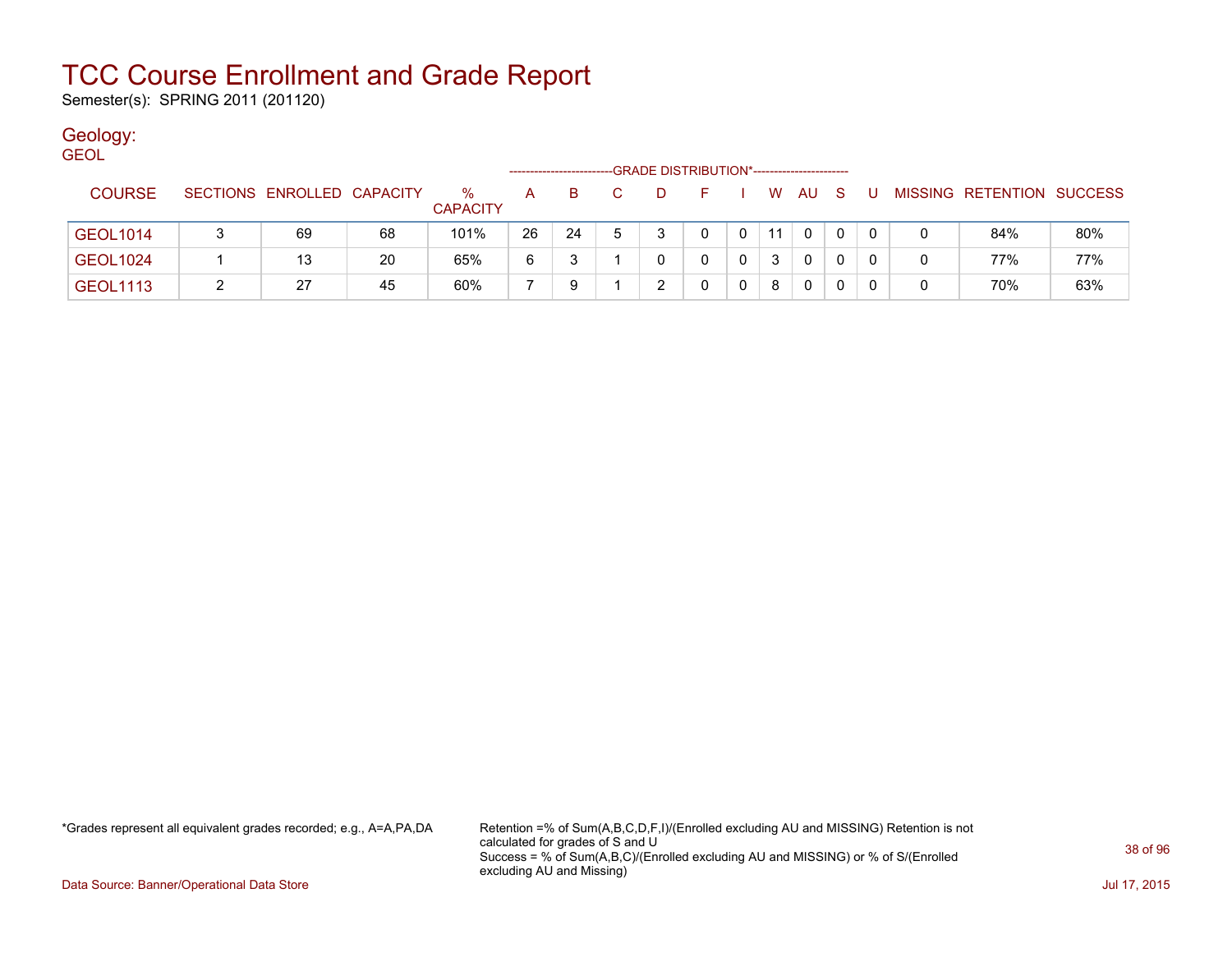Semester(s): SPRING 2011 (201120)

### Geology:

| <b>GEOL</b>     |                            |    |                         |    |          |    |   | -GRADE DISTRIBUTION*----------------------- |   |    |      |     |    |   |                           |     |
|-----------------|----------------------------|----|-------------------------|----|----------|----|---|---------------------------------------------|---|----|------|-----|----|---|---------------------------|-----|
| <b>COURSE</b>   | SECTIONS ENROLLED CAPACITY |    | $\%$<br><b>CAPACITY</b> | A  | <b>B</b> | C. | D | F.                                          |   |    | W AU | - S | -U |   | MISSING RETENTION SUCCESS |     |
| <b>GEOL1014</b> | 69                         | 68 | 101%                    | 26 | 24       | -5 |   | 0                                           |   | 11 | 0    |     | 0  |   | 84%                       | 80% |
| <b>GEOL1024</b> | 13                         | 20 | 65%                     | 6  |          |    |   |                                             |   | 3  | 0    | 0   | 0  | 0 | 77%                       | 77% |
| <b>GEOL1113</b> | 27                         | 45 | 60%                     |    | 9        |    |   |                                             | 0 | 8  | 0    |     | 0  | 0 | 70%                       | 63% |

\*Grades represent all equivalent grades recorded; e.g., A=A,PA,DA Retention =% of Sum(A,B,C,D,F,I)/(Enrolled excluding AU and MISSING) Retention is not calculated for grades of S and U Success = % of Sum(A,B,C)/(Enrolled excluding AU and MISSING) or % of S/(Enrolled excluding AU and Missing)

Data Source: Banner/Operational Data Store Jul 17, 2015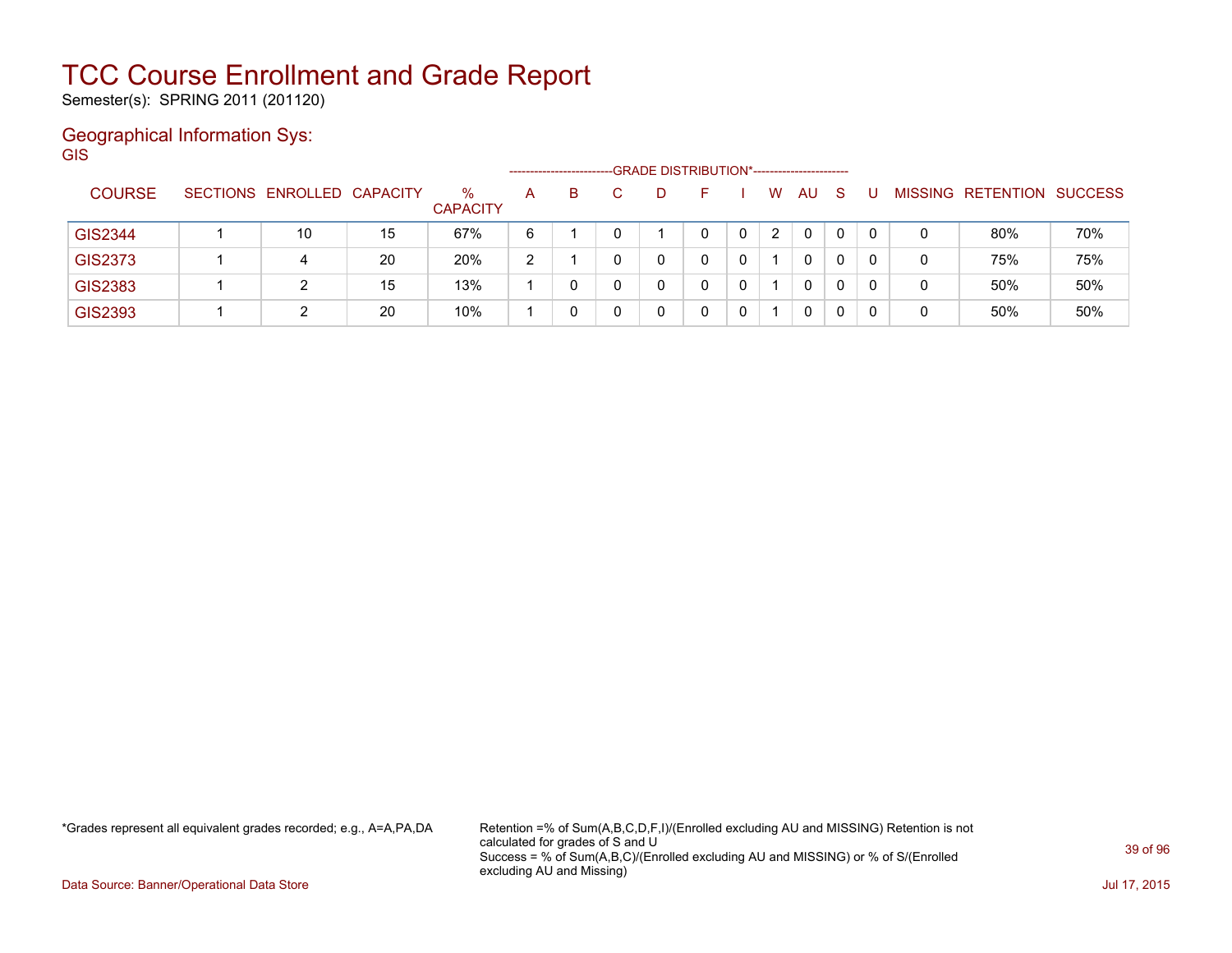Semester(s): SPRING 2011 (201120)

### Geographical Information Sys:

GIS --GRADE DISTRIBUTION\*-----------------------COURSE SECTIONS ENROLLED CAPACITY % **CAPACITY** A B C D F I W AU S U MISSING RETENTION SUCCESS GIS2344 | 1 | 10 | 15 | 67% | 6 | 1 | 0 | 1 | 0 | 0 | 2 | 0 | 0 | 0 | 0 | 80% | 70% GIS2373 | 1 | 4 | 20 | 20% | 2 | 1 | 0 | 0 | 0 | 0 | 0 | 0 | 0 | 0 | 75% | 75% GIS2383 | 1 | 2 | 15 | 13% | 1 | 0 | 0 | 0 | 0 | 1 | 0 | 0 | 0 | 50% | 50% | 50% GIS2393 1 2 20 10% 1 0 0 0 0 0 1 0 0 0 0 50% 50%

\*Grades represent all equivalent grades recorded; e.g., A=A,PA,DA Retention =% of Sum(A,B,C,D,F,I)/(Enrolled excluding AU and MISSING) Retention is not calculated for grades of S and U Success = % of Sum(A,B,C)/(Enrolled excluding AU and MISSING) or % of S/(Enrolled excluding AU and Missing)

Data Source: Banner/Operational Data Store Jul 17, 2015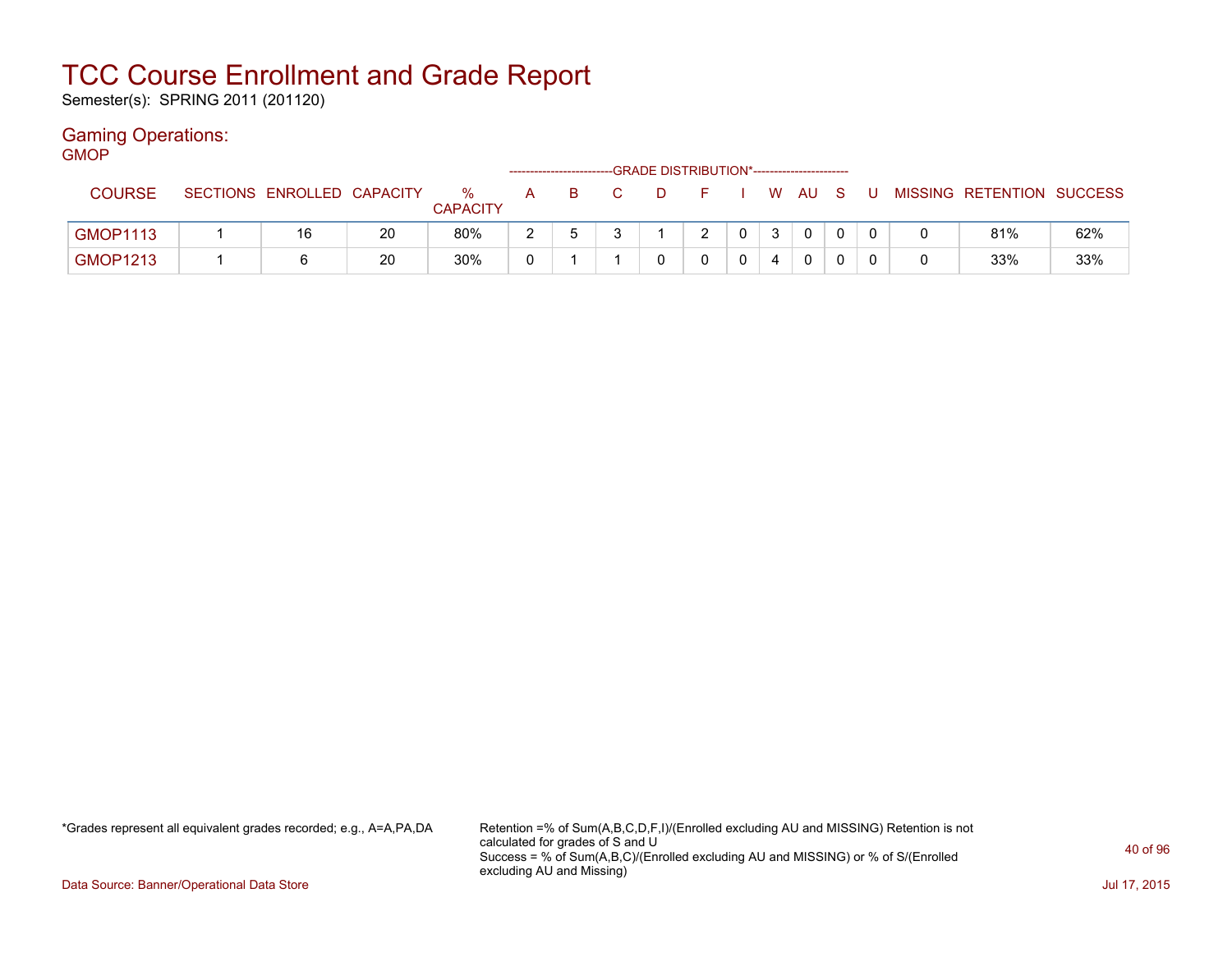Semester(s): SPRING 2011 (201120)

#### Gaming Operations: GMOP

| דשועוכ          |                            |    |                         |   |    | --GRADE DISTRIBUTION*----------------------- |                |      |   |                           |     |
|-----------------|----------------------------|----|-------------------------|---|----|----------------------------------------------|----------------|------|---|---------------------------|-----|
| <b>COURSE</b>   | SECTIONS ENROLLED CAPACITY |    | $\%$<br><b>CAPACITY</b> | A | B. | D.                                           |                | WAUS | U | MISSING RETENTION SUCCESS |     |
| <b>GMOP1113</b> | 16                         | 20 | 80%                     |   |    |                                              | $\overline{0}$ |      |   | 81%                       | 62% |
| <b>GMOP1213</b> |                            | 20 | 30%                     |   |    |                                              |                |      |   | 33%                       | 33% |

\*Grades represent all equivalent grades recorded; e.g., A=A,PA,DA Retention =% of Sum(A,B,C,D,F,I)/(Enrolled excluding AU and MISSING) Retention is not calculated for grades of S and U Success = % of Sum(A,B,C)/(Enrolled excluding AU and MISSING) or % of S/(Enrolled excluding AU and Missing)

Data Source: Banner/Operational Data Store Jul 17, 2015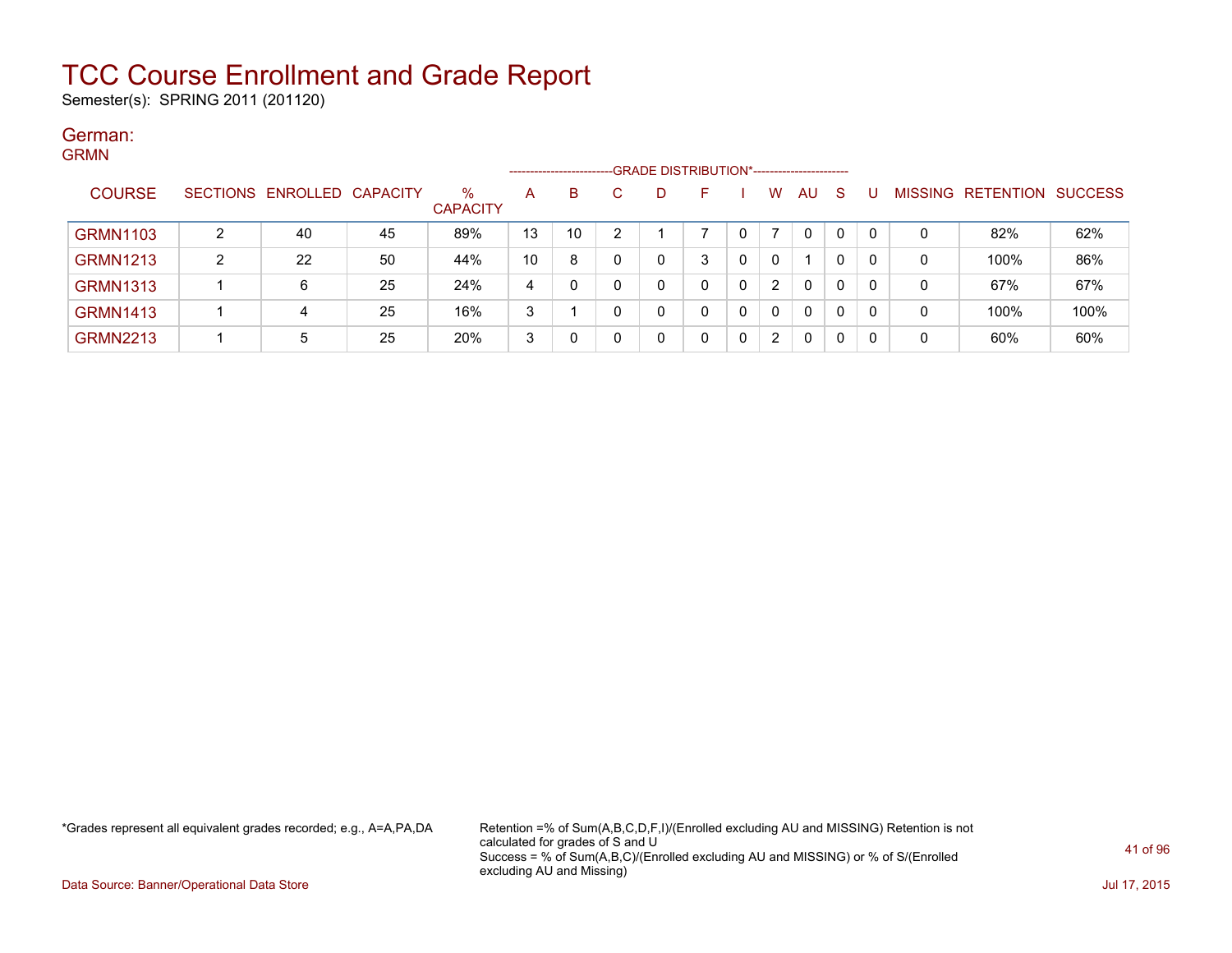Semester(s): SPRING 2011 (201120)

#### German: GRMN

| ------          |        |                            |    |                      |    | ------------------------GRADE DISTRIBUTION*----------------------- |   |   |   |   |                      |              |              |    |         |                          |      |
|-----------------|--------|----------------------------|----|----------------------|----|--------------------------------------------------------------------|---|---|---|---|----------------------|--------------|--------------|----|---------|--------------------------|------|
| <b>COURSE</b>   |        | SECTIONS ENROLLED CAPACITY |    | %<br><b>CAPACITY</b> | A  | В                                                                  |   | D |   |   | w                    | AU           | <sub>S</sub> |    | MISSING | <b>RETENTION SUCCESS</b> |      |
| <b>GRMN1103</b> | ົ      | 40                         | 45 | 89%                  | 13 | 10                                                                 | ົ |   |   | 0 | ⇁                    | 0            | 0            | റ  | 0       | 82%                      | 62%  |
| <b>GRMN1213</b> | ົ<br>∠ | 22                         | 50 | 44%                  | 10 | 8                                                                  |   | 0 | 3 |   | $\Omega$             |              | 0            | -0 | 0       | 100%                     | 86%  |
| <b>GRMN1313</b> |        | 6                          | 25 | 24%                  | 4  |                                                                    |   | 0 | 0 | 0 | $\mathbf{2}^{\circ}$ | $\mathbf{0}$ | 0            |    | 0       | 67%                      | 67%  |
| <b>GRMN1413</b> |        |                            | 25 | 16%                  | 3  |                                                                    |   | 0 |   | 0 | $\Omega$             | $\mathbf{0}$ | 0            | -0 | 0       | 100%                     | 100% |
| <b>GRMN2213</b> |        | 5                          | 25 | 20%                  | 3  |                                                                    |   | 0 |   | 0 | 2                    | 0            | 0            | -0 | 0       | 60%                      | 60%  |

\*Grades represent all equivalent grades recorded; e.g., A=A,PA,DA Retention =% of Sum(A,B,C,D,F,I)/(Enrolled excluding AU and MISSING) Retention is not calculated for grades of S and U Success = % of Sum(A,B,C)/(Enrolled excluding AU and MISSING) or % of S/(Enrolled excluding AU and Missing)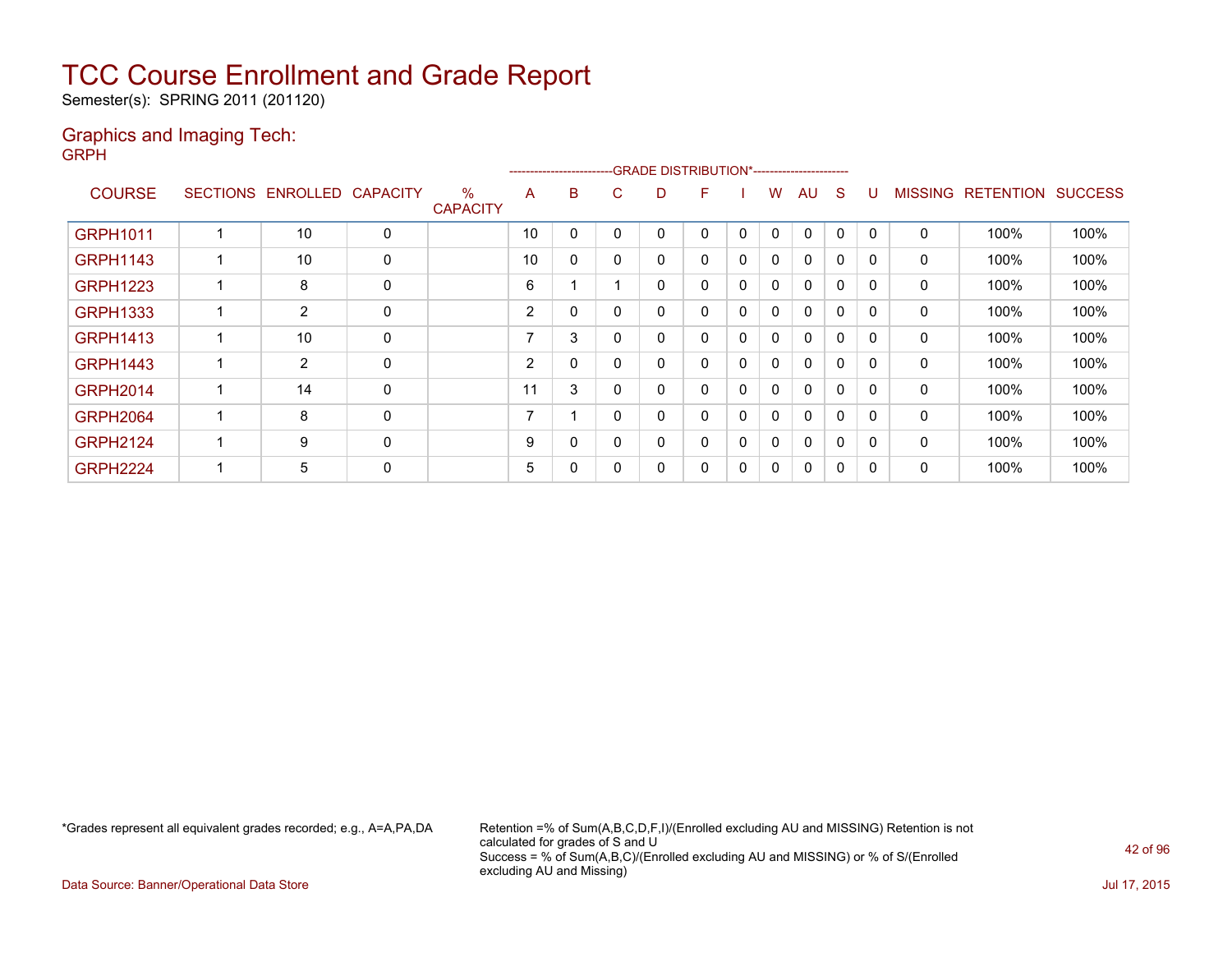Semester(s): SPRING 2011 (201120)

#### Graphics and Imaging Tech: GRPH

|                 |                   |                 |                                  |                | ---------------------- |   |   | <b>GRADE DISTRIBUTION*-----------------------</b> |   |   |              |              |              |                |                          |      |
|-----------------|-------------------|-----------------|----------------------------------|----------------|------------------------|---|---|---------------------------------------------------|---|---|--------------|--------------|--------------|----------------|--------------------------|------|
| <b>COURSE</b>   | SECTIONS ENROLLED | <b>CAPACITY</b> | $\frac{0}{0}$<br><b>CAPACITY</b> | A              | В                      | С | D | F.                                                |   | w | AU           | <sub>S</sub> | U            | <b>MISSING</b> | <b>RETENTION SUCCESS</b> |      |
| GRPH1011        | 10                | 0               |                                  | 10             |                        | 0 | 0 | 0                                                 | 0 | 0 | 0            | 0            | $\mathbf{0}$ | 0              | 100%                     | 100% |
| <b>GRPH1143</b> | 10                | 0               |                                  | 10             | 0                      | 0 | 0 | 0                                                 | 0 | 0 | 0            | $\Omega$     | 0            | 0              | 100%                     | 100% |
| <b>GRPH1223</b> | 8                 | 0               |                                  | 6              |                        |   | 0 | 0                                                 | 0 | 0 | $\mathbf{0}$ | 0            | $\Omega$     | $\mathbf{0}$   | 100%                     | 100% |
| <b>GRPH1333</b> | $\overline{2}$    | 0               |                                  | $\overline{2}$ |                        | 0 | 0 | 0                                                 | 0 | 0 | $\mathbf{0}$ | $\Omega$     | $\Omega$     | $\mathbf{0}$   | 100%                     | 100% |
| <b>GRPH1413</b> | 10                | 0               |                                  | 7              | 3                      | 0 | 0 | 0                                                 | 0 | 0 | $\mathbf{0}$ | $\Omega$     | $\Omega$     | $\mathbf{0}$   | 100%                     | 100% |
| <b>GRPH1443</b> | $\overline{2}$    | 0               |                                  | $\overline{2}$ |                        | 0 | 0 | 0                                                 | 0 | 0 | $\mathbf{0}$ | $\Omega$     | $\Omega$     | $\mathbf{0}$   | 100%                     | 100% |
| <b>GRPH2014</b> | 14                | 0               |                                  | 11             | 3                      | 0 | 0 | 0                                                 | 0 | 0 | 0            | $\Omega$     | 0            | $\mathbf{0}$   | 100%                     | 100% |
| <b>GRPH2064</b> | 8                 | 0               |                                  | 7              |                        | 0 | 0 | 0                                                 | 0 | 0 | 0            | $\Omega$     | 0            | $\mathbf{0}$   | 100%                     | 100% |
| <b>GRPH2124</b> | 9                 | 0               |                                  | 9              |                        | 0 | 0 | 0                                                 | 0 | 0 | 0            | 0            | 0            | $\mathbf{0}$   | 100%                     | 100% |
| <b>GRPH2224</b> | 5                 | 0               |                                  | 5              |                        | 0 | 0 | 0                                                 | 0 | 0 | 0            | 0            | 0            | 0              | 100%                     | 100% |

\*Grades represent all equivalent grades recorded; e.g., A=A,PA,DA Retention =% of Sum(A,B,C,D,F,I)/(Enrolled excluding AU and MISSING) Retention is not calculated for grades of S and U Success = % of Sum(A,B,C)/(Enrolled excluding AU and MISSING) or % of S/(Enrolled excluding AU and Missing)

Data Source: Banner/Operational Data Store Jul 17, 2015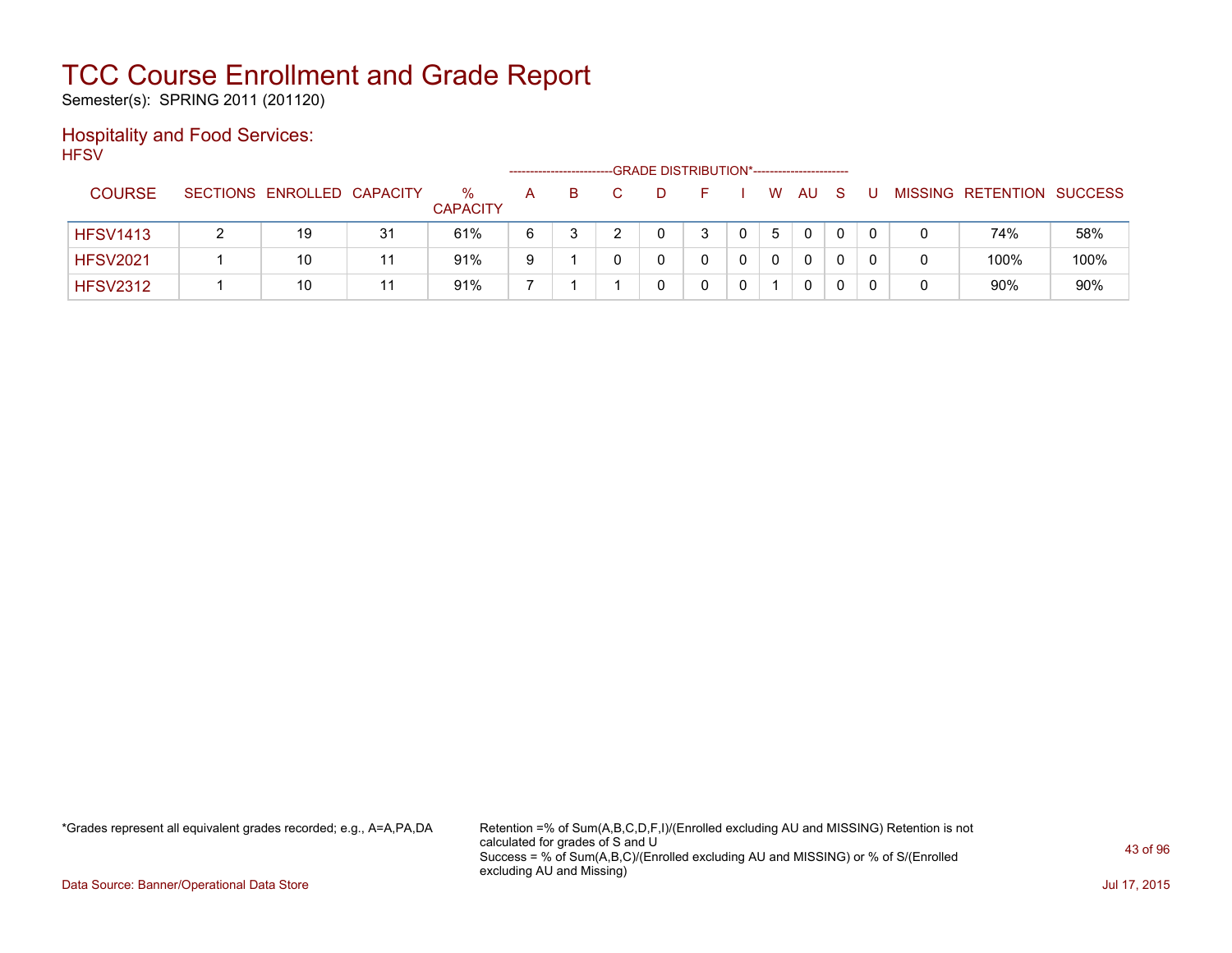Semester(s): SPRING 2011 (201120)

### Hospitality and Food Services: **HFSV**

|                 |                            |    |                         |   |    |  | -GRADE DISTRIBUTION*----------------------- |   |              |   |  |                           |      |
|-----------------|----------------------------|----|-------------------------|---|----|--|---------------------------------------------|---|--------------|---|--|---------------------------|------|
| <b>COURSE</b>   | SECTIONS ENROLLED CAPACITY |    | $\%$<br><b>CAPACITY</b> | A | B. |  | н.                                          | W | AU           | S |  | MISSING RETENTION SUCCESS |      |
| <b>HFSV1413</b> | 19                         | 31 | 61%                     | 6 |    |  |                                             | 5 | $\mathbf{0}$ |   |  | 74%                       | 58%  |
| <b>HFSV2021</b> | 10                         |    | 91%                     | 9 |    |  |                                             |   | 0            |   |  | 100%                      | 100% |
| <b>HFSV2312</b> | 10                         |    | 91%                     |   |    |  |                                             |   | 0            |   |  | 90%                       | 90%  |

\*Grades represent all equivalent grades recorded; e.g., A=A,PA,DA Retention =% of Sum(A,B,C,D,F,I)/(Enrolled excluding AU and MISSING) Retention is not calculated for grades of S and U Success = % of Sum(A,B,C)/(Enrolled excluding AU and MISSING) or % of S/(Enrolled excluding AU and Missing)

Data Source: Banner/Operational Data Store Jul 17, 2015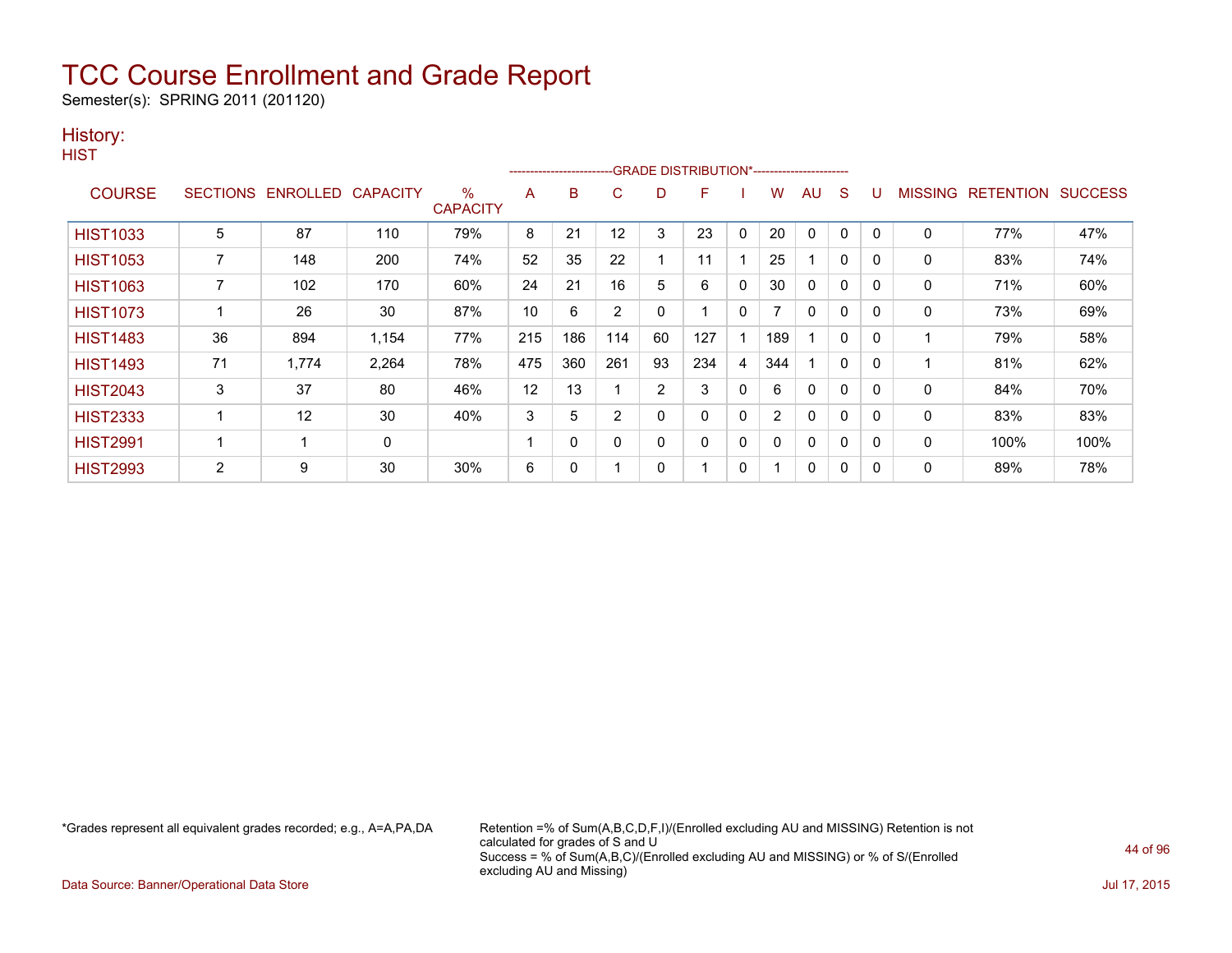Semester(s): SPRING 2011 (201120)

### History:

| v.<br>۰. |
|----------|
|----------|

|                 |                 |                   |       |                         |     | ---------------------- |     |                | -GRADE DISTRIBUTION*----------------------- |              |     |              |              |          |                |                  |                |
|-----------------|-----------------|-------------------|-------|-------------------------|-----|------------------------|-----|----------------|---------------------------------------------|--------------|-----|--------------|--------------|----------|----------------|------------------|----------------|
| <b>COURSE</b>   | <b>SECTIONS</b> | ENROLLED CAPACITY |       | $\%$<br><b>CAPACITY</b> | A   | B                      | C   | D              | F                                           |              | W   | AU           | S            | U        | <b>MISSING</b> | <b>RETENTION</b> | <b>SUCCESS</b> |
| <b>HIST1033</b> | 5               | 87                | 110   | 79%                     | 8   | 21                     | 12  | 3              | 23                                          | $\mathbf{0}$ | 20  | $\mathbf{0}$ | $\mathbf 0$  | 0        | $\mathbf{0}$   | 77%              | 47%            |
| <b>HIST1053</b> |                 | 148               | 200   | 74%                     | 52  | 35                     | 22  |                | 11                                          |              | 25  |              | 0            | 0        | 0              | 83%              | 74%            |
| <b>HIST1063</b> |                 | 102               | 170   | 60%                     | 24  | 21                     | 16  | 5              | 6                                           | $\mathbf{0}$ | 30  | 0            | 0            | 0        | $\mathbf{0}$   | 71%              | 60%            |
| <b>HIST1073</b> |                 | 26                | 30    | 87%                     | 10  | 6                      | 2   | 0              |                                             | $\mathbf{0}$ |     | 0            | 0            | 0        | $\mathbf{0}$   | 73%              | 69%            |
| <b>HIST1483</b> | 36              | 894               | 1,154 | 77%                     | 215 | 186                    | 114 | 60             | 127                                         |              | 189 |              | $\mathbf{0}$ | 0        | 1              | 79%              | 58%            |
| <b>HIST1493</b> | 71              | 1.774             | 2,264 | 78%                     | 475 | 360                    | 261 | 93             | 234                                         | 4            | 344 |              | $\mathbf 0$  | $\Omega$ | 1              | 81%              | 62%            |
| <b>HIST2043</b> | 3               | 37                | 80    | 46%                     | 12  | 13                     |     | $\overline{2}$ | 3                                           | $\mathbf{0}$ | 6   | 0            | $\mathbf 0$  | $\Omega$ | 0              | 84%              | 70%            |
| <b>HIST2333</b> |                 | 12                | 30    | 40%                     | 3   | 5                      | 2   | $\Omega$       | 0                                           | $\mathbf{0}$ | 2   | 0            | $\mathbf 0$  | $\Omega$ | 0              | 83%              | 83%            |
| <b>HIST2991</b> |                 |                   | 0     |                         |     | 0                      | 0   | $\Omega$       | 0                                           | $\mathbf{0}$ | 0   | 0            | $\mathbf 0$  | 0        | 0              | 100%             | 100%           |
| <b>HIST2993</b> | 2               | 9                 | 30    | 30%                     | 6   | 0                      |     | 0              |                                             | 0            |     | 0            | 0            | 0        | 0              | 89%              | 78%            |

\*Grades represent all equivalent grades recorded; e.g., A=A,PA,DA Retention =% of Sum(A,B,C,D,F,I)/(Enrolled excluding AU and MISSING) Retention is not calculated for grades of S and U Success = % of Sum(A,B,C)/(Enrolled excluding AU and MISSING) or % of S/(Enrolled excluding AU and Missing)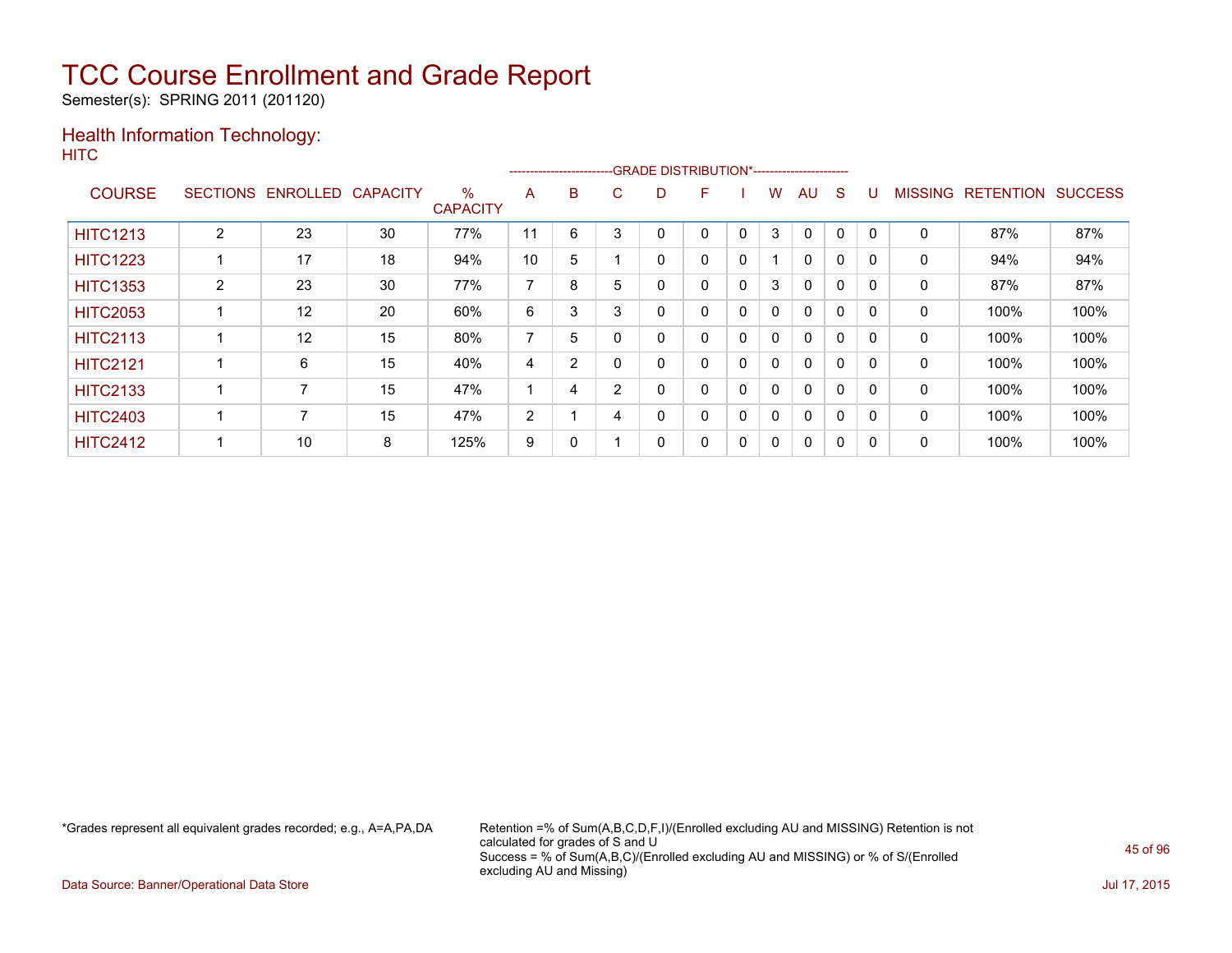Semester(s): SPRING 2011 (201120)

### Health Information Technology: **HITC**

|                 |                 |                 |                 |                      |                |                |   | --------------------------GRADE DISTRIBUTION*----------------------- |   |          |   |              |          |          |                |                  |                |
|-----------------|-----------------|-----------------|-----------------|----------------------|----------------|----------------|---|----------------------------------------------------------------------|---|----------|---|--------------|----------|----------|----------------|------------------|----------------|
| <b>COURSE</b>   | <b>SECTIONS</b> | <b>ENROLLED</b> | <b>CAPACITY</b> | %<br><b>CAPACITY</b> | A              | B              | C | D                                                                    | F |          | W | AU           | S        |          | <b>MISSING</b> | <b>RETENTION</b> | <b>SUCCESS</b> |
| <b>HITC1213</b> | 2               | 23              | 30              | 77%                  | 11             | 6              | 3 | 0                                                                    | 0 | $\Omega$ | 3 | 0            | $\Omega$ | $\Omega$ | 0              | 87%              | 87%            |
| <b>HITC1223</b> |                 | 17              | 18              | 94%                  | 10             | 5              |   | 0                                                                    | 0 | 0        |   | $\mathbf{0}$ | $\Omega$ | 0        | 0              | 94%              | 94%            |
| <b>HITC1353</b> | $\overline{2}$  | 23              | 30              | 77%                  | ⇁              | 8              | 5 | 0                                                                    | 0 | 0        | 3 | $\Omega$     | 0        | $\Omega$ | 0              | 87%              | 87%            |
| <b>HITC2053</b> |                 | 12              | 20              | 60%                  | 6              | 3              | 3 | 0                                                                    | 0 | 0        | 0 | $\Omega$     | $\Omega$ | $\Omega$ | 0              | 100%             | 100%           |
| <b>HITC2113</b> |                 | 12              | 15              | 80%                  | 7              | 5              |   | 0                                                                    | 0 | 0        | 0 | $\Omega$     | $\Omega$ | 0        | 0              | 100%             | 100%           |
| <b>HITC2121</b> |                 | 6               | 15              | 40%                  | 4              | $\overline{2}$ |   | 0                                                                    | 0 | 0        | 0 | $\Omega$     | $\Omega$ | $\Omega$ | 0              | 100%             | 100%           |
| <b>HITC2133</b> |                 |                 | 15              | 47%                  |                | 4              | 2 | 0                                                                    | 0 | 0        | 0 | $\Omega$     | 0        | $\Omega$ | 0              | 100%             | 100%           |
| <b>HITC2403</b> |                 |                 | 15              | 47%                  | $\overline{2}$ |                | 4 | 0                                                                    | 0 | 0        | 0 | $\Omega$     | $\Omega$ | 0        | 0              | 100%             | 100%           |
| <b>HITC2412</b> |                 | 10              | 8               | 125%                 | 9              | 0              |   | 0                                                                    | 0 | 0        | 0 | 0            | $\Omega$ | 0        | 0              | 100%             | 100%           |

\*Grades represent all equivalent grades recorded; e.g., A=A,PA,DA Retention =% of Sum(A,B,C,D,F,I)/(Enrolled excluding AU and MISSING) Retention is not calculated for grades of S and U Success = % of Sum(A,B,C)/(Enrolled excluding AU and MISSING) or % of S/(Enrolled excluding AU and Missing)

Data Source: Banner/Operational Data Store Jul 17, 2015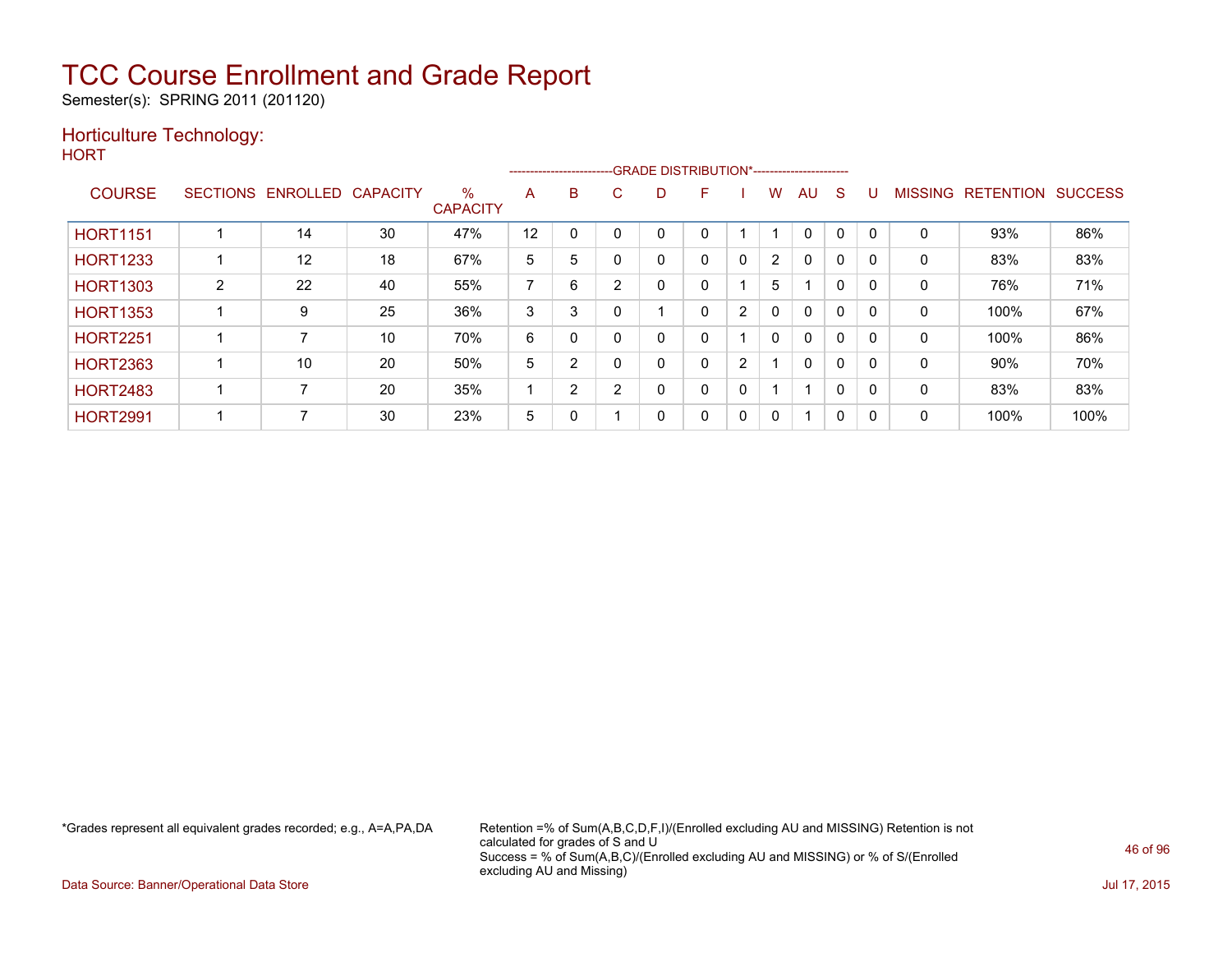Semester(s): SPRING 2011 (201120)

### Horticulture Technology:

**HORT** 

|                 |                    |          |                 |                         |                |                |   |   | --------------------------GRADE DISTRIBUTION*----------------------- |   |                |              |              |              |                |                  |                |
|-----------------|--------------------|----------|-----------------|-------------------------|----------------|----------------|---|---|----------------------------------------------------------------------|---|----------------|--------------|--------------|--------------|----------------|------------------|----------------|
| <b>COURSE</b>   | <b>SECTIONS</b>    | ENROLLED | <b>CAPACITY</b> | $\%$<br><b>CAPACITY</b> | A              | B              | С | D |                                                                      |   | w              | AU.          | <sub>S</sub> |              | <b>MISSING</b> | <b>RETENTION</b> | <b>SUCCESS</b> |
| <b>HORT1151</b> |                    | 14       | 30              | 47%                     | 12             |                |   | 0 |                                                                      |   |                | U            |              |              | 0              | 93%              | 86%            |
| <b>HORT1233</b> |                    | 12       | 18              | 67%                     | 5              | 5              |   | 0 | 0                                                                    | 0 | $\overline{2}$ | $\mathbf{0}$ | 0            | $\mathbf{0}$ | 0              | 83%              | 83%            |
| <b>HORT1303</b> | $\mathcal{D}$<br>∠ | 22       | 40              | 55%                     | $\overline{ }$ | 6              | ົ | 0 | 0                                                                    |   | 5              |              | 0            | 0            | 0              | 76%              | 71%            |
| <b>HORT1353</b> |                    | 9        | 25              | 36%                     | 3              | 3              |   |   | 0                                                                    | 2 | 0              | $\Omega$     | $\Omega$     | $\Omega$     | 0              | 100%             | 67%            |
| <b>HORT2251</b> |                    |          | 10              | 70%                     | 6              | $\Omega$       |   | 0 | 0                                                                    |   | $\mathbf{0}$   | $\mathbf{0}$ | $\Omega$     | $\Omega$     | 0              | 100%             | 86%            |
| <b>HORT2363</b> |                    | 10       | 20              | 50%                     | 5              | 2              |   | 0 | 0                                                                    | 2 |                | $\Omega$     | 0            | $\Omega$     | 0              | $90\%$           | 70%            |
| <b>HORT2483</b> |                    |          | 20              | 35%                     |                | $\overline{2}$ | 2 | 0 | 0                                                                    | 0 |                | ٠            | 0            | 0            | 0              | 83%              | 83%            |
| <b>HORT2991</b> |                    |          | 30              | 23%                     | 5              | $\Omega$       |   | 0 | 0                                                                    | 0 | 0              | 1            | $\mathbf{0}$ | $\Omega$     | 0              | 100%             | 100%           |

\*Grades represent all equivalent grades recorded; e.g., A=A,PA,DA Retention =% of Sum(A,B,C,D,F,I)/(Enrolled excluding AU and MISSING) Retention is not calculated for grades of S and U Success = % of Sum(A,B,C)/(Enrolled excluding AU and MISSING) or % of S/(Enrolled excluding AU and Missing)

Data Source: Banner/Operational Data Store Jul 17, 2015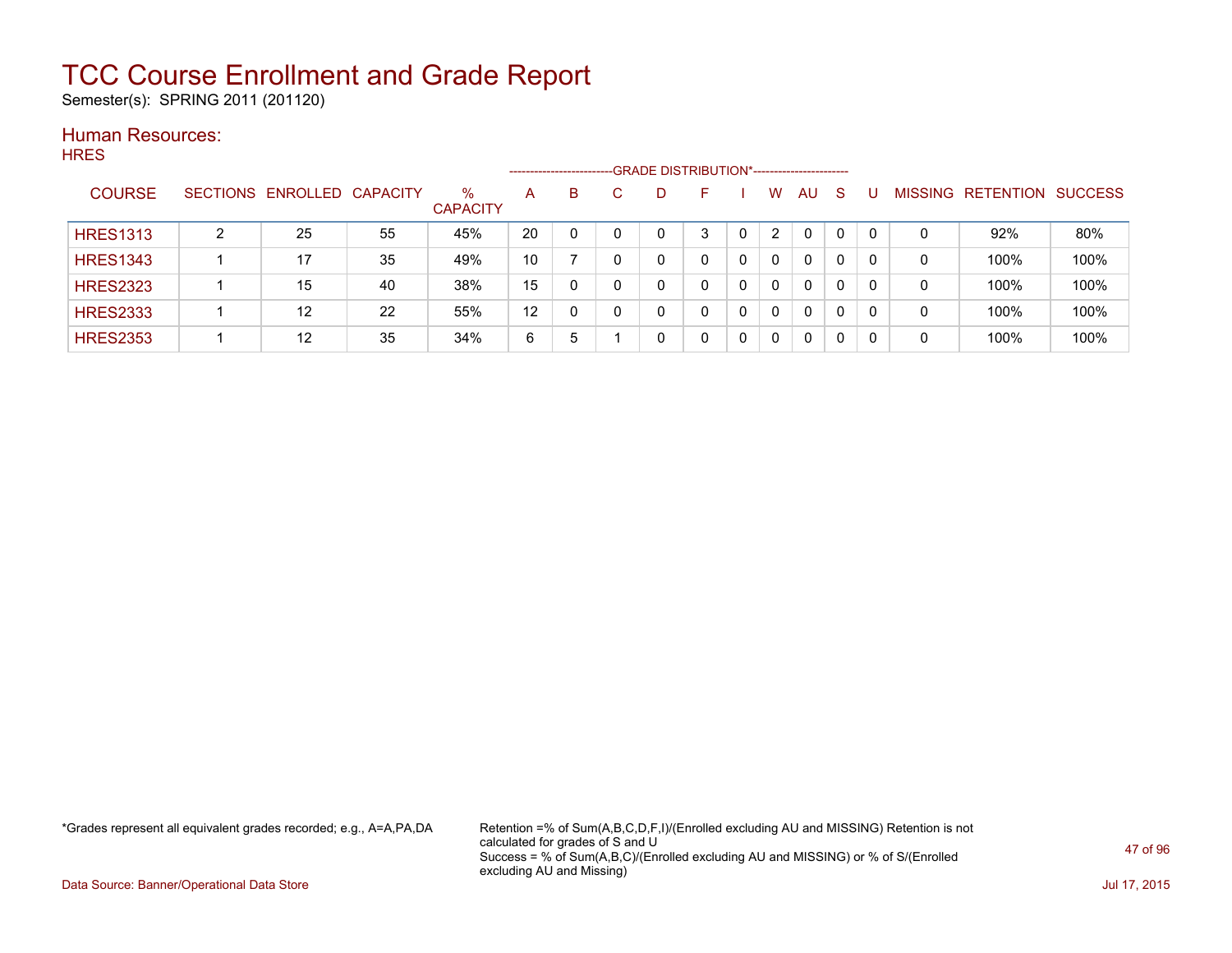Semester(s): SPRING 2011 (201120)

#### Human Resources: **HRES**

|                 |   |                            |    |                      |    | ---------------------- | -GRADE DISTRIBUTION*----------------------- |    |                |          |   |                |                  |                |
|-----------------|---|----------------------------|----|----------------------|----|------------------------|---------------------------------------------|----|----------------|----------|---|----------------|------------------|----------------|
| <b>COURSE</b>   |   | SECTIONS ENROLLED CAPACITY |    | %<br><b>CAPACITY</b> | A  | B                      | D                                           | н. | w              | AU       | S | <b>MISSING</b> | <b>RETENTION</b> | <b>SUCCESS</b> |
| <b>HRES1313</b> | ົ | 25                         | 55 | 45%                  | 20 |                        |                                             | 3  | $\overline{2}$ | $\Omega$ | 0 | 0              | 92%              | 80%            |
| <b>HRES1343</b> |   | 17                         | 35 | 49%                  | 10 |                        |                                             | 0  | $\Omega$       | 0        | 0 | 0              | 100%             | 100%           |
| <b>HRES2323</b> |   | 15                         | 40 | 38%                  | 15 | 0                      |                                             | 0  | 0              | 0        | 0 | 0              | 100%             | 100%           |
| <b>HRES2333</b> |   | 12                         | 22 | 55%                  | 12 | 0                      |                                             | 0  | $\Omega$       | 0        | 0 | 0              | 100%             | 100%           |
| <b>HRES2353</b> |   | 12                         | 35 | 34%                  | 6  | 5                      |                                             |    | $\mathbf{0}$   | 0        | 0 | 0              | 100%             | 100%           |

\*Grades represent all equivalent grades recorded; e.g., A=A,PA,DA Retention =% of Sum(A,B,C,D,F,I)/(Enrolled excluding AU and MISSING) Retention is not calculated for grades of S and U Success = % of Sum(A,B,C)/(Enrolled excluding AU and MISSING) or % of S/(Enrolled excluding AU and Missing)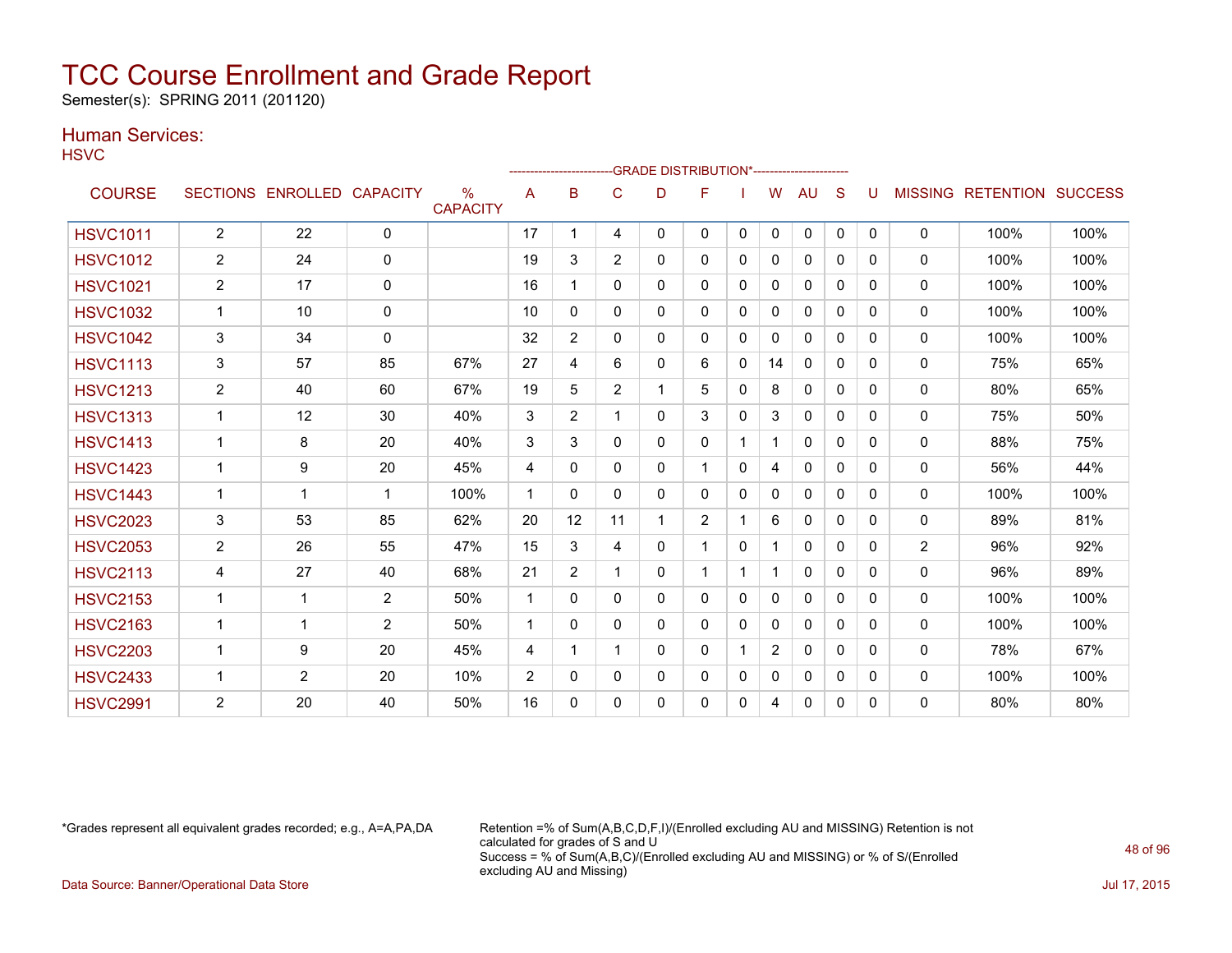Semester(s): SPRING 2011 (201120)

### Human Services:

**HSVC** 

|                 |                         |                   |                 |                         |                | ------------------- |                |    | -- GRADE DISTRIBUTION*----------------------- |              |                |              |          |          |                |                  |                |
|-----------------|-------------------------|-------------------|-----------------|-------------------------|----------------|---------------------|----------------|----|-----------------------------------------------|--------------|----------------|--------------|----------|----------|----------------|------------------|----------------|
| <b>COURSE</b>   |                         | SECTIONS ENROLLED | <b>CAPACITY</b> | $\%$<br><b>CAPACITY</b> | A              | B                   | C              | D  | F                                             |              | W              | AU           | S        |          | <b>MISSING</b> | <b>RETENTION</b> | <b>SUCCESS</b> |
| <b>HSVC1011</b> | $\overline{2}$          | 22                | $\mathbf{0}$    |                         | 17             |                     | 4              | 0  | 0                                             | $\mathbf{0}$ | $\mathbf{0}$   | $\mathbf{0}$ | 0        | $\Omega$ | $\mathbf{0}$   | 100%             | 100%           |
| <b>HSVC1012</b> | $\overline{c}$          | 24                | $\mathbf{0}$    |                         | 19             | 3                   | $\overline{2}$ | 0  | 0                                             | 0            | 0              | $\mathbf{0}$ | 0        | 0        | 0              | 100%             | 100%           |
| <b>HSVC1021</b> | 2                       | 17                | $\mathbf{0}$    |                         | 16             | 1                   | 0              | 0  | 0                                             | 0            | $\mathbf{0}$   | $\mathbf{0}$ | $\Omega$ | $\Omega$ | $\mathbf{0}$   | 100%             | 100%           |
| <b>HSVC1032</b> | 1                       | 10                | $\mathbf 0$     |                         | 10             | $\mathbf{0}$        | 0              | 0  | $\Omega$                                      | 0            | $\mathbf{0}$   | $\mathbf{0}$ | $\Omega$ | 0        | 0              | 100%             | 100%           |
| <b>HSVC1042</b> | 3                       | 34                | 0               |                         | 32             | $\overline{2}$      | 0              | 0  | 0                                             | 0            | $\mathbf{0}$   | $\mathbf{0}$ | 0        | 0        | 0              | 100%             | 100%           |
| <b>HSVC1113</b> | 3                       | 57                | 85              | 67%                     | 27             | 4                   | 6              | 0  | 6                                             | 0            | 14             | $\mathbf{0}$ | 0        | 0        | $\mathbf{0}$   | 75%              | 65%            |
| <b>HSVC1213</b> | $\overline{2}$          | 40                | 60              | 67%                     | 19             | 5                   | $\overline{2}$ | 1  | 5                                             | 0            | 8              | 0            | 0        | 0        | 0              | 80%              | 65%            |
| <b>HSVC1313</b> | 1                       | 12                | 30              | 40%                     | 3              | $\overline{2}$      |                | 0  | 3                                             | $\Omega$     | 3              | $\mathbf{0}$ | 0        | $\Omega$ | 0              | 75%              | 50%            |
| <b>HSVC1413</b> | 1                       | 8                 | 20              | 40%                     | 3              | 3                   | $\mathbf{0}$   | 0  | $\Omega$                                      |              | $\mathbf{1}$   | $\mathbf{0}$ | 0        | 0        | $\mathbf 0$    | 88%              | 75%            |
| <b>HSVC1423</b> |                         | 9                 | 20              | 45%                     | 4              | $\mathbf{0}$        | $\Omega$       | 0  | $\mathbf 1$                                   | $\Omega$     | 4              | $\mathbf{0}$ | $\Omega$ | $\Omega$ | 0              | 56%              | 44%            |
| <b>HSVC1443</b> | 1                       | $\mathbf{1}$      | -1              | 100%                    | 1              | $\mathbf{0}$        | 0              | 0  | 0                                             | 0            | 0              | 0            | $\Omega$ | 0        | 0              | 100%             | 100%           |
| <b>HSVC2023</b> | 3                       | 53                | 85              | 62%                     | 20             | 12                  | 11             | 1. | $\overline{2}$                                |              | 6              | $\mathbf{0}$ | 0        | 0        | 0              | 89%              | 81%            |
| <b>HSVC2053</b> | $\overline{c}$          | 26                | 55              | 47%                     | 15             | 3                   | 4              | 0  | $\mathbf{1}$                                  | $\mathbf{0}$ | 1.             | $\mathbf{0}$ | 0        | 0        | 2              | 96%              | 92%            |
| <b>HSVC2113</b> | 4                       | 27                | 40              | 68%                     | 21             | $\overline{2}$      |                | 0  | $\mathbf 1$                                   |              | 1              | $\Omega$     | 0        | 0        | $\mathbf{0}$   | 96%              | 89%            |
| <b>HSVC2153</b> | 1                       | 1                 | 2               | 50%                     | 1              | $\Omega$            | $\Omega$       | 0  | $\Omega$                                      | $\Omega$     | 0              | $\mathbf{0}$ | 0        | $\Omega$ | $\mathbf{0}$   | 100%             | 100%           |
| <b>HSVC2163</b> | $\overline{\mathbf{1}}$ | $\mathbf{1}$      | 2               | 50%                     | 1              | 0                   | 0              | 0  | 0                                             | 0            | 0              | $\mathbf{0}$ | 0        | 0        | 0              | 100%             | 100%           |
| <b>HSVC2203</b> | 1                       | 9                 | 20              | 45%                     | 4              | 1                   |                | 0  | 0                                             |              | $\overline{2}$ | $\mathbf{0}$ | 0        | $\Omega$ | $\mathbf{0}$   | 78%              | 67%            |
| <b>HSVC2433</b> | 1                       | $\overline{2}$    | 20              | 10%                     | $\overline{2}$ | $\mathbf{0}$        | 0              | 0  | 0                                             | 0            | 0              | 0            | 0        | 0        | 0              | 100%             | 100%           |
| <b>HSVC2991</b> | 2                       | 20                | 40              | 50%                     | 16             | 0                   | 0              | 0  | 0                                             | 0            | 4              | 0            | 0        | 0        | $\mathbf{0}$   | 80%              | 80%            |

\*Grades represent all equivalent grades recorded; e.g., A=A,PA,DA Retention =% of Sum(A,B,C,D,F,I)/(Enrolled excluding AU and MISSING) Retention is not calculated for grades of S and U Success = % of Sum(A,B,C)/(Enrolled excluding AU and MISSING) or % of S/(Enrolled excluding AU and Missing)

Data Source: Banner/Operational Data Store Jul 17, 2015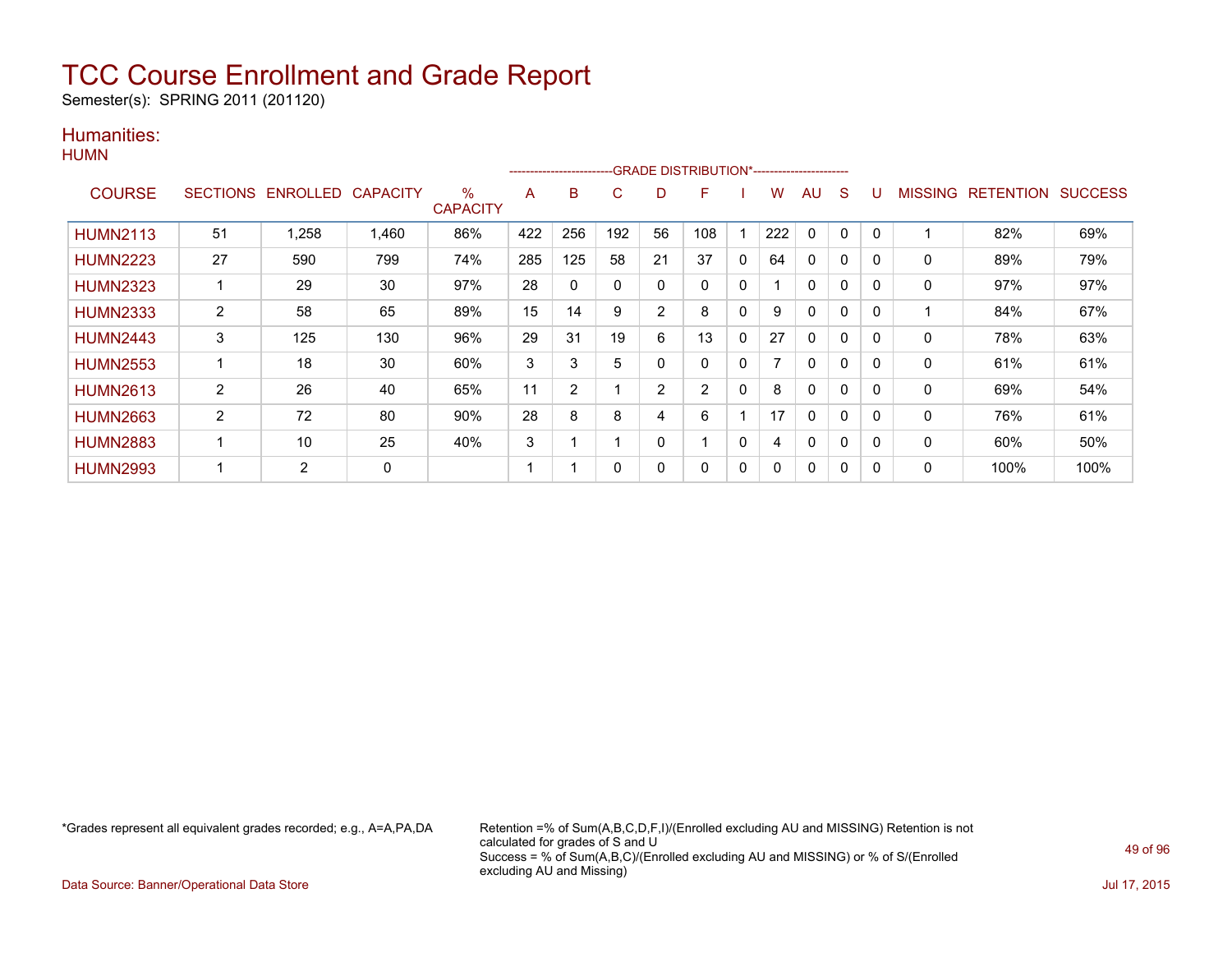Semester(s): SPRING 2011 (201120)

### Humanities: **HUMN**

|                 |                 |                   |       |                      |     | ------------------------ |     |                | -GRADE DISTRIBUTION*----------------------- |              |     |              |              |   |                |                  |                |
|-----------------|-----------------|-------------------|-------|----------------------|-----|--------------------------|-----|----------------|---------------------------------------------|--------------|-----|--------------|--------------|---|----------------|------------------|----------------|
| <b>COURSE</b>   | <b>SECTIONS</b> | ENROLLED CAPACITY |       | %<br><b>CAPACITY</b> | A   | B                        | C   | D              | F                                           |              | W   | AU           | S            | U | <b>MISSING</b> | <b>RETENTION</b> | <b>SUCCESS</b> |
| <b>HUMN2113</b> | 51              | 1,258             | 1,460 | 86%                  | 422 | 256                      | 192 | 56             | 108                                         |              | 222 | 0            | $\mathbf{0}$ | 0 |                | 82%              | 69%            |
| <b>HUMN2223</b> | 27              | 590               | 799   | 74%                  | 285 | 125                      | 58  | 21             | 37                                          | $\mathbf{0}$ | 64  | $\Omega$     | $\mathbf{0}$ | 0 | 0              | 89%              | 79%            |
| <b>HUMN2323</b> |                 | 29                | 30    | 97%                  | 28  | 0                        | 0   | 0              | 0                                           | $\mathbf{0}$ |     | 0            | 0            | 0 | 0              | 97%              | 97%            |
| <b>HUMN2333</b> | 2               | 58                | 65    | 89%                  | 15  | 14                       | 9   | 2              | 8                                           | $\mathbf{0}$ | 9   | 0            | 0            | 0 |                | 84%              | 67%            |
| <b>HUMN2443</b> | 3               | 125               | 130   | 96%                  | 29  | 31                       | 19  | 6              | 13                                          | $\mathbf{0}$ | 27  | 0            | $\mathbf{0}$ | 0 | $\mathbf{0}$   | 78%              | 63%            |
| <b>HUMN2553</b> |                 | 18                | 30    | 60%                  | 3   | 3                        | 5   | 0              | $\Omega$                                    | $\mathbf{0}$ |     | 0            | $\mathbf{0}$ | 0 | 0              | 61%              | 61%            |
| <b>HUMN2613</b> | $\overline{2}$  | 26                | 40    | 65%                  | 11  | $\overline{2}$           |     | $\overline{2}$ | $\overline{2}$                              | $\mathbf{0}$ | 8   | 0            | 0            | 0 | 0              | 69%              | 54%            |
| <b>HUMN2663</b> | $\overline{2}$  | 72                | 80    | 90%                  | 28  | 8                        | 8   | 4              | 6                                           | 1            | 17  | 0            | 0            | 0 | 0              | 76%              | 61%            |
| <b>HUMN2883</b> |                 | 10                | 25    | 40%                  | 3   |                          | 4   | $\Omega$       |                                             | $\mathbf{0}$ | 4   | 0            | 0            | 0 | 0              | 60%              | 50%            |
| <b>HUMN2993</b> |                 | $\overline{2}$    | 0     |                      |     |                          | 0   | 0              | $\Omega$                                    | $\mathbf{0}$ | 0   | $\mathbf{0}$ | $\mathbf{0}$ | 0 | 0              | 100%             | 100%           |

\*Grades represent all equivalent grades recorded; e.g., A=A,PA,DA Retention =% of Sum(A,B,C,D,F,I)/(Enrolled excluding AU and MISSING) Retention is not calculated for grades of S and U Success = % of Sum(A,B,C)/(Enrolled excluding AU and MISSING) or % of S/(Enrolled excluding AU and Missing)

Data Source: Banner/Operational Data Store Jul 17, 2015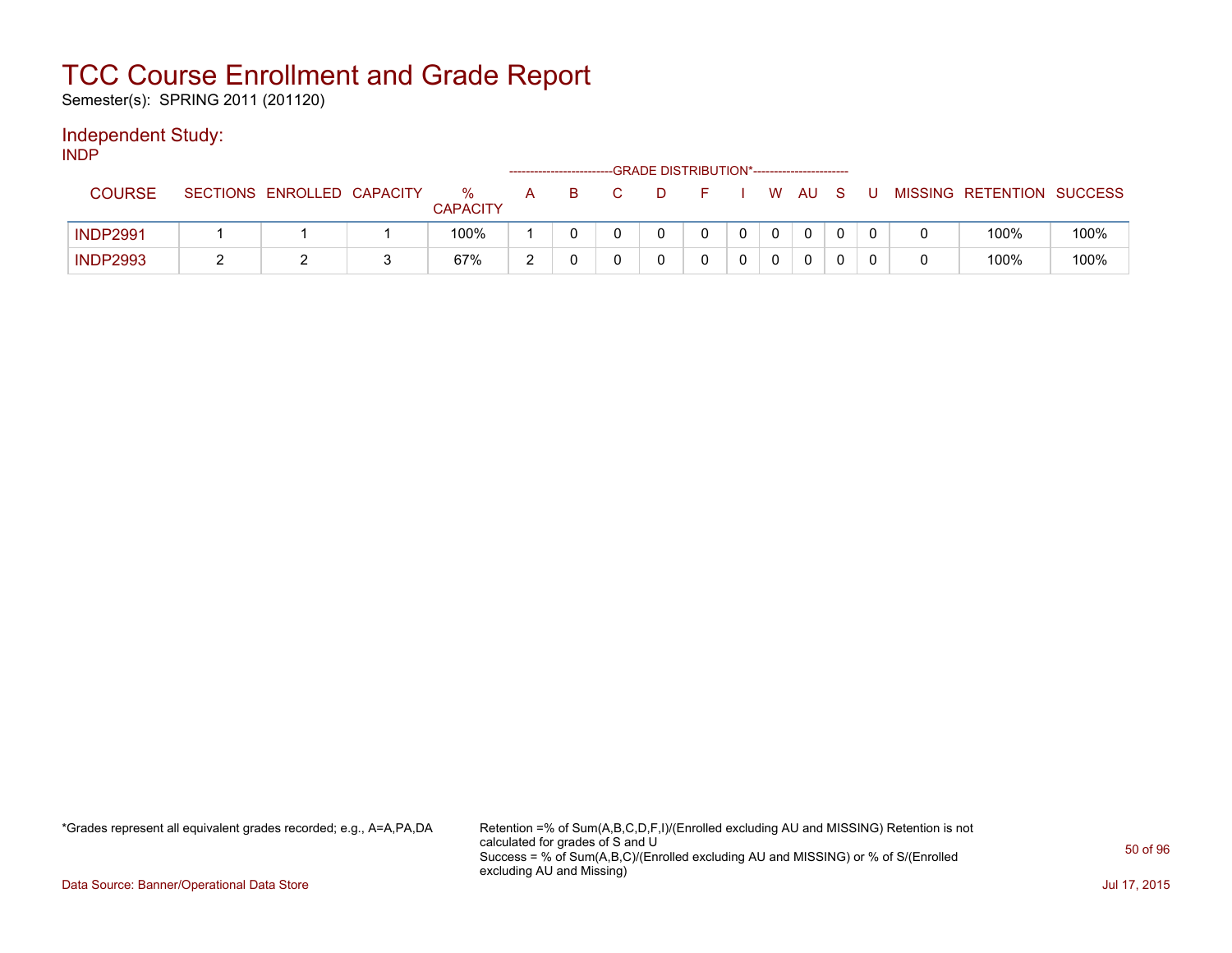Semester(s): SPRING 2011 (201120)

### Independent Study:

INDP

|                 |                            |                      |   | -------------------------- |    | -GRADE DISTRIBUTION*----------------------- |  |      |   |                           |      |
|-----------------|----------------------------|----------------------|---|----------------------------|----|---------------------------------------------|--|------|---|---------------------------|------|
| <b>COURSE</b>   | SECTIONS ENROLLED CAPACITY | %<br><b>CAPACITY</b> | A | B.                         | D. |                                             |  | W AU | U | MISSING RETENTION SUCCESS |      |
| <b>INDP2991</b> |                            | 100%                 |   |                            |    |                                             |  |      |   | 100%                      | 100% |
| <b>INDP2993</b> |                            | 67%                  | ົ |                            |    |                                             |  |      |   | 100%                      | 100% |

\*Grades represent all equivalent grades recorded; e.g., A=A,PA,DA Retention =% of Sum(A,B,C,D,F,I)/(Enrolled excluding AU and MISSING) Retention is not calculated for grades of S and U Success = % of Sum(A,B,C)/(Enrolled excluding AU and MISSING) or % of S/(Enrolled excluding AU and Missing)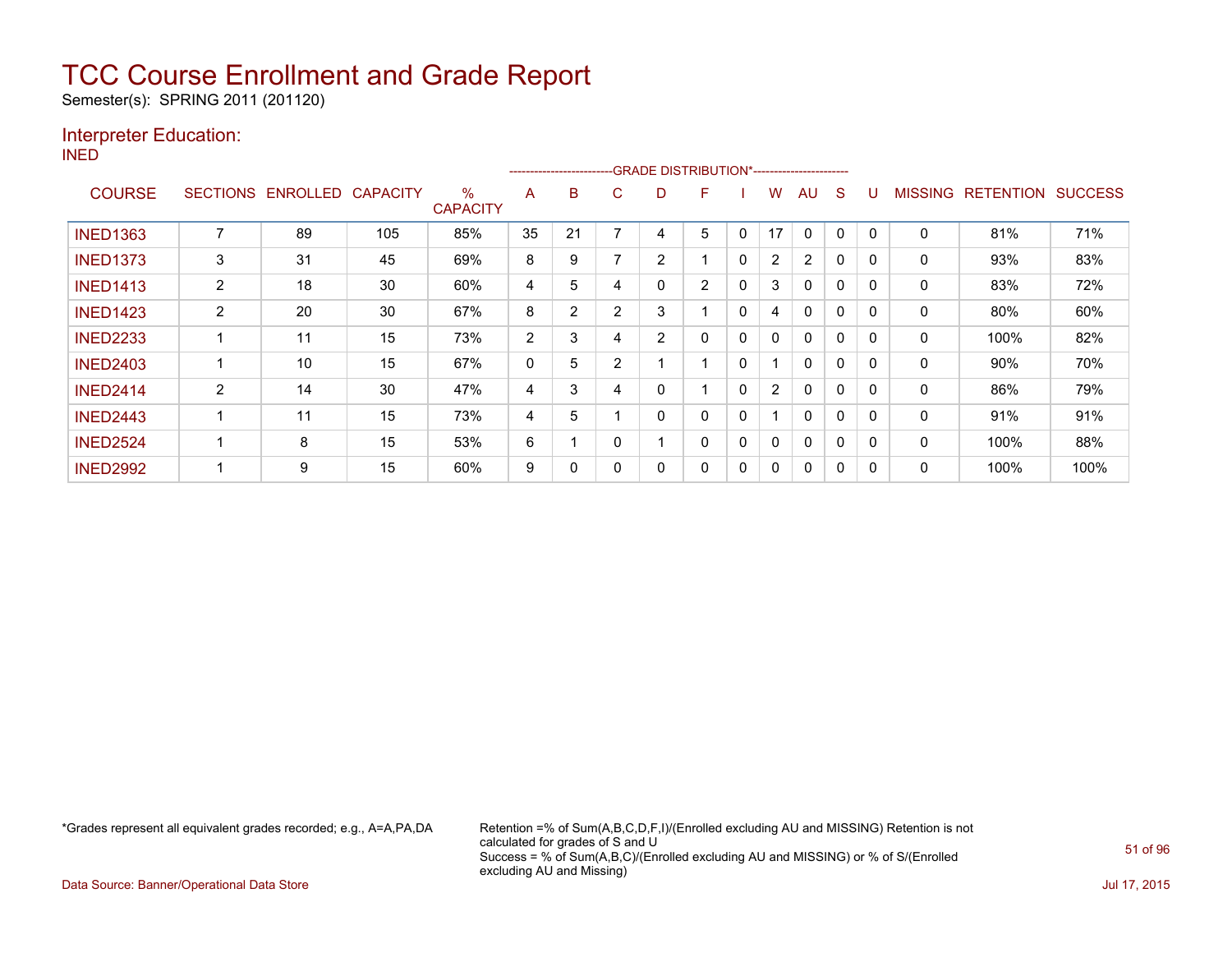Semester(s): SPRING 2011 (201120)

### Interpreter Education:

INED

|                 |                 |                 |                 |                         |    | ------------------------ |                |                | -GRADE DISTRIBUTION*----------------------- |              |                |                |          |              |                |                  |                |
|-----------------|-----------------|-----------------|-----------------|-------------------------|----|--------------------------|----------------|----------------|---------------------------------------------|--------------|----------------|----------------|----------|--------------|----------------|------------------|----------------|
| <b>COURSE</b>   | <b>SECTIONS</b> | <b>ENROLLED</b> | <b>CAPACITY</b> | $\%$<br><b>CAPACITY</b> | A  | B                        | С              | D              | F                                           |              | W              | AU             | S        | U            | <b>MISSING</b> | <b>RETENTION</b> | <b>SUCCESS</b> |
| <b>INED1363</b> |                 | 89              | 105             | 85%                     | 35 | 21                       |                | 4              | 5                                           | 0            | 17             | $\Omega$       | 0        | 0            | 0              | 81%              | 71%            |
| <b>INED1373</b> | 3               | 31              | 45              | 69%                     | 8  | 9                        |                | $\overline{2}$ |                                             | 0            | $\overline{2}$ | $\overline{2}$ | 0        | 0            | 0              | 93%              | 83%            |
| <b>INED1413</b> | $\overline{2}$  | 18              | 30              | 60%                     | 4  | 5                        | 4              | 0              | $\overline{2}$                              | 0            | 3              | $\Omega$       | 0        | 0            | 0              | 83%              | 72%            |
| <b>INED1423</b> | $\overline{2}$  | 20              | 30              | 67%                     | 8  | $\overline{2}$           | 2              | 3              | 1                                           | $\mathbf{0}$ | 4              | $\Omega$       | $\Omega$ | $\mathbf{0}$ | 0              | 80%              | 60%            |
| <b>INED2233</b> |                 | 11              | 15              | 73%                     | 2  | 3                        | 4              | 2              | 0                                           | 0            | 0              | $\mathbf{0}$   | $\Omega$ | $\mathbf{0}$ | 0              | 100%             | 82%            |
| <b>INED2403</b> |                 | 10              | 15              | 67%                     | 0  | 5                        | $\overline{2}$ |                | 1                                           | 0            |                | $\mathbf{0}$   | $\Omega$ | $\Omega$     | 0              | 90%              | 70%            |
| <b>INED2414</b> | 2               | 14              | 30              | 47%                     | 4  | 3                        | 4              | 0              |                                             | 0            | $\overline{2}$ | $\mathbf{0}$   | $\Omega$ | 0            | $\mathbf{0}$   | 86%              | 79%            |
| <b>INED2443</b> |                 | 11              | 15              | 73%                     | 4  | 5                        |                | 0              | 0                                           | 0            |                | $\mathbf{0}$   | 0        | 0            | $\mathbf{0}$   | 91%              | 91%            |
| <b>INED2524</b> |                 | 8               | 15              | 53%                     | 6  |                          |                |                | 0                                           | 0            | 0              | $\Omega$       | 0        | 0            | 0              | 100%             | 88%            |
| <b>INED2992</b> |                 | 9               | 15              | 60%                     | 9  | 0                        |                | 0              | 0                                           | 0            | 0              | 0              | 0        | 0            | 0              | 100%             | 100%           |

\*Grades represent all equivalent grades recorded; e.g., A=A,PA,DA Retention =% of Sum(A,B,C,D,F,I)/(Enrolled excluding AU and MISSING) Retention is not calculated for grades of S and U Success = % of Sum(A,B,C)/(Enrolled excluding AU and MISSING) or % of S/(Enrolled excluding AU and Missing)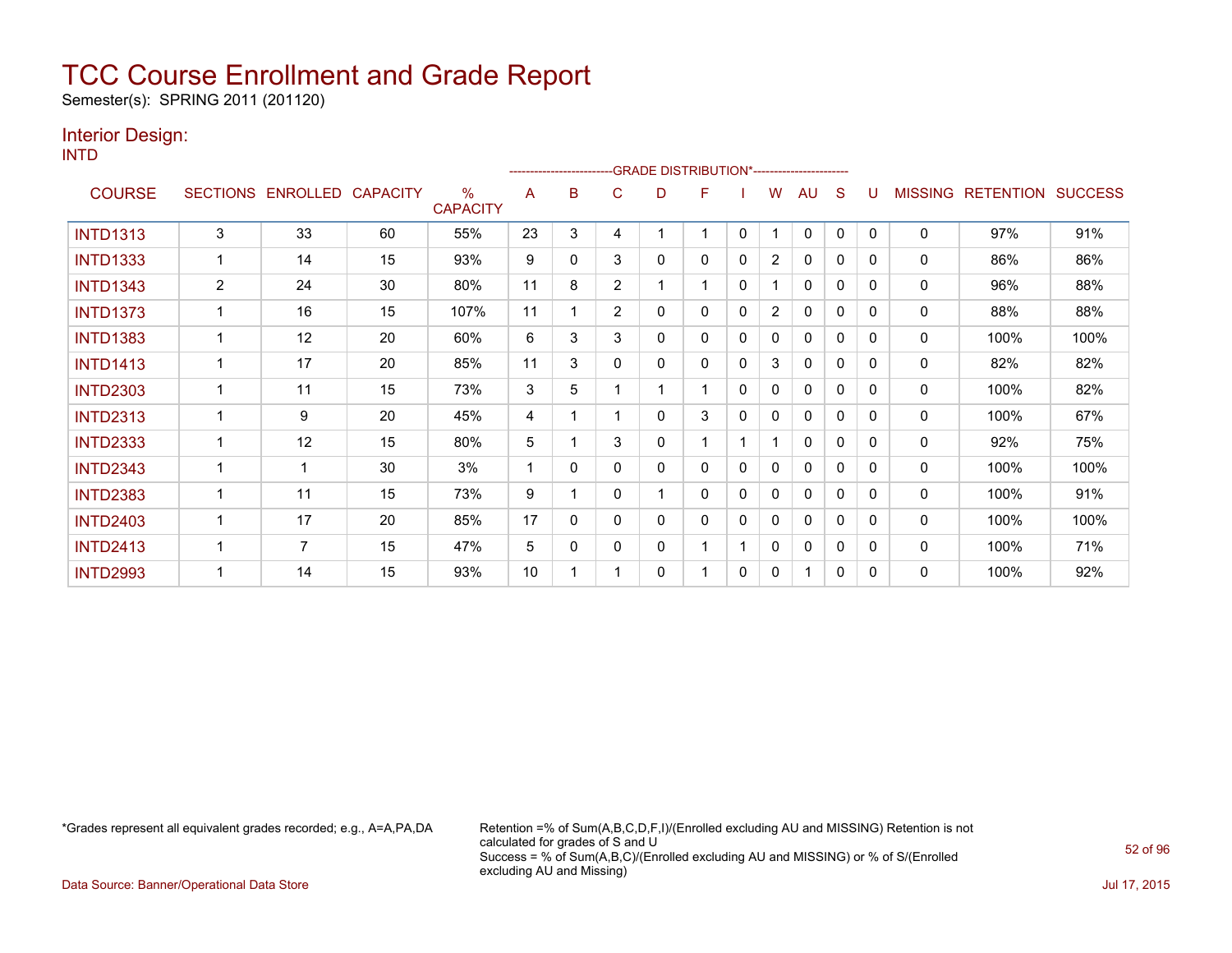Semester(s): SPRING 2011 (201120)

### Interior Design:

INTD

|                 |                 |                 |                 |                                  |    | ------------------------ |                | -GRADE DISTRIBUTION*---------------------- |   |              |                |              |              |              |                |                  |                |
|-----------------|-----------------|-----------------|-----------------|----------------------------------|----|--------------------------|----------------|--------------------------------------------|---|--------------|----------------|--------------|--------------|--------------|----------------|------------------|----------------|
| <b>COURSE</b>   | <b>SECTIONS</b> | <b>ENROLLED</b> | <b>CAPACITY</b> | $\frac{0}{0}$<br><b>CAPACITY</b> | A  | в                        | С              | D                                          | F |              | w              | AU           | S            |              | <b>MISSING</b> | <b>RETENTION</b> | <b>SUCCESS</b> |
| <b>INTD1313</b> | 3               | 33              | 60              | 55%                              | 23 | 3                        | 4              |                                            | 1 | $\mathbf{0}$ |                | $\Omega$     | $\mathbf{0}$ | $\Omega$     | $\mathbf 0$    | 97%              | 91%            |
| <b>INTD1333</b> |                 | 14              | 15              | 93%                              | 9  | 0                        | 3              | 0                                          | 0 | 0            | 2              | 0            | 0            | 0            | 0              | 86%              | 86%            |
| <b>INTD1343</b> | $\overline{2}$  | 24              | 30              | 80%                              | 11 | 8                        | $\overline{2}$ |                                            | 1 | $\mathbf{0}$ |                | $\mathbf{0}$ | $\mathbf 0$  | $\Omega$     | $\mathbf 0$    | 96%              | 88%            |
| <b>INTD1373</b> |                 | 16              | 15              | 107%                             | 11 |                          | $\overline{2}$ | 0                                          | 0 | $\mathbf{0}$ | $\overline{2}$ | $\mathbf{0}$ | 0            | $\Omega$     | $\mathbf 0$    | 88%              | 88%            |
| <b>INTD1383</b> |                 | 12              | 20              | 60%                              | 6  | 3                        | 3              | 0                                          | 0 | 0            | 0              | $\Omega$     | $\mathbf{0}$ | $\Omega$     | $\mathbf 0$    | 100%             | 100%           |
| <b>INTD1413</b> |                 | 17              | 20              | 85%                              | 11 | 3                        | 0              | 0                                          | 0 | $\mathbf{0}$ | 3              | 0            | 0            | $\Omega$     | 0              | 82%              | 82%            |
| <b>INTD2303</b> |                 | 11              | 15              | 73%                              | 3  | 5                        |                |                                            | 1 | $\mathbf{0}$ | 0              | $\mathbf{0}$ | 0            | $\Omega$     | 0              | 100%             | 82%            |
| <b>INTD2313</b> |                 | 9               | 20              | 45%                              | 4  |                          |                | 0                                          | 3 | 0            | 0              | 0            | 0            | $\Omega$     | 0              | 100%             | 67%            |
| <b>INTD2333</b> |                 | 12              | 15              | 80%                              | 5  |                          | 3              | 0                                          | 1 |              |                | $\mathbf{0}$ | 0            | $\Omega$     | 0              | 92%              | 75%            |
| <b>INTD2343</b> | 1               | 1               | 30              | 3%                               |    | 0                        | 0              | 0                                          | 0 | $\mathbf{0}$ | 0              | 0            | $\mathbf{0}$ | 0            | 0              | 100%             | 100%           |
| <b>INTD2383</b> |                 | 11              | 15              | 73%                              | 9  |                          | 0              |                                            | 0 | $\Omega$     | 0              | 0            | $\mathbf 0$  | $\Omega$     | 0              | 100%             | 91%            |
| <b>INTD2403</b> |                 | 17              | 20              | 85%                              | 17 | 0                        | 0              | 0                                          | 0 | 0            | 0              | $\mathbf{0}$ | 0            | <sup>0</sup> | 0              | 100%             | 100%           |
| <b>INTD2413</b> | 1               | 7               | 15              | 47%                              | 5  | 0                        | 0              | 0                                          | 1 |              | 0              | 0            | $\mathbf{0}$ | 0            | 0              | 100%             | 71%            |
| <b>INTD2993</b> |                 | 14              | 15              | 93%                              | 10 |                          |                | 0                                          | 1 | $\Omega$     | 0              | 1            | 0            | 0            | 0              | 100%             | 92%            |

\*Grades represent all equivalent grades recorded; e.g., A=A,PA,DA Retention =% of Sum(A,B,C,D,F,I)/(Enrolled excluding AU and MISSING) Retention is not calculated for grades of S and U Success = % of Sum(A,B,C)/(Enrolled excluding AU and MISSING) or % of S/(Enrolled excluding AU and Missing)

Data Source: Banner/Operational Data Store Jul 17, 2015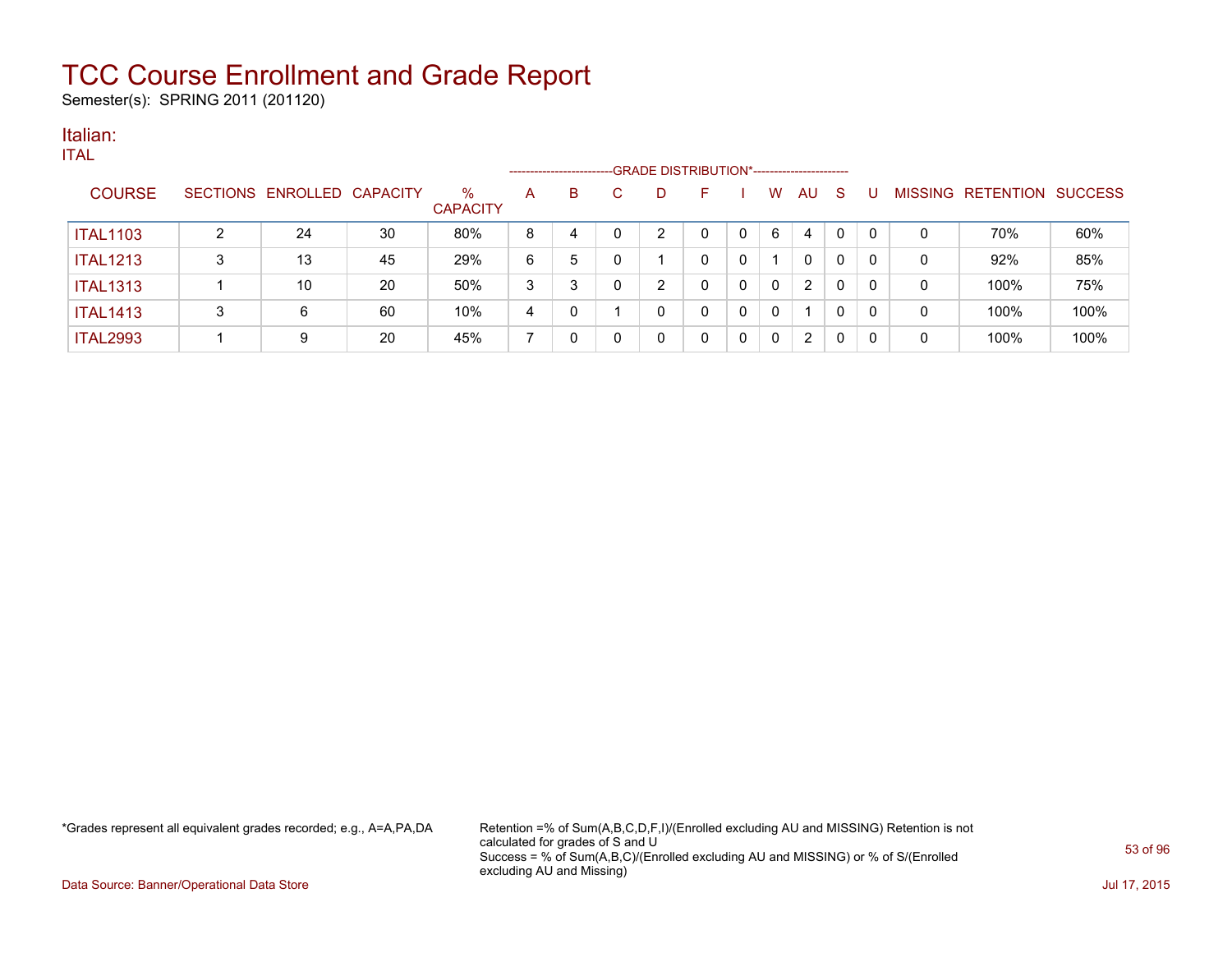Semester(s): SPRING 2011 (201120)

#### Italian: ITAL

| TIAL.           |   |                            |    |                         |   | ---------------------- |              | --- GRADE DISTRIBUTION*----------------------- |              |             |              |    |              |              |          |                           |      |
|-----------------|---|----------------------------|----|-------------------------|---|------------------------|--------------|------------------------------------------------|--------------|-------------|--------------|----|--------------|--------------|----------|---------------------------|------|
| <b>COURSE</b>   |   | SECTIONS ENROLLED CAPACITY |    | $\%$<br><b>CAPACITY</b> | A | B                      | C            | D                                              | F            |             | W            | AU | <sub>S</sub> | U            |          | MISSING RETENTION SUCCESS |      |
| <b>ITAL1103</b> | 2 | 24                         | 30 | 80%                     | 8 | 4                      | 0            | $\overline{2}$                                 | 0            | $\mathbf 0$ | 6            | 4  | $\mathbf{0}$ | $\Omega$     |          | 70%                       | 60%  |
| <b>ITAL1213</b> | 3 | 13                         | 45 | 29%                     | 6 | 5                      | $\mathbf{0}$ |                                                | 0            | 0           |              | 0  | $\mathbf 0$  | $\Omega$     | $\Omega$ | 92%                       | 85%  |
| <b>ITAL1313</b> |   | 10                         | 20 | 50%                     | 3 | 3                      | $\Omega$     | $\overline{2}$                                 | 0            | 0           | $\mathbf{0}$ | 2  | 0            | $\mathbf{0}$ | $\Omega$ | 100%                      | 75%  |
| <b>ITAL1413</b> | 3 | 6                          | 60 | 10%                     | 4 | 0                      |              | 0                                              | $\mathbf{0}$ | $\mathbf 0$ | $\Omega$     |    | $\Omega$     | $\mathbf{0}$ | 0        | 100%                      | 100% |
| <b>ITAL2993</b> |   | 9                          | 20 | 45%                     |   | 0                      | 0            | 0                                              | 0            | 0           | 0            | 2  | $\mathbf{0}$ | 0            | 0        | 100%                      | 100% |

\*Grades represent all equivalent grades recorded; e.g., A=A,PA,DA Retention =% of Sum(A,B,C,D,F,I)/(Enrolled excluding AU and MISSING) Retention is not calculated for grades of S and U Success = % of Sum(A,B,C)/(Enrolled excluding AU and MISSING) or % of S/(Enrolled excluding AU and Missing)

Data Source: Banner/Operational Data Store Jul 17, 2015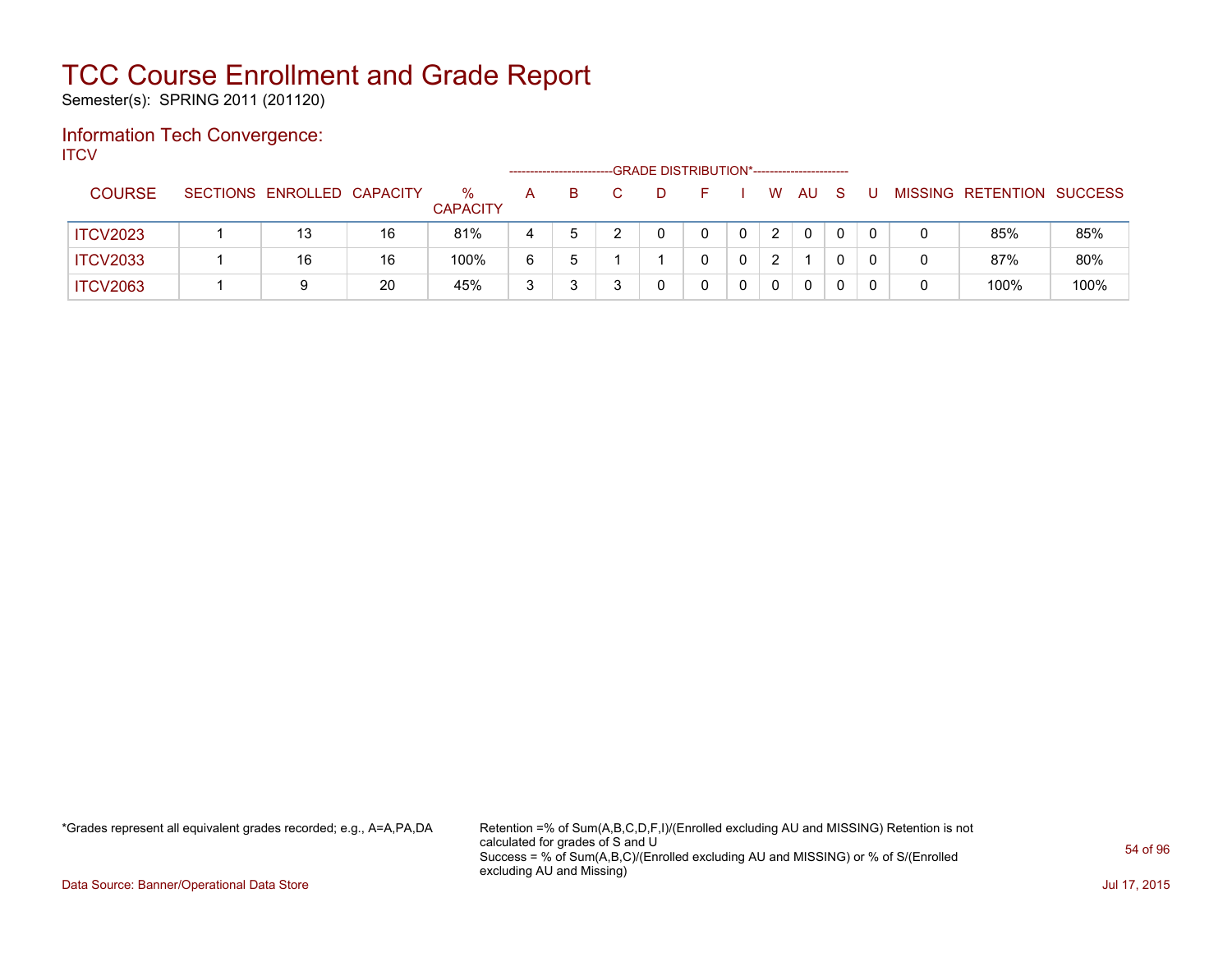Semester(s): SPRING 2011 (201120)

### Information Tech Convergence: **ITCV**

|                 |                            |    |                         |   | ---------------------- |  | -GRADE DISTRIBUTION*----------------------- |   |          |              |  |                           |      |
|-----------------|----------------------------|----|-------------------------|---|------------------------|--|---------------------------------------------|---|----------|--------------|--|---------------------------|------|
| <b>COURSE</b>   | SECTIONS ENROLLED CAPACITY |    | $\%$<br><b>CAPACITY</b> | A | B.                     |  |                                             | W | AU       | <sub>S</sub> |  | MISSING RETENTION SUCCESS |      |
| <b>ITCV2023</b> | 13                         | 16 | 81%                     |   |                        |  |                                             | 2 | $\Omega$ |              |  | 85%                       | 85%  |
| <b>ITCV2033</b> | 16                         | 16 | 100%                    | 6 |                        |  |                                             | 2 |          |              |  | 87%                       | 80%  |
| <b>ITCV2063</b> | 9                          | 20 | 45%                     | 3 |                        |  |                                             | 0 | $\Omega$ |              |  | 100%                      | 100% |

\*Grades represent all equivalent grades recorded; e.g., A=A,PA,DA Retention =% of Sum(A,B,C,D,F,I)/(Enrolled excluding AU and MISSING) Retention is not calculated for grades of S and U Success = % of Sum(A,B,C)/(Enrolled excluding AU and MISSING) or % of S/(Enrolled excluding AU and Missing)

Data Source: Banner/Operational Data Store Jul 17, 2015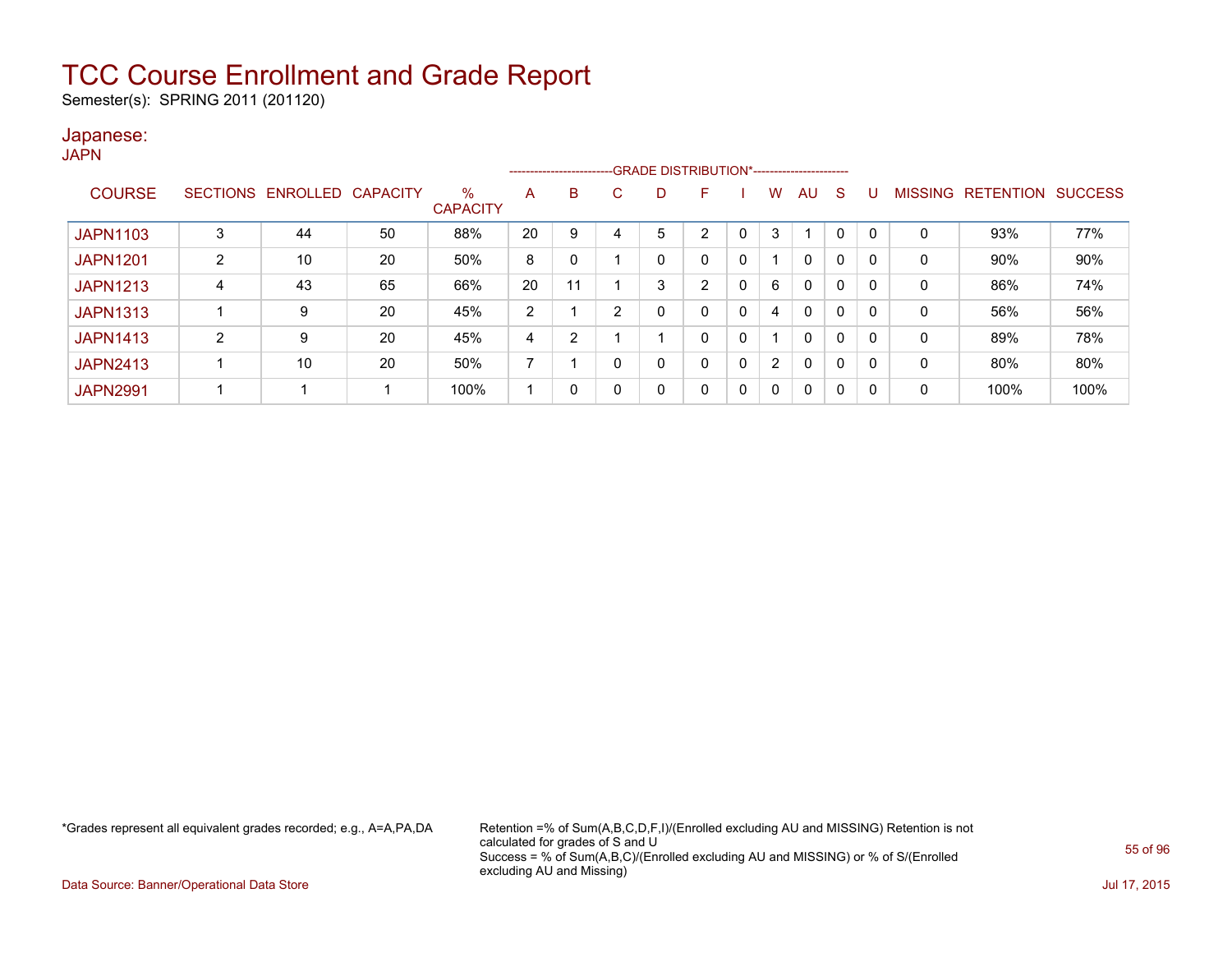Semester(s): SPRING 2011 (201120)

### Japanese:

| ۰.<br>× |  |
|---------|--|
|---------|--|

|                 |                 |          |                 |                      |    |    |    | --------------------------GRADE DISTRIBUTION*----------------------- |    |              |                      |              |             |     |                |                  |                |
|-----------------|-----------------|----------|-----------------|----------------------|----|----|----|----------------------------------------------------------------------|----|--------------|----------------------|--------------|-------------|-----|----------------|------------------|----------------|
| <b>COURSE</b>   | <b>SECTIONS</b> | ENROLLED | <b>CAPACITY</b> | %<br><b>CAPACITY</b> | A  | B  | C. | D                                                                    | F  |              | W                    | AU           | S           |     | <b>MISSING</b> | <b>RETENTION</b> | <b>SUCCESS</b> |
| <b>JAPN1103</b> | 3               | 44       | 50              | 88%                  | 20 | 9  |    | 5                                                                    | າ  |              | 3                    |              | 0           |     | 0              | 93%              | 77%            |
| <b>JAPN1201</b> | C               | 10       | 20              | 50%                  | 8  |    |    | 0                                                                    | 0  | 0            |                      | $\mathbf{0}$ | $\mathbf 0$ |     | 0              | 90%              | 90%            |
| <b>JAPN1213</b> | 4               | 43       | 65              | 66%                  | 20 | 11 |    | 3                                                                    | C. | 0            | 6                    | $\mathbf{0}$ | 0           | 0   | 0              | 86%              | 74%            |
| <b>JAPN1313</b> |                 | 9        | 20              | 45%                  | 2  |    | ົ  | 0                                                                    | 0  | $\mathbf{0}$ | 4                    | $\mathbf{0}$ | $\mathbf 0$ |     | 0              | 56%              | 56%            |
| <b>JAPN1413</b> | 2               | 9        | 20              | 45%                  | 4  | 2  |    |                                                                      | 0  | 0            |                      | $\mathbf{0}$ | 0           | - 0 | 0              | 89%              | 78%            |
| <b>JAPN2413</b> |                 | 10       | 20              | 50%                  |    |    | 0  | 0                                                                    | 0  | $\mathbf{0}$ | $\mathbf{2}^{\circ}$ | $\mathbf{0}$ | $\mathbf 0$ | - 0 | 0              | 80%              | 80%            |
| <b>JAPN2991</b> |                 |          |                 | 100%                 |    | 0  | 0  | 0                                                                    | 0  | $\mathbf{0}$ | $\Omega$             | 0            | 0           | - 0 | 0              | 100%             | 100%           |

\*Grades represent all equivalent grades recorded; e.g., A=A,PA,DA Retention =% of Sum(A,B,C,D,F,I)/(Enrolled excluding AU and MISSING) Retention is not calculated for grades of S and U Success = % of Sum(A,B,C)/(Enrolled excluding AU and MISSING) or % of S/(Enrolled excluding AU and Missing)

Data Source: Banner/Operational Data Store Jul 17, 2015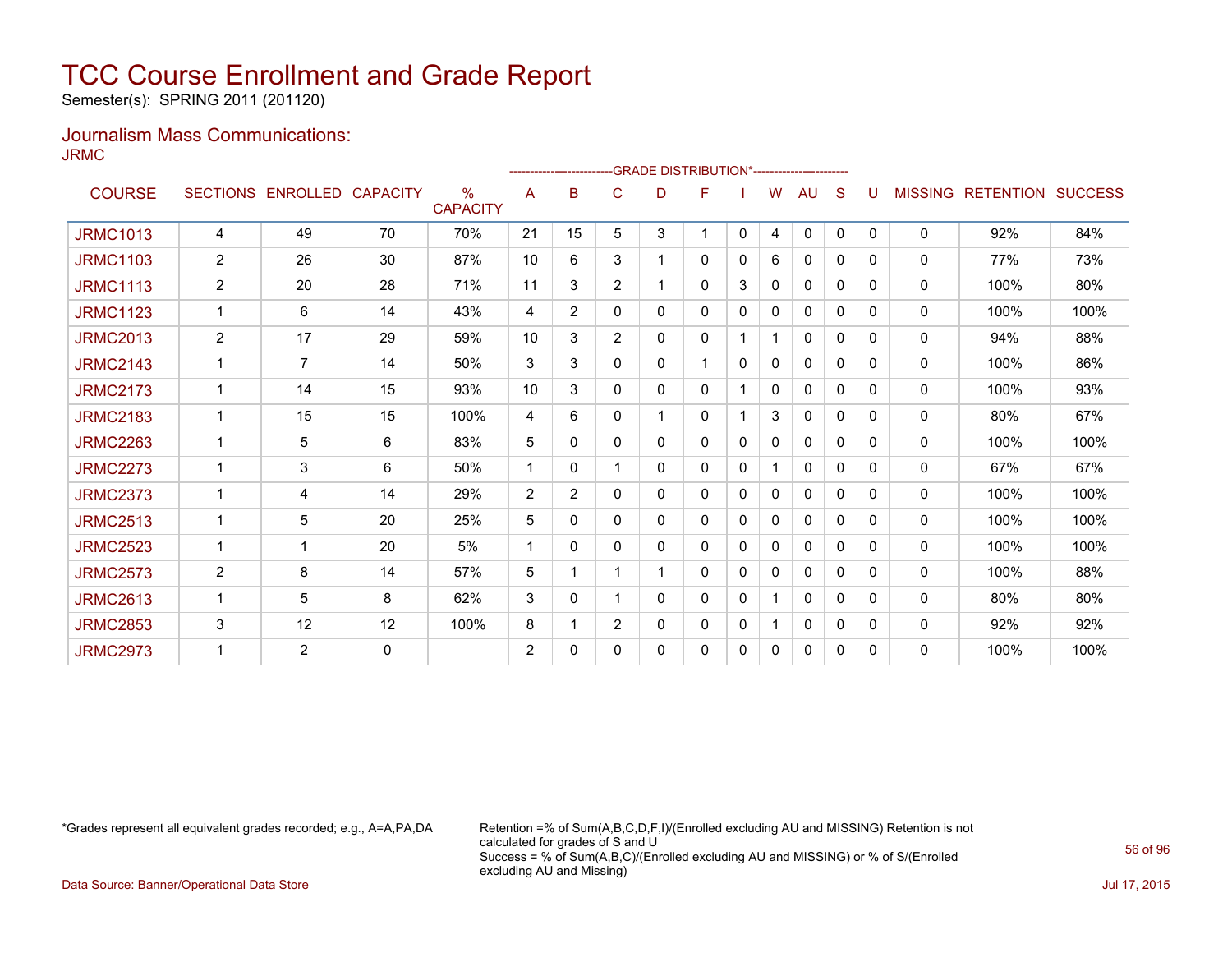Semester(s): SPRING 2011 (201120)

### Journalism Mass Communications: JRMC

|                 |                |                   |                 |                                  |    |                |                | -------------------------GRADE                DISTRIBUTION*--------------------- |   |              |              |              |              |              |                |                          |      |
|-----------------|----------------|-------------------|-----------------|----------------------------------|----|----------------|----------------|----------------------------------------------------------------------------------|---|--------------|--------------|--------------|--------------|--------------|----------------|--------------------------|------|
| <b>COURSE</b>   |                | SECTIONS ENROLLED | <b>CAPACITY</b> | $\frac{0}{0}$<br><b>CAPACITY</b> | A  | B              | C              | D                                                                                | F |              | W            | AU           | S            | U            | <b>MISSING</b> | <b>RETENTION SUCCESS</b> |      |
| <b>JRMC1013</b> | $\overline{4}$ | 49                | 70              | 70%                              | 21 | 15             | 5              | 3                                                                                | 1 | $\mathbf{0}$ | 4            | $\mathbf{0}$ | $\mathbf{0}$ | $\Omega$     | $\mathbf{0}$   | 92%                      | 84%  |
| <b>JRMC1103</b> | 2              | 26                | 30              | 87%                              | 10 | 6              | 3              |                                                                                  | 0 | 0            | 6            | $\mathbf{0}$ | $\Omega$     | 0            | $\mathbf{0}$   | 77%                      | 73%  |
| <b>JRMC1113</b> | 2              | 20                | 28              | 71%                              | 11 | 3              | $\overline{2}$ | $\mathbf{1}$                                                                     | 0 | 3            | 0            | $\mathbf{0}$ | $\mathbf{0}$ | $\Omega$     | $\mathbf{0}$   | 100%                     | 80%  |
| <b>JRMC1123</b> | $\mathbf{1}$   | 6                 | 14              | 43%                              | 4  | $\overline{2}$ | 0              | 0                                                                                | 0 | $\mathbf{0}$ | $\mathbf{0}$ | $\mathbf{0}$ | $\mathbf{0}$ | $\Omega$     | 0              | 100%                     | 100% |
| <b>JRMC2013</b> | 2              | 17                | 29              | 59%                              | 10 | 3              | $\overline{2}$ | 0                                                                                | 0 |              |              | 0            | 0            | $\Omega$     | 0              | 94%                      | 88%  |
| <b>JRMC2143</b> | $\mathbf 1$    | $\overline{7}$    | 14              | 50%                              | 3  | 3              | 0              | 0                                                                                | 1 | $\Omega$     | 0            | 0            | $\Omega$     | $\Omega$     | 0              | 100%                     | 86%  |
| <b>JRMC2173</b> | $\mathbf{1}$   | 14                | 15              | 93%                              | 10 | 3              | 0              | 0                                                                                | 0 |              | 0            | 0            | $\Omega$     | $\Omega$     | 0              | 100%                     | 93%  |
| <b>JRMC2183</b> | 1              | 15                | 15              | 100%                             | 4  | 6              | 0              |                                                                                  | 0 |              | 3            | 0            | 0            | 0            | 0              | 80%                      | 67%  |
| <b>JRMC2263</b> | 1              | 5                 | 6               | 83%                              | 5  | 0              | 0              | 0                                                                                | 0 | $\mathbf{0}$ | $\Omega$     | 0            | $\Omega$     | 0            | 0              | 100%                     | 100% |
| <b>JRMC2273</b> | 1              | 3                 | 6               | 50%                              | 1  | 0              |                | 0                                                                                | 0 | $\mathbf{0}$ |              | $\mathbf{0}$ | $\Omega$     | 0            | 0              | 67%                      | 67%  |
| <b>JRMC2373</b> | 1              | 4                 | 14              | 29%                              | 2  | $\overline{2}$ | 0              | 0                                                                                | 0 | $\mathbf{0}$ | 0            | $\mathbf{0}$ | $\Omega$     | $\Omega$     | $\mathbf{0}$   | 100%                     | 100% |
| <b>JRMC2513</b> | $\mathbf 1$    | 5                 | 20              | 25%                              | 5  | 0              | 0              | 0                                                                                | 0 | 0            | 0            | 0            | $\Omega$     | <sup>0</sup> | $\mathbf{0}$   | 100%                     | 100% |
| <b>JRMC2523</b> | 1              | 1                 | 20              | 5%                               | -1 | 0              | 0              | 0                                                                                | 0 | 0            | 0            | $\mathbf{0}$ | $\Omega$     | <sup>0</sup> | $\mathbf{0}$   | 100%                     | 100% |
| <b>JRMC2573</b> | $\overline{2}$ | 8                 | 14              | 57%                              | 5  |                |                |                                                                                  | 0 | $\Omega$     | $\mathbf{0}$ | 0            | $\Omega$     | 0            | 0              | 100%                     | 88%  |
| <b>JRMC2613</b> | $\mathbf 1$    | 5                 | 8               | 62%                              | 3  | 0              |                | 0                                                                                | 0 | $\mathbf{0}$ |              | 0            | 0            | $\Omega$     | 0              | 80%                      | 80%  |
| <b>JRMC2853</b> | 3              | 12                | 12              | 100%                             | 8  | 1              | $\overline{2}$ | 0                                                                                | 0 | 0            |              | 0            | 0            | $\Omega$     | 0              | 92%                      | 92%  |
| <b>JRMC2973</b> | 1              | $\overline{2}$    | $\mathbf{0}$    |                                  | 2  | 0              | 0              | 0                                                                                | 0 | 0            | 0            | 0            | 0            | 0            | $\mathbf{0}$   | 100%                     | 100% |

\*Grades represent all equivalent grades recorded; e.g., A=A,PA,DA Retention =% of Sum(A,B,C,D,F,I)/(Enrolled excluding AU and MISSING) Retention is not calculated for grades of S and U Success = % of Sum(A,B,C)/(Enrolled excluding AU and MISSING) or % of S/(Enrolled excluding AU and Missing)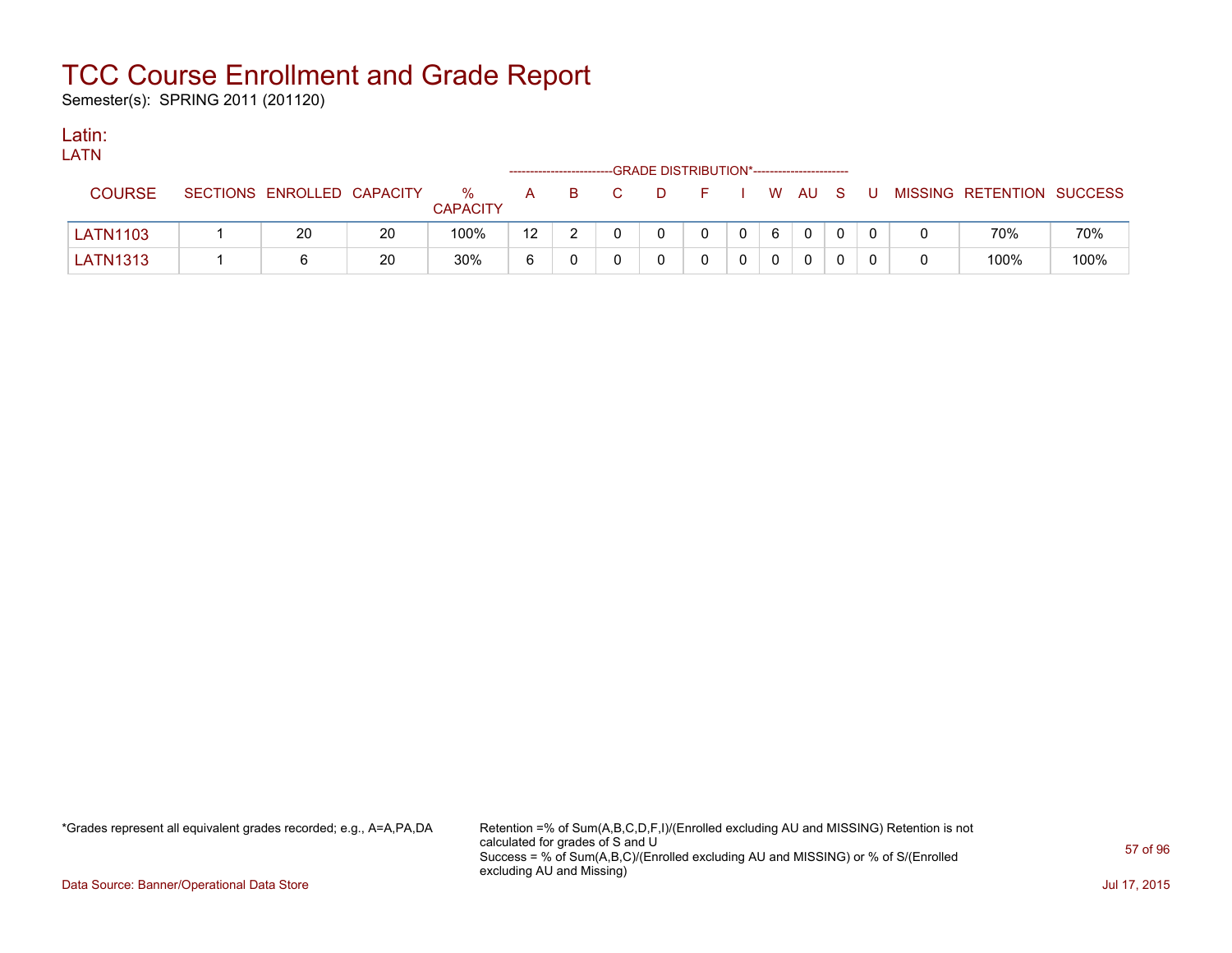Semester(s): SPRING 2011 (201120)

### Latin:

| LATN            |                            |    |                      |                  |              |                | -GRADE DISTRIBUTION*---------------------- |                |              |   |  |  |                           |      |
|-----------------|----------------------------|----|----------------------|------------------|--------------|----------------|--------------------------------------------|----------------|--------------|---|--|--|---------------------------|------|
| <b>COURSE</b>   | SECTIONS ENROLLED CAPACITY |    | %<br><b>CAPACITY</b> | A –              | B.           | $\overline{C}$ | D.                                         | FIWAUSU        |              |   |  |  | MISSING RETENTION SUCCESS |      |
| <b>LATN1103</b> | 20                         | 20 | 100%                 | 12 <sup>12</sup> | $\mathbf{2}$ |                | $\mathbf{0}$                               | $\overline{0}$ | $\mathbf{0}$ | 6 |  |  | 70%                       | 70%  |
| <b>LATN1313</b> |                            | 20 | 30%                  |                  |              |                |                                            | 0              |              | 0 |  |  | 100%                      | 100% |

\*Grades represent all equivalent grades recorded; e.g., A=A,PA,DA Retention =% of Sum(A,B,C,D,F,I)/(Enrolled excluding AU and MISSING) Retention is not calculated for grades of S and U Success = % of Sum(A,B,C)/(Enrolled excluding AU and MISSING) or % of S/(Enrolled excluding AU and Missing)

Data Source: Banner/Operational Data Store Jul 17, 2015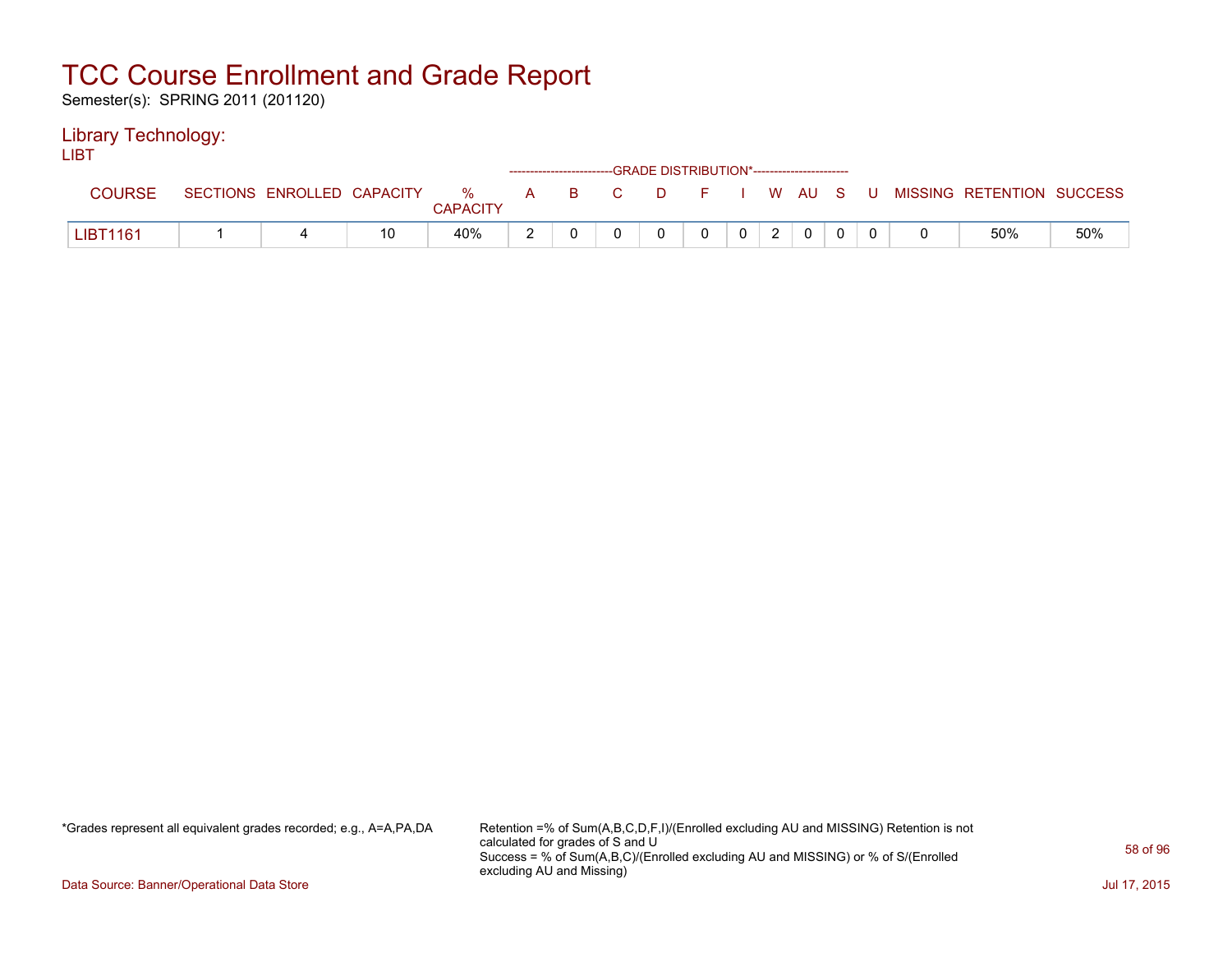Semester(s): SPRING 2011 (201120)

### Library Technology:

LIBT

|                 |                            |    |          |       | ------------------------GRADE DISTRIBUTION*----------------------- |         |         |                |  |                           |     |
|-----------------|----------------------------|----|----------|-------|--------------------------------------------------------------------|---------|---------|----------------|--|---------------------------|-----|
| COURSE          | SECTIONS ENROLLED CAPACITY |    | %        | A B C |                                                                    | $D = F$ | I WAUSU |                |  | MISSING RETENTION SUCCESS |     |
|                 |                            |    | CAPACITY |       |                                                                    |         |         |                |  |                           |     |
| <b>LIBT1161</b> |                            | 10 | 40%      |       |                                                                    |         |         | $\overline{0}$ |  | 50%                       | 50% |

\*Grades represent all equivalent grades recorded; e.g., A=A,PA,DA Retention =% of Sum(A,B,C,D,F,I)/(Enrolled excluding AU and MISSING) Retention is not calculated for grades of S and U Success = % of Sum(A,B,C)/(Enrolled excluding AU and MISSING) or % of S/(Enrolled excluding AU and Missing)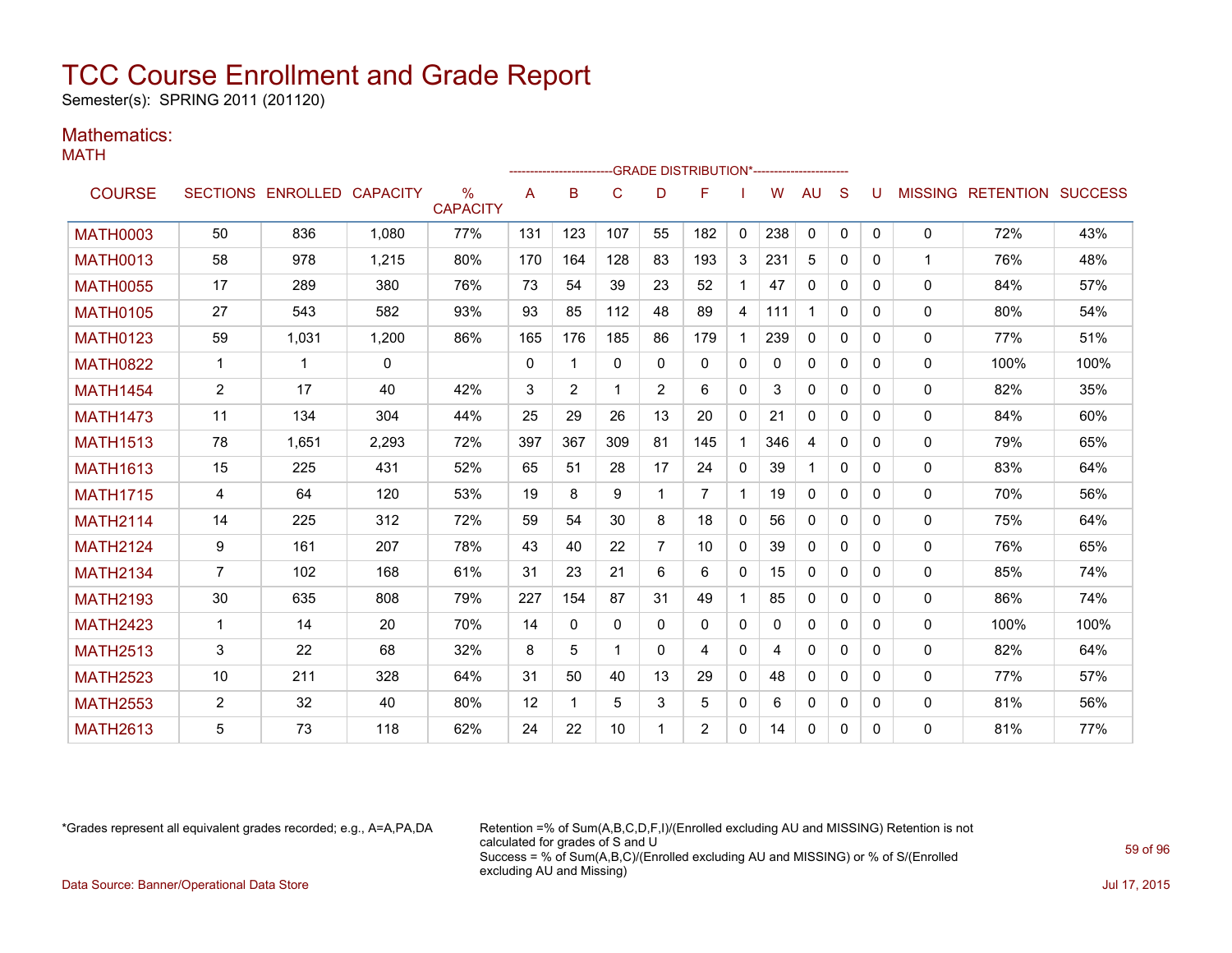Semester(s): SPRING 2011 (201120)

### Mathematics:

|--|--|

|                 |                |                            |       |                      |              | --------------------- |              |                | --GRADE DISTRIBUTION*---------------------- |              |     |              |              |              |              |                                  |      |
|-----------------|----------------|----------------------------|-------|----------------------|--------------|-----------------------|--------------|----------------|---------------------------------------------|--------------|-----|--------------|--------------|--------------|--------------|----------------------------------|------|
| <b>COURSE</b>   |                | SECTIONS ENROLLED CAPACITY |       | ℅<br><b>CAPACITY</b> | A            | B                     | $\mathsf{C}$ | D              | F                                           |              | W   | AU           | S            | U            |              | <b>MISSING RETENTION SUCCESS</b> |      |
| <b>MATH0003</b> | 50             | 836                        | 1.080 | 77%                  | 131          | 123                   | 107          | 55             | 182                                         | $\mathbf{0}$ | 238 | $\mathbf{0}$ | $\mathbf{0}$ | $\mathbf{0}$ | $\mathbf{0}$ | 72%                              | 43%  |
| <b>MATH0013</b> | 58             | 978                        | 1,215 | 80%                  | 170          | 164                   | 128          | 83             | 193                                         | 3            | 231 | 5            | 0            | 0            | 1            | 76%                              | 48%  |
| <b>MATH0055</b> | 17             | 289                        | 380   | 76%                  | 73           | 54                    | 39           | 23             | 52                                          | $\mathbf{1}$ | 47  | $\mathbf{0}$ | 0            | 0            | $\mathbf{0}$ | 84%                              | 57%  |
| <b>MATH0105</b> | 27             | 543                        | 582   | 93%                  | 93           | 85                    | 112          | 48             | 89                                          | 4            | 111 |              | $\mathbf{0}$ | 0            | $\mathbf{0}$ | 80%                              | 54%  |
| <b>MATH0123</b> | 59             | 1,031                      | 1,200 | 86%                  | 165          | 176                   | 185          | 86             | 179                                         | 1            | 239 | $\mathbf{0}$ | $\mathbf{0}$ | 0            | 0            | 77%                              | 51%  |
| <b>MATH0822</b> | 1              | -1                         | 0     |                      | $\mathbf{0}$ | 1                     | 0            | 0              | 0                                           | 0            | 0   | $\mathbf{0}$ | $\Omega$     | 0            | 0            | 100%                             | 100% |
| <b>MATH1454</b> | $\overline{2}$ | 17                         | 40    | 42%                  | 3            | 2                     | 1            | 2              | 6                                           | 0            | 3   | $\mathbf{0}$ | $\mathbf{0}$ | 0            | $\mathbf{0}$ | 82%                              | 35%  |
| <b>MATH1473</b> | 11             | 134                        | 304   | 44%                  | 25           | 29                    | 26           | 13             | 20                                          | $\Omega$     | 21  | $\mathbf{0}$ | $\Omega$     | 0            | 0            | 84%                              | 60%  |
| <b>MATH1513</b> | 78             | 1,651                      | 2,293 | 72%                  | 397          | 367                   | 309          | 81             | 145                                         |              | 346 | 4            | 0            | 0            | 0            | 79%                              | 65%  |
| <b>MATH1613</b> | 15             | 225                        | 431   | 52%                  | 65           | 51                    | 28           | 17             | 24                                          | 0            | 39  | -1           | $\mathbf{0}$ | 0            | $\mathbf{0}$ | 83%                              | 64%  |
| <b>MATH1715</b> | 4              | 64                         | 120   | 53%                  | 19           | 8                     | 9            | 1              | $\overline{7}$                              | $\mathbf{1}$ | 19  | $\mathbf{0}$ | $\Omega$     | 0            | 0            | 70%                              | 56%  |
| <b>MATH2114</b> | 14             | 225                        | 312   | 72%                  | 59           | 54                    | 30           | 8              | 18                                          | $\Omega$     | 56  | $\mathbf{0}$ | $\Omega$     | 0            | 0            | 75%                              | 64%  |
| <b>MATH2124</b> | 9              | 161                        | 207   | 78%                  | 43           | 40                    | 22           | $\overline{7}$ | 10                                          | 0            | 39  | $\mathbf{0}$ | $\mathbf{0}$ | 0            | $\mathbf{0}$ | 76%                              | 65%  |
| <b>MATH2134</b> | $\overline{7}$ | 102                        | 168   | 61%                  | 31           | 23                    | 21           | 6              | 6                                           | $\Omega$     | 15  | $\mathbf{0}$ | 0            | 0            | 0            | 85%                              | 74%  |
| <b>MATH2193</b> | 30             | 635                        | 808   | 79%                  | 227          | 154                   | 87           | 31             | 49                                          | $\mathbf 1$  | 85  | $\mathbf{0}$ | $\Omega$     | 0            | 0            | 86%                              | 74%  |
| <b>MATH2423</b> | 1              | 14                         | 20    | 70%                  | 14           | $\Omega$              | $\mathbf{0}$ | $\Omega$       | $\mathbf{0}$                                | 0            | 0   | $\mathbf{0}$ | 0            | 0            | 0            | 100%                             | 100% |
| <b>MATH2513</b> | 3              | 22                         | 68    | 32%                  | 8            | 5                     | 1            | $\Omega$       | 4                                           | 0            | 4   | $\mathbf{0}$ | 0            | 0            | $\mathbf{0}$ | 82%                              | 64%  |
| <b>MATH2523</b> | 10             | 211                        | 328   | 64%                  | 31           | 50                    | 40           | 13             | 29                                          | 0            | 48  | $\mathbf{0}$ | $\Omega$     | 0            | 0            | 77%                              | 57%  |
| <b>MATH2553</b> | $\overline{2}$ | 32                         | 40    | 80%                  | 12           | 1                     | 5            | 3              | 5                                           | 0            | 6   | $\mathbf{0}$ | 0            | 0            | 0            | 81%                              | 56%  |
| <b>MATH2613</b> | 5              | 73                         | 118   | 62%                  | 24           | 22                    | 10           |                | 2                                           | $\Omega$     | 14  | $\mathbf{0}$ | $\mathbf{0}$ | 0            | 0            | 81%                              | 77%  |

\*Grades represent all equivalent grades recorded; e.g., A=A,PA,DA Retention =% of Sum(A,B,C,D,F,I)/(Enrolled excluding AU and MISSING) Retention is not calculated for grades of S and U Success = % of Sum(A,B,C)/(Enrolled excluding AU and MISSING) or % of S/(Enrolled excluding AU and Missing) Data Source: Banner/Operational Data Store Jul 17, 2015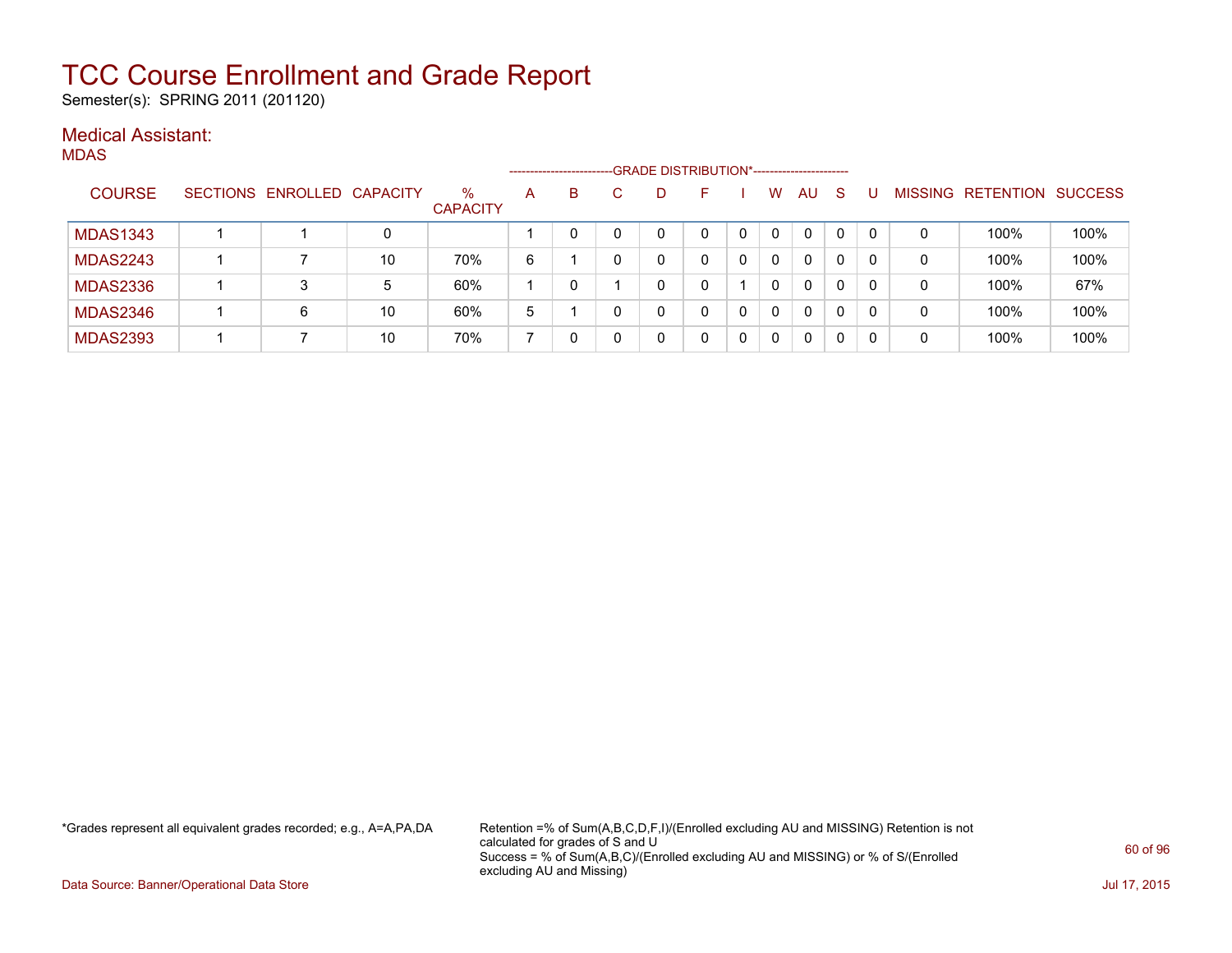Semester(s): SPRING 2011 (201120)

### Medical Assistant:

MDAS

|                 |                            |    |                         |   | ---------------------- |    | -GRADE DISTRIBUTION*---------------------- |              |          |   |          |                |                  |                |
|-----------------|----------------------------|----|-------------------------|---|------------------------|----|--------------------------------------------|--------------|----------|---|----------|----------------|------------------|----------------|
| <b>COURSE</b>   | SECTIONS ENROLLED CAPACITY |    | $\%$<br><b>CAPACITY</b> | A | B                      | D. | н.                                         | w            | AU.      | S |          | <b>MISSING</b> | <b>RETENTION</b> | <b>SUCCESS</b> |
| <b>MDAS1343</b> |                            | 0  |                         |   |                        |    |                                            | $\mathbf{0}$ | 0        | 0 |          |                | 100%             | 100%           |
| <b>MDAS2243</b> |                            | 10 | 70%                     | 6 |                        |    |                                            | 0            | $\Omega$ | 0 | 0        | 0              | 100%             | 100%           |
| <b>MDAS2336</b> | 3                          | 5  | 60%                     |   |                        |    |                                            | 0            | 0        | 0 | $\Omega$ | 0              | 100%             | 67%            |
| <b>MDAS2346</b> | 6                          | 10 | 60%                     | 5 |                        |    | 0                                          | $\mathbf{0}$ | 0        | 0 |          | 0              | 100%             | 100%           |
| <b>MDAS2393</b> |                            | 10 | 70%                     |   |                        |    |                                            | 0            | 0        |   |          | 0              | 100%             | 100%           |

\*Grades represent all equivalent grades recorded; e.g., A=A,PA,DA Retention =% of Sum(A,B,C,D,F,I)/(Enrolled excluding AU and MISSING) Retention is not calculated for grades of S and U Success = % of Sum(A,B,C)/(Enrolled excluding AU and MISSING) or % of S/(Enrolled excluding AU and Missing)

Data Source: Banner/Operational Data Store Jul 17, 2015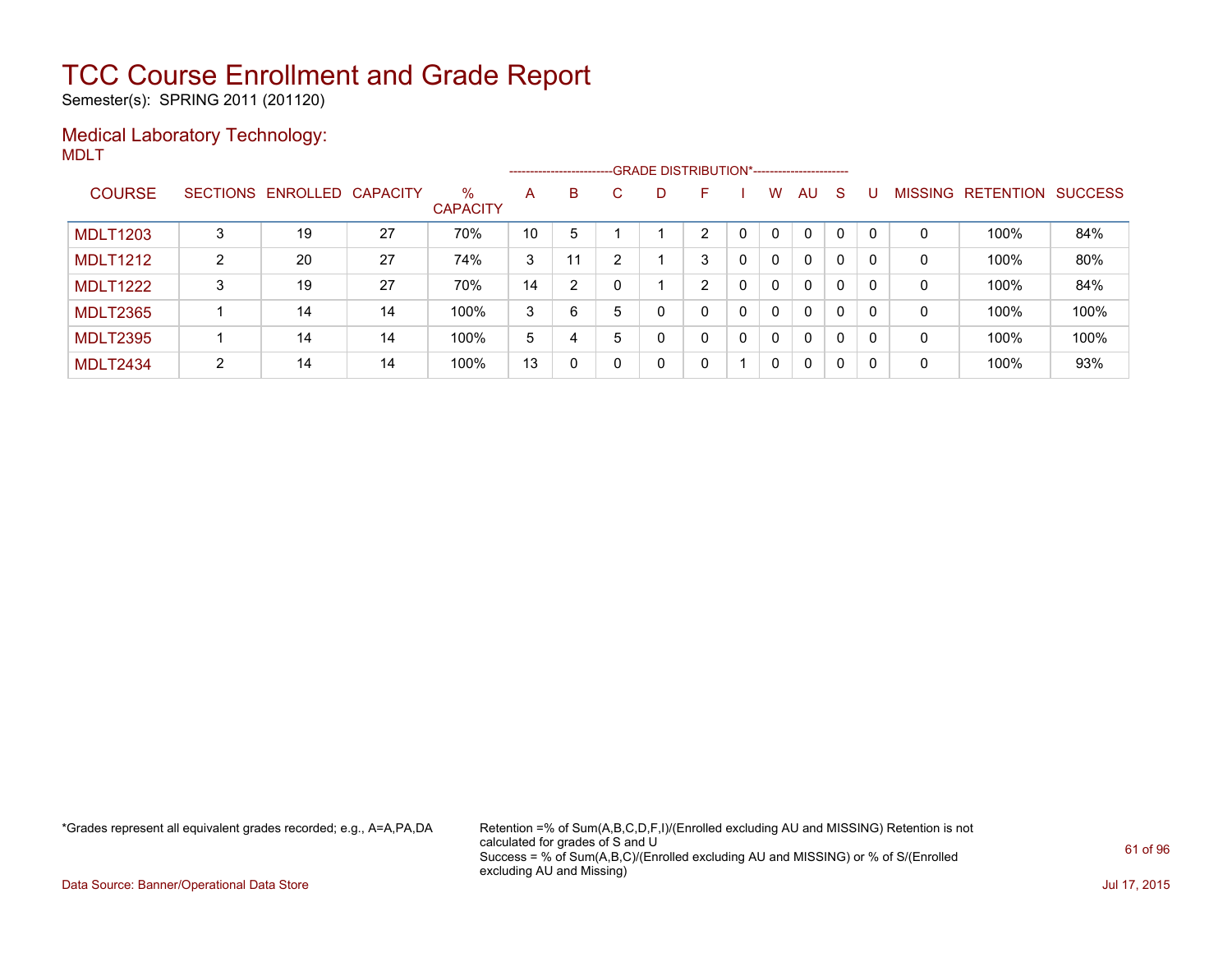Semester(s): SPRING 2011 (201120)

### Medical Laboratory Technology: MDLT

|                 |   |                            |    |                         |    |    |    | ------------------------GRADE DISTRIBUTION*----------------------- |   |   |              |              |              |          |              |                   |                |
|-----------------|---|----------------------------|----|-------------------------|----|----|----|--------------------------------------------------------------------|---|---|--------------|--------------|--------------|----------|--------------|-------------------|----------------|
| <b>COURSE</b>   |   | SECTIONS ENROLLED CAPACITY |    | $\%$<br><b>CAPACITY</b> | A  | B. | C. | D                                                                  | F |   | w            | AU           | <sub>S</sub> |          |              | MISSING RETENTION | <b>SUCCESS</b> |
| <b>MDLT1203</b> | 3 | 19                         | 27 | 70%                     | 10 | 5  |    |                                                                    | າ |   | $\mathbf{0}$ | $\mathbf{0}$ | $\Omega$     | $\Omega$ | 0            | 100%              | 84%            |
| <b>MDLT1212</b> | 2 | 20                         | 27 | 74%                     | 3  | 11 | ົ  |                                                                    | 3 | 0 | $\mathbf{0}$ | $\mathbf{0}$ | $\mathbf{0}$ | $\Omega$ | 0            | 100%              | 80%            |
| <b>MDLT1222</b> | 3 | 19                         | 27 | 70%                     | 14 | 2  |    |                                                                    | 2 | 0 | $\Omega$     | $\mathbf{0}$ | 0            | $\Omega$ | $\mathbf{0}$ | 100%              | 84%            |
| <b>MDLT2365</b> |   | 14                         | 14 | 100%                    | 3  | 6  | 5  | 0                                                                  | 0 | 0 | $\mathbf{0}$ | $\mathbf{0}$ | $\mathbf{0}$ | $\Omega$ | 0            | 100%              | 100%           |
| <b>MDLT2395</b> |   | 14                         | 14 | 100%                    | 5  | 4  | 5  | 0                                                                  | 0 | 0 | $\Omega$     | $\mathbf{0}$ | 0            | $\Omega$ | 0            | 100%              | 100%           |
| <b>MDLT2434</b> | 2 | 14                         | 14 | 100%                    | 13 | 0  |    | 0                                                                  | 0 |   | $\Omega$     | 0            | $\mathbf 0$  | 0        | 0            | 100%              | 93%            |

\*Grades represent all equivalent grades recorded; e.g., A=A,PA,DA Retention =% of Sum(A,B,C,D,F,I)/(Enrolled excluding AU and MISSING) Retention is not calculated for grades of S and U Success = % of Sum(A,B,C)/(Enrolled excluding AU and MISSING) or % of S/(Enrolled excluding AU and Missing)

Data Source: Banner/Operational Data Store Jul 17, 2015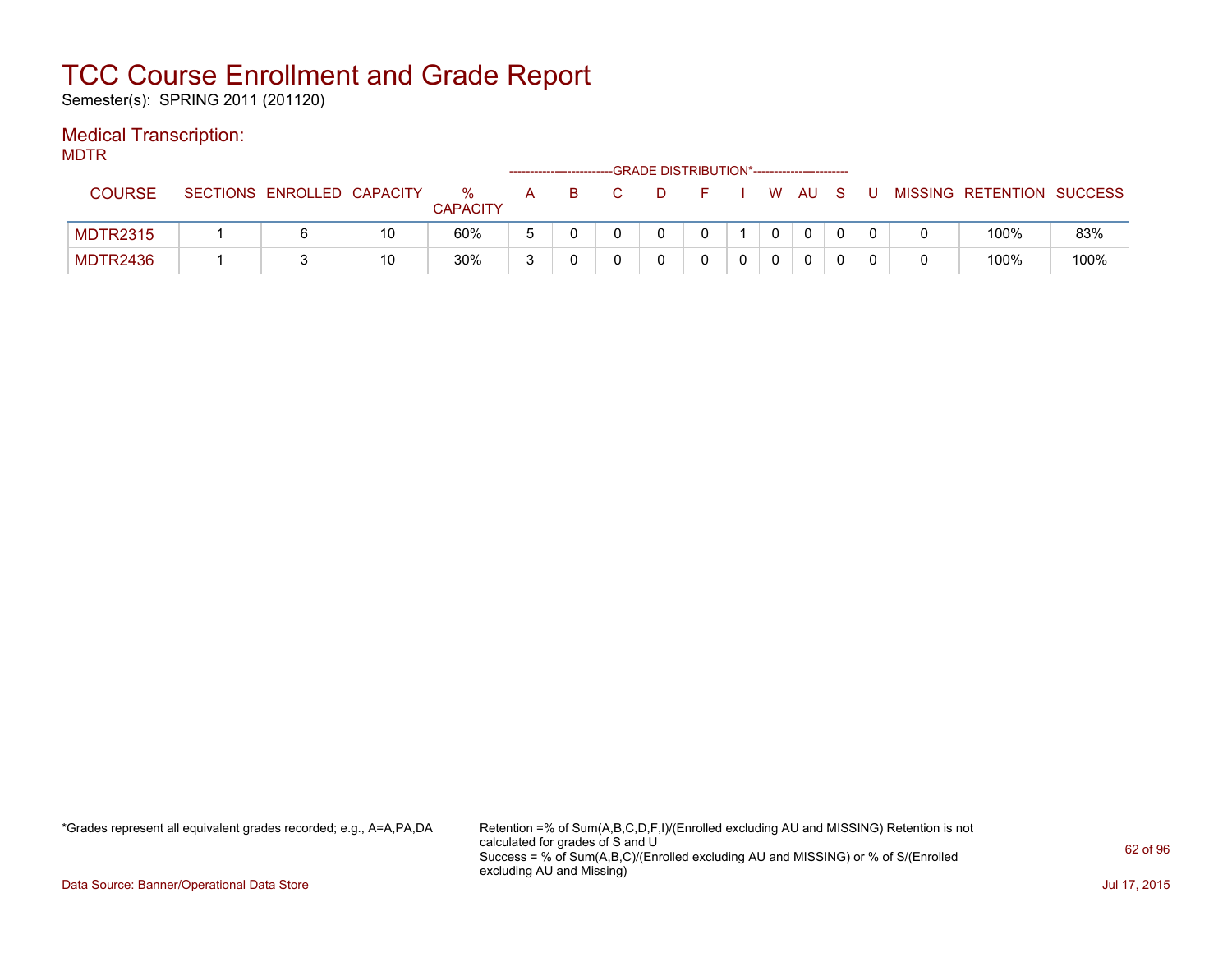Semester(s): SPRING 2011 (201120)

### Medical Transcription:

MDTR

|                 |                            |    |                      |   |   |  | -GRADE DISTRIBUTION*---------------------- |  |        |  |                           |      |
|-----------------|----------------------------|----|----------------------|---|---|--|--------------------------------------------|--|--------|--|---------------------------|------|
| <b>COURSE</b>   | SECTIONS ENROLLED CAPACITY |    | %<br><b>CAPACITY</b> | A | B |  |                                            |  | . WAUS |  | MISSING RETENTION SUCCESS |      |
| <b>MDTR2315</b> |                            | 10 | 60%                  | - |   |  |                                            |  |        |  | 100%                      | 83%  |
| <b>MDTR2436</b> |                            | 10 | 30%                  | 2 |   |  |                                            |  |        |  | 100%                      | 100% |

\*Grades represent all equivalent grades recorded; e.g., A=A,PA,DA Retention =% of Sum(A,B,C,D,F,I)/(Enrolled excluding AU and MISSING) Retention is not calculated for grades of S and U Success = % of Sum(A,B,C)/(Enrolled excluding AU and MISSING) or % of S/(Enrolled excluding AU and Missing)

Data Source: Banner/Operational Data Store Jul 17, 2015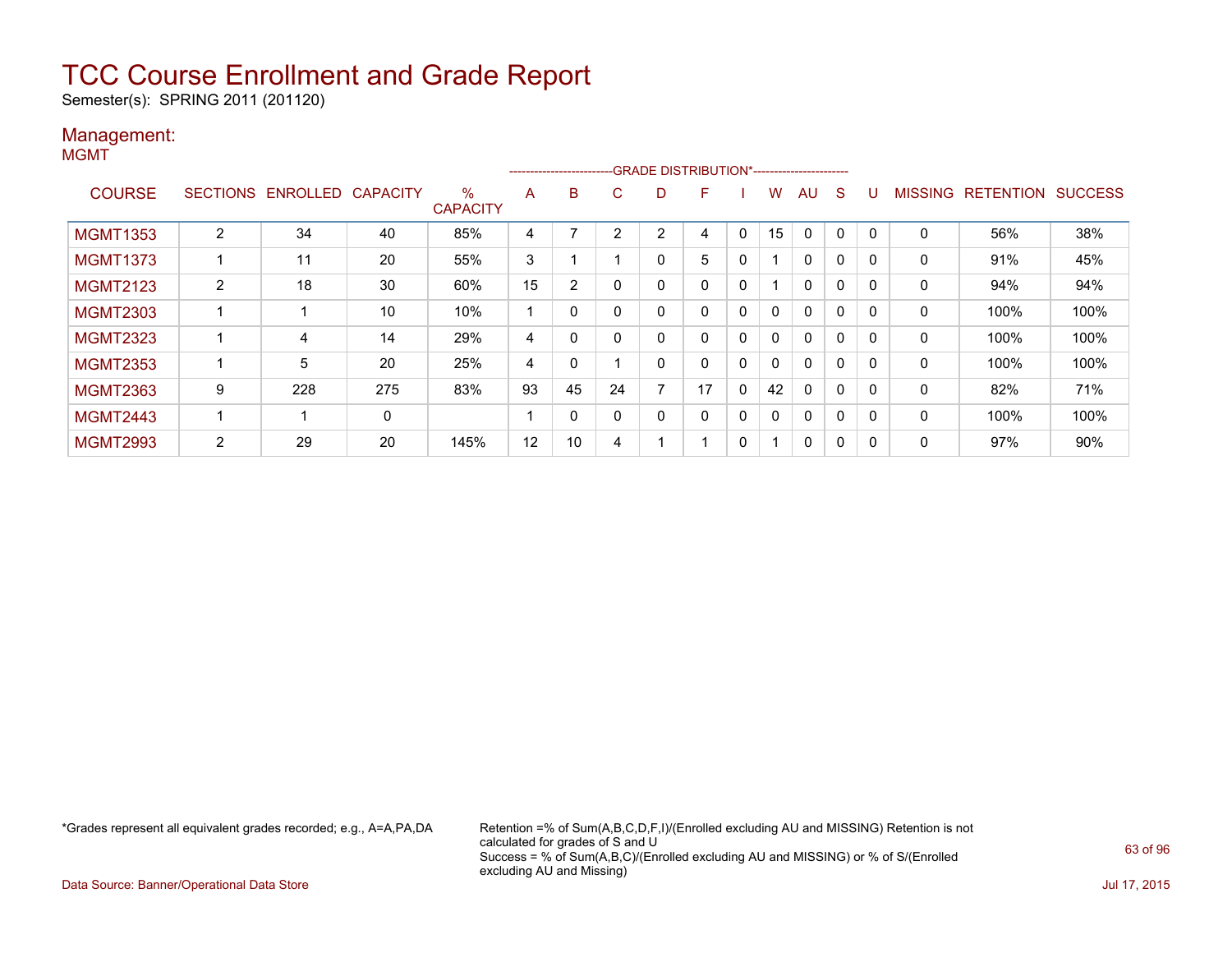Semester(s): SPRING 2011 (201120)

#### Management: MGMT

|                 |                 |          |                 |                         |    | ------------------------- |    |   | -GRADE DISTRIBUTION*----------------------- |             |              |              |              |              |                |                  |                |
|-----------------|-----------------|----------|-----------------|-------------------------|----|---------------------------|----|---|---------------------------------------------|-------------|--------------|--------------|--------------|--------------|----------------|------------------|----------------|
| <b>COURSE</b>   | <b>SECTIONS</b> | ENROLLED | <b>CAPACITY</b> | $\%$<br><b>CAPACITY</b> | A  | B                         | C. | D | F                                           |             | w            | AU           | S            |              | <b>MISSING</b> | <b>RETENTION</b> | <b>SUCCESS</b> |
| <b>MGMT1353</b> | $\overline{2}$  | 34       | 40              | 85%                     | 4  |                           | ົ  | 2 | 4                                           | 0           | 15           | $\Omega$     | 0            |              | $\mathbf 0$    | 56%              | 38%            |
| <b>MGMT1373</b> |                 | 11       | 20              | 55%                     | 3  |                           |    |   | 5                                           | 0           |              | $\mathbf{0}$ | $\mathbf{0}$ | $\Omega$     | 0              | 91%              | 45%            |
| <b>MGMT2123</b> | $\overline{2}$  | 18       | 30              | 60%                     | 15 | 2                         |    |   | 0                                           | 0           |              | $\mathbf{0}$ | 0            |              | 0              | 94%              | 94%            |
| <b>MGMT2303</b> |                 |          | 10              | 10%                     |    | 0                         |    |   | 0                                           | 0           | $\mathbf{0}$ | $\mathbf{0}$ | 0            | $\Omega$     | 0              | 100%             | 100%           |
| <b>MGMT2323</b> |                 | 4        | 14              | 29%                     | 4  | 0                         |    |   | 0                                           | 0           | 0            | $\mathbf{0}$ | 0            | $\Omega$     | $\mathbf 0$    | 100%             | 100%           |
| <b>MGMT2353</b> |                 | 5        | 20              | 25%                     | 4  | 0                         |    |   | 0                                           | 0           | $\mathbf{0}$ | $\mathbf{0}$ | 0            |              | 0              | 100%             | 100%           |
| <b>MGMT2363</b> | 9               | 228      | 275             | 83%                     | 93 | 45                        | 24 | - | 17                                          | $\mathbf 0$ | 42           | $\mathbf{0}$ | 0            | $\Omega$     | 0              | 82%              | 71%            |
| <b>MGMT2443</b> |                 |          | 0               |                         |    | $\Omega$                  |    |   | 0                                           | 0           | 0            | 0            | 0            | $\Omega$     | 0              | 100%             | 100%           |
| <b>MGMT2993</b> | 2               | 29       | 20              | 145%                    | 12 | 10                        | 4  |   |                                             | 0           |              | 0            | 0            | $\mathbf{C}$ | 0              | 97%              | 90%            |

\*Grades represent all equivalent grades recorded; e.g., A=A,PA,DA Retention =% of Sum(A,B,C,D,F,I)/(Enrolled excluding AU and MISSING) Retention is not calculated for grades of S and U Success = % of Sum(A,B,C)/(Enrolled excluding AU and MISSING) or % of S/(Enrolled excluding AU and Missing)

Data Source: Banner/Operational Data Store Jul 17, 2015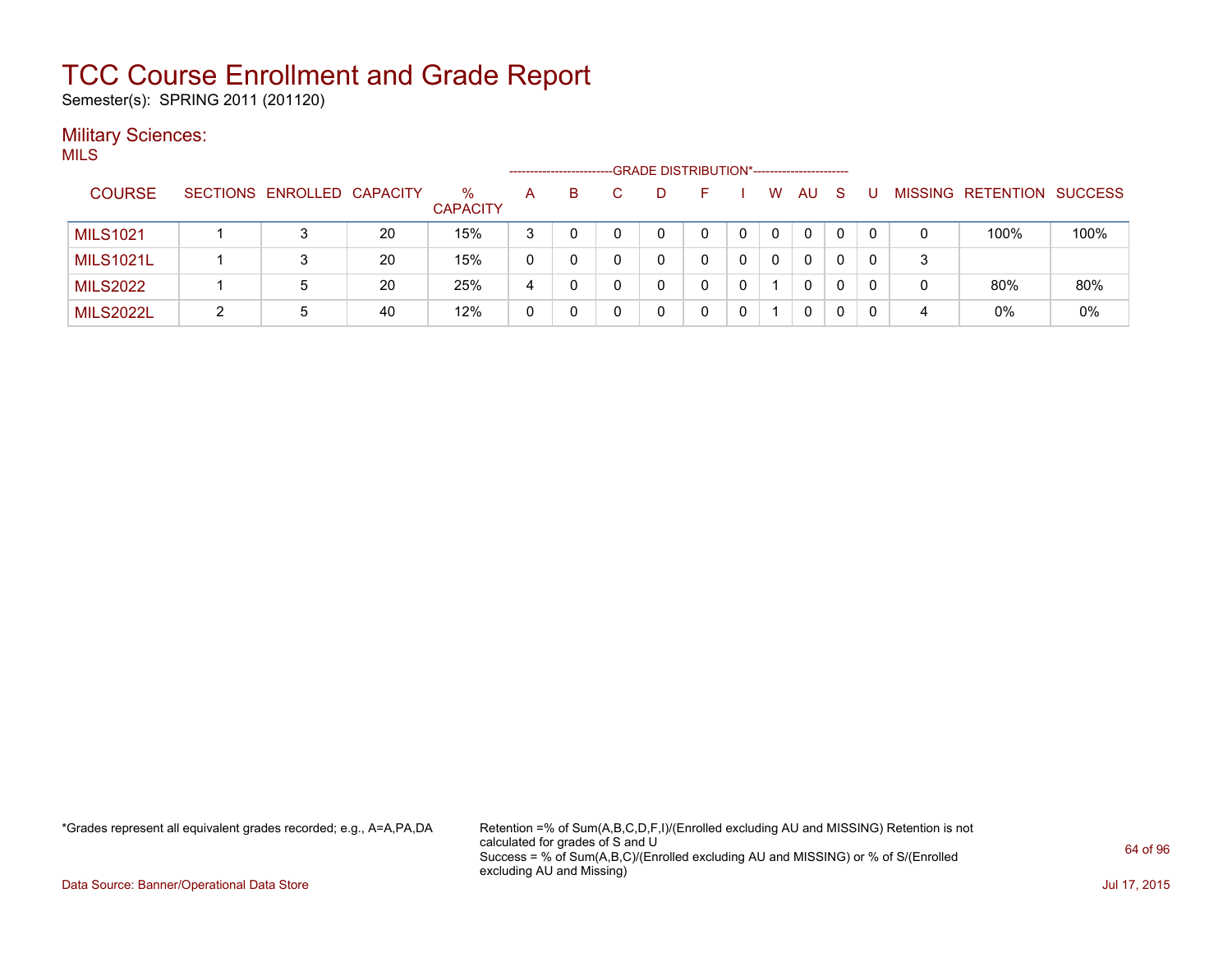Semester(s): SPRING 2011 (201120)

#### **Military Sciences:** MILS

|                  |                            |    |                         |   | ----------------------- |   | -GRADE DISTRIBUTION*----------------------- |   |              |              |    |   |                           |      |
|------------------|----------------------------|----|-------------------------|---|-------------------------|---|---------------------------------------------|---|--------------|--------------|----|---|---------------------------|------|
| <b>COURSE</b>    | SECTIONS ENROLLED CAPACITY |    | $\%$<br><b>CAPACITY</b> | A | B.                      | D | н.                                          |   | W            | AU           | -S |   | MISSING RETENTION SUCCESS |      |
| <b>MILS1021</b>  | 3                          | 20 | 15%                     | 3 |                         |   | 0                                           | 0 | $\mathbf{0}$ | $\mathbf{0}$ | 0  |   | 100%                      | 100% |
| <b>MILS1021L</b> | 3                          | 20 | 15%                     | 0 | 0                       |   | 0                                           | 0 | $\mathbf{0}$ | $\mathbf{0}$ | 0  | 3 |                           |      |
| <b>MILS2022</b>  | 5                          | 20 | 25%                     | 4 | 0                       |   | 0                                           | 0 |              | $\mathbf{0}$ | 0  |   | 80%                       | 80%  |
| <b>MILS2022L</b> | 5                          | 40 | 12%                     | 0 | 0                       |   |                                             |   |              | 0            | 0  | 4 | $0\%$                     | 0%   |

\*Grades represent all equivalent grades recorded; e.g., A=A,PA,DA Retention =% of Sum(A,B,C,D,F,I)/(Enrolled excluding AU and MISSING) Retention is not calculated for grades of S and U Success = % of Sum(A,B,C)/(Enrolled excluding AU and MISSING) or % of S/(Enrolled excluding AU and Missing)

Data Source: Banner/Operational Data Store Jul 17, 2015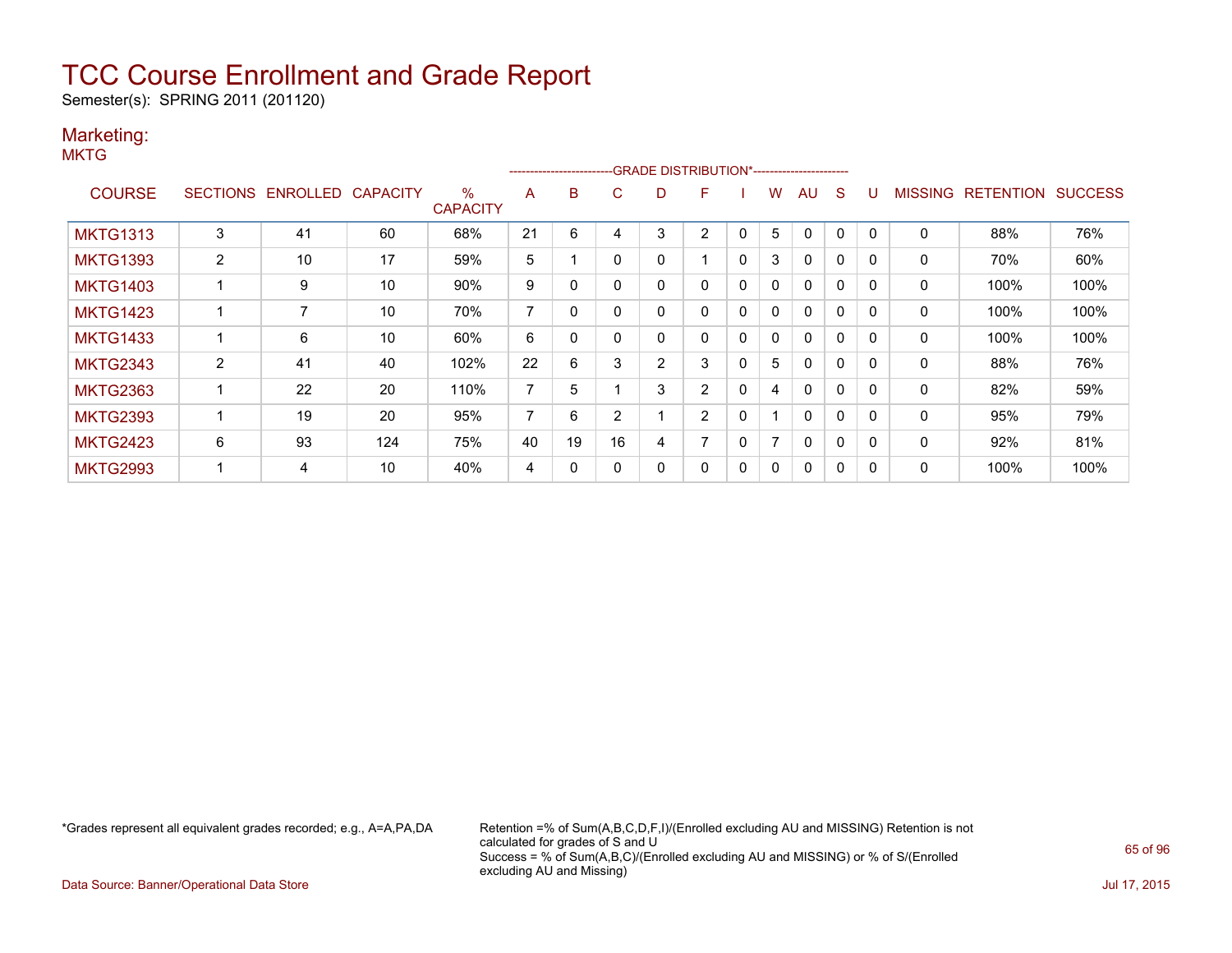Semester(s): SPRING 2011 (201120)

### Marketing:

**MKTG** 

|                 |                |                   |                 |                         |                |          |          |                | ------------------------GRADE                DISTRIBUTION*---------------------- |             |   |              |              |          |                |                  |                |
|-----------------|----------------|-------------------|-----------------|-------------------------|----------------|----------|----------|----------------|----------------------------------------------------------------------------------|-------------|---|--------------|--------------|----------|----------------|------------------|----------------|
| <b>COURSE</b>   |                | SECTIONS ENROLLED | <b>CAPACITY</b> | $\%$<br><b>CAPACITY</b> | A              | B        | C        | D              | F                                                                                |             | w | AU           | S            | IJ       | <b>MISSING</b> | <b>RETENTION</b> | <b>SUCCESS</b> |
| <b>MKTG1313</b> | 3              | 41                | 60              | 68%                     | 21             | 6        | 4        | 3              | 2                                                                                | 0           | 5 | $\Omega$     | 0            |          | 0              | 88%              | 76%            |
| <b>MKTG1393</b> | $\overline{2}$ | 10                | 17              | 59%                     | 5              |          | $\Omega$ |                |                                                                                  | $\mathbf 0$ | 3 | $\Omega$     | 0            | 0        | 0              | 70%              | 60%            |
| <b>MKTG1403</b> |                | 9                 | 10              | 90%                     | 9              | 0        |          |                | 0                                                                                | 0           | 0 | $\Omega$     | $\mathbf{0}$ |          | 0              | 100%             | 100%           |
| <b>MKTG1423</b> |                | 7                 | 10              | 70%                     | $\overline{ }$ | $\Omega$ |          |                | 0                                                                                | $\Omega$    | 0 | $\Omega$     | 0            | $\Omega$ | 0              | 100%             | 100%           |
| <b>MKTG1433</b> |                | 6                 | 10              | 60%                     | 6              | 0        | $\Omega$ | 0              | 0                                                                                | $\Omega$    | 0 | $\Omega$     | 0            | $\Omega$ | 0              | 100%             | 100%           |
| <b>MKTG2343</b> | 2              | 41                | 40              | 102%                    | 22             | 6        | 3        | $\overline{2}$ | 3                                                                                | $\Omega$    | 5 | $\Omega$     | $\Omega$     |          | 0              | 88%              | 76%            |
| <b>MKTG2363</b> |                | 22                | 20              | 110%                    | 7              | 5        |          | 3              | $\overline{2}$                                                                   | $\Omega$    | 4 | $\mathbf{0}$ | 0            | 0        | $\mathbf{0}$   | 82%              | 59%            |
| <b>MKTG2393</b> |                | 19                | 20              | 95%                     | 7              | 6        | 2        |                | $\overline{2}$                                                                   | $\mathbf 0$ |   | $\mathbf{0}$ | 0            | 0        | 0              | 95%              | 79%            |
| <b>MKTG2423</b> | 6              | 93                | 124             | 75%                     | 40             | 19       | 16       | 4              | ⇁                                                                                | 0           | 7 | $\Omega$     | 0            |          | 0              | 92%              | 81%            |
| <b>MKTG2993</b> |                | 4                 | 10              | 40%                     | 4              | 0        |          |                | 0                                                                                | 0           | 0 | 0            | 0            |          | 0              | 100%             | 100%           |

\*Grades represent all equivalent grades recorded; e.g., A=A,PA,DA Retention =% of Sum(A,B,C,D,F,I)/(Enrolled excluding AU and MISSING) Retention is not calculated for grades of S and U Success = % of Sum(A,B,C)/(Enrolled excluding AU and MISSING) or % of S/(Enrolled excluding AU and Missing)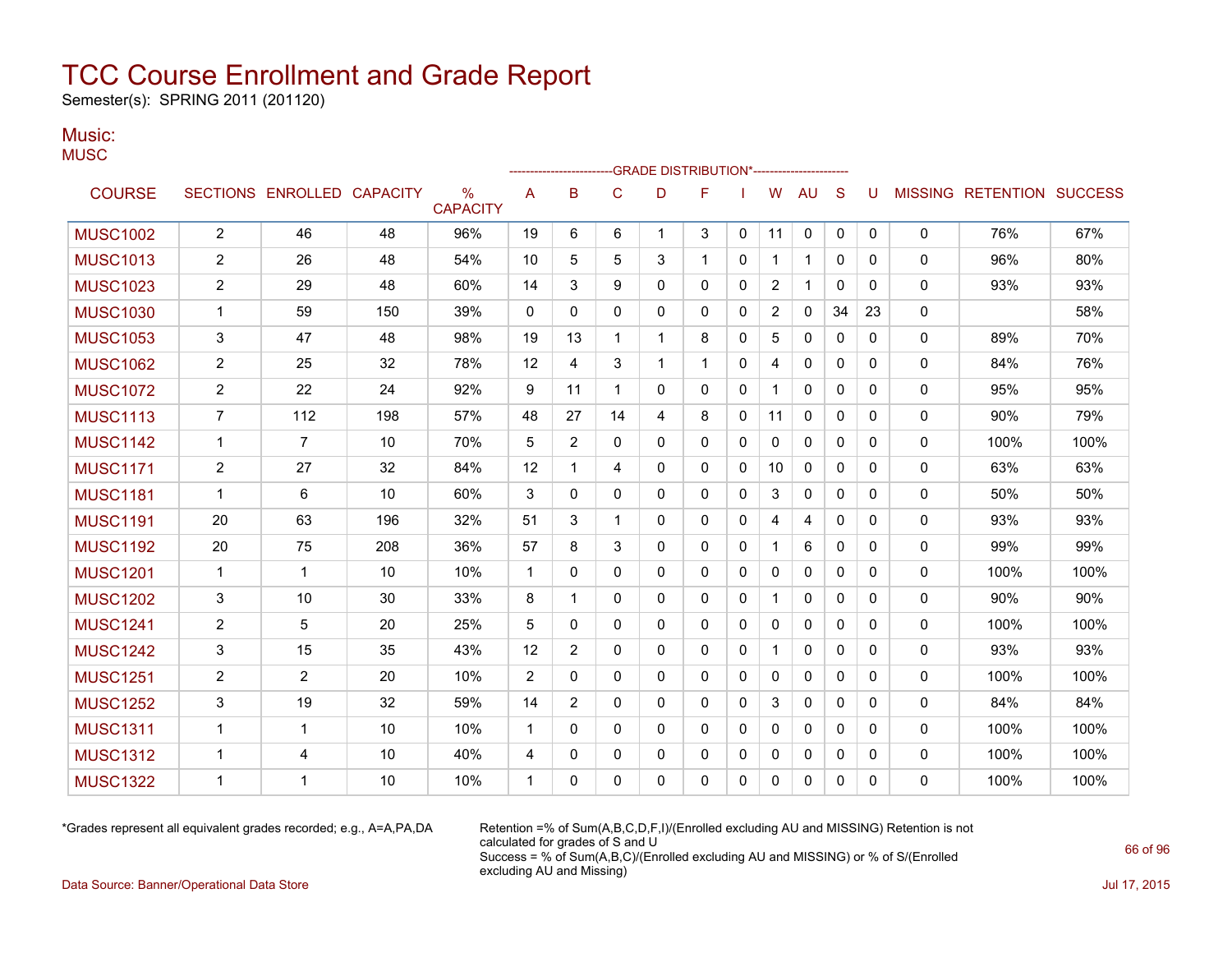Semester(s): SPRING 2011 (201120)

#### Music: **MUSC**

|                 |                         |                            |     |                      |             | ----------------- |              |             | -- GRADE DISTRIBUTION*----------------------- |              |              |              |              |              |              |                                  |      |
|-----------------|-------------------------|----------------------------|-----|----------------------|-------------|-------------------|--------------|-------------|-----------------------------------------------|--------------|--------------|--------------|--------------|--------------|--------------|----------------------------------|------|
| <b>COURSE</b>   |                         | SECTIONS ENROLLED CAPACITY |     | ℅<br><b>CAPACITY</b> | Α           | B                 | $\mathsf C$  | D           | F                                             |              | W            | <b>AU</b>    | S            | U            |              | <b>MISSING RETENTION SUCCESS</b> |      |
| <b>MUSC1002</b> | $\overline{\mathbf{c}}$ | 46                         | 48  | 96%                  | 19          | 6                 | 6            | $\mathbf 1$ | 3                                             | $\mathbf 0$  | 11           | 0            | 0            | $\mathbf{0}$ | 0            | 76%                              | 67%  |
| <b>MUSC1013</b> | $\overline{c}$          | 26                         | 48  | 54%                  | 10          | 5                 | 5            | 3           | 1                                             | 0            | 1            | 1            | 0            | 0            | 0            | 96%                              | 80%  |
| <b>MUSC1023</b> | 2                       | 29                         | 48  | 60%                  | 14          | 3                 | 9            | $\Omega$    | 0                                             | 0            | 2            | $\mathbf 1$  | $\mathbf{0}$ | $\Omega$     | 0            | 93%                              | 93%  |
| <b>MUSC1030</b> | 1                       | 59                         | 150 | 39%                  | 0           | $\mathbf{0}$      | $\Omega$     | $\Omega$    | 0                                             | $\mathbf{0}$ | 2            | 0            | 34           | 23           | 0            |                                  | 58%  |
| <b>MUSC1053</b> | 3                       | 47                         | 48  | 98%                  | 19          | 13                | 1            | 1           | 8                                             | $\mathbf{0}$ | 5            | 0            | 0            | 0            | 0            | 89%                              | 70%  |
| <b>MUSC1062</b> | 2                       | 25                         | 32  | 78%                  | 12          | 4                 | 3            | 1           | 1                                             | $\mathbf{0}$ | 4            | 0            | $\mathbf{0}$ | 0            | 0            | 84%                              | 76%  |
| <b>MUSC1072</b> | $\overline{2}$          | 22                         | 24  | 92%                  | 9           | 11                | 1            | 0           | 0                                             | $\mathbf{0}$ | 1            | 0            | 0            | 0            | 0            | 95%                              | 95%  |
| <b>MUSC1113</b> | $\overline{7}$          | 112                        | 198 | 57%                  | 48          | 27                | 14           | 4           | 8                                             | $\mathbf{0}$ | 11           | 0            | $\mathbf{0}$ | 0            | 0            | 90%                              | 79%  |
| <b>MUSC1142</b> | 1                       | $\overline{7}$             | 10  | 70%                  | 5           | $\overline{c}$    | $\mathbf{0}$ | 0           | 0                                             | $\mathbf{0}$ | $\mathbf{0}$ | $\mathbf{0}$ | $\mathbf{0}$ | 0            | 0            | 100%                             | 100% |
| <b>MUSC1171</b> | $\overline{c}$          | 27                         | 32  | 84%                  | 12          | $\mathbf 1$       | 4            | $\Omega$    | 0                                             | $\mathbf{0}$ | 10           | $\mathbf{0}$ | $\mathbf{0}$ | 0            | 0            | 63%                              | 63%  |
| <b>MUSC1181</b> | 1                       | 6                          | 10  | 60%                  | 3           | 0                 | $\mathbf{0}$ | 0           | $\mathbf{0}$                                  | $\mathbf{0}$ | 3            | 0            | $\mathbf{0}$ | 0            | 0            | 50%                              | 50%  |
| <b>MUSC1191</b> | 20                      | 63                         | 196 | 32%                  | 51          | 3                 | 1            | $\Omega$    | 0                                             | 0            | 4            | 4            | 0            | 0            | 0            | 93%                              | 93%  |
| <b>MUSC1192</b> | 20                      | 75                         | 208 | 36%                  | 57          | 8                 | 3            | 0           | 0                                             | 0            | 1            | 6            | 0            | 0            | 0            | 99%                              | 99%  |
| <b>MUSC1201</b> | $\mathbf 1$             | 1                          | 10  | 10%                  | 1           | $\mathbf{0}$      | $\mathbf{0}$ | $\Omega$    | 0                                             | $\mathbf{0}$ | 0            | 0            | $\mathbf{0}$ | 0            | 0            | 100%                             | 100% |
| <b>MUSC1202</b> | 3                       | 10                         | 30  | 33%                  | 8           | $\mathbf 1$       | $\Omega$     | $\Omega$    | $\Omega$                                      | $\mathbf{0}$ | 1            | $\mathbf{0}$ | $\mathbf{0}$ | 0            | 0            | 90%                              | 90%  |
| <b>MUSC1241</b> | $\overline{2}$          | 5                          | 20  | 25%                  | 5           | $\mathbf{0}$      | $\mathbf 0$  | $\Omega$    | 0                                             | 0            | 0            | 0            | $\mathbf{0}$ | 0            | 0            | 100%                             | 100% |
| <b>MUSC1242</b> | 3                       | 15                         | 35  | 43%                  | 12          | 2                 | $\Omega$     | $\Omega$    | 0                                             | $\mathbf{0}$ | 1            | $\mathbf{0}$ | $\mathbf{0}$ | 0            | 0            | 93%                              | 93%  |
| <b>MUSC1251</b> | $\overline{2}$          | $\overline{2}$             | 20  | 10%                  | 2           | 0                 | $\mathbf 0$  | 0           | 0                                             | 0            | 0            | 0            | 0            | 0            | 0            | 100%                             | 100% |
| <b>MUSC1252</b> | 3                       | 19                         | 32  | 59%                  | 14          | $\overline{2}$    | $\Omega$     | $\Omega$    | $\Omega$                                      | $\mathbf{0}$ | 3            | 0            | $\mathbf{0}$ | $\Omega$     | $\mathbf{0}$ | 84%                              | 84%  |
| <b>MUSC1311</b> | 1                       | 1                          | 10  | 10%                  | 1           | $\mathbf{0}$      | $\Omega$     | 0           | $\Omega$                                      | $\mathbf{0}$ | 0            | $\mathbf{0}$ | $\Omega$     | $\Omega$     | 0            | 100%                             | 100% |
| <b>MUSC1312</b> | 1                       | 4                          | 10  | 40%                  | 4           | 0                 | 0            | 0           | 0                                             | 0            | 0            | 0            | 0            | 0            | 0            | 100%                             | 100% |
| <b>MUSC1322</b> | 1                       | 1                          | 10  | 10%                  | $\mathbf 1$ | 0                 | 0            | 0           | $\Omega$                                      | 0            | 0            | 0            | 0            | 0            | $\Omega$     | 100%                             | 100% |

\*Grades represent all equivalent grades recorded; e.g., A=A,PA,DA Retention =% of Sum(A,B,C,D,F,I)/(Enrolled excluding AU and MISSING) Retention is not calculated for grades of S and U Success = % of Sum(A,B,C)/(Enrolled excluding AU and MISSING) or % of S/(Enrolled excluding AU and Missing)

Data Source: Banner/Operational Data Store Jul 17, 2015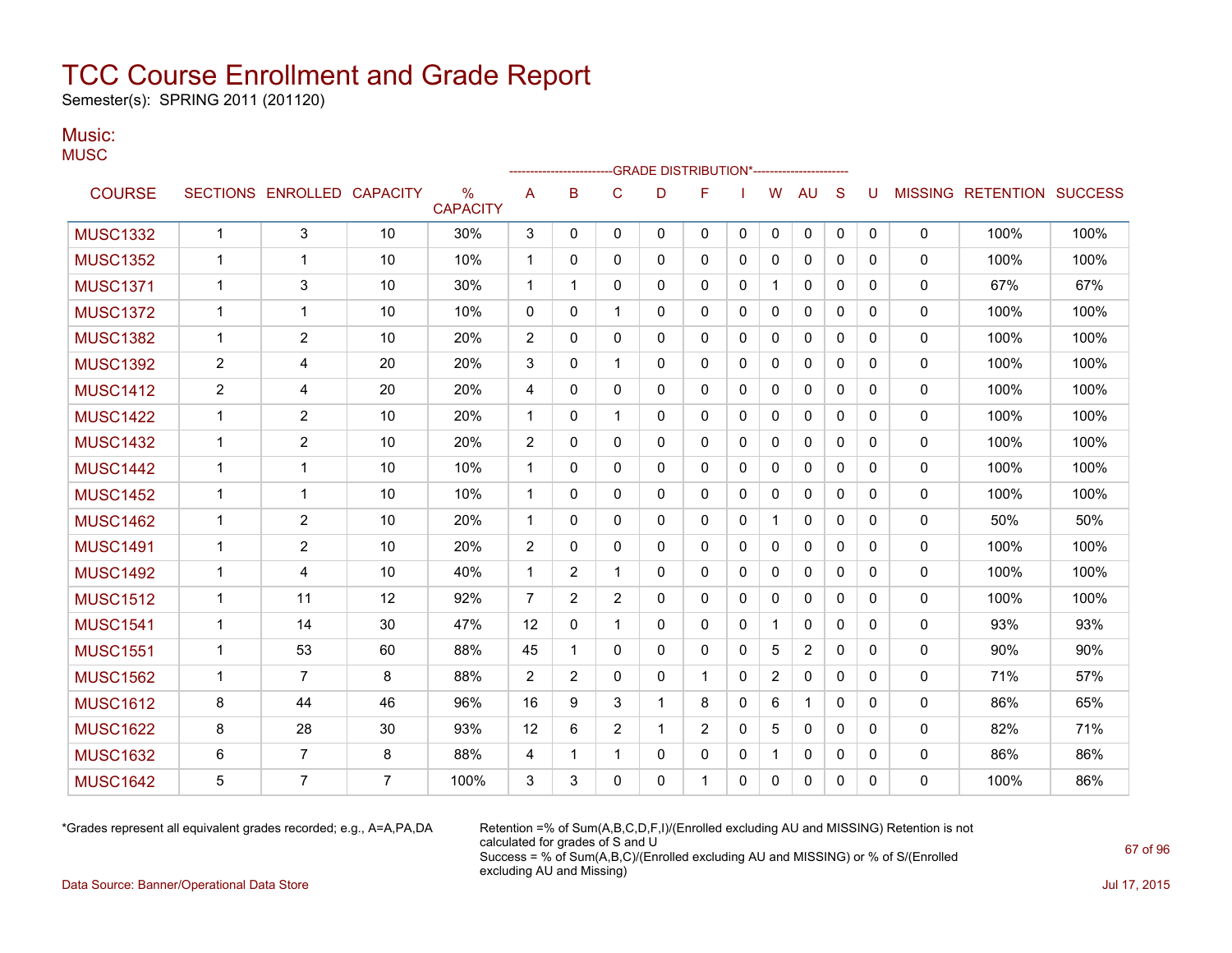Semester(s): SPRING 2011 (201120)

#### Music: **MUSC**

| USC             |                 |                          |    |                         |                |                |              | -GRADE DISTRIBUTION*----------------------- |              |              |   |              |              |              |                |                  |                |
|-----------------|-----------------|--------------------------|----|-------------------------|----------------|----------------|--------------|---------------------------------------------|--------------|--------------|---|--------------|--------------|--------------|----------------|------------------|----------------|
|                 |                 |                          |    |                         |                |                |              |                                             |              |              |   |              |              |              |                |                  |                |
| <b>COURSE</b>   | <b>SECTIONS</b> | <b>ENROLLED CAPACITY</b> |    | $\%$<br><b>CAPACITY</b> | A              | в              | С            | D                                           | F            |              | W | <b>AU</b>    | S            | U            | <b>MISSING</b> | <b>RETENTION</b> | <b>SUCCESS</b> |
| <b>MUSC1332</b> | 1               | 3                        | 10 | 30%                     | 3              | 0              | 0            | $\Omega$                                    | 0            | 0            | 0 | 0            | $\Omega$     | $\mathbf{0}$ | 0              | 100%             | 100%           |
| <b>MUSC1352</b> | 1               |                          | 10 | 10%                     | 1              | 0              | $\mathbf{0}$ | 0                                           | 0            | 0            | 0 | 0            | 0            | 0            | 0              | 100%             | 100%           |
| <b>MUSC1371</b> | 1               | 3                        | 10 | 30%                     | 1              |                | $\Omega$     | $\Omega$                                    | $\mathbf{0}$ | 0            |   | 0            | 0            | 0            | 0              | 67%              | 67%            |
| <b>MUSC1372</b> | 1               | 1                        | 10 | 10%                     | $\mathbf 0$    | $\mathbf{0}$   | 1            | $\Omega$                                    | $\mathbf{0}$ | $\mathbf{0}$ | 0 | $\mathbf{0}$ | $\mathbf{0}$ | 0            | 0              | 100%             | 100%           |
| <b>MUSC1382</b> | 1               | 2                        | 10 | 20%                     | $\overline{2}$ | 0              | 0            | 0                                           | 0            | 0            | 0 | 0            | 0            | 0            | 0              | 100%             | 100%           |
| <b>MUSC1392</b> | $\overline{2}$  | 4                        | 20 | 20%                     | 3              | 0              | 1            | 0                                           | 0            | 0            | 0 | 0            | 0            | 0            | 0              | 100%             | 100%           |
| <b>MUSC1412</b> | $\overline{2}$  | 4                        | 20 | 20%                     | 4              | $\mathbf{0}$   | $\Omega$     | $\Omega$                                    | $\mathbf{0}$ | 0            | 0 | $\mathbf{0}$ | 0            | 0            | $\mathbf{0}$   | 100%             | 100%           |
| <b>MUSC1422</b> | 1               | $\overline{c}$           | 10 | 20%                     | 1              | 0              | 1            | 0                                           | 0            | 0            | 0 | 0            | 0            | $\Omega$     | 0              | 100%             | 100%           |
| <b>MUSC1432</b> | 1               | 2                        | 10 | 20%                     | 2              | 0              | 0            | 0                                           | 0            | 0            | 0 | 0            | 0            | 0            | 0              | 100%             | 100%           |
| <b>MUSC1442</b> | $\mathbf{1}$    |                          | 10 | 10%                     | 1              | 0              | $\mathbf{0}$ | 0                                           | $\mathbf{0}$ | 0            | 0 | 0            | 0            | 0            | 0              | 100%             | 100%           |
| <b>MUSC1452</b> | 1               |                          | 10 | 10%                     | 1              | 0              | 0            | 0                                           | 0            | 0            | 0 | 0            | 0            | 0            | 0              | 100%             | 100%           |
| <b>MUSC1462</b> | 1               | 2                        | 10 | 20%                     | 1              | 0              | 0            | 0                                           | 0            | 0            |   | 0            | 0            | 0            | 0              | 50%              | 50%            |
| <b>MUSC1491</b> | 1               | $\overline{c}$           | 10 | 20%                     | $\overline{c}$ | 0              | 0            | 0                                           | 0            | 0            | 0 | 0            | 0            | $\mathbf{0}$ | 0              | 100%             | 100%           |
| <b>MUSC1492</b> | 1               | 4                        | 10 | 40%                     | 1              | 2              | 1            | $\Omega$                                    | 0            | 0            | 0 | 0            | 0            | $\Omega$     | 0              | 100%             | 100%           |
| <b>MUSC1512</b> | 1               | 11                       | 12 | 92%                     | 7              | $\overline{2}$ | 2            | 0                                           | 0            | 0            | 0 | 0            | 0            | 0            | $\Omega$       | 100%             | 100%           |

MUSC1541 | 1 | 14 | 30 | 47% | 12 | 0 | 1 | 0 | 0 | 1 | 0 | 0 | 0 | 0 | 93% | 93% MUSC1551 | 1 | 53 | 60 | 88% | 45 | 1 | 0 | 0 | 0 | 5 | 2 | 0 | 0 | 0 | 90% | 90% MUSC1562 | 1 | 7 | 8 | 88% | 2 | 2 | 0 | 0 | 1 | 0 | 2 | 0 | 0 | 0 | 0 | 71% | 57% MUSC1612 | 8 | 44 | 46 | 96% | 16 | 9 | 3 | 1 | 8 | 0 | 6 | 1 | 0 | 0 | 0 | 86% | 65% MUSC1622 8 28 30 93% 12 6 2 1 2 0 5 0 0 0 0 82% 71% MUSC1632 | 6 | 7 | 8 | 88% | 4 | 1 | 1 | 0 | 0 | 1 | 0 | 0 | 0 | 0 | 86% | 86% MUSC1642 | 5 | 7 | 7 | 100% | 3 | 3 | 0 | 0 | 1 | 0 | 0 | 0 | 0 | 0 | 0 | 100% | 86%

\*Grades represent all equivalent grades recorded; e.g., A=A,PA,DA Retention =% of Sum(A,B,C,D,F,I)/(Enrolled excluding AU and MISSING) Retention is not calculated for grades of S and U Success = % of Sum(A,B,C)/(Enrolled excluding AU and MISSING) or % of S/(Enrolled excluding AU and Missing)

Data Source: Banner/Operational Data Store Jul 17, 2015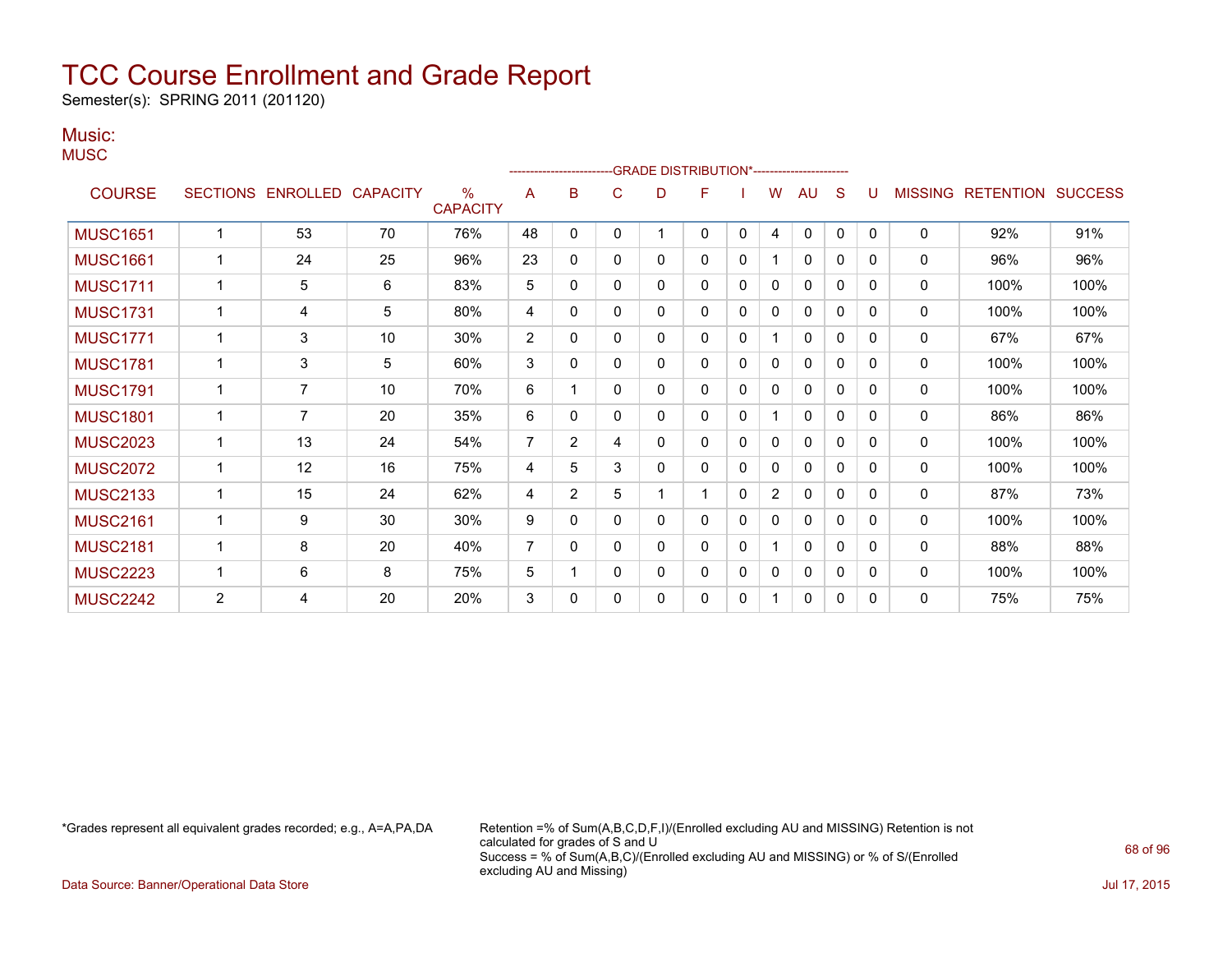Semester(s): SPRING 2011 (201120)

#### Music: **MUSC**

|                 |                |                            |    |                         |                | ---------------------- |              |              | -GRADE DISTRIBUTION*---------------------- |              |                |              |              |          |                |                  |                |
|-----------------|----------------|----------------------------|----|-------------------------|----------------|------------------------|--------------|--------------|--------------------------------------------|--------------|----------------|--------------|--------------|----------|----------------|------------------|----------------|
| <b>COURSE</b>   |                | SECTIONS ENROLLED CAPACITY |    | $\%$<br><b>CAPACITY</b> | A              | B                      | C            | D            | F                                          |              | w              | AU           | S            | U        | <b>MISSING</b> | <b>RETENTION</b> | <b>SUCCESS</b> |
| <b>MUSC1651</b> | 1              | 53                         | 70 | 76%                     | 48             | $\Omega$               | 0            |              | 0                                          | $\mathbf{0}$ | $\overline{4}$ | 0            | $\mathbf{0}$ | $\Omega$ | $\mathbf 0$    | 92%              | 91%            |
| <b>MUSC1661</b> | 1              | 24                         | 25 | 96%                     | 23             | $\mathbf 0$            | $\mathbf{0}$ | 0            | 0                                          | 0            |                | $\mathbf{0}$ | $\mathbf{0}$ | 0        | 0              | 96%              | 96%            |
| <b>MUSC1711</b> | 1              | 5                          | 6  | 83%                     | 5              | $\mathbf 0$            | $\mathbf{0}$ | 0            | 0                                          | 0            | 0              | 0            | 0            | 0        | 0              | 100%             | 100%           |
| <b>MUSC1731</b> | 1              | 4                          | 5  | 80%                     | 4              | $\Omega$               | $\mathbf{0}$ | $\Omega$     | 0                                          | 0            | 0              | 0            | 0            | 0        | 0              | 100%             | 100%           |
| <b>MUSC1771</b> | 1              | 3                          | 10 | 30%                     | $\overline{2}$ | $\Omega$               | $\Omega$     | 0            | $\Omega$                                   | 0            |                | $\mathbf{0}$ | $\Omega$     | 0        | $\Omega$       | 67%              | 67%            |
| <b>MUSC1781</b> | 1              | 3                          | 5  | 60%                     | 3              | 0                      | $\mathbf{0}$ | 0            | 0                                          | 0            | 0              | 0            | $\mathbf{0}$ | 0        | 0              | 100%             | 100%           |
| <b>MUSC1791</b> | $\mathbf{1}$   | $\overline{7}$             | 10 | 70%                     | 6              |                        | $\mathbf{0}$ | 0            | 0                                          | 0            | 0              | $\mathbf{0}$ | $\mathbf{0}$ | 0        | $\Omega$       | 100%             | 100%           |
| <b>MUSC1801</b> | 1              | $\overline{7}$             | 20 | 35%                     | 6              | $\mathbf 0$            | $\Omega$     | 0            | 0                                          | 0            |                | $\mathbf{0}$ | $\mathbf{0}$ | 0        | $\Omega$       | 86%              | 86%            |
| <b>MUSC2023</b> | 1              | 13                         | 24 | 54%                     | 7              | 2                      | 4            | 0            | 0                                          | 0            | 0              | 0            | 0            | 0        | 0              | 100%             | 100%           |
| <b>MUSC2072</b> | 1              | 12                         | 16 | 75%                     | 4              | 5                      | 3            | 0            | 0                                          | 0            | 0              | $\mathbf{0}$ | 0            | 0        | 0              | 100%             | 100%           |
| <b>MUSC2133</b> | 1              | 15                         | 24 | 62%                     | 4              | 2                      | 5            |              |                                            | $\mathbf{0}$ | $\overline{2}$ | $\mathbf{0}$ | $\mathbf{0}$ | 0        | 0              | 87%              | 73%            |
| <b>MUSC2161</b> | 1              | 9                          | 30 | 30%                     | 9              | 0                      | $\mathbf{0}$ | $\mathbf{0}$ | 0                                          | $\mathbf{0}$ | 0              | $\mathbf{0}$ | $\mathbf{0}$ | 0        | 0              | 100%             | 100%           |
| <b>MUSC2181</b> | 1              | 8                          | 20 | 40%                     | $\overline{7}$ | $\mathbf 0$            | $\mathbf{0}$ | 0            | 0                                          | 0            |                | 0            | $\mathbf{0}$ | 0        | 0              | 88%              | 88%            |
| <b>MUSC2223</b> | 1              | 6                          | 8  | 75%                     | 5              |                        | $\mathbf{0}$ | 0            | 0                                          | 0            | 0              | $\mathbf{0}$ | $\mathbf{0}$ | 0        | 0              | 100%             | 100%           |
| <b>MUSC2242</b> | $\overline{2}$ | 4                          | 20 | 20%                     | 3              | 0                      | $\mathbf{0}$ | 0            | 0                                          | 0            |                | $\mathbf{0}$ | $\mathbf{0}$ | 0        | 0              | 75%              | 75%            |

\*Grades represent all equivalent grades recorded; e.g., A=A,PA,DA Retention =% of Sum(A,B,C,D,F,I)/(Enrolled excluding AU and MISSING) Retention is not calculated for grades of S and U Success = % of Sum(A,B,C)/(Enrolled excluding AU and MISSING) or % of S/(Enrolled excluding AU and Missing)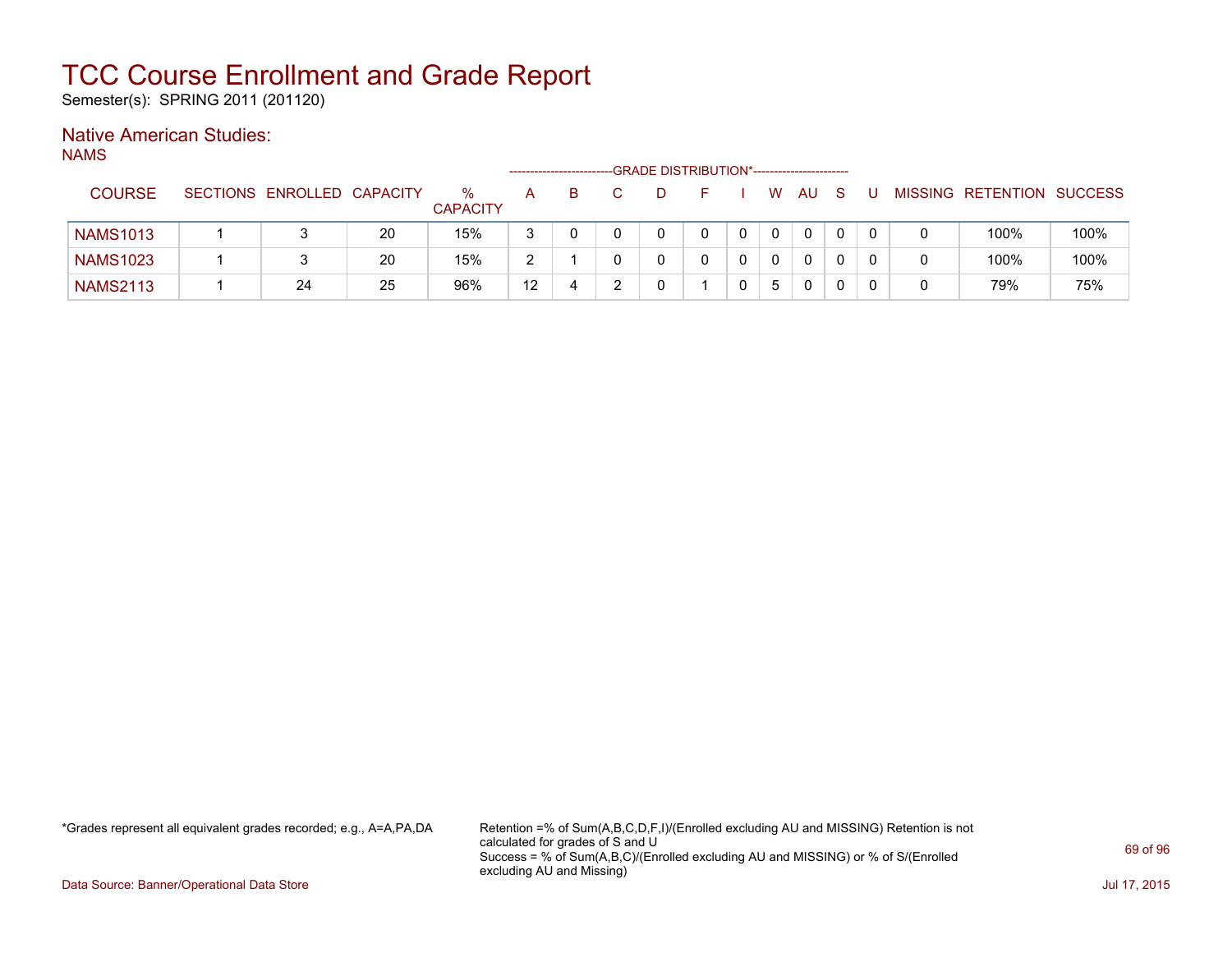Semester(s): SPRING 2011 (201120)

### Native American Studies:

NAMS

|                 |                            |    |                      |    | ---------------------- | -GRADE DISTRIBUTION*----------------------- |  |   |    |  |                           |      |
|-----------------|----------------------------|----|----------------------|----|------------------------|---------------------------------------------|--|---|----|--|---------------------------|------|
| <b>COURSE</b>   | SECTIONS ENROLLED CAPACITY |    | %<br><b>CAPACITY</b> | A  |                        |                                             |  | W | AU |  | MISSING RETENTION SUCCESS |      |
| <b>NAMS1013</b> |                            | 20 | 15%                  | 3  |                        |                                             |  |   | 0  |  | 100%                      | 100% |
| <b>NAMS1023</b> | 3                          | 20 | 15%                  | ာ  |                        |                                             |  |   | 0  |  | 100%                      | 100% |
| <b>NAMS2113</b> | 24                         | 25 | 96%                  | 12 |                        |                                             |  | 5 | 0  |  | 79%                       | 75%  |

\*Grades represent all equivalent grades recorded; e.g., A=A,PA,DA Retention =% of Sum(A,B,C,D,F,I)/(Enrolled excluding AU and MISSING) Retention is not calculated for grades of S and U Success = % of Sum(A,B,C)/(Enrolled excluding AU and MISSING) or % of S/(Enrolled excluding AU and Missing)

Data Source: Banner/Operational Data Store Jul 17, 2015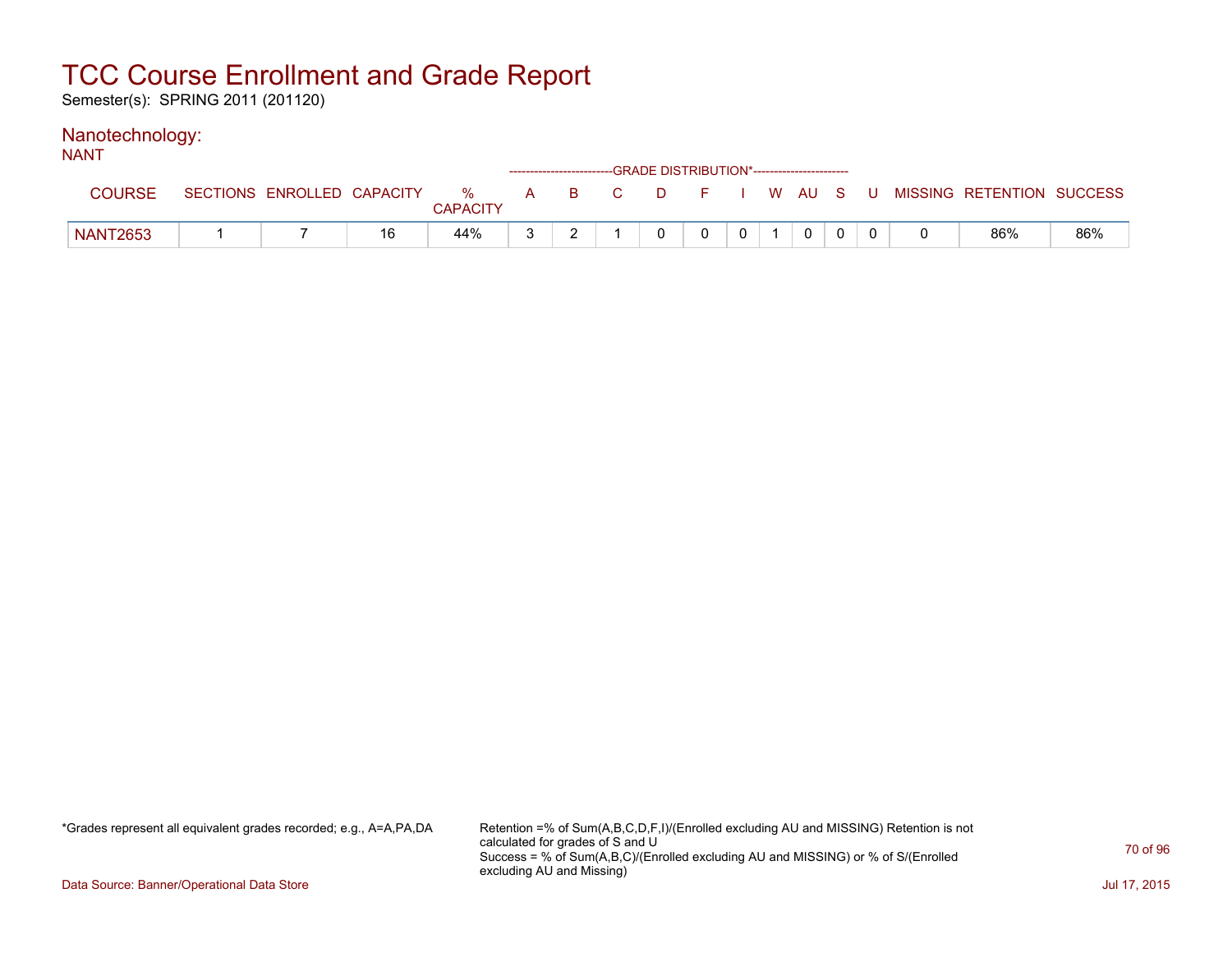Semester(s): SPRING 2011 (201120)

#### Nanotechnology: NANT

| 11711           |                            |    |                      |  | ------------------------GRADE DISTRIBUTION*----------------------- |          |              |                |  |                                          |     |
|-----------------|----------------------------|----|----------------------|--|--------------------------------------------------------------------|----------|--------------|----------------|--|------------------------------------------|-----|
| <b>COURSE</b>   | SECTIONS ENROLLED CAPACITY |    | %<br><b>CAPACITY</b> |  | A B C                                                              |          |              |                |  | D F I W AU S U MISSING RETENTION SUCCESS |     |
| <b>NANT2653</b> |                            | 16 | 44%                  |  |                                                                    | $\Omega$ | $\mathbf{0}$ | $\overline{0}$ |  | 86%                                      | 86% |

\*Grades represent all equivalent grades recorded; e.g., A=A,PA,DA Retention =% of Sum(A,B,C,D,F,I)/(Enrolled excluding AU and MISSING) Retention is not calculated for grades of S and U Success = % of Sum(A,B,C)/(Enrolled excluding AU and MISSING) or % of S/(Enrolled excluding AU and Missing)

Data Source: Banner/Operational Data Store Jul 17, 2015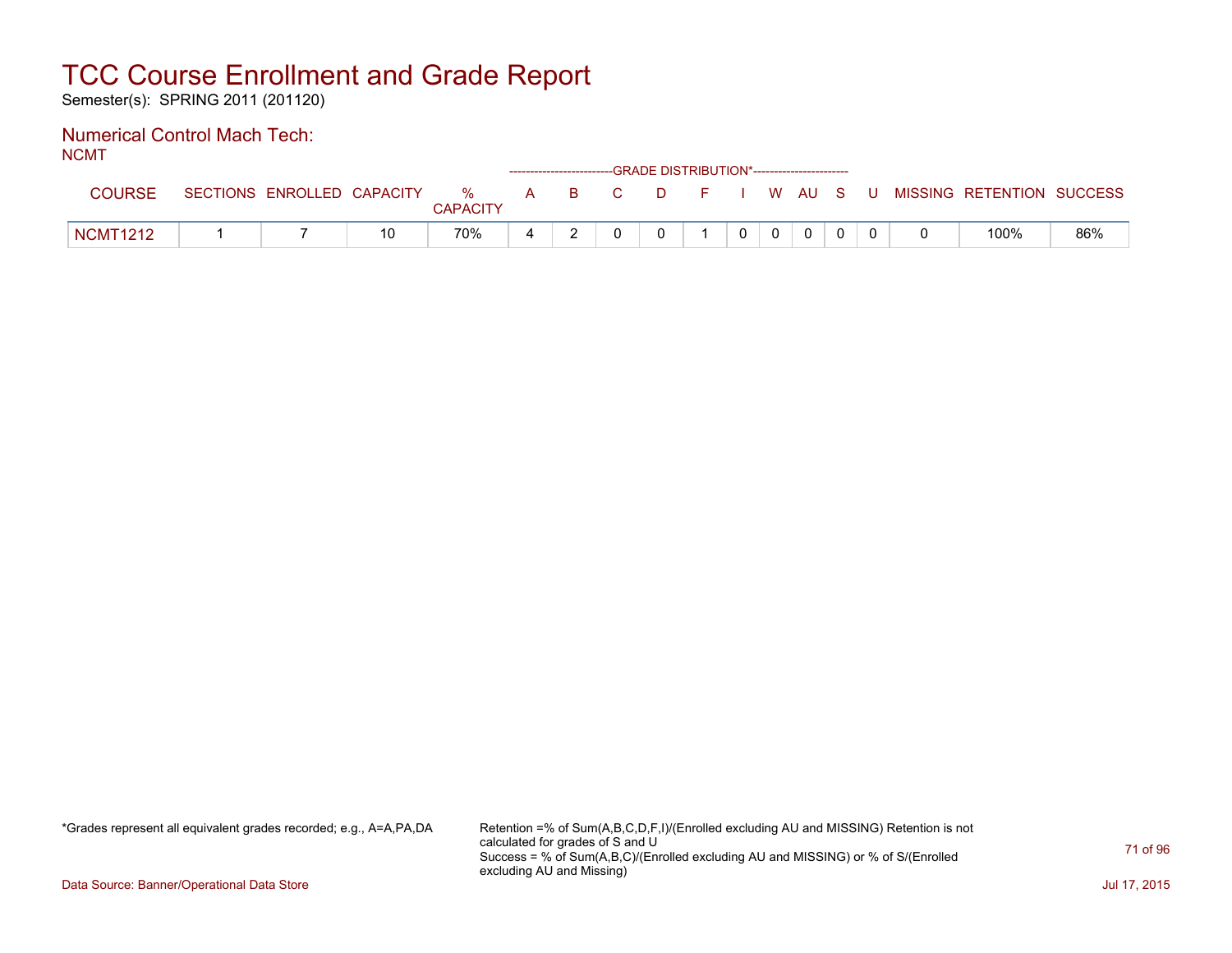Semester(s): SPRING 2011 (201120)

#### Numerical Control Mach Tech: NCMT

| .               | ------------------------GRADE DISTRIBUTION*----------------------- |                            |    |                      |  |  |       |  |  |                |  |          |  |  |                                          |     |
|-----------------|--------------------------------------------------------------------|----------------------------|----|----------------------|--|--|-------|--|--|----------------|--|----------|--|--|------------------------------------------|-----|
| COURSE          |                                                                    | SECTIONS ENROLLED CAPACITY |    | %<br><b>CAPACITY</b> |  |  | A B C |  |  |                |  |          |  |  | D F I W AU S U MISSING RETENTION SUCCESS |     |
| <b>NCMT1212</b> |                                                                    |                            | 10 | 70%                  |  |  |       |  |  | 0 <sup>1</sup> |  | $\Omega$ |  |  | 100%                                     | 86% |

\*Grades represent all equivalent grades recorded; e.g., A=A,PA,DA Retention =% of Sum(A,B,C,D,F,I)/(Enrolled excluding AU and MISSING) Retention is not calculated for grades of S and U Success = % of Sum(A,B,C)/(Enrolled excluding AU and MISSING) or % of S/(Enrolled excluding AU and Missing)

Data Source: Banner/Operational Data Store Jul 17, 2015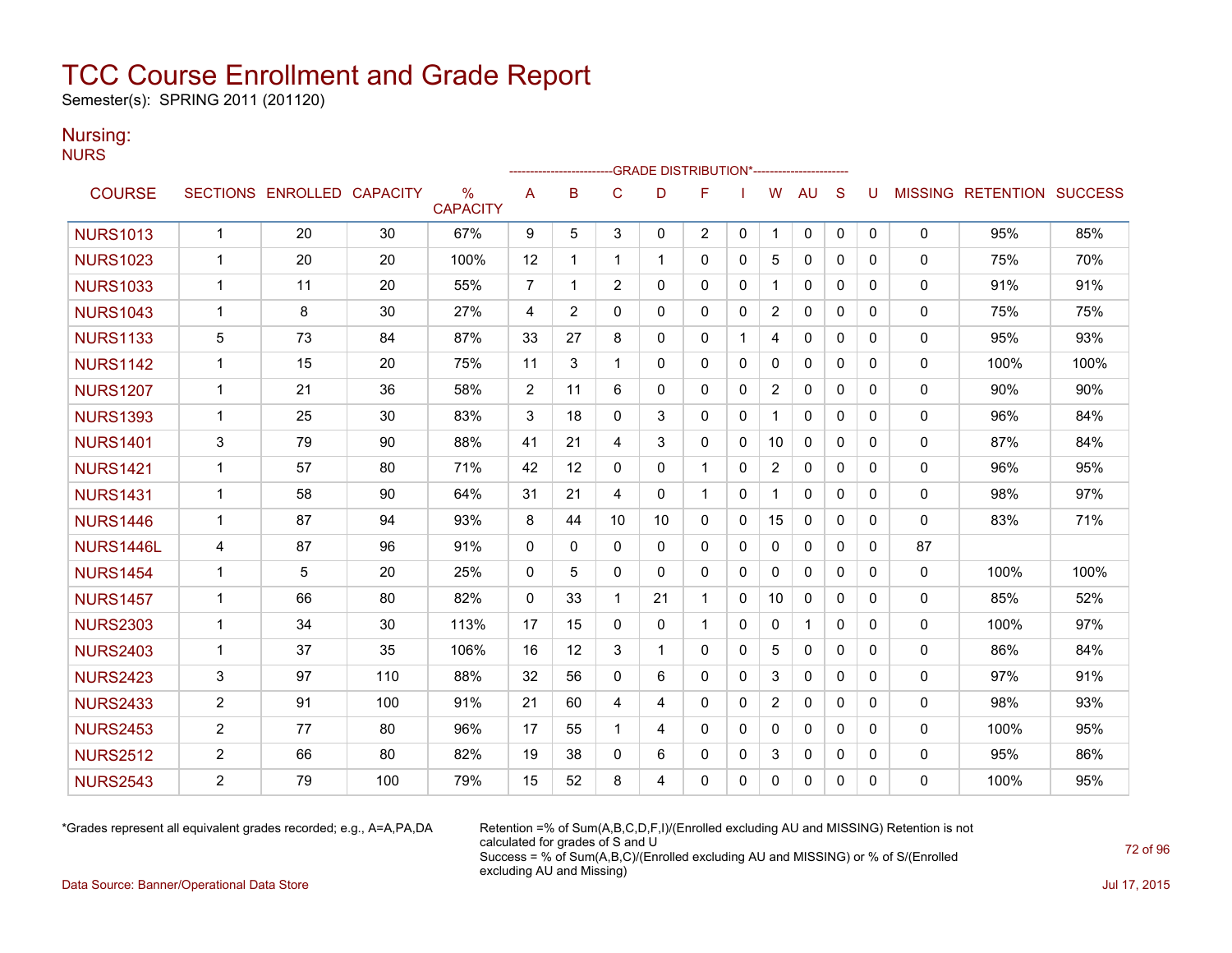Semester(s): SPRING 2011 (201120)

### Nursing:

**NURS** 

|                 | -GRADE DISTRIBUTION*---------------------- |                            |     |                      |                |                |              |              |                |          |                |              |              |          |              |                           |      |
|-----------------|--------------------------------------------|----------------------------|-----|----------------------|----------------|----------------|--------------|--------------|----------------|----------|----------------|--------------|--------------|----------|--------------|---------------------------|------|
| <b>COURSE</b>   |                                            | SECTIONS ENROLLED CAPACITY |     | %<br><b>CAPACITY</b> | A              | B              | C            | D            | F              |          | W              | <b>AU</b>    | S            | U        |              | MISSING RETENTION SUCCESS |      |
| <b>NURS1013</b> | $\mathbf{1}$                               | 20                         | 30  | 67%                  | 9              | 5              | 3            | $\mathbf{0}$ | $\overline{2}$ | 0        | $\mathbf{1}$   | 0            | $\mathbf{0}$ | $\Omega$ | 0            | 95%                       | 85%  |
| <b>NURS1023</b> | $\mathbf{1}$                               | 20                         | 20  | 100%                 | 12             | 1              | 1            |              | $\Omega$       | $\Omega$ | 5              | $\mathbf{0}$ | $\Omega$     | 0        | $\mathbf{0}$ | 75%                       | 70%  |
| <b>NURS1033</b> | $\mathbf{1}$                               | 11                         | 20  | 55%                  | $\overline{7}$ | 1              | 2            | $\Omega$     | 0              | 0        | $\mathbf{1}$   | $\mathbf{0}$ | $\mathbf{0}$ | 0        | 0            | 91%                       | 91%  |
| <b>NURS1043</b> | $\mathbf{1}$                               | 8                          | 30  | 27%                  | 4              | $\overline{2}$ | $\Omega$     | $\Omega$     | 0              | 0        | $\overline{2}$ | $\mathbf{0}$ | $\Omega$     | 0        | 0            | 75%                       | 75%  |
| <b>NURS1133</b> | 5                                          | 73                         | 84  | 87%                  | 33             | 27             | 8            | $\mathbf{0}$ | $\mathbf{0}$   | -1       | 4              | $\mathbf{0}$ | $\Omega$     | 0        | 0            | 95%                       | 93%  |
| <b>NURS1142</b> | $\mathbf{1}$                               | 15                         | 20  | 75%                  | 11             | 3              | 1            | $\Omega$     | 0              | $\Omega$ | $\Omega$       | $\Omega$     | $\Omega$     | 0        | $\mathbf{0}$ | 100%                      | 100% |
| <b>NURS1207</b> | $\mathbf{1}$                               | 21                         | 36  | 58%                  | 2              | 11             | 6            | $\Omega$     | 0              | 0        | $\overline{c}$ | $\mathbf 0$  | $\mathbf{0}$ | 0        | 0            | 90%                       | 90%  |
| <b>NURS1393</b> | $\mathbf{1}$                               | 25                         | 30  | 83%                  | 3              | 18             | $\mathbf{0}$ | 3            | 0              | 0        |                | $\mathbf{0}$ | 0            | 0        | 0            | 96%                       | 84%  |
| <b>NURS1401</b> | 3                                          | 79                         | 90  | 88%                  | 41             | 21             | 4            | 3            | $\mathbf{0}$   | 0        | 10             | $\mathbf{0}$ | $\mathbf{0}$ | 0        | $\mathbf{0}$ | 87%                       | 84%  |
| <b>NURS1421</b> | $\mathbf{1}$                               | 57                         | 80  | 71%                  | 42             | 12             | $\Omega$     | $\mathbf{0}$ | 1              | 0        | $\overline{2}$ | $\mathbf{0}$ | $\Omega$     | 0        | 0            | 96%                       | 95%  |
| <b>NURS1431</b> | $\mathbf{1}$                               | 58                         | 90  | 64%                  | 31             | 21             | 4            | $\mathbf{0}$ | 1              | 0        | $\mathbf 1$    | $\mathbf{0}$ | 0            | 0        | 0            | 98%                       | 97%  |
| <b>NURS1446</b> | $\mathbf{1}$                               | 87                         | 94  | 93%                  | 8              | 44             | 10           | 10           | $\mathbf{0}$   | 0        | 15             | $\mathbf{0}$ | $\mathbf{0}$ | 0        | $\mathbf{0}$ | 83%                       | 71%  |
| NURS1446L       | 4                                          | 87                         | 96  | 91%                  | $\Omega$       | $\Omega$       | $\Omega$     | $\Omega$     | $\Omega$       | 0        | $\mathbf{0}$   | $\mathbf{0}$ | $\Omega$     | 0        | 87           |                           |      |
| <b>NURS1454</b> | $\mathbf{1}$                               | 5                          | 20  | 25%                  | $\mathbf{0}$   | 5              | 0            | $\Omega$     | $\mathbf{0}$   | 0        | 0              | $\mathbf{0}$ | $\mathbf{0}$ | 0        | 0            | 100%                      | 100% |
| <b>NURS1457</b> | $\mathbf{1}$                               | 66                         | 80  | 82%                  | $\mathbf{0}$   | 33             | 1            | 21           | 1              | 0        | 10             | $\mathbf{0}$ | $\mathbf{0}$ | 0        | 0            | 85%                       | 52%  |
| <b>NURS2303</b> | $\mathbf{1}$                               | 34                         | 30  | 113%                 | 17             | 15             | $\mathbf{0}$ | $\mathbf{0}$ | 1              | 0        | 0              | $\mathbf 1$  | 0            | 0        | 0            | 100%                      | 97%  |
| <b>NURS2403</b> | $\mathbf{1}$                               | 37                         | 35  | 106%                 | 16             | 12             | 3            | 1            | $\Omega$       | $\Omega$ | 5              | $\Omega$     | $\Omega$     | 0        | $\mathbf{0}$ | 86%                       | 84%  |
| <b>NURS2423</b> | 3                                          | 97                         | 110 | 88%                  | 32             | 56             | $\Omega$     | 6            | 0              | 0        | 3              | $\mathbf{0}$ | $\mathbf{0}$ | 0        | 0            | 97%                       | 91%  |
| <b>NURS2433</b> | $\overline{2}$                             | 91                         | 100 | 91%                  | 21             | 60             | 4            | 4            | 0              | 0        | $\overline{c}$ | 0            | $\mathbf{0}$ | 0        | 0            | 98%                       | 93%  |
| <b>NURS2453</b> | $\overline{2}$                             | 77                         | 80  | 96%                  | 17             | 55             | 1            | 4            | $\Omega$       | 0        | $\mathbf{0}$   | $\mathbf{0}$ | $\Omega$     | 0        | 0            | 100%                      | 95%  |
| <b>NURS2512</b> | $\overline{2}$                             | 66                         | 80  | 82%                  | 19             | 38             | $\Omega$     | 6            | 0              | $\Omega$ | 3              | $\mathbf{0}$ | 0            | 0        | $\mathbf{0}$ | 95%                       | 86%  |
| <b>NURS2543</b> | $\overline{2}$                             | 79                         | 100 | 79%                  | 15             | 52             | 8            | 4            | 0              | 0        | 0              | $\mathbf{0}$ | $\Omega$     | 0        | $\Omega$     | 100%                      | 95%  |

\*Grades represent all equivalent grades recorded; e.g., A=A,PA,DA Retention =% of Sum(A,B,C,D,F,I)/(Enrolled excluding AU and MISSING) Retention is not calculated for grades of S and U Success = % of Sum(A,B,C)/(Enrolled excluding AU and MISSING) or % of S/(Enrolled excluding AU and Missing)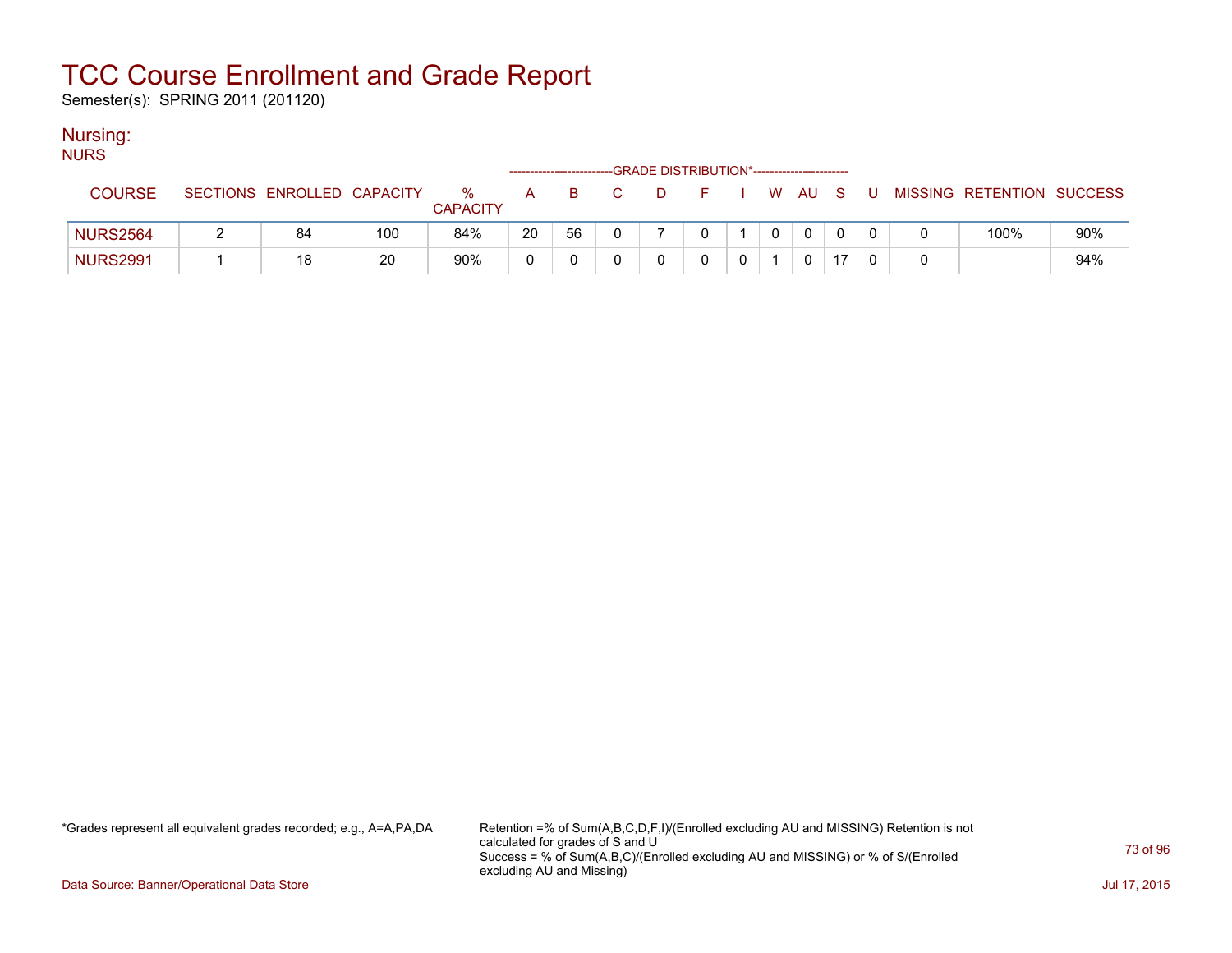Semester(s): SPRING 2011 (201120)

#### Nursing:

| <b>NURS</b>     |                            |     |                      |    |    |    |     |                                             |  |              |    |     |                           |     |
|-----------------|----------------------------|-----|----------------------|----|----|----|-----|---------------------------------------------|--|--------------|----|-----|---------------------------|-----|
|                 |                            |     |                      |    |    |    |     | -GRADE DISTRIBUTION*----------------------- |  |              |    |     |                           |     |
| <b>COURSE</b>   | SECTIONS ENROLLED CAPACITY |     | %<br><b>CAPACITY</b> | A  | B. | C. | ⊟D. | F.                                          |  | w au         | S. | . U | MISSING RETENTION SUCCESS |     |
| <b>NURS2564</b> | 84                         | 100 | 84%                  | 20 | 56 |    |     |                                             |  | $\mathbf{0}$ |    |     | 100%                      | 90% |
| <b>NURS2991</b> | 18                         | 20  | 90%                  |    |    |    |     |                                             |  | 0            | 17 |     |                           | 94% |

\*Grades represent all equivalent grades recorded; e.g., A=A,PA,DA Retention =% of Sum(A,B,C,D,F,I)/(Enrolled excluding AU and MISSING) Retention is not calculated for grades of S and U Success = % of Sum(A,B,C)/(Enrolled excluding AU and MISSING) or % of S/(Enrolled excluding AU and Missing)

Data Source: Banner/Operational Data Store Jul 17, 2015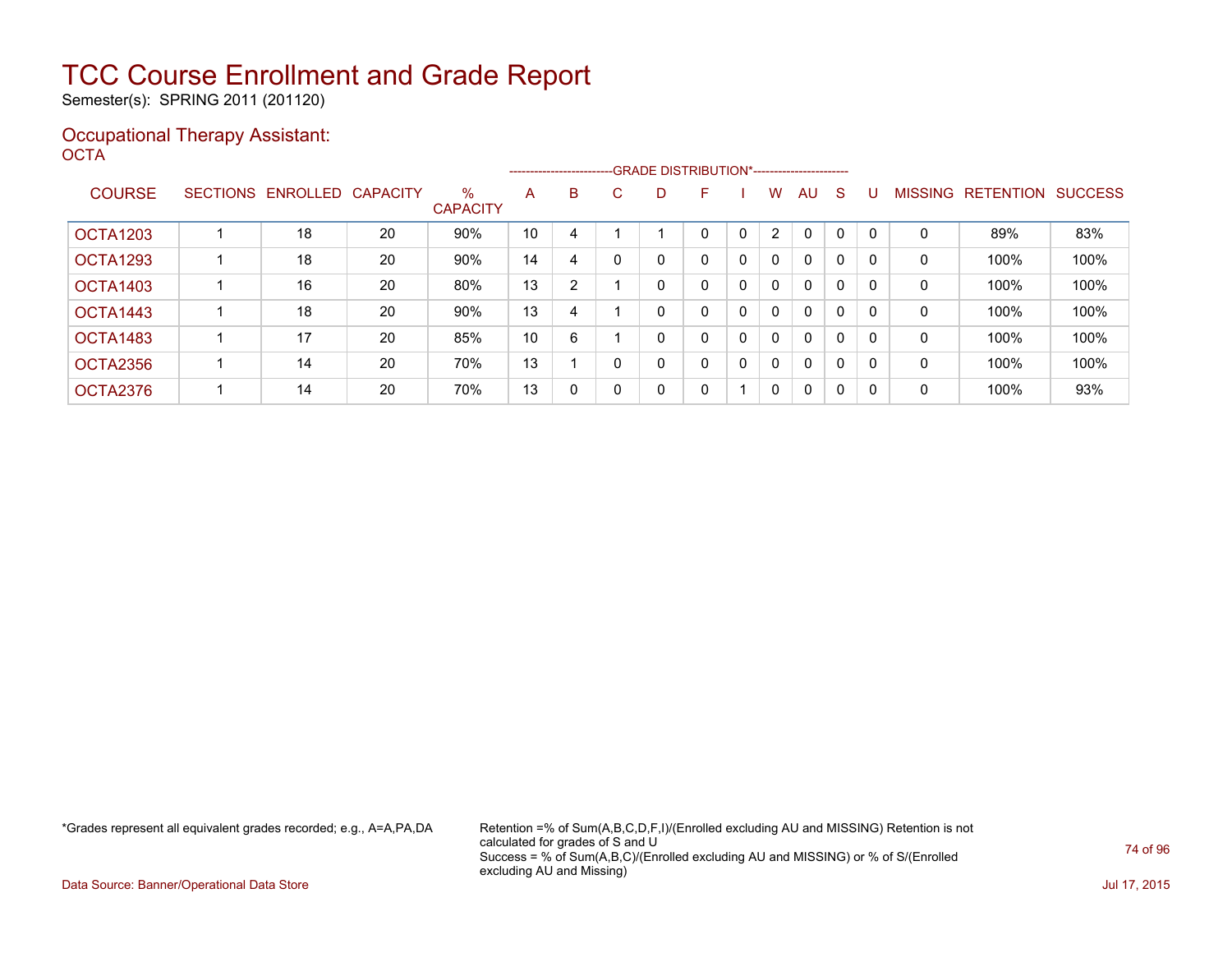Semester(s): SPRING 2011 (201120)

#### Occupational Therapy Assistant: OCTA<sup>'</sup>

|                 |                 |          |                 |                         |    |   |    |   | -------------------------GRADE DISTRIBUTION*----------------------- |   |              |              |              |          |                |                  |                |
|-----------------|-----------------|----------|-----------------|-------------------------|----|---|----|---|---------------------------------------------------------------------|---|--------------|--------------|--------------|----------|----------------|------------------|----------------|
| <b>COURSE</b>   | <b>SECTIONS</b> | ENROLLED | <b>CAPACITY</b> | $\%$<br><b>CAPACITY</b> | A  | B | C. | D | F                                                                   |   | W            | AU           | S            |          | <b>MISSING</b> | <b>RETENTION</b> | <b>SUCCESS</b> |
| <b>OCTA1203</b> |                 | 18       | 20              | 90%                     | 10 | 4 |    |   | 0                                                                   | 0 | $\mathbf{2}$ | $\mathbf{0}$ | $\mathbf{0}$ |          | 0              | 89%              | 83%            |
| OCTA1293        |                 | 18       | 20              | 90%                     | 14 | 4 |    |   | 0                                                                   | 0 | $\mathbf{0}$ | $\mathbf{0}$ | 0            | $\Omega$ | 0              | 100%             | 100%           |
| OCTA1403        |                 | 16       | 20              | 80%                     | 13 | 2 |    |   | 0                                                                   | 0 | $\mathbf{0}$ | $\mathbf{0}$ | 0            | $\Omega$ | 0              | 100%             | 100%           |
| OCTA1443        |                 | 18       | 20              | 90%                     | 13 | 4 |    |   | 0                                                                   | 0 | $\mathbf{0}$ | $\mathbf{0}$ | 0            |          | 0              | 100%             | 100%           |
| OCTA1483        |                 | 17       | 20              | 85%                     | 10 | 6 |    |   | 0                                                                   | 0 | 0            | $\mathbf{0}$ | 0            | $\Omega$ | 0              | 100%             | 100%           |
| OCTA2356        |                 | 14       | 20              | 70%                     | 13 |   |    |   | 0                                                                   | 0 | $\mathbf{0}$ | $\mathbf{0}$ | 0            |          | 0              | 100%             | 100%           |
| OCTA2376        |                 | 14       | 20              | 70%                     | 13 | 0 | 0  | 0 | 0                                                                   |   | $\mathbf 0$  | $\mathbf{0}$ | 0            | 0        | 0              | 100%             | 93%            |

\*Grades represent all equivalent grades recorded; e.g., A=A,PA,DA Retention =% of Sum(A,B,C,D,F,I)/(Enrolled excluding AU and MISSING) Retention is not calculated for grades of S and U Success = % of Sum(A,B,C)/(Enrolled excluding AU and MISSING) or % of S/(Enrolled excluding AU and Missing)

Data Source: Banner/Operational Data Store Jul 17, 2015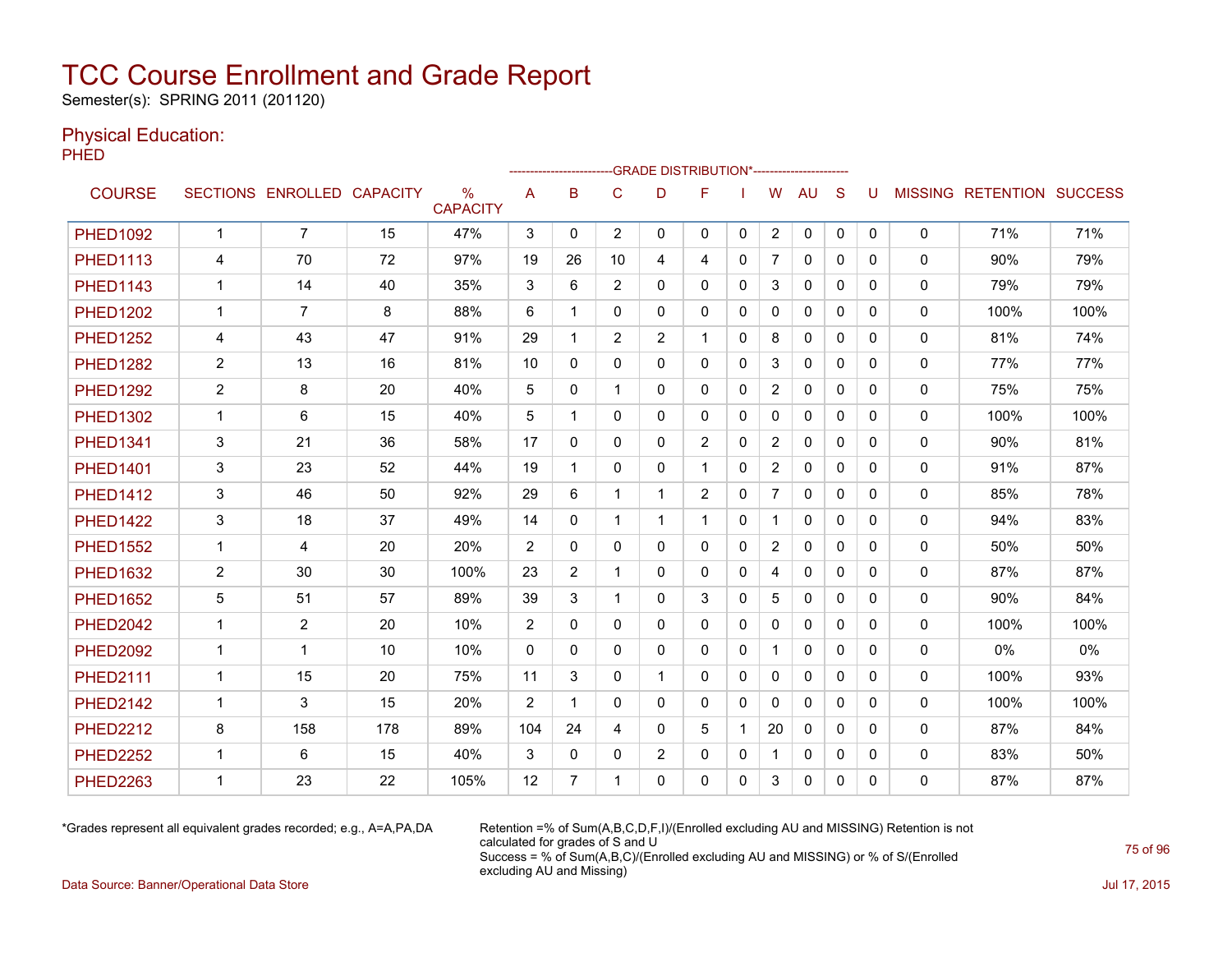Semester(s): SPRING 2011 (201120)

#### Physical Education:

PHED

|                 |                |                            |     |                                  |                |                | ------------------------GRADE                DISTRIBUTION*---------------------- |                |                |              |                |              |              |          |              |                                  |      |
|-----------------|----------------|----------------------------|-----|----------------------------------|----------------|----------------|----------------------------------------------------------------------------------|----------------|----------------|--------------|----------------|--------------|--------------|----------|--------------|----------------------------------|------|
| <b>COURSE</b>   |                | SECTIONS ENROLLED CAPACITY |     | $\frac{0}{0}$<br><b>CAPACITY</b> | A              | B              | C                                                                                | D              | F              |              | W              | <b>AU</b>    | S            | U        |              | <b>MISSING RETENTION SUCCESS</b> |      |
| <b>PHED1092</b> | $\mathbf{1}$   | $\overline{7}$             | 15  | 47%                              | 3              | $\mathbf{0}$   | $\overline{2}$                                                                   | 0              | $\mathbf{0}$   | $\mathbf{0}$ | $\overline{2}$ | 0            | $\mathbf{0}$ | 0        | 0            | 71%                              | 71%  |
| <b>PHED1113</b> | 4              | 70                         | 72  | 97%                              | 19             | 26             | 10                                                                               | 4              | 4              | 0            | $\overline{7}$ | 0            | $\Omega$     | 0        | 0            | 90%                              | 79%  |
| <b>PHED1143</b> | $\mathbf{1}$   | 14                         | 40  | 35%                              | 3              | 6              | $\overline{2}$                                                                   | $\Omega$       | $\Omega$       | $\Omega$     | 3              | $\mathbf{0}$ | $\Omega$     | 0        | $\mathbf{0}$ | 79%                              | 79%  |
| <b>PHED1202</b> | 1              | 7                          | 8   | 88%                              | 6              | 1              | $\mathbf{0}$                                                                     | 0              | $\mathbf{0}$   | 0            | 0              | 0            | $\mathbf{0}$ | 0        | 0            | 100%                             | 100% |
| <b>PHED1252</b> | 4              | 43                         | 47  | 91%                              | 29             | -1             | $\overline{2}$                                                                   | $\overline{2}$ | -1             | 0            | 8              | 0            | $\mathbf{0}$ | 0        | 0            | 81%                              | 74%  |
| <b>PHED1282</b> | $\overline{2}$ | 13                         | 16  | 81%                              | 10             | $\Omega$       | $\mathbf{0}$                                                                     | 0              | $\mathbf{0}$   | 0            | 3              | 0            | $\mathbf{0}$ | 0        | 0            | 77%                              | 77%  |
| <b>PHED1292</b> | $\overline{2}$ | 8                          | 20  | 40%                              | 5              | $\Omega$       | 1                                                                                | 0              | $\mathbf{0}$   | 0            | $\overline{2}$ | $\mathbf{0}$ | $\Omega$     | 0        | 0            | 75%                              | 75%  |
| <b>PHED1302</b> | $\mathbf{1}$   | 6                          | 15  | 40%                              | 5              | 1              | $\mathbf{0}$                                                                     | $\Omega$       | $\Omega$       | $\Omega$     | $\Omega$       | $\Omega$     | $\Omega$     | 0        | $\mathbf{0}$ | 100%                             | 100% |
| <b>PHED1341</b> | 3              | 21                         | 36  | 58%                              | 17             | 0              | $\mathbf{0}$                                                                     | 0              | $\overline{2}$ | 0            | $\overline{2}$ | $\mathbf{0}$ | $\Omega$     | 0        | 0            | 90%                              | 81%  |
| <b>PHED1401</b> | 3              | 23                         | 52  | 44%                              | 19             | 1              | $\mathbf{0}$                                                                     | 0              | -1             | $\mathbf{0}$ | $\overline{2}$ | $\mathbf{0}$ | $\mathbf{0}$ | 0        | 0            | 91%                              | 87%  |
| <b>PHED1412</b> | 3              | 46                         | 50  | 92%                              | 29             | 6              | 1                                                                                | $\mathbf{1}$   | 2              | $\Omega$     | $\overline{7}$ | $\mathbf{0}$ | $\mathbf{0}$ | 0        | $\mathbf{0}$ | 85%                              | 78%  |
| <b>PHED1422</b> | 3              | 18                         | 37  | 49%                              | 14             | 0              | 1                                                                                | 1              |                | 0            |                | $\mathbf{0}$ | $\mathbf{0}$ | 0        | 0            | 94%                              | 83%  |
| <b>PHED1552</b> | 1              | 4                          | 20  | 20%                              | 2              | 0              | $\mathbf{0}$                                                                     | 0              | $\mathbf{0}$   | 0            | $\overline{2}$ | 0            | $\Omega$     | 0        | 0            | 50%                              | 50%  |
| <b>PHED1632</b> | $\overline{2}$ | 30                         | 30  | 100%                             | 23             | $\overline{2}$ | 1                                                                                | 0              | $\mathbf{0}$   | 0            | 4              | 0            | $\mathbf{0}$ | 0        | 0            | 87%                              | 87%  |
| <b>PHED1652</b> | 5              | 51                         | 57  | 89%                              | 39             | 3              | 1                                                                                | 0              | 3              | 0            | 5              | $\mathbf{0}$ | $\mathbf{0}$ | 0        | $\mathbf{0}$ | 90%                              | 84%  |
| <b>PHED2042</b> | $\mathbf{1}$   | $\overline{2}$             | 20  | 10%                              | $\overline{2}$ | $\Omega$       | $\mathbf{0}$                                                                     | 0              | $\mathbf{0}$   | 0            | $\mathbf{0}$   | $\mathbf{0}$ | $\Omega$     | 0        | 0            | 100%                             | 100% |
| <b>PHED2092</b> | $\mathbf{1}$   | 1                          | 10  | 10%                              | $\Omega$       | $\Omega$       | $\Omega$                                                                         | 0              | $\Omega$       | $\Omega$     | $\mathbf 1$    | $\mathbf{0}$ | $\Omega$     | $\Omega$ | 0            | 0%                               | 0%   |
| <b>PHED2111</b> | $\mathbf 1$    | 15                         | 20  | 75%                              | 11             | 3              | 0                                                                                | 1              | $\mathbf{0}$   | $\mathbf{0}$ | 0              | $\mathbf{0}$ | $\mathbf{0}$ | 0        | 0            | 100%                             | 93%  |
| <b>PHED2142</b> | $\mathbf{1}$   | 3                          | 15  | 20%                              | $\overline{2}$ | 1              | $\mathbf{0}$                                                                     | 0              | $\mathbf{0}$   | 0            | 0              | $\mathbf{0}$ | $\mathbf{0}$ | 0        | $\mathbf{0}$ | 100%                             | 100% |
| <b>PHED2212</b> | 8              | 158                        | 178 | 89%                              | 104            | 24             | 4                                                                                | $\Omega$       | 5              | 1            | 20             | $\mathbf{0}$ | $\Omega$     | 0        | 0            | 87%                              | 84%  |
| <b>PHED2252</b> | 1              | 6                          | 15  | 40%                              | 3              | 0              | 0                                                                                | $\overline{2}$ | 0              | 0            |                | 0            | $\mathbf{0}$ | 0        | 0            | 83%                              | 50%  |
| <b>PHED2263</b> | 1              | 23                         | 22  | 105%                             | 12             | 7              | 1                                                                                | 0              | 0              | 0            | 3              | $\mathbf{0}$ | $\mathbf{0}$ | 0        | 0            | 87%                              | 87%  |

\*Grades represent all equivalent grades recorded; e.g., A=A,PA,DA Retention =% of Sum(A,B,C,D,F,I)/(Enrolled excluding AU and MISSING) Retention is not calculated for grades of S and U Success = % of Sum(A,B,C)/(Enrolled excluding AU and MISSING) or % of S/(Enrolled excluding AU and Missing)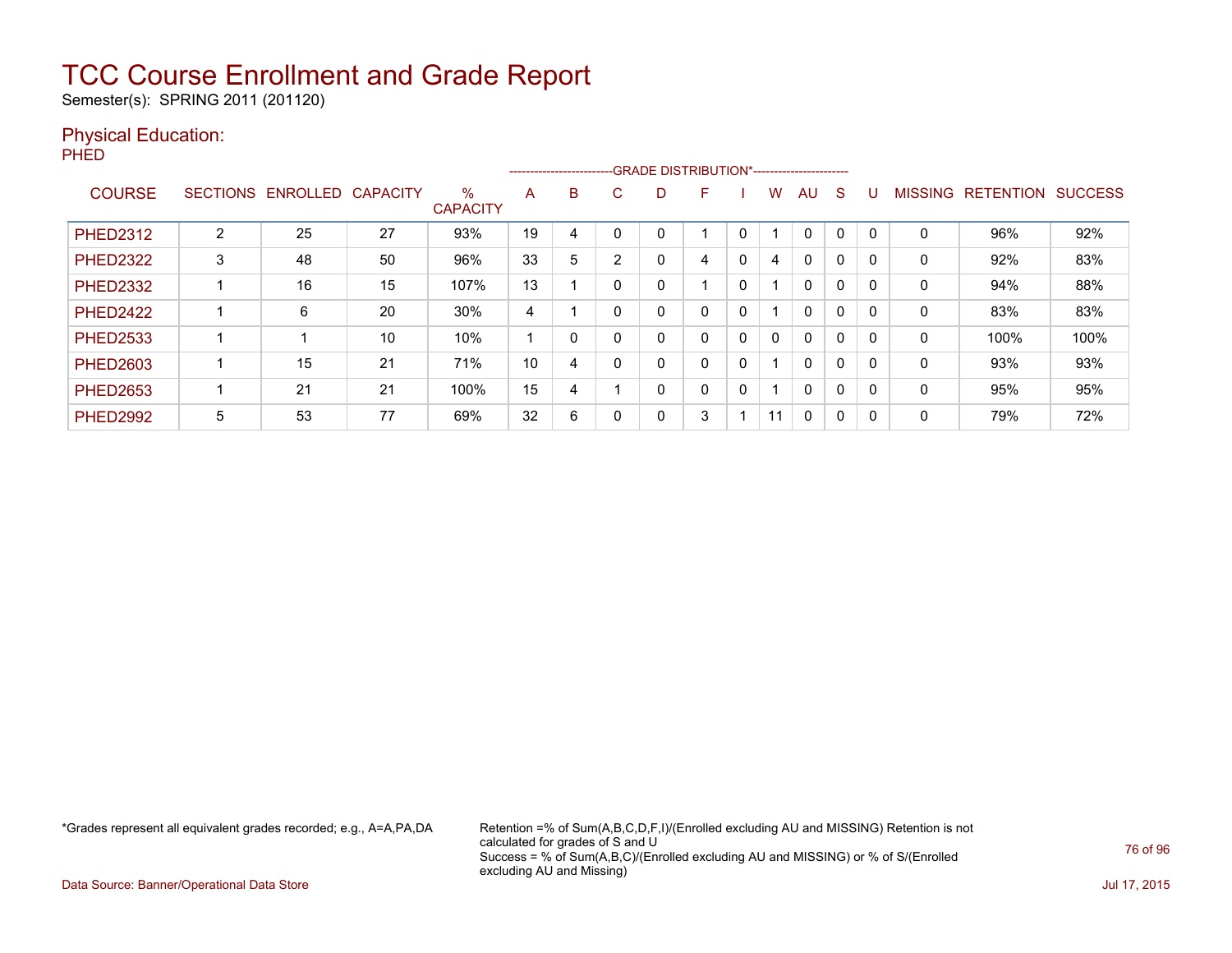Semester(s): SPRING 2011 (201120)

#### Physical Education:

PHED

|                 |                 |          |                 |                         |    | ------------------------ |   |   | --GRADE DISTRIBUTION*----------------------- |   |    |              |          |              |                |                  |                |
|-----------------|-----------------|----------|-----------------|-------------------------|----|--------------------------|---|---|----------------------------------------------|---|----|--------------|----------|--------------|----------------|------------------|----------------|
| <b>COURSE</b>   | <b>SECTIONS</b> | ENROLLED | <b>CAPACITY</b> | $\%$<br><b>CAPACITY</b> | A  | B                        | С | D | F                                            |   | w  | AU.          | S        |              | <b>MISSING</b> | <b>RETENTION</b> | <b>SUCCESS</b> |
| <b>PHED2312</b> | $\overline{2}$  | 25       | 27              | 93%                     | 19 | 4                        |   | 0 |                                              |   |    | $\mathbf 0$  | 0        | $\Omega$     | 0              | 96%              | 92%            |
| <b>PHED2322</b> | 3               | 48       | 50              | 96%                     | 33 | 5                        | າ | 0 | 4                                            | 0 | 4  | $\mathbf 0$  | 0        | 0            | 0              | 92%              | 83%            |
| <b>PHED2332</b> |                 | 16       | 15              | 107%                    | 13 |                          |   | 0 | $\overline{ }$                               | 0 |    | $\Omega$     | $\Omega$ | $\Omega$     | 0              | 94%              | 88%            |
| <b>PHFD2422</b> |                 | 6        | 20              | 30%                     | 4  |                          |   | 0 | 0                                            | 0 |    | $\Omega$     | 0        | $\Omega$     | 0              | 83%              | 83%            |
| <b>PHED2533</b> |                 |          | 10              | 10%                     |    |                          |   | 0 | 0                                            | 0 | 0  | $\Omega$     | 0        | $\mathbf{0}$ | 0              | 100%             | 100%           |
| <b>PHED2603</b> |                 | 15       | 21              | 71%                     | 10 | 4                        |   | 0 | 0                                            | 0 |    | $\mathbf{0}$ | $\Omega$ | 0            | 0              | 93%              | 93%            |
| <b>PHED2653</b> |                 | 21       | 21              | 100%                    | 15 | 4                        |   | 0 | 0                                            | 0 |    | $\Omega$     | 0        | 0            | 0              | 95%              | 95%            |
| <b>PHED2992</b> | 5               | 53       | 77              | 69%                     | 32 | 6                        |   | 0 | 3                                            |   | 11 | $\mathbf{0}$ | 0        | $\Omega$     | 0              | 79%              | 72%            |

\*Grades represent all equivalent grades recorded; e.g., A=A,PA,DA Retention =% of Sum(A,B,C,D,F,I)/(Enrolled excluding AU and MISSING) Retention is not calculated for grades of S and U Success = % of Sum(A,B,C)/(Enrolled excluding AU and MISSING) or % of S/(Enrolled excluding AU and Missing)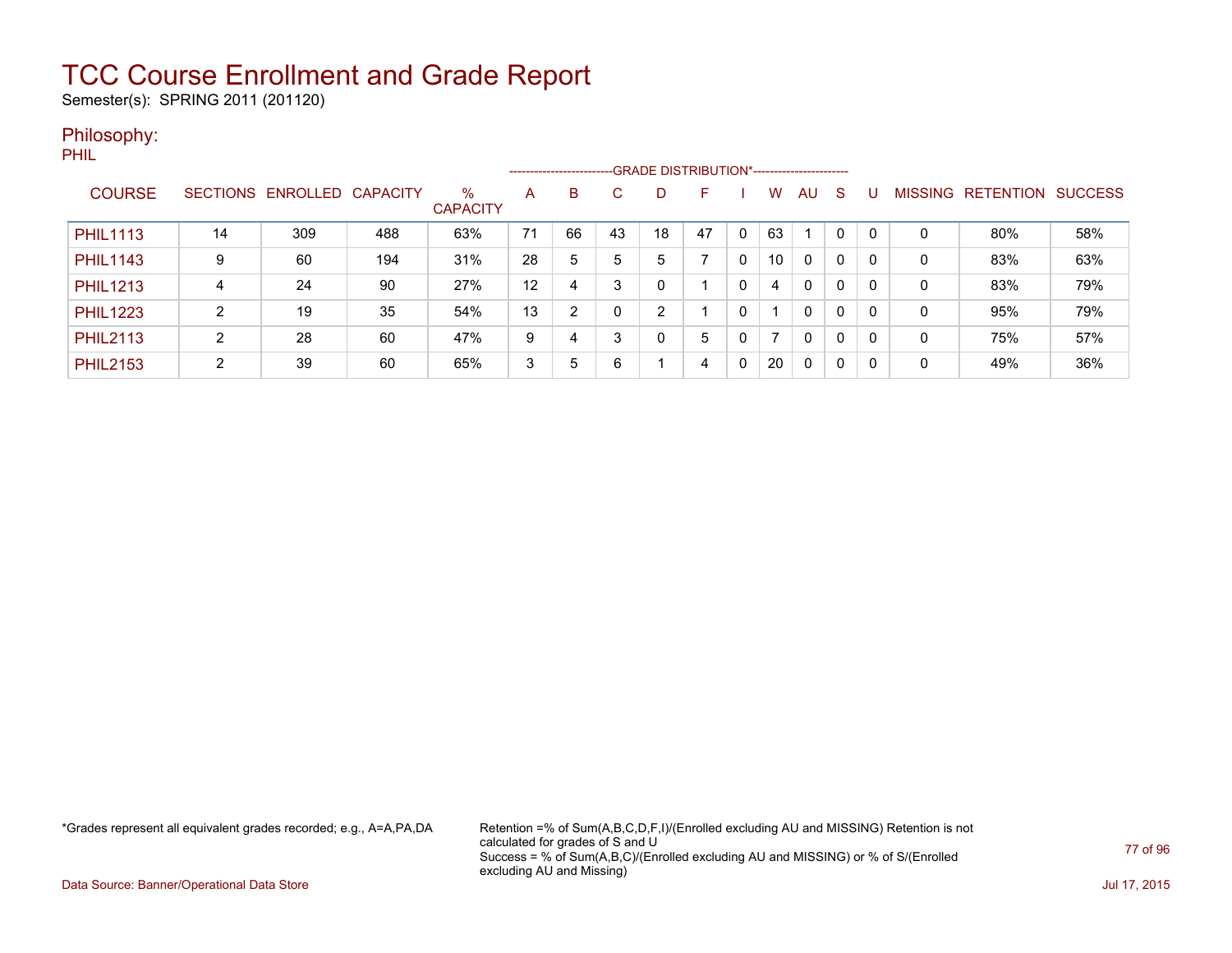Semester(s): SPRING 2011 (201120)

#### Philosophy:

PHIL

|                 |                 |                   |     |                         |    | ------------------------ |    |    | -- GRADE DISTRIBUTION*------------------------ |   |                |              |              |              |         |           |                |
|-----------------|-----------------|-------------------|-----|-------------------------|----|--------------------------|----|----|------------------------------------------------|---|----------------|--------------|--------------|--------------|---------|-----------|----------------|
| <b>COURSE</b>   | <b>SECTIONS</b> | ENROLLED CAPACITY |     | $\%$<br><b>CAPACITY</b> | A  | B                        | С  | D  |                                                |   | W              | AU.          | <sub>S</sub> |              | MISSING | RETENTION | <b>SUCCESS</b> |
| <b>PHIL1113</b> | 14              | 309               | 488 | 63%                     | 71 | 66                       | 43 | 18 | 47                                             | 0 | 63             |              | 0            | $\Omega$     | 0       | 80%       | 58%            |
| <b>PHIL1143</b> | 9               | 60                | 194 | 31%                     | 28 | 5                        | 5  | 5  | ⇁                                              | 0 | 10             | $\mathbf{0}$ | $\mathbf{0}$ | $\Omega$     | 0       | 83%       | 63%            |
| <b>PHIL1213</b> | 4               | 24                | 90  | 27%                     | 12 | 4                        | 3  | 0  |                                                | 0 | 4              | $\mathbf{0}$ | $\mathbf{0}$ | $\mathbf{0}$ | 0       | 83%       | 79%            |
| <b>PHIL1223</b> | ົ               | 19                | 35  | 54%                     | 13 | $\overline{2}$           |    | 2  |                                                | 0 |                | $\Omega$     | 0            | $\mathbf{0}$ | 0       | 95%       | 79%            |
| <b>PHIL2113</b> | ົ               | 28                | 60  | 47%                     | 9  | 4                        | 3  | 0  | 5                                              | 0 | $\overline{ }$ | $\mathbf{0}$ | $\mathbf{0}$ | $\mathbf{0}$ | 0       | 75%       | 57%            |
| <b>PHIL2153</b> | ົ               | 39                | 60  | 65%                     | 3  | 5                        | 6  |    | 4                                              | 0 | 20             | $\mathbf{0}$ | 0            | 0            | 0       | 49%       | 36%            |

\*Grades represent all equivalent grades recorded; e.g., A=A,PA,DA Retention =% of Sum(A,B,C,D,F,I)/(Enrolled excluding AU and MISSING) Retention is not calculated for grades of S and U Success = % of Sum(A,B,C)/(Enrolled excluding AU and MISSING) or % of S/(Enrolled excluding AU and Missing)

Data Source: Banner/Operational Data Store Jul 17, 2015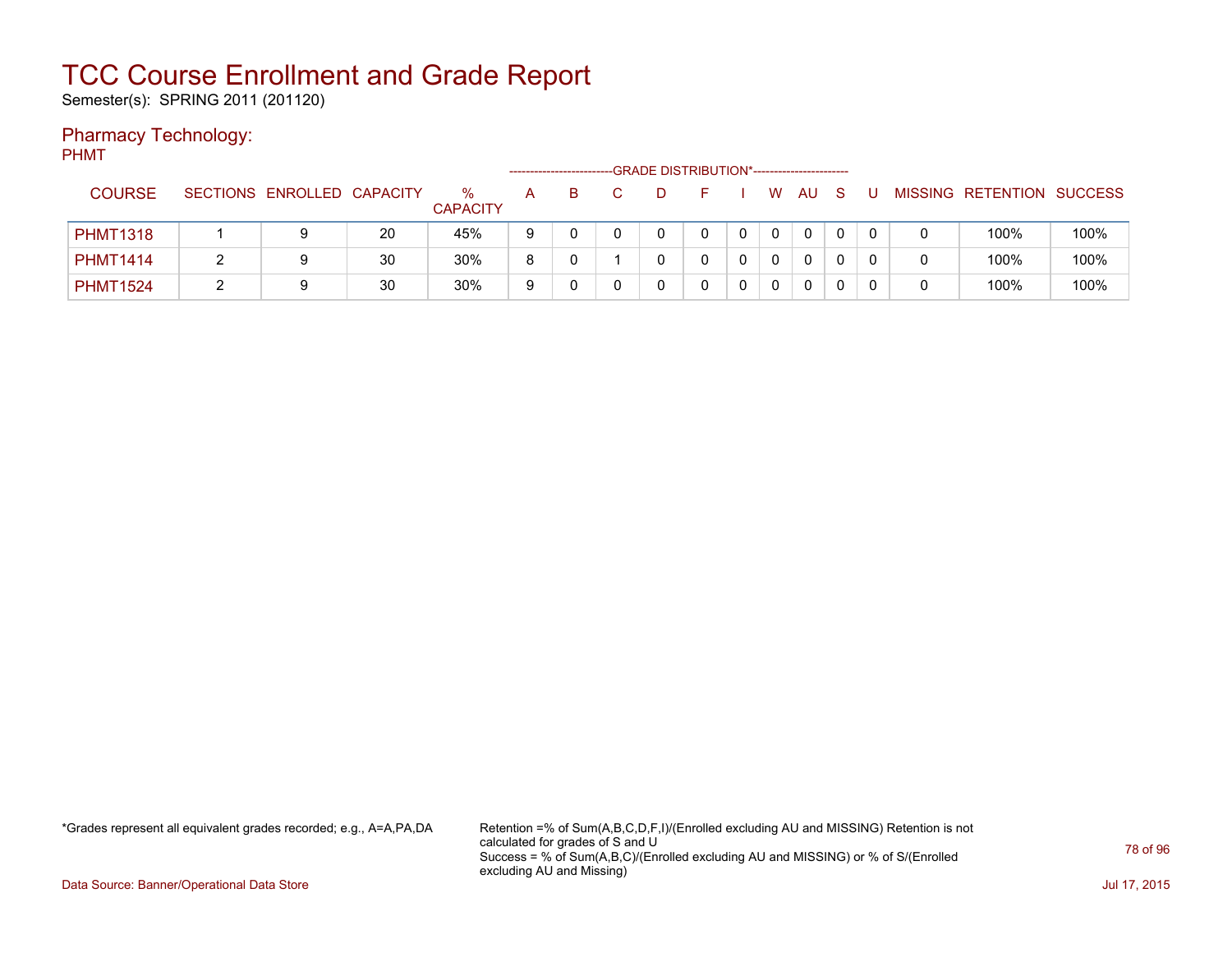Semester(s): SPRING 2011 (201120)

#### Pharmacy Technology:

PHMT

|                 |                            |    |                      |   |   | -GRADE DISTRIBUTION*----------------------- |   |   |          |   |  |                           |      |
|-----------------|----------------------------|----|----------------------|---|---|---------------------------------------------|---|---|----------|---|--|---------------------------|------|
| <b>COURSE</b>   | SECTIONS ENROLLED CAPACITY |    | %<br><b>CAPACITY</b> | А | B |                                             |   | W | AU       | S |  | MISSING RETENTION SUCCESS |      |
| <b>PHMT1318</b> | 9                          | 20 | 45%                  | 9 |   |                                             | 0 |   | $\Omega$ |   |  | 100%                      | 100% |
| <b>PHMT1414</b> | 9                          | 30 | 30%                  | 8 |   |                                             |   |   | $\Omega$ |   |  | 100%                      | 100% |
| <b>PHMT1524</b> | 9                          | 30 | 30%                  | 9 |   |                                             |   |   | $\Omega$ |   |  | 100%                      | 100% |

\*Grades represent all equivalent grades recorded; e.g., A=A,PA,DA Retention =% of Sum(A,B,C,D,F,I)/(Enrolled excluding AU and MISSING) Retention is not calculated for grades of S and U Success = % of Sum(A,B,C)/(Enrolled excluding AU and MISSING) or % of S/(Enrolled excluding AU and Missing)

Data Source: Banner/Operational Data Store Jul 17, 2015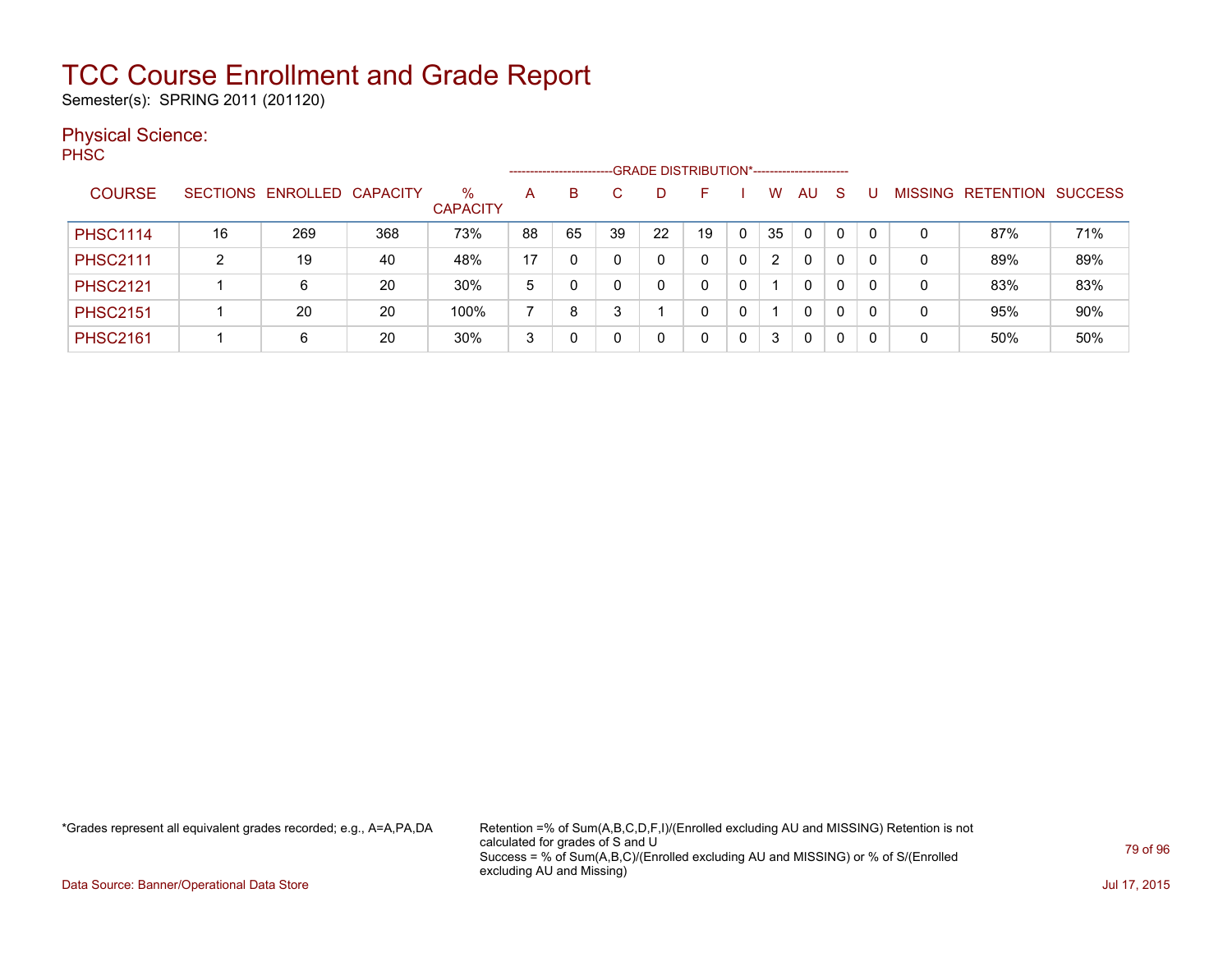Semester(s): SPRING 2011 (201120)

#### Physical Science:

PH<sub>SC</sub>

|                 |    |                            |     |                         | --------------------- |    |    |    | -GRADE DISTRIBUTION*---------------------- |   |    |          |              |          |                |                  |                |
|-----------------|----|----------------------------|-----|-------------------------|-----------------------|----|----|----|--------------------------------------------|---|----|----------|--------------|----------|----------------|------------------|----------------|
| <b>COURSE</b>   |    | SECTIONS ENROLLED CAPACITY |     | $\%$<br><b>CAPACITY</b> | A                     | B  |    | D. | F                                          |   | W. | AU       | -S           |          | <b>MISSING</b> | <b>RETENTION</b> | <b>SUCCESS</b> |
| <b>PHSC1114</b> | 16 | 269                        | 368 | 73%                     | 88                    | 65 | 39 | 22 | 19                                         | 0 | 35 | 0        | $\mathbf{0}$ | $\Omega$ | 0              | 87%              | 71%            |
| <b>PHSC2111</b> |    | 19                         | 40  | 48%                     | 17                    | 0  |    |    |                                            |   | 2  | $\Omega$ | 0            |          | 0              | 89%              | 89%            |
| <b>PHSC2121</b> |    | 6                          | 20  | 30%                     | 5                     |    |    |    |                                            |   |    | 0        | 0            |          | 0              | 83%              | 83%            |
| <b>PHSC2151</b> |    | 20                         | 20  | 100%                    |                       | 8  |    |    | 0                                          |   |    | 0        | 0            |          | 0              | 95%              | 90%            |
| <b>PHSC2161</b> |    | 6                          | 20  | 30%                     | 3                     |    |    |    | 0                                          |   | 3  | 0        | 0            |          | 0              | 50%              | 50%            |

\*Grades represent all equivalent grades recorded; e.g., A=A,PA,DA Retention =% of Sum(A,B,C,D,F,I)/(Enrolled excluding AU and MISSING) Retention is not calculated for grades of S and U Success = % of Sum(A,B,C)/(Enrolled excluding AU and MISSING) or % of S/(Enrolled excluding AU and Missing)

Data Source: Banner/Operational Data Store Jul 17, 2015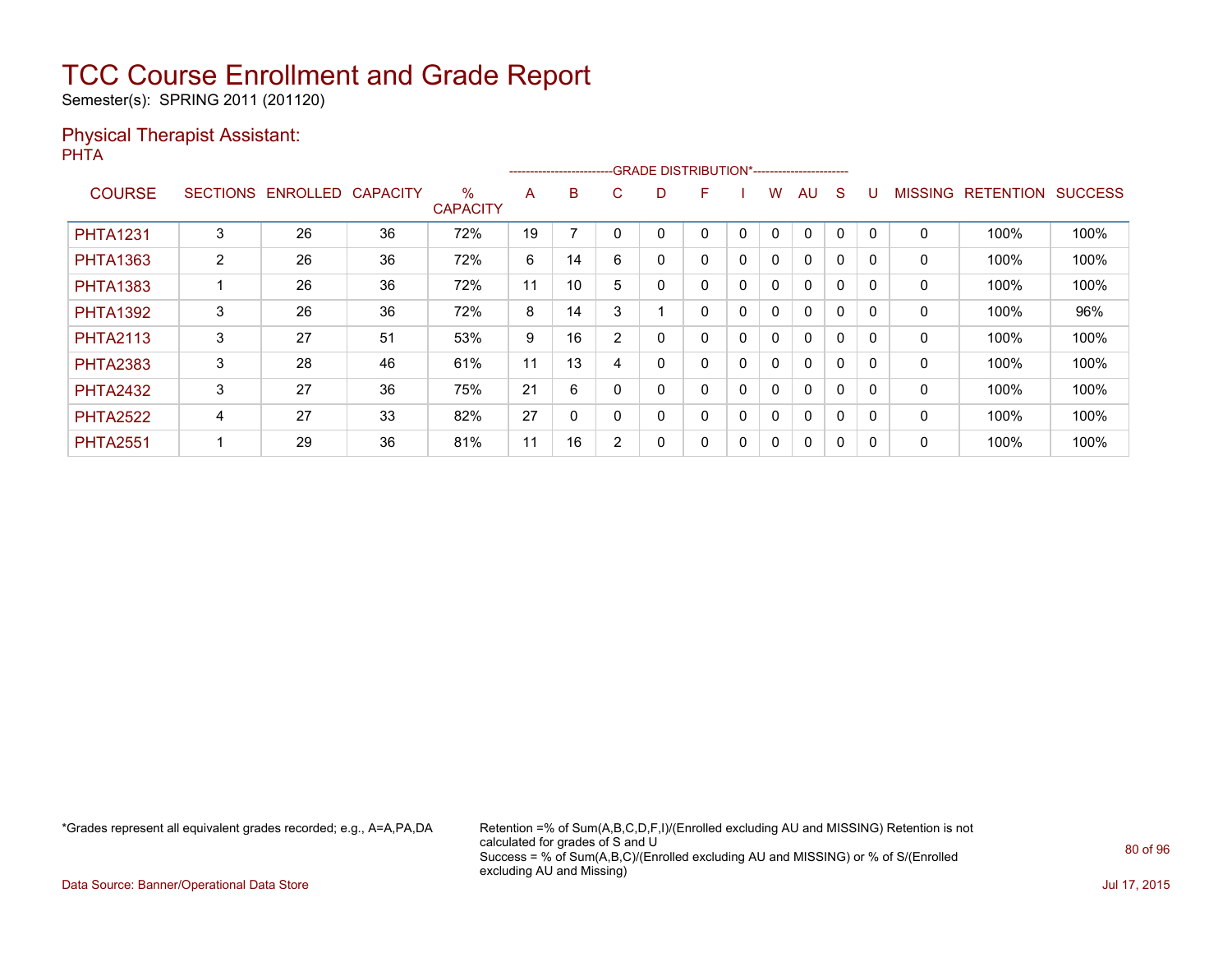Semester(s): SPRING 2011 (201120)

#### Physical Therapist Assistant: PHTA

|                 |                 |          |                 |                      |    | ------------------------- |                |   | -GRADE DISTRIBUTION*----------------------- |   |              |              |   |          |                |                  |                |
|-----------------|-----------------|----------|-----------------|----------------------|----|---------------------------|----------------|---|---------------------------------------------|---|--------------|--------------|---|----------|----------------|------------------|----------------|
| <b>COURSE</b>   | <b>SECTIONS</b> | ENROLLED | <b>CAPACITY</b> | %<br><b>CAPACITY</b> | A  | B                         | C.             | D | F                                           |   | w            | AU           | S |          | <b>MISSING</b> | <b>RETENTION</b> | <b>SUCCESS</b> |
| <b>PHTA1231</b> | 3               | 26       | 36              | 72%                  | 19 |                           |                |   | 0                                           | 0 | $\mathbf{0}$ | $\mathbf{0}$ | 0 | $\Omega$ | 0              | 100%             | 100%           |
| <b>PHTA1363</b> | $\overline{2}$  | 26       | 36              | 72%                  | 6  | 14                        | 6              |   | 0                                           | 0 | $\mathbf{0}$ | $\mathbf{0}$ | 0 |          | 0              | 100%             | 100%           |
| <b>PHTA1383</b> |                 | 26       | 36              | 72%                  | 11 | 10                        | 5              |   | 0                                           | 0 | $\mathbf{0}$ | $\mathbf{0}$ | 0 | $\Omega$ | $\mathbf 0$    | 100%             | 100%           |
| <b>PHTA1392</b> | 3               | 26       | 36              | 72%                  | 8  | 14                        | 3              |   | 0                                           | 0 | 0            | $\mathbf{0}$ | 0 | $\Omega$ | 0              | 100%             | 96%            |
| <b>PHTA2113</b> | 3               | 27       | 51              | 53%                  | 9  | 16                        | $\overline{2}$ |   | 0                                           | 0 | 0            | $\mathbf{0}$ | 0 |          | 0              | 100%             | 100%           |
| <b>PHTA2383</b> | 3               | 28       | 46              | 61%                  | 11 | 13                        | 4              |   | 0                                           | 0 | $\mathbf{0}$ | $\mathbf{0}$ | 0 | 0        | $\mathbf 0$    | 100%             | 100%           |
| <b>PHTA2432</b> | 3               | 27       | 36              | 75%                  | 21 | 6                         |                |   | 0                                           | 0 | $\mathbf{0}$ | $\mathbf{0}$ | 0 | $\Omega$ | 0              | 100%             | 100%           |
| <b>PHTA2522</b> | 4               | 27       | 33              | 82%                  | 27 | 0                         |                |   | 0                                           | 0 | 0            | $\mathbf{0}$ | 0 | $\Omega$ | 0              | 100%             | 100%           |
| <b>PHTA2551</b> |                 | 29       | 36              | 81%                  | 11 | 16                        | <sup>n</sup>   |   | 0                                           | 0 | 0            | $\mathbf{0}$ | 0 | 0        | 0              | 100%             | 100%           |

\*Grades represent all equivalent grades recorded; e.g., A=A,PA,DA Retention =% of Sum(A,B,C,D,F,I)/(Enrolled excluding AU and MISSING) Retention is not calculated for grades of S and U Success = % of Sum(A,B,C)/(Enrolled excluding AU and MISSING) or % of S/(Enrolled excluding AU and Missing)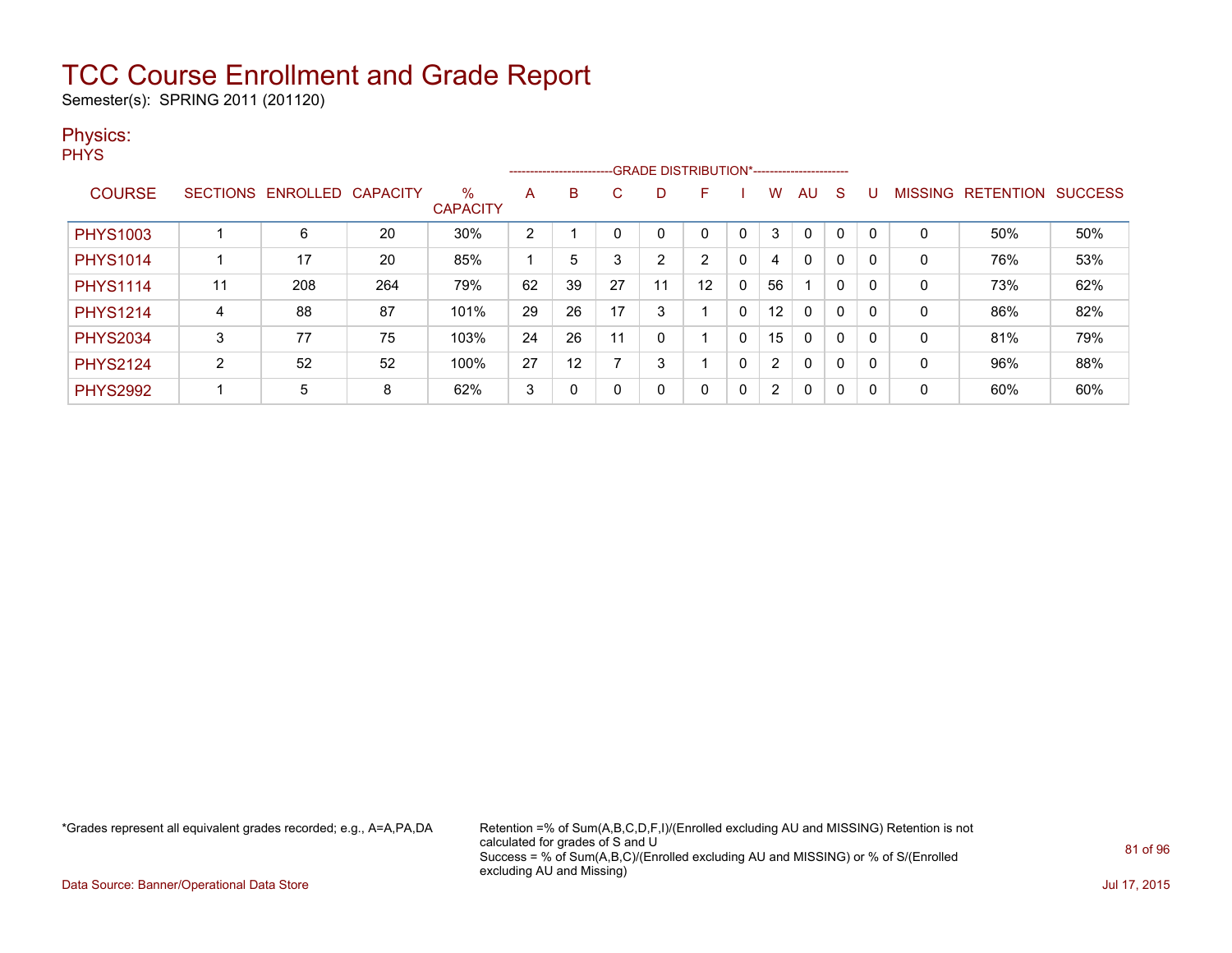Semester(s): SPRING 2011 (201120)

#### Physics:

**PHYS** 

|                 |                 |          |          |                         |    |    |    |                | ------------------------GRADE DISTRIBUTION*----------------------- |              |                      |              |             |          |                |                  |                |
|-----------------|-----------------|----------|----------|-------------------------|----|----|----|----------------|--------------------------------------------------------------------|--------------|----------------------|--------------|-------------|----------|----------------|------------------|----------------|
| <b>COURSE</b>   | <b>SECTIONS</b> | ENROLLED | CAPACITY | $\%$<br><b>CAPACITY</b> | A  | B. | C  | D              | F                                                                  |              | W                    | AU           | S           |          | <b>MISSING</b> | <b>RETENTION</b> | <b>SUCCESS</b> |
| <b>PHYS1003</b> |                 | 6        | 20       | 30%                     | 2  |    |    |                | 0                                                                  |              | 3                    | $\mathbf 0$  | 0           |          | 0              | 50%              | 50%            |
| <b>PHYS1014</b> |                 | 17       | 20       | 85%                     |    | 5  |    | $\overline{2}$ | C.                                                                 | 0            | 4                    | $\mathbf{0}$ | 0           |          | 0              | 76%              | 53%            |
| <b>PHYS1114</b> | 11              | 208      | 264      | 79%                     | 62 | 39 | 27 | 11             | 12                                                                 | 0            | 56                   |              | 0           |          | 0              | 73%              | 62%            |
| <b>PHYS1214</b> | 4               | 88       | 87       | 101%                    | 29 | 26 | 17 | 3              |                                                                    | 0            | 12                   | 0            | $\mathbf 0$ |          | 0              | 86%              | 82%            |
| <b>PHYS2034</b> | 3               | 77       | 75       | 103%                    | 24 | 26 | 11 | 0              |                                                                    | 0            | 15                   | $\mathbf{0}$ | $\mathbf 0$ | $\Omega$ | 0              | 81%              | 79%            |
| <b>PHYS2124</b> | 2               | 52       | 52       | 100%                    | 27 | 12 |    | 3              |                                                                    | $\Omega$     | $\overline{2}$       | $\mathbf{0}$ | $\mathbf 0$ |          | 0              | 96%              | 88%            |
| <b>PHYS2992</b> |                 | 5        | 8        | 62%                     | 3  | 0  |    | 0              | 0                                                                  | $\mathbf{0}$ | $\mathbf{2}^{\circ}$ | $\mathbf{0}$ | $\mathbf 0$ | - C      | 0              | 60%              | 60%            |

\*Grades represent all equivalent grades recorded; e.g., A=A,PA,DA Retention =% of Sum(A,B,C,D,F,I)/(Enrolled excluding AU and MISSING) Retention is not calculated for grades of S and U Success = % of Sum(A,B,C)/(Enrolled excluding AU and MISSING) or % of S/(Enrolled excluding AU and Missing)

Data Source: Banner/Operational Data Store Jul 17, 2015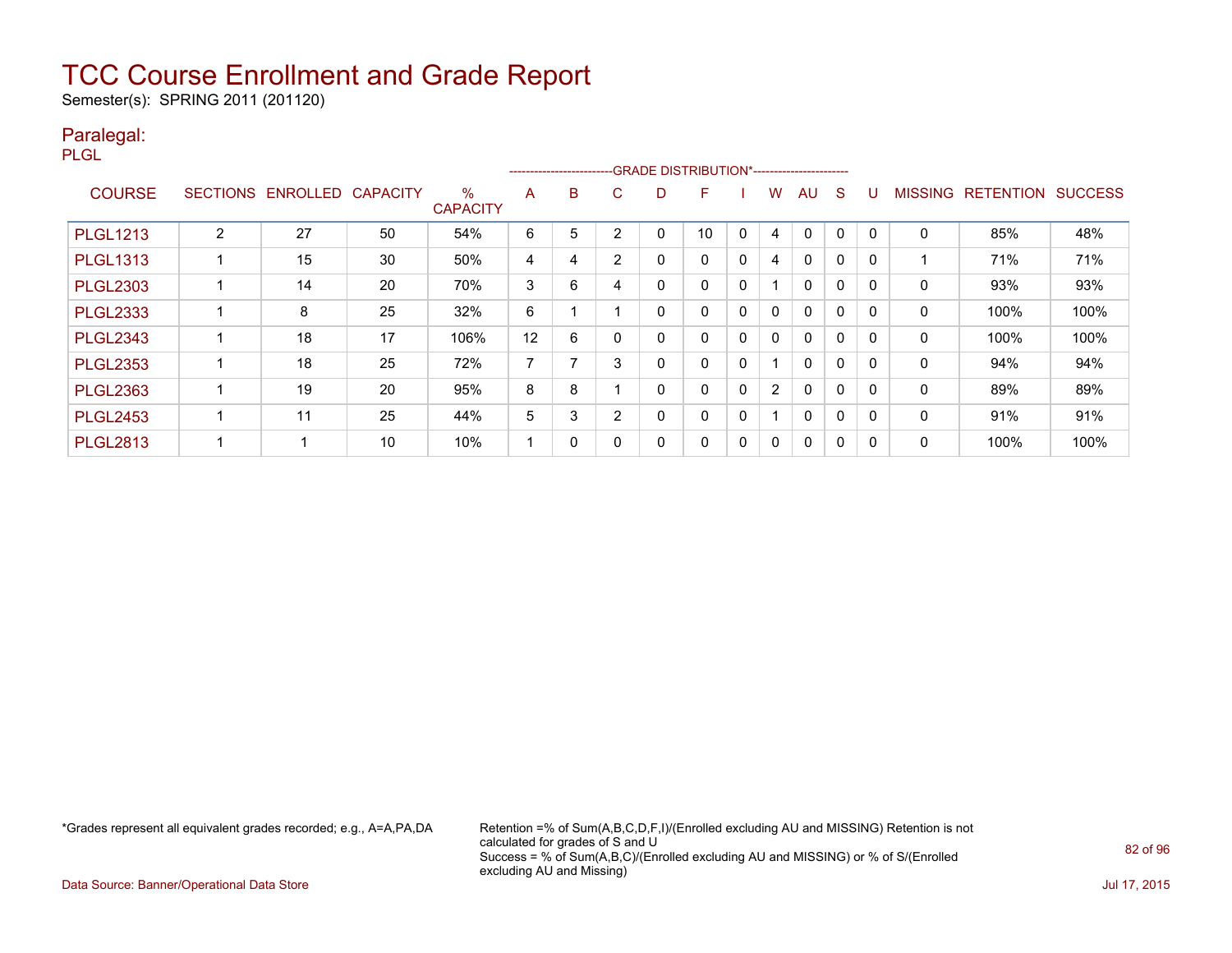Semester(s): SPRING 2011 (201120)

#### Paralegal:

PLGL

|                 |                 |                 |                 |                      |    | ------------------------- |                |   | -GRADE DISTRIBUTION*----------------------- |              |                |              |              |          |                |                  |                |
|-----------------|-----------------|-----------------|-----------------|----------------------|----|---------------------------|----------------|---|---------------------------------------------|--------------|----------------|--------------|--------------|----------|----------------|------------------|----------------|
| <b>COURSE</b>   | <b>SECTIONS</b> | <b>ENROLLED</b> | <b>CAPACITY</b> | %<br><b>CAPACITY</b> | A  | B                         | C.             | D | F                                           |              | W              | AU           | S            |          | <b>MISSING</b> | <b>RETENTION</b> | <b>SUCCESS</b> |
| <b>PLGL1213</b> | 2               | 27              | 50              | 54%                  | 6  | 5                         | 2              | 0 | 10                                          | $\mathbf{0}$ | 4              | 0            | 0            |          | 0              | 85%              | 48%            |
| <b>PLGL1313</b> |                 | 15              | 30              | 50%                  | 4  | 4                         | $\overline{2}$ | 0 | 0                                           | 0            | 4              | $\mathbf{0}$ | $\mathbf 0$  |          |                | 71%              | 71%            |
| <b>PLGL2303</b> |                 | 14              | 20              | 70%                  | 3  | 6                         | 4              | 0 | 0                                           | $\mathbf{0}$ |                | $\mathbf{0}$ | 0            |          | 0              | 93%              | 93%            |
| <b>PLGL2333</b> |                 | 8               | 25              | 32%                  | 6  |                           |                | 0 | 0                                           | 0            | $\mathbf{0}$   | 0            | $\mathbf{0}$ |          | 0              | 100%             | 100%           |
| <b>PLGL2343</b> |                 | 18              | 17              | 106%                 | 12 | 6                         | 0              | 0 | 0                                           | 0            | 0              | $\mathbf{0}$ | 0            |          | 0              | 100%             | 100%           |
| <b>PLGL2353</b> |                 | 18              | 25              | 72%                  | 7  |                           | 3              | 0 | 0                                           | 0            |                | $\mathbf{0}$ | 0            |          | 0              | 94%              | 94%            |
| <b>PLGL2363</b> |                 | 19              | 20              | 95%                  | 8  | 8                         |                | 0 | 0                                           | 0            | $\overline{2}$ | $\mathbf{0}$ | $\mathbf 0$  |          | $\mathbf{0}$   | 89%              | 89%            |
| <b>PLGL2453</b> |                 | 11              | 25              | 44%                  | 5  | 3                         | $\overline{2}$ | 0 | 0                                           | $\mathbf{0}$ |                | $\mathbf{0}$ | $\Omega$     | $\Omega$ | 0              | 91%              | 91%            |
| <b>PLGL2813</b> |                 |                 | 10              | 10%                  |    | 0                         |                | 0 | 0                                           | 0            | $\Omega$       | $\mathbf{0}$ | 0            |          | 0              | 100%             | 100%           |

\*Grades represent all equivalent grades recorded; e.g., A=A,PA,DA Retention =% of Sum(A,B,C,D,F,I)/(Enrolled excluding AU and MISSING) Retention is not calculated for grades of S and U Success = % of Sum(A,B,C)/(Enrolled excluding AU and MISSING) or % of S/(Enrolled excluding AU and Missing)

Data Source: Banner/Operational Data Store Jul 17, 2015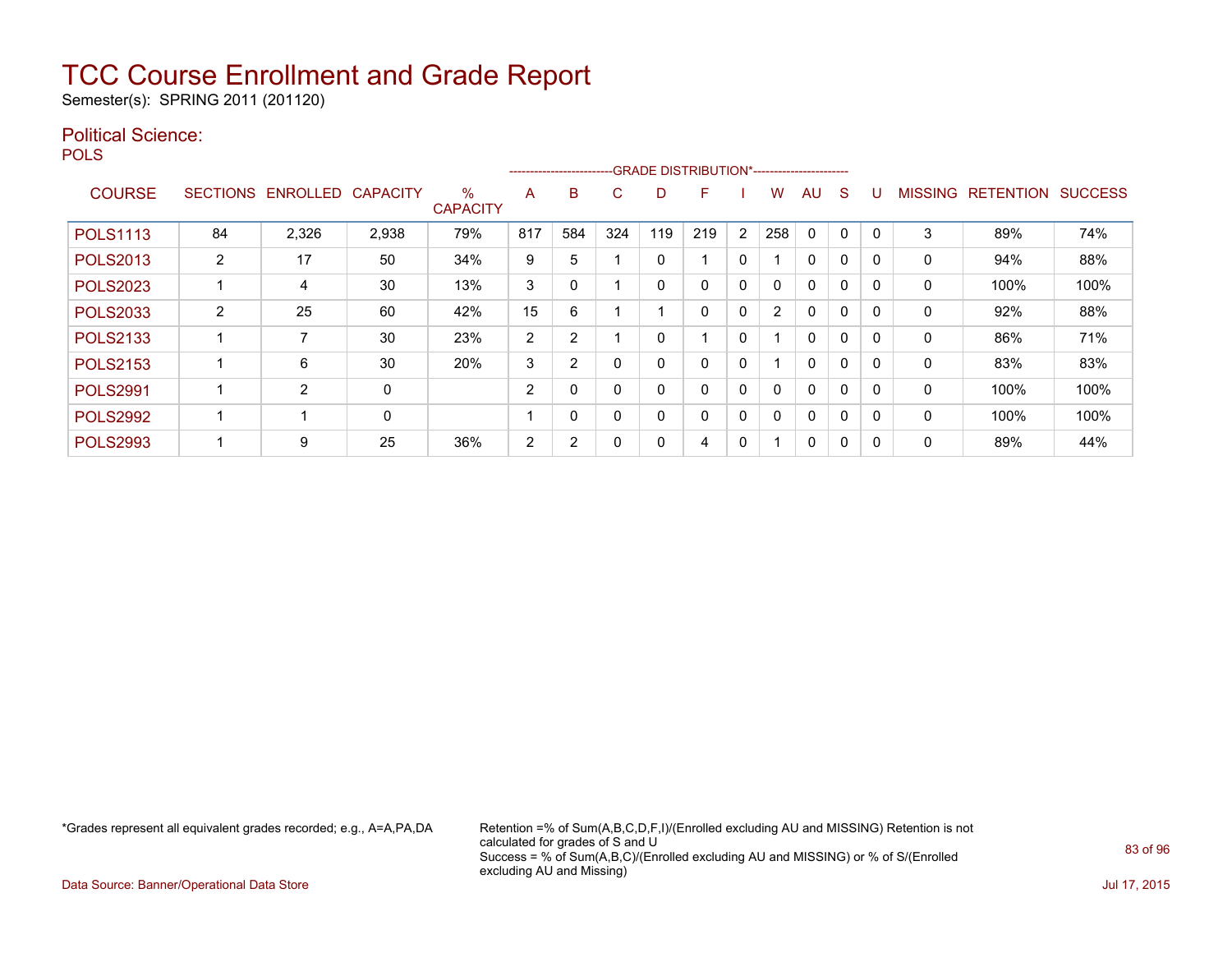Semester(s): SPRING 2011 (201120)

#### Political Science:

**POLS** 

|                 |                 |                 |                 |                      |                | ----------------------- |          | --GRADE DISTRIBUTION*----------------------- |          |          |     |              |             |          |                |                  |                |
|-----------------|-----------------|-----------------|-----------------|----------------------|----------------|-------------------------|----------|----------------------------------------------|----------|----------|-----|--------------|-------------|----------|----------------|------------------|----------------|
| <b>COURSE</b>   | <b>SECTIONS</b> | <b>ENROLLED</b> | <b>CAPACITY</b> | %<br><b>CAPACITY</b> | A              | B                       | C        | D                                            | F        |          | W   | AU           | S           |          | <b>MISSING</b> | <b>RETENTION</b> | <b>SUCCESS</b> |
| <b>POLS1113</b> | 84              | 2,326           | 2,938           | 79%                  | 817            | 584                     | 324      | 119                                          | 219      | 2        | 258 | $\Omega$     | 0           | $\Omega$ | 3              | 89%              | 74%            |
| <b>POLS2013</b> | $\overline{2}$  | 17              | 50              | 34%                  | 9              | 5                       |          | 0                                            |          | 0        |     | $\mathbf{0}$ | $\mathbf 0$ |          | 0              | 94%              | 88%            |
| <b>POLS2023</b> |                 | 4               | 30              | 13%                  | 3              | 0                       |          | 0                                            |          | 0        |     | $\mathbf{0}$ | 0           |          | 0              | 100%             | 100%           |
| <b>POLS2033</b> | $\overline{2}$  | 25              | 60              | 42%                  | 15             | 6                       |          |                                              | $\Omega$ | 0        | 2   | $\mathbf 0$  | 0           | $\Omega$ | 0              | 92%              | 88%            |
| <b>POLS2133</b> |                 | 7               | 30              | 23%                  | $\overline{2}$ | $\overline{2}$          |          | 0                                            |          | $\Omega$ |     | $\mathbf{0}$ | 0           | $\Omega$ | $\Omega$       | 86%              | 71%            |
| <b>POLS2153</b> |                 | 6               | 30              | 20%                  | 3              | $\overline{2}$          | $\Omega$ | 0                                            |          | 0        |     | $\mathbf 0$  | 0           |          | 0              | 83%              | 83%            |
| <b>POLS2991</b> |                 | 2               | 0               |                      | $\overline{2}$ | 0                       | $\Omega$ | 0                                            | 0        | $\Omega$ | 0   | $\mathbf{0}$ | $\Omega$    | $\Omega$ | $\Omega$       | 100%             | 100%           |
| <b>POLS2992</b> |                 | 4               | 0               |                      |                | $\Omega$                | $\Omega$ | $\Omega$                                     |          | 0        | 0   | $\Omega$     | 0           | $\Omega$ | 0              | 100%             | 100%           |
| <b>POLS2993</b> |                 | 9               | 25              | 36%                  | 2              | $\overline{2}$          | 0        | 0                                            | 4        | 0        |     | 0            | 0           |          | $\Omega$       | 89%              | 44%            |

\*Grades represent all equivalent grades recorded; e.g., A=A,PA,DA Retention =% of Sum(A,B,C,D,F,I)/(Enrolled excluding AU and MISSING) Retention is not calculated for grades of S and U Success = % of Sum(A,B,C)/(Enrolled excluding AU and MISSING) or % of S/(Enrolled excluding AU and Missing)

Data Source: Banner/Operational Data Store **July 17, 2015**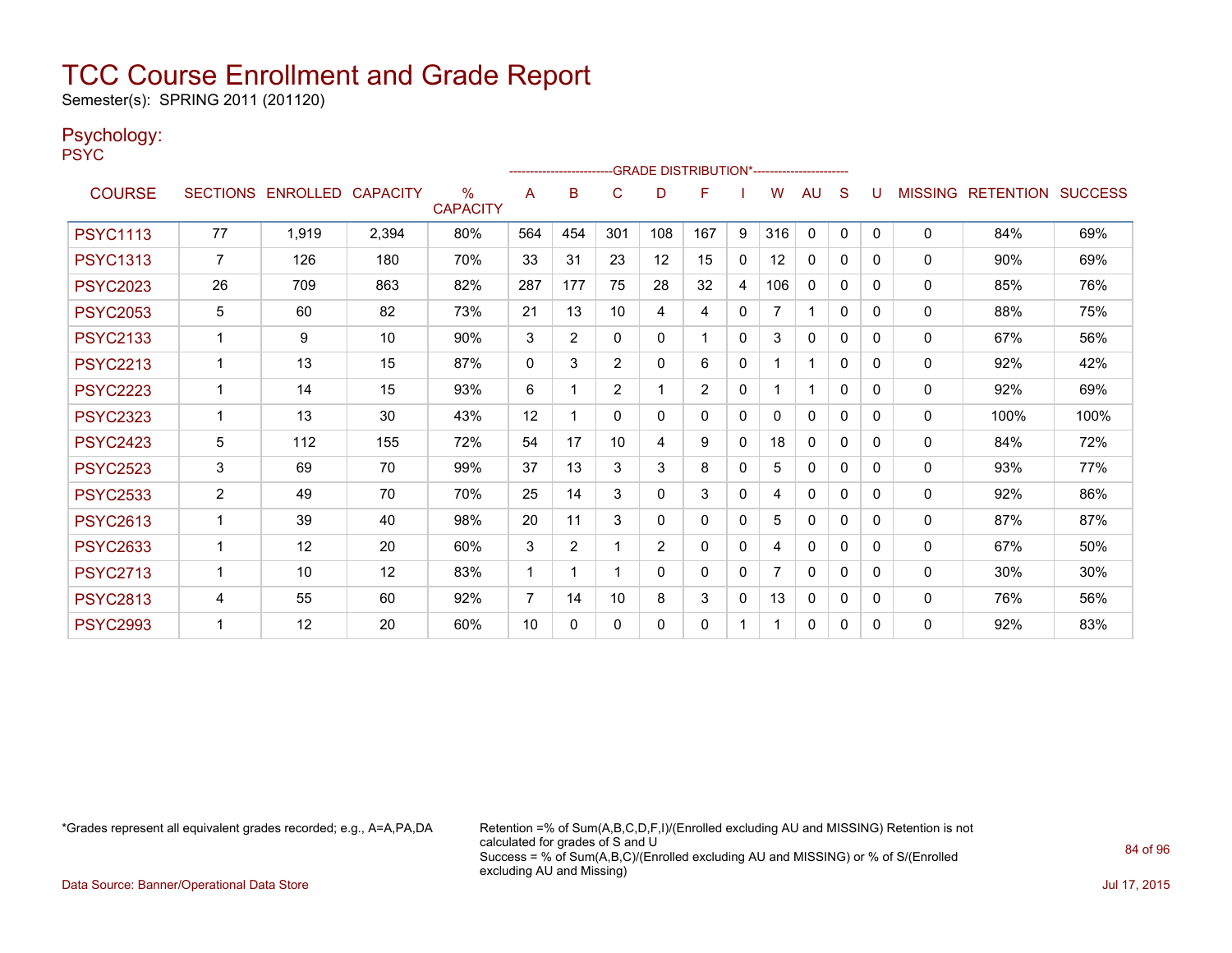Semester(s): SPRING 2011 (201120)

#### Psychology:

PSYC

|                 |                |                            |       |                         |                |          |              | -------------------------GRADE DISTRIBUTION*---------------------- |          |              |          |              |              |   |                |                          |      |
|-----------------|----------------|----------------------------|-------|-------------------------|----------------|----------|--------------|--------------------------------------------------------------------|----------|--------------|----------|--------------|--------------|---|----------------|--------------------------|------|
| <b>COURSE</b>   |                | SECTIONS ENROLLED CAPACITY |       | $\%$<br><b>CAPACITY</b> | A              | B        | C            | D                                                                  | F        |              | W        | AU.          | S            | U | <b>MISSING</b> | <b>RETENTION SUCCESS</b> |      |
| <b>PSYC1113</b> | 77             | 1,919                      | 2,394 | 80%                     | 564            | 454      | 301          | 108                                                                | 167      | 9            | 316      | 0            | $\mathbf{0}$ | 0 | 0              | 84%                      | 69%  |
| <b>PSYC1313</b> | $\overline{7}$ | 126                        | 180   | 70%                     | 33             | 31       | 23           | 12                                                                 | 15       | $\mathbf{0}$ | 12       | 0            | 0            | 0 | 0              | 90%                      | 69%  |
| <b>PSYC2023</b> | 26             | 709                        | 863   | 82%                     | 287            | 177      | 75           | 28                                                                 | 32       | 4            | 106      | 0            | 0            | 0 | $\mathbf{0}$   | 85%                      | 76%  |
| <b>PSYC2053</b> | 5              | 60                         | 82    | 73%                     | 21             | 13       | 10           | 4                                                                  | 4        | $\mathbf{0}$ |          |              | $\Omega$     | 0 | $\mathbf{0}$   | 88%                      | 75%  |
| <b>PSYC2133</b> |                | 9                          | 10    | 90%                     | 3              | 2        | $\mathbf{0}$ | $\Omega$                                                           |          | $\Omega$     | 3        | $\Omega$     | $\Omega$     | 0 | 0              | 67%                      | 56%  |
| <b>PSYC2213</b> |                | 13                         | 15    | 87%                     | $\Omega$       | 3        | 2            | $\Omega$                                                           | 6        | $\Omega$     |          |              | $\Omega$     | 0 | 0              | 92%                      | 42%  |
| <b>PSYC2223</b> | 1              | 14                         | 15    | 93%                     | 6              | 1        | 2            |                                                                    | 2        | $\mathbf{0}$ |          |              | $\Omega$     | 0 | 0              | 92%                      | 69%  |
| <b>PSYC2323</b> | 1              | 13                         | 30    | 43%                     | 12             | 1        | $\mathbf{0}$ | $\mathbf{0}$                                                       | $\Omega$ | $\mathbf{0}$ | $\Omega$ | 0            | 0            | 0 | 0              | 100%                     | 100% |
| <b>PSYC2423</b> | 5              | 112                        | 155   | 72%                     | 54             | 17       | 10           | 4                                                                  | 9        | $\mathbf{0}$ | 18       | $\mathbf{0}$ | $\Omega$     | 0 | $\Omega$       | 84%                      | 72%  |
| <b>PSYC2523</b> | 3              | 69                         | 70    | 99%                     | 37             | 13       | 3            | 3                                                                  | 8        | $\mathbf{0}$ | 5.       | 0            | $\Omega$     | 0 | $\mathbf{0}$   | 93%                      | 77%  |
| <b>PSYC2533</b> | $\overline{2}$ | 49                         | 70    | 70%                     | 25             | 14       | 3            | $\Omega$                                                           | 3        | $\mathbf{0}$ | 4        | $\mathbf{0}$ | 0            | 0 | 0              | 92%                      | 86%  |
| <b>PSYC2613</b> |                | 39                         | 40    | 98%                     | 20             | 11       | 3            | $\Omega$                                                           | $\Omega$ | $\mathbf{0}$ | 5        | $\mathbf{0}$ | $\Omega$     | 0 | 0              | 87%                      | 87%  |
| <b>PSYC2633</b> | 1              | 12                         | 20    | 60%                     | 3              | 2        | -1           | 2                                                                  | 0        | $\mathbf{0}$ | 4        | 0            | $\Omega$     | 0 | 0              | 67%                      | 50%  |
| <b>PSYC2713</b> | 1              | 10                         | 12    | 83%                     | 1              | 1        |              | $\Omega$                                                           | 0        | $\mathbf{0}$ |          | 0            | 0            | 0 | $\mathbf{0}$   | 30%                      | 30%  |
| <b>PSYC2813</b> | 4              | 55                         | 60    | 92%                     | $\overline{7}$ | 14       | 10           | 8                                                                  | 3        | $\mathbf{0}$ | 13       | $\mathbf{0}$ | $\Omega$     | 0 | $\mathbf{0}$   | 76%                      | 56%  |
| <b>PSYC2993</b> |                | 12                         | 20    | 60%                     | 10             | $\Omega$ | $\Omega$     | $\Omega$                                                           | 0        |              |          | $\mathbf{0}$ | 0            | 0 | $\mathbf{0}$   | 92%                      | 83%  |

\*Grades represent all equivalent grades recorded; e.g., A=A,PA,DA Retention =% of Sum(A,B,C,D,F,I)/(Enrolled excluding AU and MISSING) Retention is not calculated for grades of S and U Success = % of Sum(A,B,C)/(Enrolled excluding AU and MISSING) or % of S/(Enrolled excluding AU and Missing)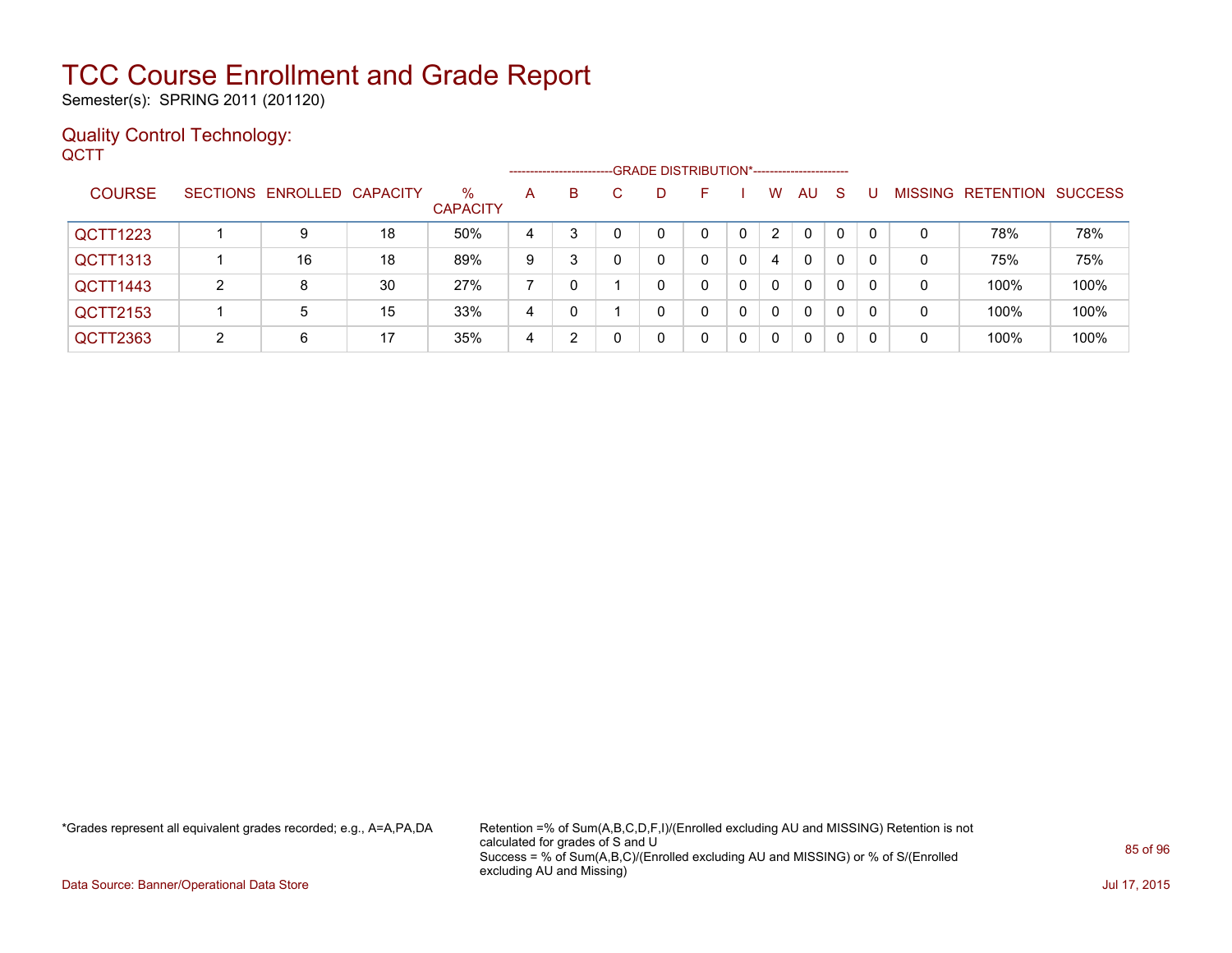Semester(s): SPRING 2011 (201120)

#### Quality Control Technology: **QCTT**

|                 |    |                            |    |                      | -------------------- |   |   | -GRADE DISTRIBUTION*----------------------- |    |                      |    |    |    |   |                   |                |
|-----------------|----|----------------------------|----|----------------------|----------------------|---|---|---------------------------------------------|----|----------------------|----|----|----|---|-------------------|----------------|
| <b>COURSE</b>   |    | SECTIONS ENROLLED CAPACITY |    | %<br><b>CAPACITY</b> | A                    | B | C | D                                           | н. | W                    | AU | -S |    |   | MISSING RETENTION | <b>SUCCESS</b> |
| QCTT1223        |    |                            | 18 | 50%                  | 4                    | 3 |   | 0                                           |    | $\mathbf{2}^{\circ}$ | 0  | 0  |    | 0 | 78%               | 78%            |
| <b>QCTT1313</b> |    | 16                         | 18 | 89%                  | 9                    |   |   |                                             | 0  | 4                    | 0  | 0  |    | 0 | 75%               | 75%            |
| QCTT1443        | 2  | 8                          | 30 | 27%                  |                      |   |   | 0                                           | 0  | $\Omega$             | 0  | 0  |    | 0 | 100%              | 100%           |
| QCTT2153        |    | 5                          | 15 | 33%                  | 4                    |   |   | 0                                           | 0  | $\Omega$             | 0  | 0  | -0 | 0 | 100%              | 100%           |
| QCTT2363        | C. | 6                          | 17 | 35%                  | 4                    | 2 |   |                                             |    | $\Omega$             | 0  | 0  |    | 0 | 100%              | 100%           |

\*Grades represent all equivalent grades recorded; e.g., A=A,PA,DA Retention =% of Sum(A,B,C,D,F,I)/(Enrolled excluding AU and MISSING) Retention is not calculated for grades of S and U Success = % of Sum(A,B,C)/(Enrolled excluding AU and MISSING) or % of S/(Enrolled excluding AU and Missing)

Data Source: Banner/Operational Data Store Jul 17, 2015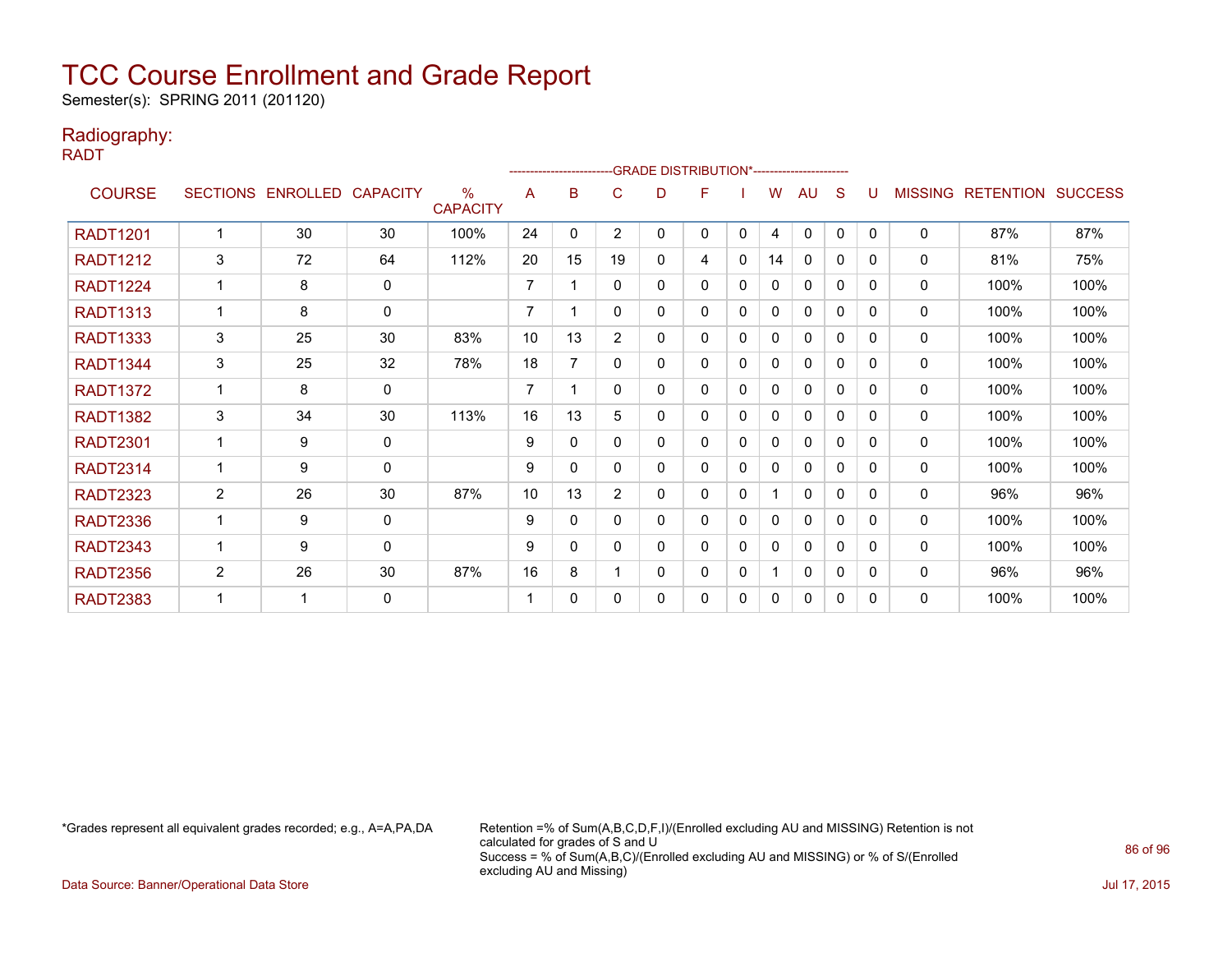Semester(s): SPRING 2011 (201120)

#### Radiography:

RADT

|                 |                |                            |             |                         |                | ------------------------ |                |   | -- GRADE DISTRIBUTION*------------------------ |              |    |              |              |              |                |                          |      |
|-----------------|----------------|----------------------------|-------------|-------------------------|----------------|--------------------------|----------------|---|------------------------------------------------|--------------|----|--------------|--------------|--------------|----------------|--------------------------|------|
| <b>COURSE</b>   |                | SECTIONS ENROLLED CAPACITY |             | $\%$<br><b>CAPACITY</b> | A              | в                        | C              | D | F                                              |              | W  | AU           | S            |              | <b>MISSING</b> | <b>RETENTION SUCCESS</b> |      |
| <b>RADT1201</b> |                | 30                         | 30          | 100%                    | 24             | $\mathbf{0}$             | $\overline{2}$ | 0 | 0                                              | 0            | 4  | $\mathbf{0}$ | $\mathbf{0}$ | $\Omega$     | $\Omega$       | 87%                      | 87%  |
| <b>RADT1212</b> | $\mathbf{3}$   | 72                         | 64          | 112%                    | 20             | 15                       | 19             | 0 | 4                                              | 0            | 14 | 0            | $\mathbf{0}$ | $\Omega$     | 0              | 81%                      | 75%  |
| <b>RADT1224</b> |                | 8                          | 0           |                         | 7              |                          | 0              | 0 | 0                                              | 0            | 0  | 0            | 0            | $\Omega$     | 0              | 100%                     | 100% |
| <b>RADT1313</b> |                | 8                          | $\mathbf 0$ |                         | $\overline{7}$ |                          | 0              | 0 | 0                                              | 0            | 0  | $\mathbf{0}$ | 0            | <sup>0</sup> | $\Omega$       | 100%                     | 100% |
| <b>RADT1333</b> | 3              | 25                         | 30          | 83%                     | 10             | 13                       | $\overline{2}$ | 0 | 0                                              | $\Omega$     | 0  | $\Omega$     | $\Omega$     | 0            | 0              | 100%                     | 100% |
| <b>RADT1344</b> | 3              | 25                         | 32          | 78%                     | 18             | 7                        | 0              | 0 | 0                                              | 0            | 0  | $\mathbf{0}$ | 0            | $\Omega$     | 0              | 100%                     | 100% |
| <b>RADT1372</b> |                | 8                          | $\mathbf 0$ |                         | $\overline{7}$ |                          | 0              | 0 | 0                                              | $\mathbf{0}$ | 0  | $\mathbf{0}$ | $\Omega$     | $\Omega$     | 0              | 100%                     | 100% |
| <b>RADT1382</b> | $\mathbf{3}$   | 34                         | 30          | 113%                    | 16             | 13                       | 5              | 0 | 0                                              | $\mathbf{0}$ | 0  | $\Omega$     | $\Omega$     | 0            | $\mathbf 0$    | 100%                     | 100% |
| <b>RADT2301</b> |                | 9                          | 0           |                         | 9              | 0                        | 0              | 0 | 0                                              | 0            | 0  | $\mathbf{0}$ | 0            | $\Omega$     | 0              | 100%                     | 100% |
| <b>RADT2314</b> |                | 9                          | $\Omega$    |                         | 9              | 0                        | 0              | 0 | 0                                              | $\mathbf{0}$ | 0  | $\mathbf{0}$ | 0            | $\Omega$     | $\Omega$       | 100%                     | 100% |
| <b>RADT2323</b> | $\overline{2}$ | 26                         | 30          | 87%                     | 10             | 13                       | $\overline{2}$ | 0 | 0                                              | $\Omega$     |    | $\Omega$     | $\Omega$     | $\Omega$     | $\mathbf 0$    | 96%                      | 96%  |
| <b>RADT2336</b> |                | 9                          | 0           |                         | 9              | 0                        | 0              | 0 | 0                                              | 0            | 0  | $\mathbf{0}$ | 0            | $\Omega$     | 0              | 100%                     | 100% |
| <b>RADT2343</b> |                | 9                          | $\mathbf 0$ |                         | 9              | 0                        | 0              | 0 | 0                                              | 0            | 0  | $\mathbf{0}$ | $\Omega$     | $\Omega$     | $\mathbf 0$    | 100%                     | 100% |
| <b>RADT2356</b> | $\overline{c}$ | 26                         | 30          | 87%                     | 16             | 8                        |                | 0 | 0                                              | $\mathbf{0}$ |    | $\mathbf{0}$ | $\mathbf{0}$ | $\Omega$     | $\Omega$       | 96%                      | 96%  |
| <b>RADT2383</b> |                | 1                          | 0           |                         |                | 0                        | 0              | 0 | 0                                              | 0            | 0  | $\mathbf{0}$ | 0            | 0            | 0              | 100%                     | 100% |

\*Grades represent all equivalent grades recorded; e.g., A=A,PA,DA Retention =% of Sum(A,B,C,D,F,I)/(Enrolled excluding AU and MISSING) Retention is not calculated for grades of S and U Success = % of Sum(A,B,C)/(Enrolled excluding AU and MISSING) or % of S/(Enrolled excluding AU and Missing)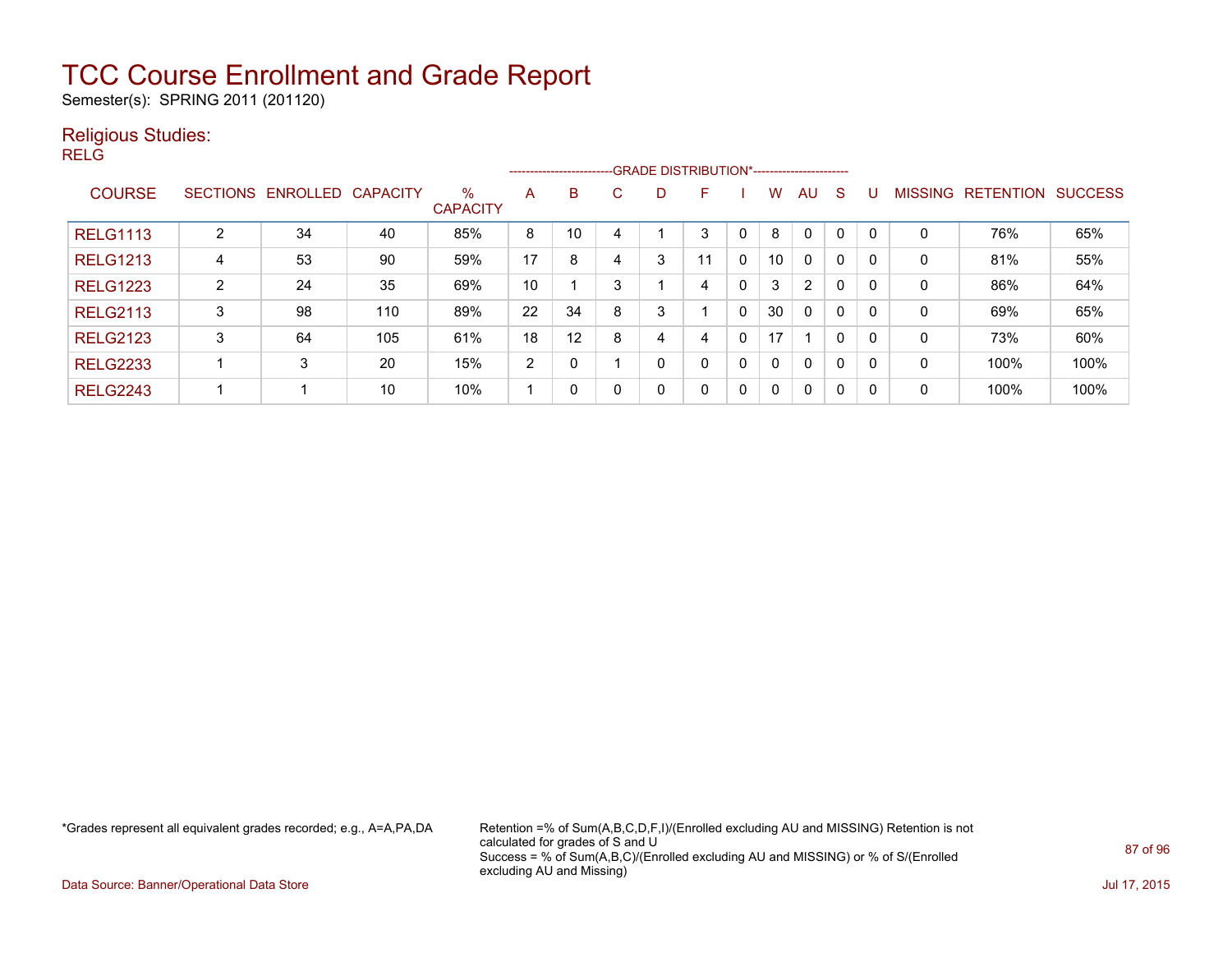Semester(s): SPRING 2011 (201120)

#### Religious Studies:

RELG

|                 |                |                   |                 |                         |    | --------------------------GRADE DISTRIBUTION*----------------------- |   |   |              |   |    |              |          |          |                |                  |                |
|-----------------|----------------|-------------------|-----------------|-------------------------|----|----------------------------------------------------------------------|---|---|--------------|---|----|--------------|----------|----------|----------------|------------------|----------------|
| <b>COURSE</b>   |                | SECTIONS ENROLLED | <b>CAPACITY</b> | $\%$<br><b>CAPACITY</b> | A  | B                                                                    | С | D | E            |   | W. | AU           | S        | U        | <b>MISSING</b> | <b>RETENTION</b> | <b>SUCCESS</b> |
| <b>RELG1113</b> | 2              | 34                | 40              | 85%                     | 8  | 10                                                                   |   |   | 3            |   | 8  | $\Omega$     | $\Omega$ | $\Omega$ | 0              | 76%              | 65%            |
| <b>RELG1213</b> | 4              | 53                | 90              | 59%                     | 17 | 8                                                                    | 4 | 3 | 11           | 0 | 10 | $\mathbf{0}$ | $\Omega$ |          | 0              | 81%              | 55%            |
| <b>RELG1223</b> | $\overline{2}$ | 24                | 35              | 69%                     | 10 |                                                                      | 3 |   | 4            | 0 | 3  | 2            | 0        |          | 0              | 86%              | 64%            |
| <b>RELG2113</b> | 3              | 98                | 110             | 89%                     | 22 | 34                                                                   | 8 | 3 |              | 0 | 30 | $\mathbf{0}$ | 0        | 0        | 0              | 69%              | 65%            |
| <b>RELG2123</b> | 3              | 64                | 105             | 61%                     | 18 | 12                                                                   | 8 | 4 | 4            | 0 | 17 |              | $\Omega$ | 0        | 0              | 73%              | 60%            |
| <b>RELG2233</b> |                | 3                 | 20              | 15%                     | 2  | $\Omega$                                                             |   | 0 | 0            | 0 | 0  | $\Omega$     | $\Omega$ | 0        | 0              | 100%             | 100%           |
| <b>RELG2243</b> |                |                   | 10              | 10%                     |    | $\Omega$                                                             |   | 0 | $\mathbf{0}$ | 0 | 0  | $\Omega$     | 0        | 0        | 0              | 100%             | 100%           |

\*Grades represent all equivalent grades recorded; e.g., A=A,PA,DA Retention =% of Sum(A,B,C,D,F,I)/(Enrolled excluding AU and MISSING) Retention is not calculated for grades of S and U Success = % of Sum(A,B,C)/(Enrolled excluding AU and MISSING) or % of S/(Enrolled excluding AU and Missing)

Data Source: Banner/Operational Data Store Jul 17, 2015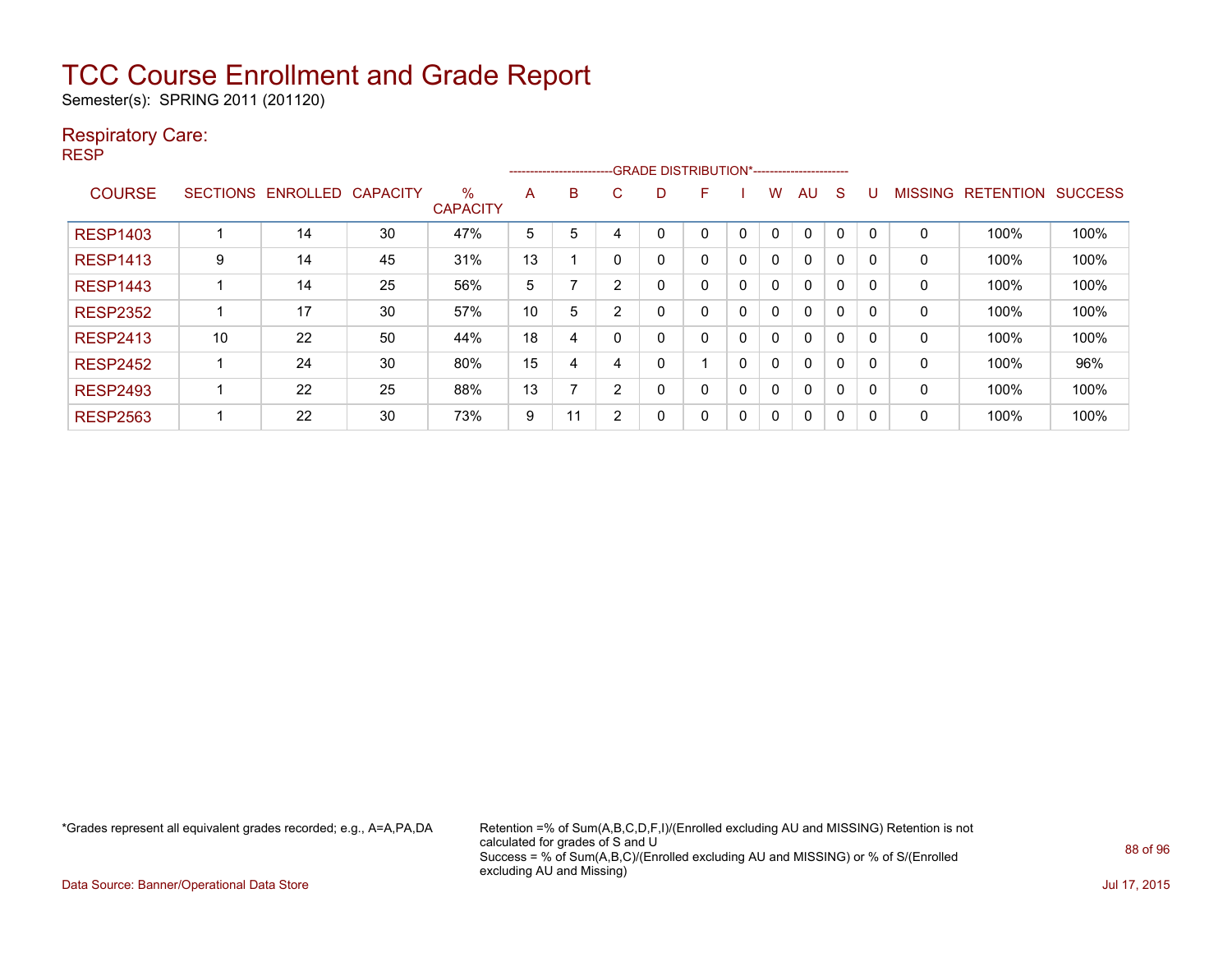Semester(s): SPRING 2011 (201120)

#### Respiratory Care:

RESP

|                 |                 |                 |                 |                         |    | ------------------------ |   | -- GRADE DISTRIBUTION*------------------------ |   |   |   |          |          |          |                |                  |                |
|-----------------|-----------------|-----------------|-----------------|-------------------------|----|--------------------------|---|------------------------------------------------|---|---|---|----------|----------|----------|----------------|------------------|----------------|
| <b>COURSE</b>   | <b>SECTIONS</b> | <b>ENROLLED</b> | <b>CAPACITY</b> | $\%$<br><b>CAPACITY</b> | A  | B                        | C | D                                              | F |   | w | AU       | S        |          | <b>MISSING</b> | <b>RETENTION</b> | <b>SUCCESS</b> |
| <b>RESP1403</b> |                 | 14              | 30              | 47%                     | 5  | 5                        |   | 0                                              | 0 | 0 | 0 | 0        | 0        | 0        | 0              | 100%             | 100%           |
| <b>RESP1413</b> | 9               | 14              | 45              | 31%                     | 13 |                          | n | 0                                              | 0 | 0 | 0 | 0        | 0        | 0        | 0              | 100%             | 100%           |
| <b>RESP1443</b> |                 | 14              | 25              | 56%                     | 5  |                          | 2 | 0                                              | 0 | 0 | 0 | $\Omega$ | $\Omega$ | $\Omega$ | 0              | 100%             | 100%           |
| <b>RESP2352</b> |                 | 17              | 30              | 57%                     | 10 | 5                        | ົ | 0                                              | 0 | 0 | 0 | $\Omega$ | 0        | 0        | 0              | 100%             | 100%           |
| <b>RESP2413</b> | 10              | 22              | 50              | 44%                     | 18 | 4                        |   | 0                                              | 0 | 0 | 0 | $\Omega$ | $\Omega$ | 0        | 0              | 100%             | 100%           |
| <b>RESP2452</b> |                 | 24              | 30              | 80%                     | 15 | 4                        | 4 | 0                                              |   | 0 | 0 | $\Omega$ | 0        | 0        | 0              | 100%             | 96%            |
| <b>RESP2493</b> |                 | 22              | 25              | 88%                     | 13 |                          | ົ | 0                                              | 0 | 0 | 0 | 0        | 0        | 0        | 0              | 100%             | 100%           |
| <b>RESP2563</b> |                 | 22              | 30              | 73%                     | 9  | 11                       | 2 | 0                                              | 0 | 0 | 0 | $\Omega$ | 0        | 0        | 0              | 100%             | 100%           |

\*Grades represent all equivalent grades recorded; e.g., A=A,PA,DA Retention =% of Sum(A,B,C,D,F,I)/(Enrolled excluding AU and MISSING) Retention is not calculated for grades of S and U Success = % of Sum(A,B,C)/(Enrolled excluding AU and MISSING) or % of S/(Enrolled excluding AU and Missing)

Data Source: Banner/Operational Data Store Jul 17, 2015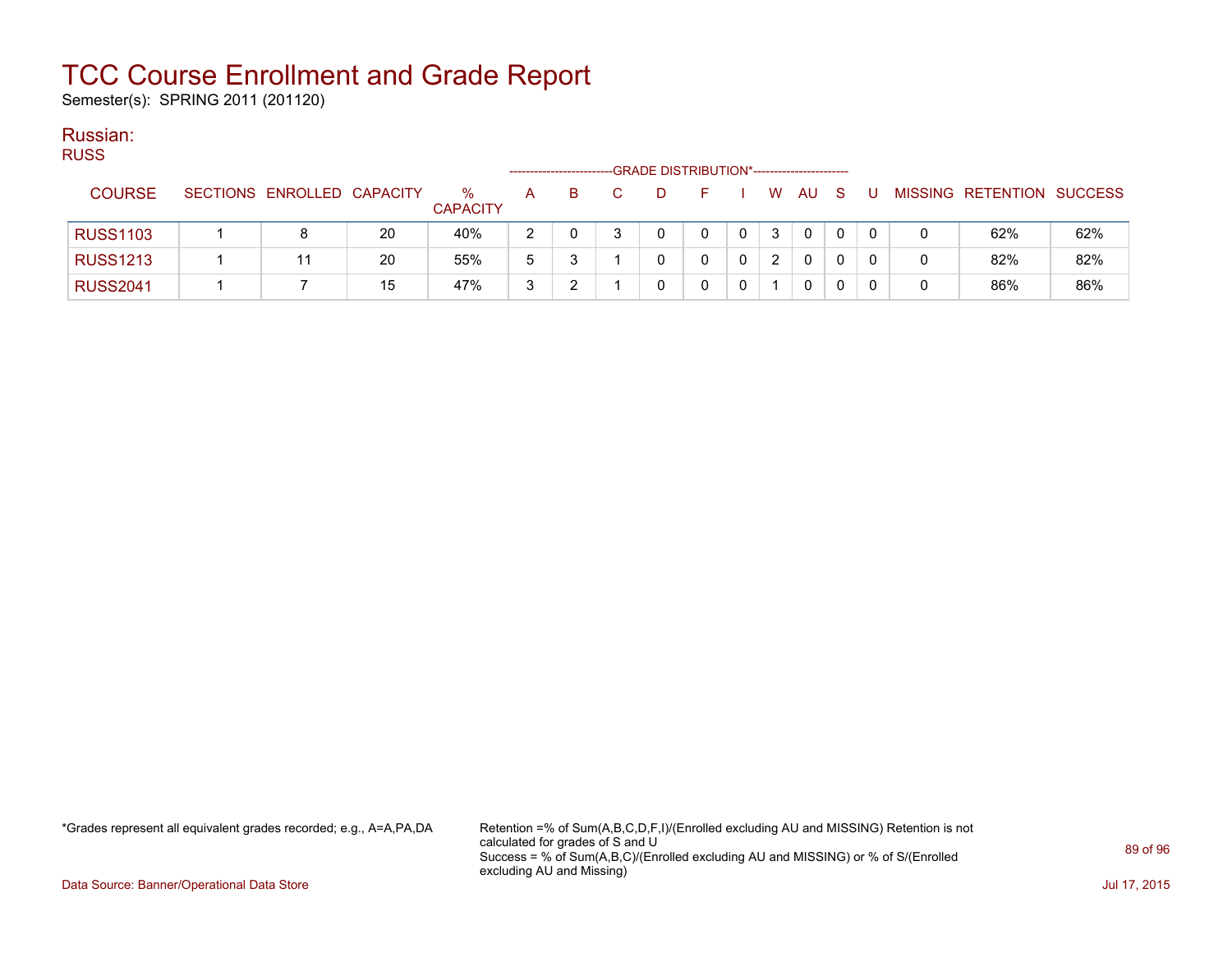Semester(s): SPRING 2011 (201120)

#### Russian: RUSS

| RUSS.           |                            |    |                         |               |    |    |   | -GRADE DISTRIBUTION*----------------------- |   |   |             |     |     |   |                           |     |
|-----------------|----------------------------|----|-------------------------|---------------|----|----|---|---------------------------------------------|---|---|-------------|-----|-----|---|---------------------------|-----|
| <b>COURSE</b>   | SECTIONS ENROLLED CAPACITY |    | $\%$<br><b>CAPACITY</b> | A             | B. | C. | D | н.                                          |   |   | W AU        | - S | - U |   | MISSING RETENTION SUCCESS |     |
| <b>RUSS1103</b> |                            | 20 | 40%                     | $\mathcal{P}$ |    |    |   | 0                                           | 0 | 3 | $\mathbf 0$ | 0   | 0   |   | 62%                       | 62% |
| <b>RUSS1213</b> |                            | 20 | 55%                     | 5             |    |    |   |                                             | 0 | 2 | 0           | 0   |     | 0 | 82%                       | 82% |
| <b>RUSS2041</b> |                            | 15 | 47%                     | 3             |    |    |   |                                             |   |   | 0           | 0   |     | 0 | 86%                       | 86% |

\*Grades represent all equivalent grades recorded; e.g., A=A,PA,DA Retention =% of Sum(A,B,C,D,F,I)/(Enrolled excluding AU and MISSING) Retention is not calculated for grades of S and U Success = % of Sum(A,B,C)/(Enrolled excluding AU and MISSING) or % of S/(Enrolled excluding AU and Missing)

Data Source: Banner/Operational Data Store Jul 17, 2015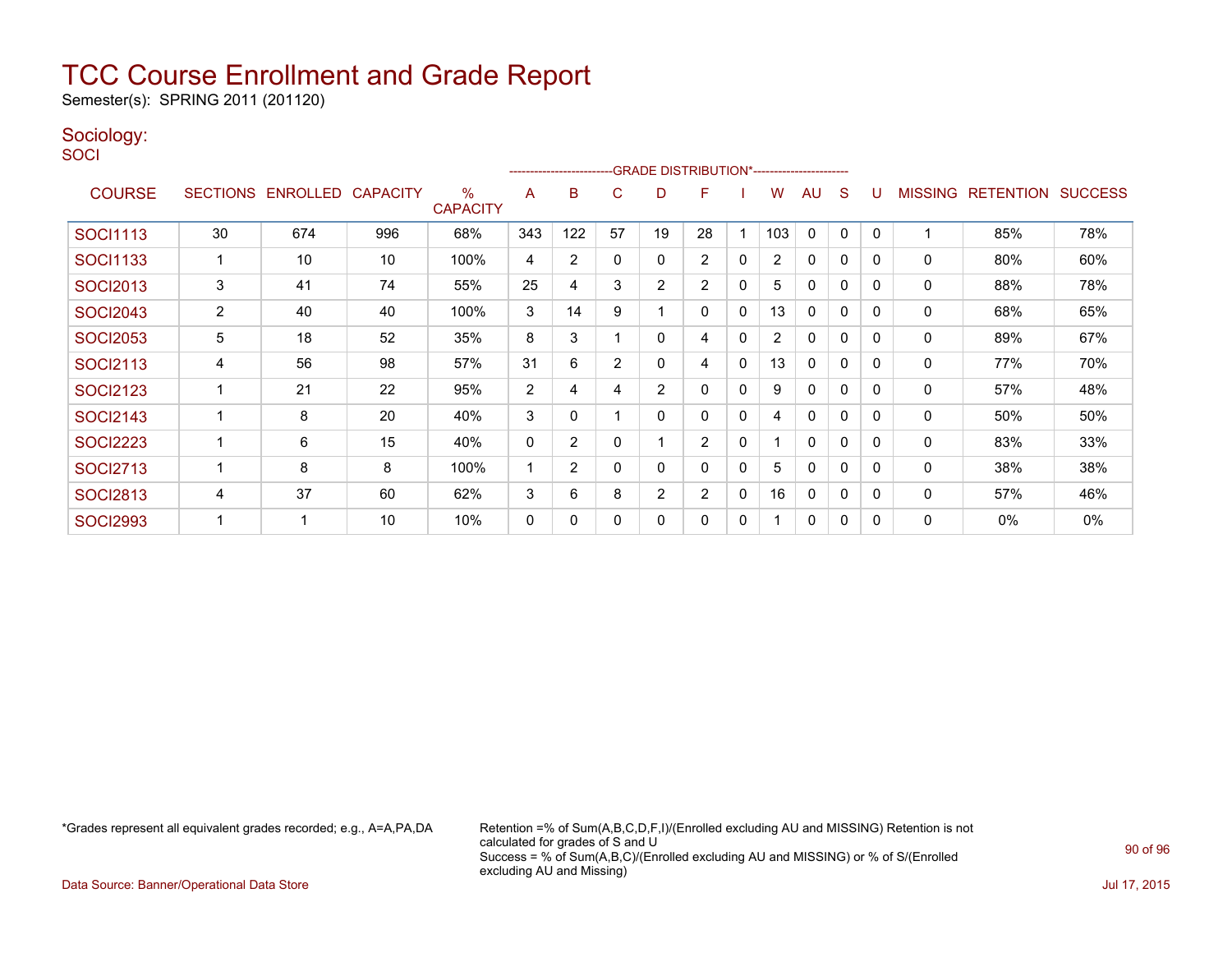Semester(s): SPRING 2011 (201120)

#### Sociology:

**SOCI** 

|                 |                |                            |     |                      |                | ---------------------- |          |                | -GRADE DISTRIBUTION*----------------------- |              |                |              |              |          |                |                  |                |
|-----------------|----------------|----------------------------|-----|----------------------|----------------|------------------------|----------|----------------|---------------------------------------------|--------------|----------------|--------------|--------------|----------|----------------|------------------|----------------|
| <b>COURSE</b>   |                | SECTIONS ENROLLED CAPACITY |     | %<br><b>CAPACITY</b> | A              | B                      | C        | D              | F                                           |              | W              | AU           | S            |          | <b>MISSING</b> | <b>RETENTION</b> | <b>SUCCESS</b> |
| <b>SOCI1113</b> | 30             | 674                        | 996 | 68%                  | 343            | 122                    | 57       | 19             | 28                                          |              | 103            | 0            | 0            | 0        |                | 85%              | 78%            |
| SOCI1133        |                | 10                         | 10  | 100%                 | 4              | 2                      | $\Omega$ | 0              | $\overline{2}$                              | $\mathbf{0}$ | $\overline{2}$ | $\mathbf{0}$ | 0            | 0        | $\mathbf{0}$   | 80%              | 60%            |
| <b>SOCI2013</b> | 3              | 41                         | 74  | 55%                  | 25             | 4                      | 3        | $\overline{2}$ | 2                                           | 0            | 5              | $\mathbf{0}$ | $\mathbf{0}$ | 0        | 0              | 88%              | 78%            |
| <b>SOCI2043</b> | $\overline{2}$ | 40                         | 40  | 100%                 | 3              | 14                     | 9        |                | 0                                           | $\mathbf{0}$ | 13             | $\mathbf{0}$ | $\mathbf{0}$ | 0        | 0              | 68%              | 65%            |
| <b>SOCI2053</b> | 5              | 18                         | 52  | 35%                  | 8              | 3                      |          | 0              | 4                                           | 0            | $\overline{2}$ | 0            | 0            | 0        | 0              | 89%              | 67%            |
| <b>SOCI2113</b> | 4              | 56                         | 98  | 57%                  | 31             | 6                      | 2        | 0              | 4                                           | $\mathbf 0$  | 13             | $\mathbf{0}$ | $\mathbf{0}$ | 0        | 0              | 77%              | 70%            |
| <b>SOCI2123</b> |                | 21                         | 22  | 95%                  | $\overline{2}$ | 4                      | 4        | 2              | 0                                           | 0            | 9              | 0            | $\mathbf{0}$ | 0        | 0              | 57%              | 48%            |
| <b>SOCI2143</b> |                | 8                          | 20  | 40%                  | 3              | 0                      |          | 0              | 0                                           | $\mathbf{0}$ | 4              | 0            | 0            | 0        | 0              | 50%              | 50%            |
| <b>SOCI2223</b> |                | 6                          | 15  | 40%                  | $\mathbf 0$    | 2                      | $\Omega$ |                | $\overline{2}$                              | $\mathbf{0}$ |                | $\Omega$     | $\mathbf{0}$ | $\Omega$ | 0              | 83%              | 33%            |
| <b>SOCI2713</b> |                | 8                          | 8   | 100%                 | 1              | $\overline{2}$         | $\Omega$ | 0              | $\Omega$                                    | $\mathbf{0}$ | 5              | 0            | 0            | 0        | 0              | 38%              | 38%            |
| <b>SOCI2813</b> | 4              | 37                         | 60  | 62%                  | 3              | 6                      | 8        | 2              | $\overline{2}$                              | $\mathbf{0}$ | 16             | 0            | 0            | 0        | 0              | 57%              | 46%            |
| <b>SOCI2993</b> |                |                            | 10  | 10%                  | 0              | 0                      | $\Omega$ | 0              | $\Omega$                                    | 0            |                | $\mathbf{0}$ | 0            | 0        | 0              | 0%               | $0\%$          |

\*Grades represent all equivalent grades recorded; e.g., A=A,PA,DA Retention =% of Sum(A,B,C,D,F,I)/(Enrolled excluding AU and MISSING) Retention is not calculated for grades of S and U Success = % of Sum(A,B,C)/(Enrolled excluding AU and MISSING) or % of S/(Enrolled excluding AU and Missing)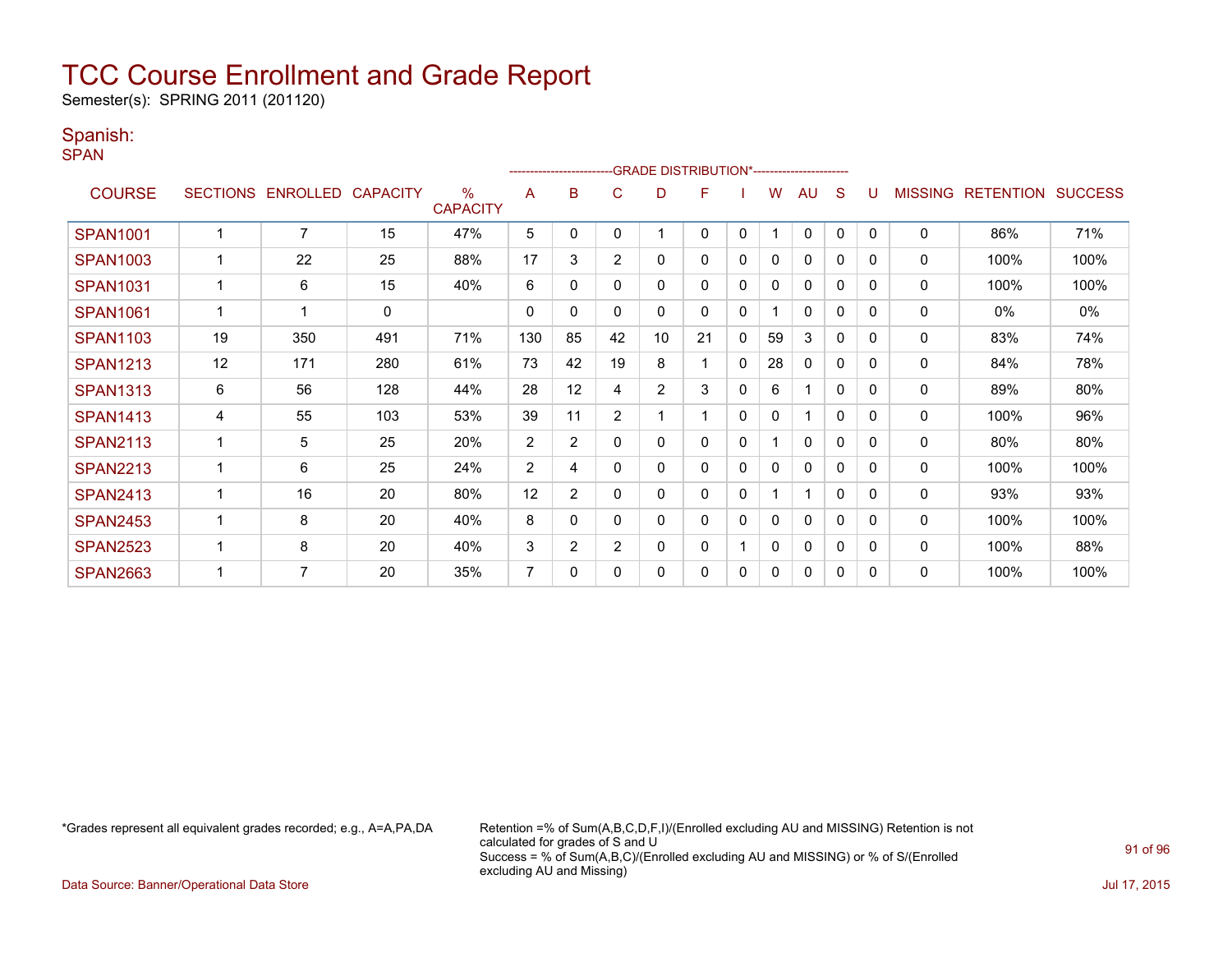Semester(s): SPRING 2011 (201120)

#### Spanish:

SPAN

|                 |    |                   |                 |                      |                | ------------------------ |                |                | -GRADE DISTRIBUTION*---------------------- |              |    |              |              |          |                |                  |                |
|-----------------|----|-------------------|-----------------|----------------------|----------------|--------------------------|----------------|----------------|--------------------------------------------|--------------|----|--------------|--------------|----------|----------------|------------------|----------------|
| <b>COURSE</b>   |    | SECTIONS ENROLLED | <b>CAPACITY</b> | %<br><b>CAPACITY</b> | A              | в                        | C              | D              | F                                          |              | W  | AU           | S            |          | <b>MISSING</b> | <b>RETENTION</b> | <b>SUCCESS</b> |
| <b>SPAN1001</b> |    | $\overline{7}$    | 15              | 47%                  | 5              | $\mathbf{0}$             | $\Omega$       |                | 0                                          | $\mathbf{0}$ |    | $\mathbf 0$  | 0            | $\Omega$ | $\mathbf 0$    | 86%              | 71%            |
| <b>SPAN1003</b> |    | 22                | 25              | 88%                  | 17             | 3                        | $\overline{2}$ | 0              | 0                                          | 0            | 0  | $\mathbf{0}$ | 0            | $\Omega$ | 0              | 100%             | 100%           |
| <b>SPAN1031</b> |    | 6                 | 15              | 40%                  | 6              | 0                        | 0              | 0              | 0                                          | 0            | 0  | $\mathbf{0}$ | 0            | $\Omega$ | $\mathbf 0$    | 100%             | 100%           |
| <b>SPAN1061</b> |    | 1                 | $\mathbf 0$     |                      | $\mathbf{0}$   | $\mathbf{0}$             | $\Omega$       | 0              | 0                                          | 0            |    | $\mathbf{0}$ | $\mathbf{0}$ | $\Omega$ | $\mathbf 0$    | 0%               | 0%             |
| <b>SPAN1103</b> | 19 | 350               | 491             | 71%                  | 130            | 85                       | 42             | 10             | 21                                         | 0            | 59 | 3            | $\mathbf{0}$ | 0        | 0              | 83%              | 74%            |
| <b>SPAN1213</b> | 12 | 171               | 280             | 61%                  | 73             | 42                       | 19             | 8              | 1                                          | $\mathbf{0}$ | 28 | $\mathbf{0}$ | $\mathbf{0}$ | $\Omega$ | 0              | 84%              | 78%            |
| <b>SPAN1313</b> | 6  | 56                | 128             | 44%                  | 28             | 12                       | 4              | $\overline{2}$ | 3                                          | 0            | 6  | 1            | $\mathbf{0}$ | $\Omega$ | 0              | 89%              | 80%            |
| <b>SPAN1413</b> | 4  | 55                | 103             | 53%                  | 39             | 11                       | $\overline{2}$ |                |                                            | 0            | 0  |              | $\mathbf{0}$ | $\Omega$ | 0              | 100%             | 96%            |
| <b>SPAN2113</b> |    | 5                 | 25              | 20%                  | $\overline{2}$ | $\overline{2}$           | 0              | 0              | 0                                          | 0            |    | $\mathbf{0}$ | $\Omega$     | $\Omega$ | 0              | 80%              | 80%            |
| <b>SPAN2213</b> |    | 6                 | 25              | 24%                  | $\overline{2}$ | 4                        | 0              | 0              | 0                                          | 0            | 0  | $\mathbf{0}$ | 0            | $\Omega$ | 0              | 100%             | 100%           |
| <b>SPAN2413</b> |    | 16                | 20              | 80%                  | 12             | $\overline{2}$           | 0              | 0              | 0                                          | 0            |    | 1            | $\mathbf{0}$ | $\Omega$ | $\mathbf 0$    | 93%              | 93%            |
| <b>SPAN2453</b> |    | 8                 | 20              | 40%                  | 8              | 0                        | 0              | 0              | 0                                          | 0            | 0  | $\mathbf{0}$ | 0            | $\Omega$ | 0              | 100%             | 100%           |
| <b>SPAN2523</b> |    | 8                 | 20              | 40%                  | 3              | $\overline{2}$           | $\overline{2}$ | 0              | 0                                          |              | 0  | $\mathbf{0}$ | 0            | 0        | $\mathbf{0}$   | 100%             | 88%            |
| <b>SPAN2663</b> |    | 7                 | 20              | 35%                  | $\overline{7}$ | 0                        | $\Omega$       | 0              | 0                                          | 0            | 0  | 0            | 0            | $\Omega$ | 0              | 100%             | 100%           |

\*Grades represent all equivalent grades recorded; e.g., A=A,PA,DA Retention =% of Sum(A,B,C,D,F,I)/(Enrolled excluding AU and MISSING) Retention is not calculated for grades of S and U Success = % of Sum(A,B,C)/(Enrolled excluding AU and MISSING) or % of S/(Enrolled excluding AU and Missing)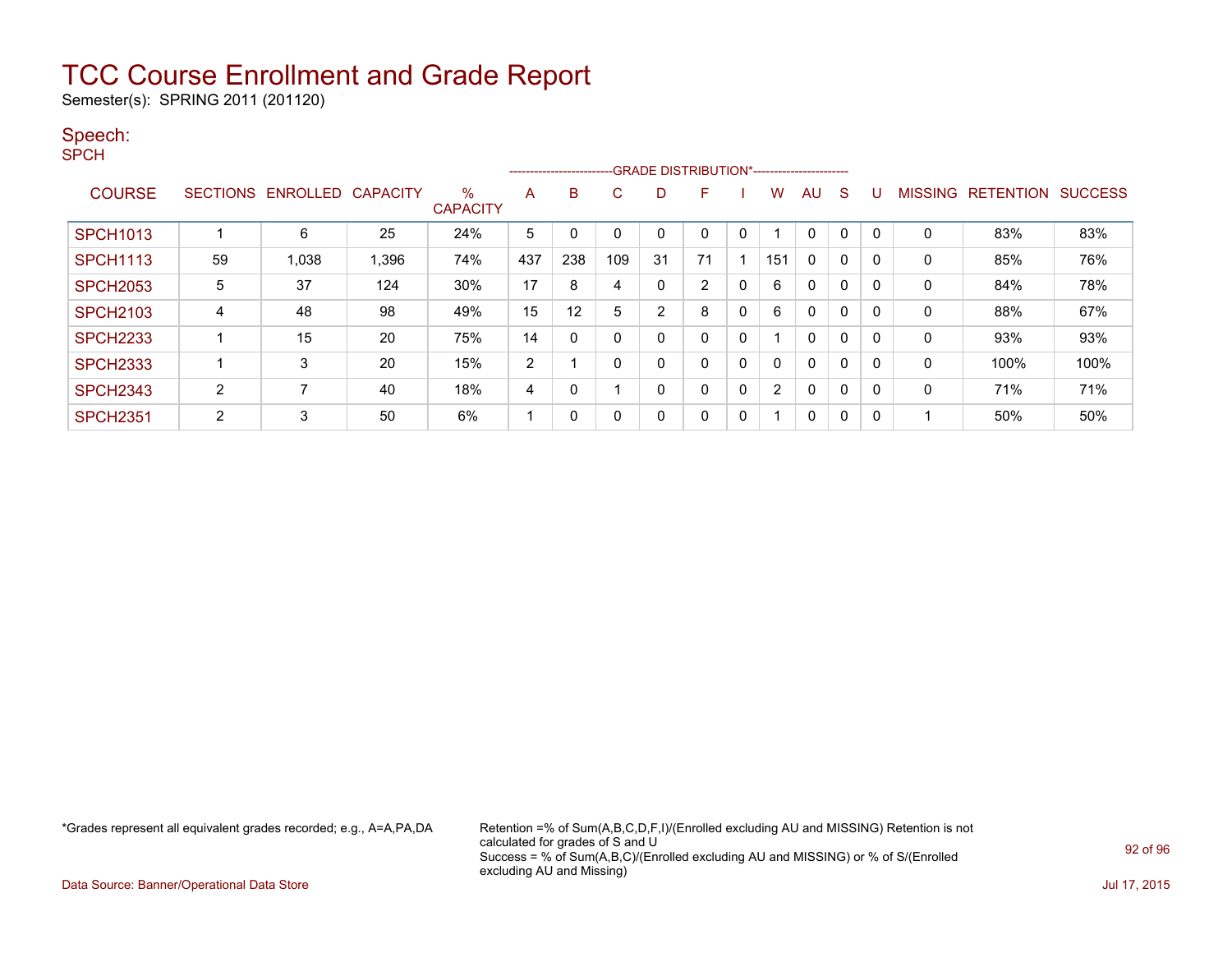Semester(s): SPRING 2011 (201120)

#### Speech:

SPCH

|                 |    |                   |                 |                      |     | --------------------------GRADE DISTRIBUTION*----------------------- |             |    |                |   |     |              |              |   |                |                          |      |
|-----------------|----|-------------------|-----------------|----------------------|-----|----------------------------------------------------------------------|-------------|----|----------------|---|-----|--------------|--------------|---|----------------|--------------------------|------|
| <b>COURSE</b>   |    | SECTIONS ENROLLED | <b>CAPACITY</b> | %<br><b>CAPACITY</b> | A   | B                                                                    | C           | D  | F              |   | w   | AU           | S            |   | <b>MISSING</b> | <b>RETENTION SUCCESS</b> |      |
| <b>SPCH1013</b> |    | 6                 | 25              | 24%                  | 5   |                                                                      | 0           | 0  |                |   |     | $\mathbf 0$  | 0            |   | 0              | 83%                      | 83%  |
| <b>SPCH1113</b> | 59 | 1,038             | 1,396           | 74%                  | 437 | 238                                                                  | 109         | 31 | 71             |   | 151 | 0            | $\mathbf{0}$ | 0 | $\Omega$       | 85%                      | 76%  |
| <b>SPCH2053</b> | 5  | 37                | 124             | $30\%$               | 17  | 8                                                                    | 4           | 0  | $\overline{2}$ | 0 | 6   | 0            | $\mathbf{0}$ |   | 0              | 84%                      | 78%  |
| <b>SPCH2103</b> | 4  | 48                | 98              | 49%                  | 15  | 12                                                                   | 5           | 2  | 8              | 0 | 6   | 0            | 0            |   | 0              | 88%                      | 67%  |
| <b>SPCH2233</b> |    | 15                | 20              | 75%                  | 14  | $\Omega$                                                             | $\mathbf 0$ | 0  | 0              | 0 |     | $\mathbf{0}$ | $\mathbf{0}$ | 0 | 0              | 93%                      | 93%  |
| <b>SPCH2333</b> |    | 3                 | 20              | 15%                  | 2   |                                                                      | $\mathbf 0$ | 0  | $\Omega$       | 0 |     | $\mathbf{0}$ | 0            | 0 | $\mathbf{0}$   | 100%                     | 100% |
| <b>SPCH2343</b> | 2  |                   | 40              | 18%                  | 4   | 0                                                                    |             | 0  | $\Omega$       | 0 | 2   | 0            | 0            |   | 0              | 71%                      | 71%  |
| <b>SPCH2351</b> | 2  | 3                 | 50              | 6%                   |     | 0                                                                    | 0           | 0  | 0              | 0 |     | 0            | 0            |   |                | 50%                      | 50%  |

\*Grades represent all equivalent grades recorded; e.g., A=A,PA,DA Retention =% of Sum(A,B,C,D,F,I)/(Enrolled excluding AU and MISSING) Retention is not calculated for grades of S and U Success = % of Sum(A,B,C)/(Enrolled excluding AU and MISSING) or % of S/(Enrolled excluding AU and Missing)

Data Source: Banner/Operational Data Store Jul 17, 2015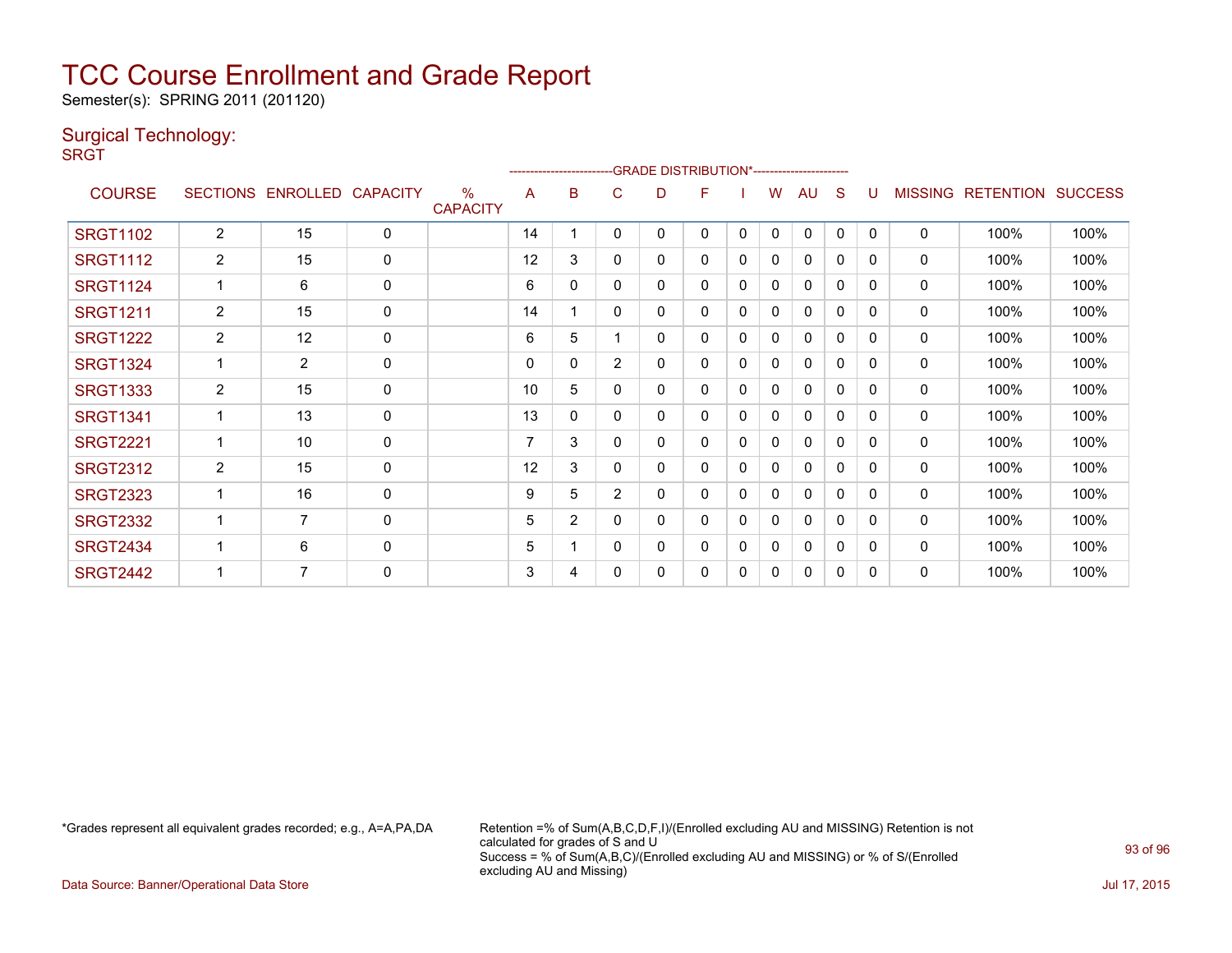Semester(s): SPRING 2011 (201120)

#### Surgical Technology:

**SRGT** 

|                 |                |                            |             |                                  |    |                | ------------------------GRADE                DISTRIBUTION*---------------------- |   |          |          |   |              |          |              |                |                  |                |
|-----------------|----------------|----------------------------|-------------|----------------------------------|----|----------------|----------------------------------------------------------------------------------|---|----------|----------|---|--------------|----------|--------------|----------------|------------------|----------------|
| <b>COURSE</b>   |                | SECTIONS ENROLLED CAPACITY |             | $\frac{0}{0}$<br><b>CAPACITY</b> | A  | в              | C                                                                                | D | F        |          | W | AU           | S        | U            | <b>MISSING</b> | <b>RETENTION</b> | <b>SUCCESS</b> |
| <b>SRGT1102</b> | $\overline{2}$ | 15                         | $\mathbf 0$ |                                  | 14 |                | 0                                                                                | 0 | 0        | 0        | 0 | $\Omega$     | 0        | $\mathbf{0}$ | $\mathbf{0}$   | 100%             | 100%           |
| <b>SRGT1112</b> | $\overline{2}$ | 15                         | $\mathbf 0$ |                                  | 12 | 3              | 0                                                                                | 0 | 0        | 0        | 0 | $\Omega$     | 0        | 0            | $\mathbf{0}$   | 100%             | 100%           |
| <b>SRGT1124</b> |                | 6                          | $\mathbf 0$ |                                  | 6  | $\mathbf{0}$   | $\Omega$                                                                         | 0 | 0        | 0        | 0 | $\mathbf{0}$ | 0        | 0            | $\mathbf{0}$   | 100%             | 100%           |
| <b>SRGT1211</b> | $\overline{2}$ | 15                         | $\mathbf 0$ |                                  | 14 |                | 0                                                                                | 0 | 0        | 0        | 0 | 0            | 0        | $\Omega$     | 0              | 100%             | 100%           |
| <b>SRGT1222</b> | $\overline{2}$ | 12                         | $\mathbf 0$ |                                  | 6  | 5              |                                                                                  | 0 | $\Omega$ | 0        | 0 | $\mathbf{0}$ | 0        | $\Omega$     | $\Omega$       | 100%             | 100%           |
| <b>SRGT1324</b> |                | $\overline{2}$             | 0           |                                  | 0  | 0              | $\overline{2}$                                                                   | 0 | 0        | 0        | 0 | 0            | 0        | 0            | 0              | 100%             | 100%           |
| <b>SRGT1333</b> | $\overline{2}$ | 15                         | $\mathbf 0$ |                                  | 10 | 5              | 0                                                                                | 0 | $\Omega$ | 0        | 0 | $\Omega$     | $\Omega$ | 0            | $\mathbf 0$    | 100%             | 100%           |
| <b>SRGT1341</b> |                | 13                         | $\mathbf 0$ |                                  | 13 | 0              | 0                                                                                | 0 | 0        | 0        | 0 | 0            | 0        | 0            | 0              | 100%             | 100%           |
| <b>SRGT2221</b> |                | 10                         | $\mathbf 0$ |                                  | 7  | 3              | 0                                                                                | 0 | 0        | 0        | 0 | $\mathbf{0}$ | 0        | 0            | 0              | 100%             | 100%           |
| <b>SRGT2312</b> | $\overline{2}$ | 15                         | $\mathbf 0$ |                                  | 12 | 3              | 0                                                                                | 0 | 0        | 0        | 0 | $\mathbf{0}$ | $\Omega$ | 0            | $\mathbf{0}$   | 100%             | 100%           |
| <b>SRGT2323</b> |                | 16                         | 0           |                                  | 9  | 5              | $\overline{2}$                                                                   | 0 | 0        | 0        | 0 | $\mathbf{0}$ | 0        | 0            | $\mathbf{0}$   | 100%             | 100%           |
| <b>SRGT2332</b> |                | $\overline{7}$             | $\mathbf 0$ |                                  | 5  | $\overline{2}$ | 0                                                                                | 0 | 0        | $\Omega$ | 0 | $\mathbf{0}$ | 0        | 0            | $\mathbf{0}$   | 100%             | 100%           |
| <b>SRGT2434</b> |                | 6                          | $\mathbf 0$ |                                  | 5  |                | 0                                                                                | 0 | 0        | 0        | 0 | 0            | 0        | 0            | 0              | 100%             | 100%           |
| <b>SRGT2442</b> |                | 7                          | $\mathbf 0$ |                                  | 3  | 4              | 0                                                                                | 0 | 0        | 0        | 0 | $\Omega$     | $\Omega$ | 0            | $\mathbf{0}$   | 100%             | 100%           |

\*Grades represent all equivalent grades recorded; e.g., A=A,PA,DA Retention =% of Sum(A,B,C,D,F,I)/(Enrolled excluding AU and MISSING) Retention is not calculated for grades of S and U Success = % of Sum(A,B,C)/(Enrolled excluding AU and MISSING) or % of S/(Enrolled excluding AU and Missing)

Data Source: Banner/Operational Data Store Jul 17, 2015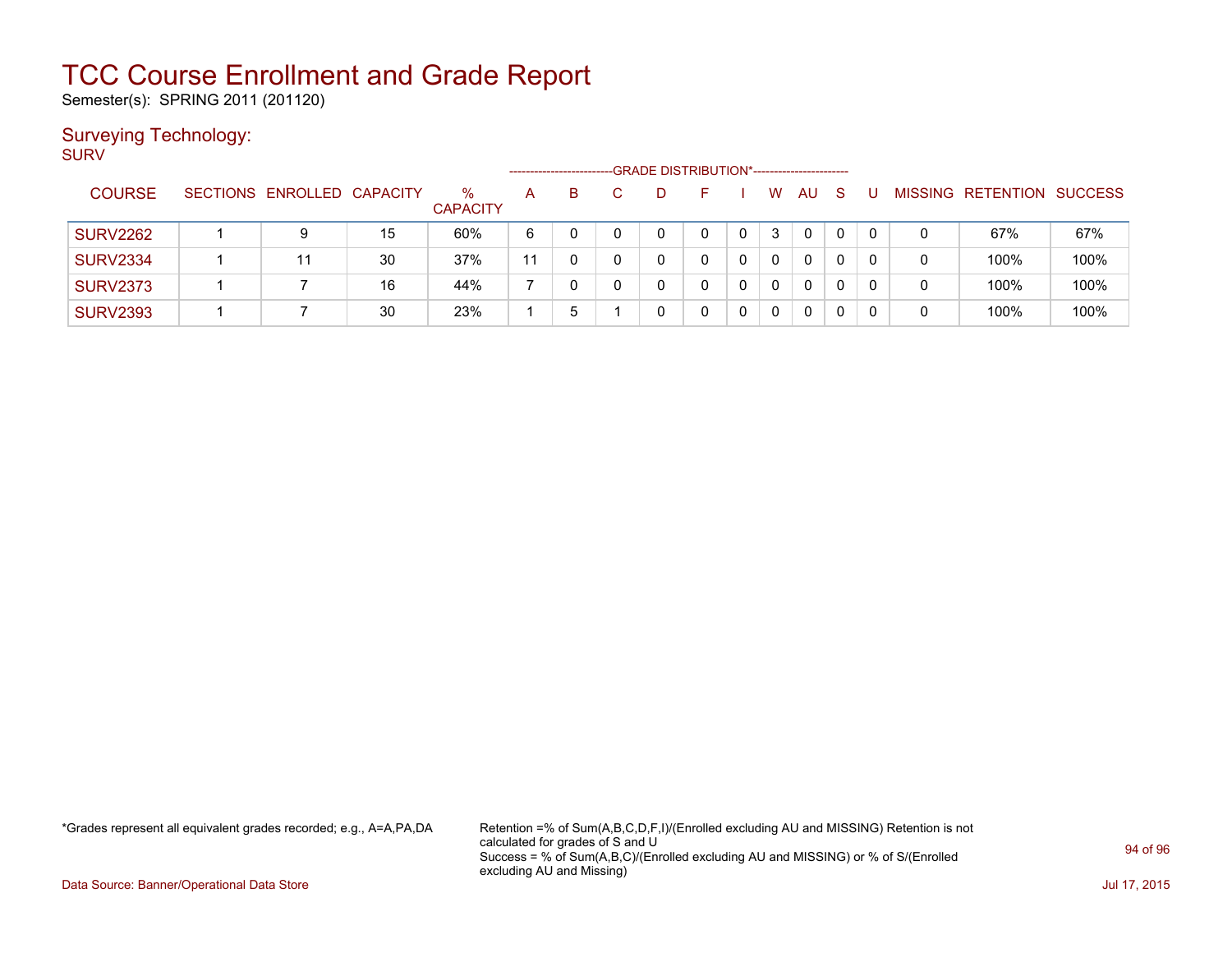Semester(s): SPRING 2011 (201120)

#### Surveying Technology:

SURV

|                 |                            |    |                         |    | ----------------------- |  | -GRADE DISTRIBUTION*----------------------- |   |              |           |              |                |                  |                |
|-----------------|----------------------------|----|-------------------------|----|-------------------------|--|---------------------------------------------|---|--------------|-----------|--------------|----------------|------------------|----------------|
| <b>COURSE</b>   | SECTIONS ENROLLED CAPACITY |    | $\%$<br><b>CAPACITY</b> | Α  | B.                      |  |                                             |   | W            | <b>AU</b> | <sub>S</sub> | <b>MISSING</b> | <b>RETENTION</b> | <b>SUCCESS</b> |
| <b>SURV2262</b> | 9                          | 15 | 60%                     | 6  |                         |  | 0                                           | 0 | 3            | 0         | 0            | 0              | 67%              | 67%            |
| <b>SURV2334</b> | 11                         | 30 | 37%                     | 11 |                         |  |                                             |   | $\mathbf{0}$ | 0         | 0            | 0              | 100%             | 100%           |
| <b>SURV2373</b> |                            | 16 | 44%                     |    |                         |  |                                             |   | $\mathbf{0}$ | 0         | 0            | 0              | 100%             | 100%           |
| <b>SURV2393</b> |                            | 30 | 23%                     |    | b.                      |  |                                             |   | 0            | 0         | 0            | 0              | 100%             | 100%           |

\*Grades represent all equivalent grades recorded; e.g., A=A,PA,DA Retention =% of Sum(A,B,C,D,F,I)/(Enrolled excluding AU and MISSING) Retention is not calculated for grades of S and U Success = % of Sum(A,B,C)/(Enrolled excluding AU and MISSING) or % of S/(Enrolled excluding AU and Missing)

Data Source: Banner/Operational Data Store Jul 17, 2015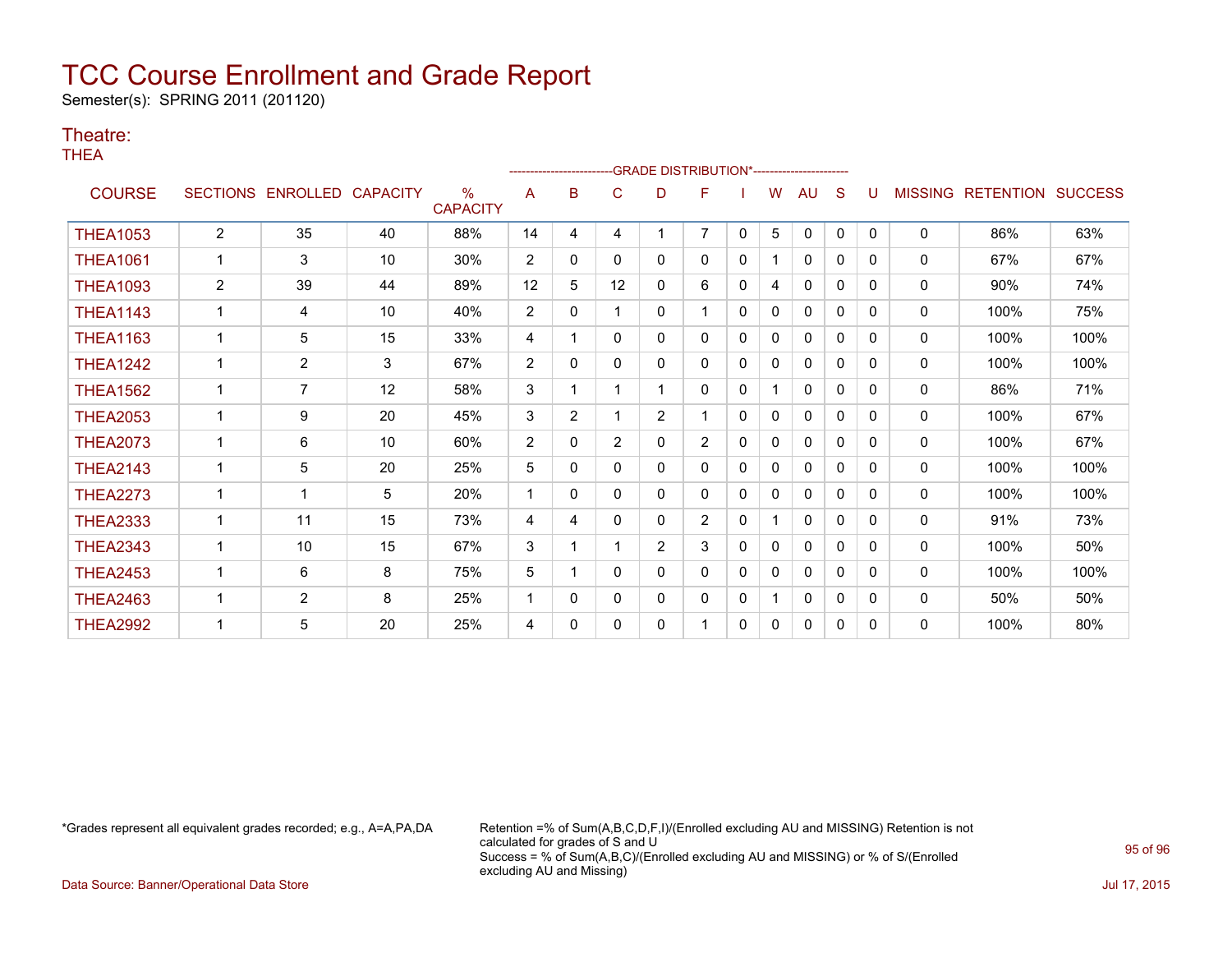Semester(s): SPRING 2011 (201120)

#### Theatre:

THEA

| .               |              |                            |    |                                  |                | --------------------- |                |                | --GRADE DISTRIBUTION*----------------------- |              |              |              |              |          |                |                          |      |
|-----------------|--------------|----------------------------|----|----------------------------------|----------------|-----------------------|----------------|----------------|----------------------------------------------|--------------|--------------|--------------|--------------|----------|----------------|--------------------------|------|
| <b>COURSE</b>   |              | SECTIONS ENROLLED CAPACITY |    | $\frac{0}{0}$<br><b>CAPACITY</b> | A              | в                     | C              | D              | F                                            |              | W            | AU           | S            |          | <b>MISSING</b> | <b>RETENTION SUCCESS</b> |      |
| <b>THEA1053</b> | 2            | 35                         | 40 | 88%                              | 14             | 4                     | 4              |                | $\overline{7}$                               | $\mathbf{0}$ | 5            | $\mathbf{0}$ | 0            | $\Omega$ | 0              | 86%                      | 63%  |
| <b>THEA1061</b> |              | 3                          | 10 | 30%                              | 2              | 0                     | 0              | 0              | 0                                            | 0            |              | 0            | 0            | 0        | 0              | 67%                      | 67%  |
| <b>THEA1093</b> | 2            | 39                         | 44 | 89%                              | 12             | 5                     | 12             | 0              | 6                                            | 0            | 4            | 0            | 0            | 0        | 0              | 90%                      | 74%  |
| <b>THEA1143</b> | 1            | 4                          | 10 | 40%                              | $\overline{2}$ | 0                     |                | 0              |                                              | $\mathbf 0$  | 0            | $\mathbf{0}$ | 0            | 0        | 0              | 100%                     | 75%  |
| <b>THEA1163</b> | $\mathbf{1}$ | 5                          | 15 | 33%                              | 4              |                       | 0              | 0              | 0                                            | $\mathbf 0$  | 0            | 0            | $\mathbf{0}$ | $\Omega$ | 0              | 100%                     | 100% |
| <b>THEA1242</b> | $\mathbf{1}$ | $\overline{2}$             | 3  | 67%                              | $\overline{2}$ | $\Omega$              | 0              | 0              | 0                                            | 0            | 0            | $\mathbf{0}$ | $\Omega$     | 0        | $\Omega$       | 100%                     | 100% |
| <b>THEA1562</b> | 1            | 7                          | 12 | 58%                              | 3              |                       |                |                | 0                                            | 0            |              | $\mathbf{0}$ | $\Omega$     | 0        | 0              | 86%                      | 71%  |
| <b>THEA2053</b> | 1            | 9                          | 20 | 45%                              | 3              | $\overline{2}$        |                | $\overline{2}$ | 1                                            | $\mathbf{0}$ | $\Omega$     | $\mathbf{0}$ | $\Omega$     | 0        | $\mathbf{0}$   | 100%                     | 67%  |
| <b>THEA2073</b> |              | 6                          | 10 | 60%                              | 2              | $\mathbf{0}$          | $\overline{2}$ | 0              | $\overline{2}$                               | $\mathbf 0$  | $\mathbf{0}$ | $\mathbf{0}$ | $\Omega$     | $\Omega$ | 0              | 100%                     | 67%  |
| <b>THEA2143</b> |              | 5                          | 20 | 25%                              | 5              | 0                     | 0              | 0              | 0                                            | 0            | 0            | $\mathbf{0}$ | 0            | 0        | 0              | 100%                     | 100% |
| <b>THEA2273</b> |              | 1                          | 5  | 20%                              |                | 0                     | 0              | 0              | 0                                            | 0            | $\mathbf{0}$ | $\mathbf{0}$ | 0            | $\Omega$ | 0              | 100%                     | 100% |
| <b>THEA2333</b> |              | 11                         | 15 | 73%                              | 4              | 4                     | 0              | 0              | $\overline{2}$                               | 0            |              | $\mathbf{0}$ | 0            | 0        | $\mathbf{0}$   | 91%                      | 73%  |
| <b>THEA2343</b> | 1            | 10                         | 15 | 67%                              | 3              |                       |                | $\overline{2}$ | 3                                            | 0            | 0            | $\mathbf{0}$ | 0            | 0        | 0              | 100%                     | 50%  |
| <b>THEA2453</b> | 1            | 6                          | 8  | 75%                              | 5              |                       | 0              | 0              | 0                                            | 0            | 0            | 0            | 0            | 0        | 0              | 100%                     | 100% |
| <b>THEA2463</b> |              | $\overline{2}$             | 8  | 25%                              | 1              | 0                     | 0              | 0              | 0                                            | 0            |              | $\mathbf{0}$ | 0            | 0        | $\mathbf{0}$   | 50%                      | 50%  |
| <b>THEA2992</b> |              | 5                          | 20 | 25%                              | 4              | 0                     | $\Omega$       | 0              |                                              | 0            | 0            | 0            | 0            | $\Omega$ | 0              | 100%                     | 80%  |

\*Grades represent all equivalent grades recorded; e.g., A=A,PA,DA Retention =% of Sum(A,B,C,D,F,I)/(Enrolled excluding AU and MISSING) Retention is not calculated for grades of S and U Success = % of Sum(A,B,C)/(Enrolled excluding AU and MISSING) or % of S/(Enrolled excluding AU and Missing)